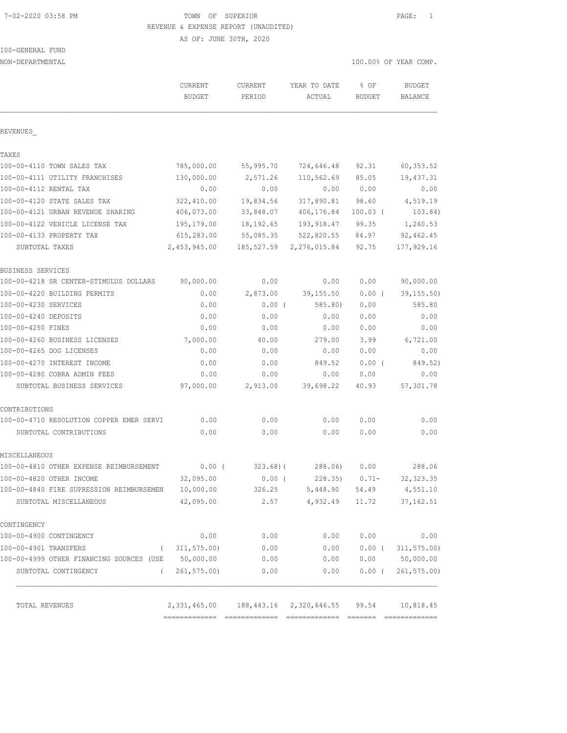### 7-02-2020 03:58 PM TOWN OF SUPERIOR PAGE: 1 REVENUE & EXPENSE REPORT (UNAUDITED)

AS OF: JUNE 30TH, 2020

| 100-GENERAL FUND |  |
|------------------|--|
|                  |  |

| NON-DEPARTMENTAL                         |                                            |                   |                        |                       | 100.00% OF YEAR COMP.    |  |
|------------------------------------------|--------------------------------------------|-------------------|------------------------|-----------------------|--------------------------|--|
|                                          | <b>CURRENT</b><br><b>BUDGET</b>            | CURRENT<br>PERIOD | YEAR TO DATE<br>ACTUAL | % OF<br><b>BUDGET</b> | <b>BUDGET</b><br>BALANCE |  |
| REVENUES                                 |                                            |                   |                        |                       |                          |  |
| TAXES                                    |                                            |                   |                        |                       |                          |  |
| 100-00-4110 TOWN SALES TAX               | 785,000.00                                 | 55,995.70         | 724,646.48             | 92.31                 | 60, 353.52               |  |
| 100-00-4111 UTILITY FRANCHISES           | 130,000.00                                 | 2,571.26          | 110,562.69             | 85.05                 | 19,437.31                |  |
| 100-00-4112 RENTAL TAX                   | 0.00                                       | 0.00              | 0.00                   | 0.00                  | 0.00                     |  |
| 100-00-4120 STATE SALES TAX              | 322,410.00                                 | 19,834.56         | 317,890.81             | 98.60                 | 4,519.19                 |  |
| 100-00-4121 URBAN REVENUE SHARING        | 406,073.00                                 | 33,848.07         | 406,176.84             | $100.03$ (            | 103.84)                  |  |
| 100-00-4122 VEHICLE LICENSE TAX          | 195,179.00                                 | 18, 192.65        | 193,918.47             | 99.35                 | 1,260.53                 |  |
| 100-00-4133 PROPERTY TAX                 | 615,283.00                                 | 55,085.35         | 522,820.55             | 84.97                 | 92, 462.45               |  |
| SUBTOTAL TAXES                           | 2,453,945.00                               | 185,527.59        | 2,276,015.84           | 92.75                 | 177,929.16               |  |
| BUSINESS SERVICES                        |                                            |                   |                        |                       |                          |  |
| 100-00-4218 SR CENTER-STIMULUS DOLLARS   | 90,000.00                                  | 0.00              | 0.00                   | 0.00                  | 90,000.00                |  |
| 100-00-4220 BUILDING PERMITS             | 0.00                                       | 2,873.00          | 39, 155.50             | $0.00$ (              | 39, 155.50)              |  |
| 100-00-4230 SERVICES                     | 0.00                                       | $0.00$ (          | 585.80                 | 0.00                  | 585.80                   |  |
| 100-00-4240 DEPOSITS                     | 0.00                                       | 0.00              | 0.00                   | 0.00                  | 0.00                     |  |
| 100-00-4250 FINES                        | 0.00                                       | 0.00              | 0.00                   | 0.00                  | 0.00                     |  |
| 100-00-4260 BUSINESS LICENSES            | 7,000.00                                   | 40.00             | 279.00                 | 3.99                  | 6,721.00                 |  |
| 100-00-4265 DOG LICENSES                 | 0.00                                       | 0.00              | 0.00                   | 0.00                  | 0.00                     |  |
| 100-00-4270 INTEREST INCOME              | 0.00                                       | 0.00              | 849.52                 | $0.00$ (              | 849.52)                  |  |
| 100-00-4280 COBRA ADMIN FEES             | 0.00                                       | 0.00              | 0.00                   | 0.00                  | 0.00                     |  |
| SUBTOTAL BUSINESS SERVICES               | 97,000.00                                  | 2,913.00          | 39,698.22              | 40.93                 | 57,301.78                |  |
| CONTRIBUTIONS                            |                                            |                   |                        |                       |                          |  |
| 100-00-4710 RESOLUTION COPPER EMER SERVI | 0.00                                       | 0.00              | 0.00                   | 0.00                  | 0.00                     |  |
| SUBTOTAL CONTRIBUTIONS                   | 0.00                                       | 0.00              | 0.00                   | 0.00                  | 0.00                     |  |
| MISCELLANEOUS                            |                                            |                   |                        |                       |                          |  |
| 100-00-4810 OTHER EXPENSE REIMBURSEMENT  | $0.00$ (                                   | $323.68$ ) (      | 288.06)                | 0.00                  | 288.06                   |  |
| 100-00-4820 OTHER INCOME                 | 32,095.00                                  | $0.00$ (          | 228.35)                | $0.71 -$              | 32, 323.35               |  |
| 100-00-4840 FIRE SUPRESSION REIMBURSEMEN | 10,000.00                                  | 326.25            | 5,448.90               | 54.49                 | 4,551.10                 |  |
| SUBTOTAL MISCELLANEOUS                   | 42,095.00                                  | 2.57              | 4,932.49               | 11.72                 | 37, 162.51               |  |
| CONTINGENCY                              |                                            |                   |                        |                       |                          |  |
| 100-00-4900 CONTINGENCY                  | 0.00                                       | 0.00              | 0.00                   | 0.00                  | 0.00                     |  |
| 100-00-4901 TRANSFERS<br>$\left($        | 311, 575.00                                | 0.00              | 0.00                   | $0.00$ (              | 311, 575.00              |  |
| 100-00-4999 OTHER FINANCING SOURCES (USE | 50,000.00                                  | 0.00              | 0.00                   |                       | 0.00 50,000.00           |  |
| SUBTOTAL CONTINGENCY<br>$\left($         | 261, 575.00                                | 0.00              | 0.00                   | $0.00$ (              | 261, 575.00              |  |
| TOTAL REVENUES                           | 2,331,465.00 188,443.16 2,320,646.55 99.54 |                   |                        |                       | 10,818.45                |  |
|                                          |                                            |                   |                        |                       |                          |  |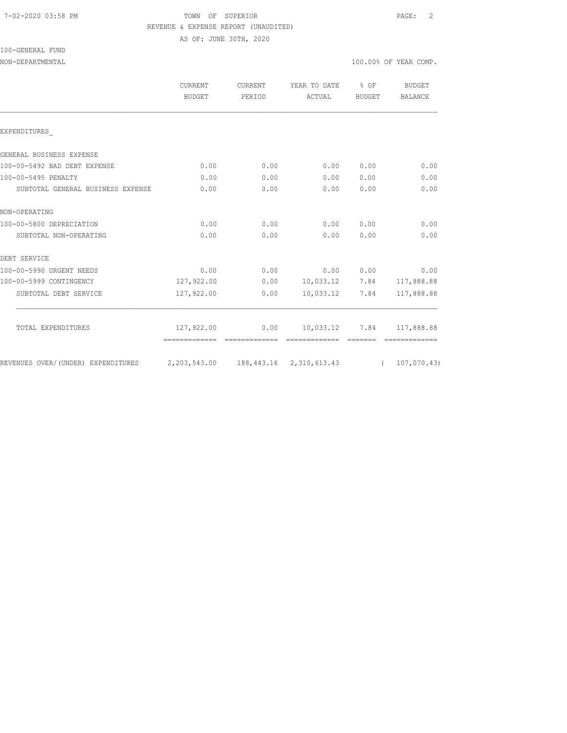# 7-02-2020 03:58 PM TOWN OF SUPERIOR PAGE: 2 REVENUE & EXPENSE REPORT (UNAUDITED)

AS OF: JUNE 30TH, 2020

# 100-GENERAL FUND

## NON-DEPARTMENTAL 100.00% OF YEAR COMP.

|                                    | <b>CURRENT</b><br><b>BUDGET</b>                         | <b>CURRENT</b><br>PERIOD | YEAR TO DATE<br>ACTUAL           | $8$ OF<br><b>BUDGET</b> | <b>BUDGET</b><br>BALANCE |
|------------------------------------|---------------------------------------------------------|--------------------------|----------------------------------|-------------------------|--------------------------|
| EXPENDITURES                       |                                                         |                          |                                  |                         |                          |
| GENERAL BUSINESS EXPENSE           |                                                         |                          |                                  |                         |                          |
| 100-00-5492 BAD DEBT EXPENSE       | 0.00                                                    | 0.00                     | 0.00                             | 0.00                    | 0.00                     |
| 100-00-5495 PENALTY                | 0.00                                                    | 0.00                     | 0.00                             | 0.00                    | 0.00                     |
| SUBTOTAL GENERAL BUSINESS EXPENSE  | 0.00                                                    | 0.00                     | 0.00                             | 0.00                    | 0.00                     |
| NON-OPERATING                      |                                                         |                          |                                  |                         |                          |
| 100-00-5800 DEPRECIATION           | 0.00                                                    | 0.00                     | 0.00                             | 0.00                    | 0.00                     |
| SUBTOTAL NON-OPERATING             | 0.00                                                    | 0.00                     | 0.00                             | 0.00                    | 0.00                     |
| DEBT SERVICE                       |                                                         |                          |                                  |                         |                          |
| 100-00-5990 URGENT NEEDS           | 0.00                                                    | 0.00                     |                                  | 0.00 0.00               | 0.00                     |
| 100-00-5999 CONTINGENCY            | 127,922.00                                              |                          | $0.00$ 10,033.12 7.84 117,888.88 |                         |                          |
| SUBTOTAL DEBT SERVICE              | 127,922.00                                              | 0.00                     | 10,033.12                        | 7.84                    | 117,888.88               |
| TOTAL EXPENDITURES                 | 127,922.00                                              | 0.00                     | 10,033.12                        | 7.84                    | 117,888.88               |
|                                    | -------------- --------------                           |                          |                                  |                         |                          |
| REVENUES OVER/(UNDER) EXPENDITURES | 2, 203, 543.00 188, 443.16 2, 310, 613.43 (107, 070.43) |                          |                                  |                         |                          |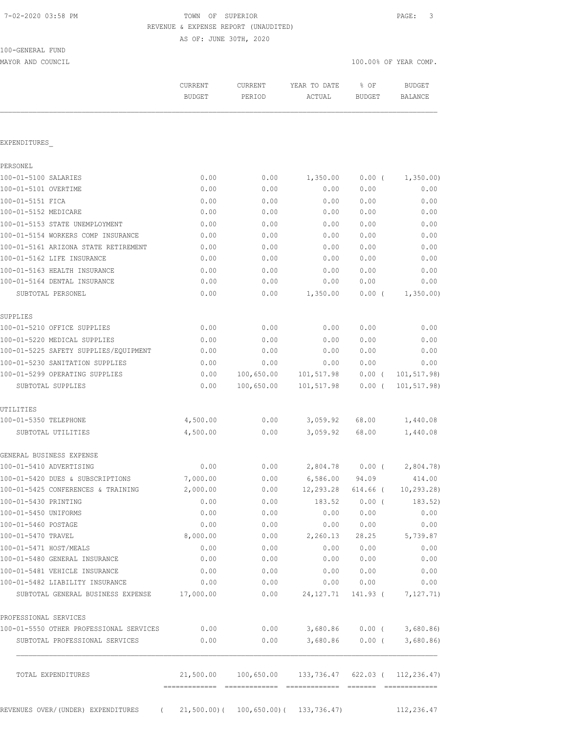# TOWN OF SUPERIOR **PAGE:** 3 REVENUE & EXPENSE REPORT (UNAUDITED)

AS OF: JUNE 30TH, 2020

| 100-GENERAL FUND |  |
|------------------|--|
|                  |  |

MAYOR AND COUNCIL COUNCIL COMP. THE COMPLETE STATE OF THE COMPLETE AND COUNCIL COMPLETE AND COUNCIL COMPLETE AND  $\sim 100.00\%$  OF YEAR COMP.

|                                                                           | CURRENT<br><b>BUDGET</b> | CURRENT<br>PERIOD | YEAR TO DATE<br>ACTUAL                                          | % OF<br><b>BUDGET</b> | <b>BUDGET</b><br>BALANCE |
|---------------------------------------------------------------------------|--------------------------|-------------------|-----------------------------------------------------------------|-----------------------|--------------------------|
| EXPENDITURES                                                              |                          |                   |                                                                 |                       |                          |
|                                                                           |                          |                   |                                                                 |                       |                          |
| PERSONEL                                                                  | 0.00                     | 0.00              | 1,350.00                                                        |                       |                          |
| 100-01-5100 SALARIES<br>100-01-5101 OVERTIME                              | 0.00                     | 0.00              | 0.00                                                            | $0.00$ (<br>0.00      | 1,350.00<br>0.00         |
| 100-01-5151 FICA                                                          |                          |                   |                                                                 | 0.00                  | 0.00                     |
| 100-01-5152 MEDICARE                                                      | 0.00<br>0.00             | 0.00<br>0.00      | 0.00<br>0.00                                                    | 0.00                  | 0.00                     |
| 100-01-5153 STATE UNEMPLOYMENT                                            |                          |                   |                                                                 |                       |                          |
|                                                                           | 0.00                     | 0.00              | 0.00                                                            | 0.00                  | 0.00                     |
| 100-01-5154 WORKERS COMP INSURANCE                                        | 0.00                     | 0.00              | 0.00                                                            | 0.00                  | 0.00                     |
| 100-01-5161 ARIZONA STATE RETIREMENT                                      | 0.00                     | 0.00              | 0.00                                                            | 0.00                  | 0.00                     |
| 100-01-5162 LIFE INSURANCE                                                | 0.00                     | 0.00              | 0.00                                                            | 0.00                  | 0.00                     |
| 100-01-5163 HEALTH INSURANCE                                              | 0.00                     | 0.00              | 0.00                                                            | 0.00                  | 0.00                     |
| 100-01-5164 DENTAL INSURANCE                                              | 0.00                     | 0.00              | 0.00                                                            | 0.00                  | 0.00                     |
| SUBTOTAL PERSONEL                                                         | 0.00                     | 0.00              | 1,350.00                                                        | 0.00(                 | 1,350.00                 |
| SUPPLIES                                                                  |                          |                   |                                                                 |                       |                          |
| 100-01-5210 OFFICE SUPPLIES                                               | 0.00                     | 0.00              | 0.00                                                            | 0.00                  | 0.00                     |
| 100-01-5220 MEDICAL SUPPLIES                                              | 0.00                     | 0.00              | 0.00                                                            | 0.00                  | 0.00                     |
| 100-01-5225 SAFETY SUPPLIES/EQUIPMENT                                     | 0.00                     | 0.00              | 0.00                                                            | 0.00                  | 0.00                     |
| 100-01-5230 SANITATION SUPPLIES                                           | 0.00                     | 0.00              | 0.00                                                            | 0.00                  | 0.00                     |
| 100-01-5299 OPERATING SUPPLIES                                            | 0.00                     | 100,650.00        | 101,517.98                                                      | $0.00$ (              | 101,517.98)              |
| SUBTOTAL SUPPLIES                                                         | 0.00                     | 100,650.00        | 101,517.98                                                      | $0.00$ (              | 101, 517.98)             |
| UTILITIES                                                                 |                          |                   |                                                                 |                       |                          |
| 100-01-5350 TELEPHONE                                                     | 4,500.00                 | 0.00              | 3,059.92                                                        | 68.00                 | 1,440.08                 |
| SUBTOTAL UTILITIES                                                        | 4,500.00                 | 0.00              | 3,059.92                                                        | 68.00                 | 1,440.08                 |
| GENERAL BUSINESS EXPENSE                                                  |                          |                   |                                                                 |                       |                          |
| 100-01-5410 ADVERTISING                                                   | 0.00                     | 0.00              | 2,804.78                                                        | $0.00$ (              | 2,804.78                 |
| 100-01-5420 DUES & SUBSCRIPTIONS                                          | 7,000.00                 | 0.00              | 6,586.00                                                        | 94.09                 | 414.00                   |
| 100-01-5425 CONFERENCES & TRAINING                                        | 2,000.00                 | 0.00              | $12,293.28$ 614.66 (                                            |                       | 10,293.28)               |
| 100-01-5430 PRINTING                                                      | 0.00                     | 0.00              | 183.52                                                          | $0.00$ (              | 183.52)                  |
| 100-01-5450 UNIFORMS                                                      | 0.00                     | 0.00              | 0.00                                                            | 0.00                  | 0.00                     |
| 100-01-5460 POSTAGE                                                       | 0.00                     | 0.00              | 0.00                                                            | 0.00                  | 0.00                     |
| 100-01-5470 TRAVEL                                                        | 8,000.00                 | 0.00              | 2,260.13                                                        | 28.25                 | 5,739.87                 |
| 100-01-5471 HOST/MEALS                                                    |                          |                   | 0.00                                                            |                       |                          |
|                                                                           | 0.00                     | 0.00              |                                                                 | 0.00                  | 0.00                     |
| 100-01-5480 GENERAL INSURANCE                                             | 0.00                     | 0.00              | 0.00                                                            | 0.00                  | 0.00                     |
| 100-01-5481 VEHICLE INSURANCE                                             | 0.00                     | 0.00<br>0.00      | 0.00<br>0.00                                                    | 0.00<br>0.00          | 0.00<br>0.00             |
| 100-01-5482 LIABILITY INSURANCE<br>SUBTOTAL GENERAL BUSINESS EXPENSE      | 0.00<br>17,000.00        | 0.00              | 24, 127. 71                                                     | 141.93 (              | 7,127.71)                |
|                                                                           |                          |                   |                                                                 |                       |                          |
| PROFESSIONAL SERVICES                                                     |                          |                   |                                                                 |                       |                          |
| 100-01-5550 OTHER PROFESSIONAL SERVICES<br>SUBTOTAL PROFESSIONAL SERVICES | 0.00<br>0.00             | 0.00              | $0.00$ 3,680.86 0.00 (<br>3,680.86                              | $0.00$ (              | 3,680.86<br>3,680.86     |
|                                                                           |                          |                   |                                                                 |                       |                          |
| TOTAL EXPENDITURES                                                        |                          |                   | $21,500.00$ $100,650.00$ $133,736.47$ $622.03$ ( $112,236.47$ ) |                       |                          |
|                                                                           |                          |                   |                                                                 |                       |                          |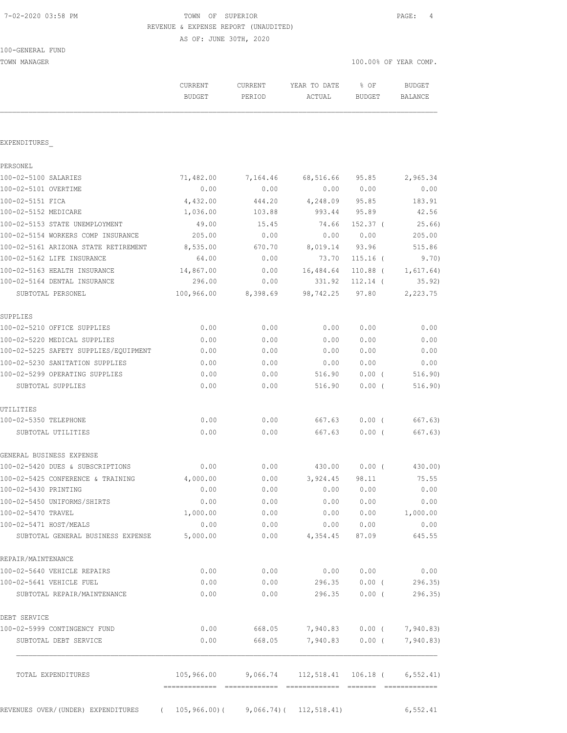# 7-02-2020 03:58 PM TOWN OF SUPERIOR PAGE: 4 REVENUE & EXPENSE REPORT (UNAUDITED)

AS OF: JUNE 30TH, 2020

| 100-GENERAL FUND |  |
|------------------|--|
|------------------|--|

TOWN MANAGER 100.00% OF YEAR COMP.

|                                                                       | CURRENT<br><b>BUDGET</b> | CURRENT<br>PERIOD | YEAR TO DATE<br>ACTUAL                            | % OF<br>BUDGET    | <b>BUDGET</b><br>BALANCE  |
|-----------------------------------------------------------------------|--------------------------|-------------------|---------------------------------------------------|-------------------|---------------------------|
| EXPENDITURES                                                          |                          |                   |                                                   |                   |                           |
| PERSONEL                                                              |                          |                   |                                                   |                   |                           |
| 100-02-5100 SALARIES                                                  | 71,482.00                | 7,164.46          | 68,516.66                                         | 95.85             | 2,965.34                  |
| 100-02-5101 OVERTIME                                                  | 0.00                     | 0.00              | 0.00                                              | 0.00              | 0.00                      |
| 100-02-5151 FICA                                                      | 4,432.00                 | 444.20            | 4,248.09                                          | 95.85             | 183.91                    |
| 100-02-5152 MEDICARE                                                  | 1,036.00                 | 103.88            | 993.44                                            | 95.89             | 42.56                     |
| 100-02-5153 STATE UNEMPLOYMENT                                        | 49.00                    | 15.45             | 74.66                                             | $152.37$ (        | 25.66)                    |
| 100-02-5154 WORKERS COMP INSURANCE                                    | 205.00                   | 0.00              | 0.00                                              | 0.00              | 205.00                    |
| 100-02-5161 ARIZONA STATE RETIREMENT                                  | 8,535.00                 | 670.70            | 8,019.14                                          | 93.96             | 515.86                    |
| 100-02-5162 LIFE INSURANCE                                            | 64.00                    | 0.00              | 73.70                                             | $115.16$ (        | 9.70)                     |
| 100-02-5163 HEALTH INSURANCE                                          | 14,867.00                | 0.00              | 16,484.64                                         | $110.88$ (        | 1,617.64)                 |
| 100-02-5164 DENTAL INSURANCE                                          | 296.00                   | 0.00              | 331.92                                            | $112.14$ (        | 35.92)                    |
| SUBTOTAL PERSONEL                                                     | 100,966.00               | 8,398.69          | 98,742.25 97.80                                   |                   | 2,223.75                  |
| SUPPLIES                                                              |                          |                   |                                                   |                   |                           |
| 100-02-5210 OFFICE SUPPLIES                                           | 0.00                     | 0.00              | 0.00                                              | 0.00              | 0.00                      |
| 100-02-5220 MEDICAL SUPPLIES                                          | 0.00                     | 0.00              | 0.00                                              | 0.00              | 0.00                      |
| 100-02-5225 SAFETY SUPPLIES/EQUIPMENT                                 | 0.00                     | 0.00              | 0.00                                              | 0.00              | 0.00                      |
| 100-02-5230 SANITATION SUPPLIES                                       | 0.00                     | 0.00              | 0.00                                              | 0.00              | 0.00                      |
| 100-02-5299 OPERATING SUPPLIES                                        | 0.00                     | 0.00              | 516.90                                            | 0.00(             | 516.90)                   |
| SUBTOTAL SUPPLIES                                                     | 0.00                     | 0.00              | 516.90                                            | 0.00(             | 516.90)                   |
| UTILITIES                                                             |                          |                   |                                                   |                   |                           |
| 100-02-5350 TELEPHONE<br>SUBTOTAL UTILITIES                           | 0.00<br>0.00             | 0.00<br>0.00      | 667.63<br>667.63                                  | $0.00$ (<br>0.00( | 667.63)<br>667.63)        |
|                                                                       |                          |                   |                                                   |                   |                           |
| GENERAL BUSINESS EXPENSE                                              |                          |                   |                                                   |                   |                           |
| 100-02-5420 DUES & SUBSCRIPTIONS                                      | 0.00                     | 0.00              | 430.00                                            | 0.00(             | 430.00)                   |
| 100-02-5425 CONFERENCE & TRAINING                                     | 4,000.00                 | 0.00              | 3,924.45                                          | 98.11             | 75.55                     |
| 100-02-5430 PRINTING                                                  | 0.00                     | 0.00              |                                                   | 0.00 0.00         | 0.00                      |
| 100-02-5450 UNIFORMS/SHIRTS                                           | 0.00                     | 0.00              | 0.00                                              | 0.00              | 0.00                      |
| 100-02-5470 TRAVEL                                                    | 1,000.00                 | 0.00              |                                                   |                   | $0.00$ $0.00$ $1,000.00$  |
| 100-02-5471 HOST/MEALS                                                | 0.00                     | 0.00              |                                                   | 0.00 0.00         | 0.00                      |
| SUBTOTAL GENERAL BUSINESS EXPENSE                                     | 5,000.00                 |                   | $0.00$ 4,354.45 87.09                             |                   | 645.55                    |
| REPAIR/MAINTENANCE                                                    |                          |                   |                                                   |                   |                           |
| 100-02-5640 VEHICLE REPAIRS                                           | 0.00                     | 0.00              | 0.00 0.00                                         |                   | 0.00                      |
| 100-02-5641 VEHICLE FUEL                                              | 0.00                     |                   | $0.00$ 296.35 $0.00$ ( 296.35)                    |                   |                           |
| SUBTOTAL REPAIR/MAINTENANCE                                           | 0.00                     |                   | $0.00$ 296.35                                     | $0.00$ (          | 296.35)                   |
| DEBT SERVICE                                                          |                          |                   |                                                   |                   |                           |
| 100-02-5999 CONTINGENCY FUND                                          |                          |                   | $0.00$ 668.05 7,940.83 0.00 ( 7,940.83)           |                   |                           |
| SUBTOTAL DEBT SERVICE                                                 | 0.00                     | 668.05            |                                                   |                   | 7,940.83 0.00 ( 7,940.83) |
| TOTAL EXPENDITURES                                                    |                          |                   | 105,966.00 9,066.74 112,518.41 106.18 ( 6,552.41) |                   |                           |
| REVENUES OVER/(UNDER) EXPENDITURES (105,966.00)(9,066.74)(112,518.41) |                          |                   |                                                   |                   | 6,552.41                  |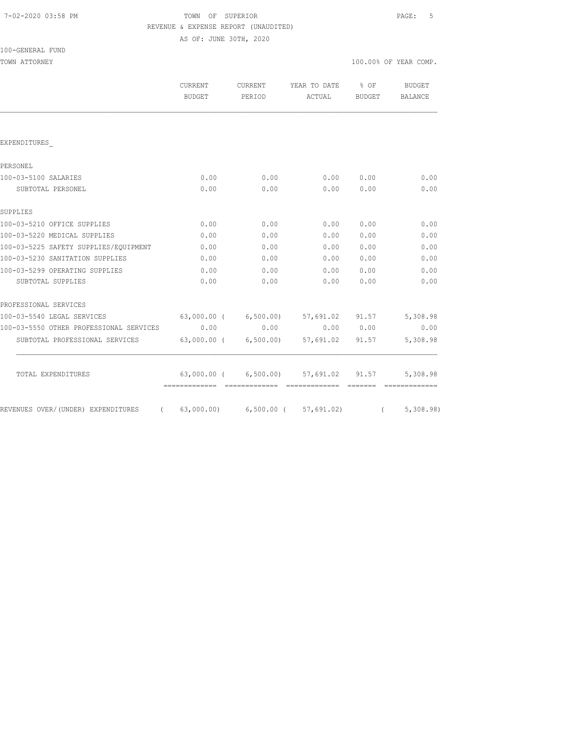| 7-02-2020 03:58 PM |  |
|--------------------|--|
|                    |  |

# TOWN OF SUPERIOR **PAGE:** 5 REVENUE & EXPENSE REPORT (UNAUDITED)

AS OF: JUNE 30TH, 2020

|                                         | <b>CURRENT</b><br><b>BUDGET</b> | <b>CURRENT</b><br>PERIOD | YEAR TO DATE<br>ACTUAL                | $8$ OF<br>BUDGET | <b>BUDGET</b><br>BALANCE |
|-----------------------------------------|---------------------------------|--------------------------|---------------------------------------|------------------|--------------------------|
|                                         |                                 |                          |                                       |                  |                          |
| EXPENDITURES                            |                                 |                          |                                       |                  |                          |
| PERSONEL                                |                                 |                          |                                       |                  |                          |
| 100-03-5100 SALARIES                    | 0.00                            | 0.00                     | 0.00                                  | 0.00             | 0.00                     |
| SUBTOTAL PERSONEL                       | 0.00                            | 0.00                     | 0.00                                  | 0.00             | 0.00                     |
| SUPPLIES                                |                                 |                          |                                       |                  |                          |
| 100-03-5210 OFFICE SUPPLIES             | 0.00                            | 0.00                     | 0.00                                  | 0.00             | 0.00                     |
| 100-03-5220 MEDICAL SUPPLIES            | 0.00                            | 0.00                     | 0.00                                  | 0.00             | 0.00                     |
| 100-03-5225 SAFETY SUPPLIES/EQUIPMENT   | 0.00                            | 0.00                     | 0.00                                  | 0.00             | 0.00                     |
| 100-03-5230 SANITATION SUPPLIES         | 0.00                            | 0.00                     | 0.00                                  | 0.00             | 0.00                     |
| 100-03-5299 OPERATING SUPPLIES          | 0.00                            | 0.00                     | 0.00                                  | 0.00             | 0.00                     |
| SUBTOTAL SUPPLIES                       | 0.00                            | 0.00                     | 0.00                                  | 0.00             | 0.00                     |
| PROFESSIONAL SERVICES                   |                                 |                          |                                       |                  |                          |
| 100-03-5540 LEGAL SERVICES              |                                 |                          | 63,000.00 ( 6,500.00) 57,691.02 91.57 |                  | 5,308.98                 |
| 100-03-5550 OTHER PROFESSIONAL SERVICES | 0.00                            | 0.00                     |                                       | 0.00 0.00        | 0.00                     |
| SUBTOTAL PROFESSIONAL SERVICES          |                                 | 63,000.00 ( 6,500.00)    | 57,691.02 91.57                       |                  | 5,308.98                 |
| TOTAL EXPENDITURES                      |                                 |                          | 63,000.00 ( 6,500.00) 57,691.02 91.57 |                  | 5,308.98                 |
|                                         |                                 |                          |                                       |                  |                          |
| REVENUES OVER/(UNDER) EXPENDITURES      |                                 |                          | $(63,000.00)$ $(57,691.02)$           |                  | (5, 308.98)              |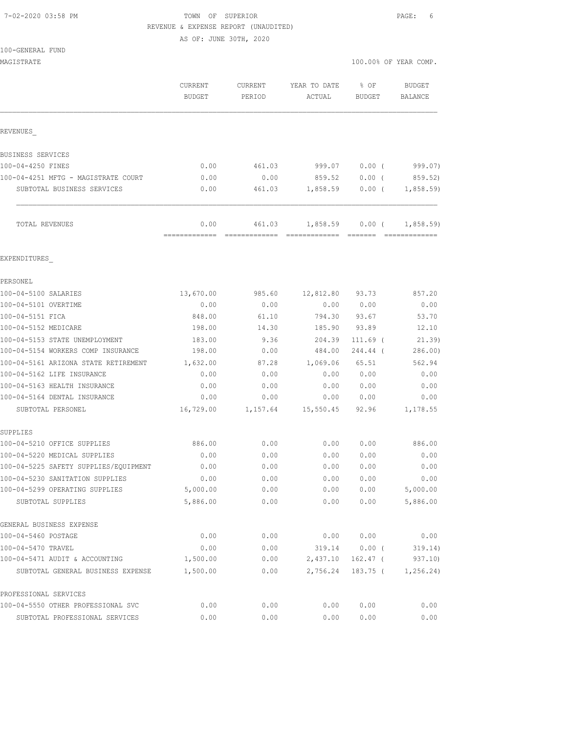#### 7-02-2020 03:58 PM TOWN OF SUPERIOR PAGE: 6 REVENUE & EXPENSE REPORT (UNAUDITED)

AS OF: JUNE 30TH, 2020

100-GENERAL FUND

|                                                   | CURRENT<br><b>BUDGET</b> | CURRENT<br>PERIOD | YEAR TO DATE<br>ACTUAL | % OF<br><b>BUDGET</b>    | <b>BUDGET</b><br>BALANCE |
|---------------------------------------------------|--------------------------|-------------------|------------------------|--------------------------|--------------------------|
| REVENUES                                          |                          |                   |                        |                          |                          |
| BUSINESS SERVICES                                 |                          |                   |                        |                          |                          |
| 100-04-4250 FINES                                 | 0.00                     | 461.03            | 999.07                 | 0.00(                    | 999.07)                  |
| 100-04-4251 MFTG - MAGISTRATE COURT               | 0.00                     | 0.00              | 859.52                 | $0.00$ (                 | 859.52)                  |
| SUBTOTAL BUSINESS SERVICES                        | 0.00                     | 461.03            | 1,858.59               | 0.00(                    | 1,858.59                 |
| TOTAL REVENUES                                    | 0.00                     | 461.03            | 1,858.59               | 0.00(                    | 1,858.59                 |
| EXPENDITURES                                      |                          |                   |                        |                          |                          |
| PERSONEL                                          |                          |                   |                        |                          |                          |
| 100-04-5100 SALARIES                              | 13,670.00                | 985.60            | 12,812.80              | 93.73                    | 857.20                   |
| 100-04-5101 OVERTIME                              | 0.00                     | 0.00              | 0.00                   | 0.00                     | 0.00                     |
| 100-04-5151 FICA                                  | 848.00                   | 61.10             | 794.30                 | 93.67                    | 53.70                    |
| 100-04-5152 MEDICARE                              | 198.00                   | 14.30             | 185.90                 | 93.89                    | 12.10                    |
| 100-04-5153 STATE UNEMPLOYMENT                    | 183.00                   | 9.36              | 204.39                 | 111.69 (                 | 21.39                    |
| 100-04-5154 WORKERS COMP INSURANCE                | 198.00                   | 0.00              | 484.00                 | 244.44 (                 | 286.00)                  |
| 100-04-5161 ARIZONA STATE RETIREMENT              | 1,632.00                 | 87.28             | 1,069.06               | 65.51                    | 562.94                   |
| 100-04-5162 LIFE INSURANCE                        | 0.00                     | 0.00              | 0.00                   | 0.00                     | 0.00                     |
| 100-04-5163 HEALTH INSURANCE                      | 0.00                     | 0.00              | 0.00                   | 0.00                     | 0.00                     |
| 100-04-5164 DENTAL INSURANCE<br>SUBTOTAL PERSONEL | 0.00<br>16,729.00        | 0.00<br>1,157.64  | 0.00<br>15,550.45      | 0.00<br>92.96            | 0.00<br>1,178.55         |
| SUPPLIES                                          |                          |                   |                        |                          |                          |
| 100-04-5210 OFFICE SUPPLIES                       | 886.00                   | 0.00              | 0.00                   | 0.00                     | 886.00                   |
| 100-04-5220 MEDICAL SUPPLIES                      | 0.00                     | 0.00              | 0.00                   | 0.00                     | 0.00                     |
| 100-04-5225 SAFETY SUPPLIES/EQUIPMENT             | 0.00                     | 0.00              | 0.00                   | 0.00                     | 0.00                     |
| 100-04-5230 SANITATION SUPPLIES                   | 0.00                     | 0.00              | 0.00                   | 0.00                     | 0.00                     |
| 100-04-5299 OPERATING SUPPLIES                    | 5,000.00                 | 0.00              | 0.00                   | 0.00                     | 5,000.00                 |
| SUBTOTAL SUPPLIES                                 | 5,886.00                 | 0.00              | 0.00                   | 0.00                     | 5,886.00                 |
| GENERAL BUSINESS EXPENSE                          |                          |                   |                        |                          |                          |
| 100-04-5460 POSTAGE                               | 0.00                     | 0.00              | 0.00                   | 0.00                     | 0.00                     |
| 100-04-5470 TRAVEL                                | 0.00                     | 0.00              | 319.14                 | $0.00$ (                 | 319.14)                  |
| 100-04-5471 AUDIT & ACCOUNTING                    | 1,500.00<br>1,500.00     | 0.00              | 2,437.10<br>2,756.24   | $162.47$ (<br>$183.75$ ( | 937.10)<br>1, 256.24)    |
| SUBTOTAL GENERAL BUSINESS EXPENSE                 |                          | 0.00              |                        |                          |                          |
| PROFESSIONAL SERVICES                             |                          |                   |                        |                          |                          |
| 100-04-5550 OTHER PROFESSIONAL SVC                | 0.00                     | 0.00              | 0.00                   | 0.00                     | 0.00                     |
| SUBTOTAL PROFESSIONAL SERVICES                    | 0.00                     | 0.00              | 0.00                   | 0.00                     | 0.00                     |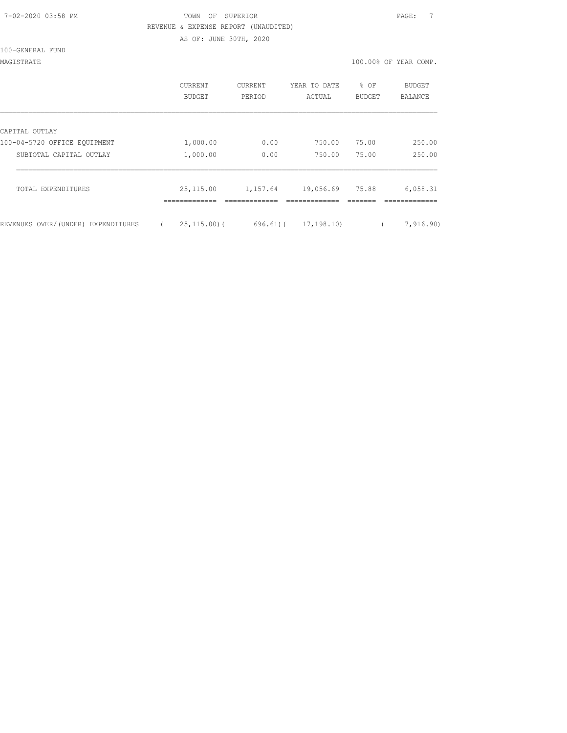# 7-02-2020 03:58 PM TOWN OF SUPERIOR PAGE: 7 REVENUE & EXPENSE REPORT (UNAUDITED) AS OF: JUNE 30TH, 2020

100-GENERAL FUND

MAGISTRATE 100.00% OF YEAR COMP.

|                                    | <b>CURRENT</b><br>BUDGET | CURRENT<br>PERIOD | YEAR TO DATE<br>ACTUAL | $8$ OF<br><b>BUDGET</b> | BUDGET<br>BALANCE |
|------------------------------------|--------------------------|-------------------|------------------------|-------------------------|-------------------|
| CAPITAL OUTLAY                     |                          |                   |                        |                         |                   |
| 100-04-5720 OFFICE EQUIPMENT       | 1,000.00                 | 0.00              | 750.00                 | 75.00                   | 250.00            |
| SUBTOTAL CAPITAL OUTLAY            | 1,000.00                 | 0.00              | 750.00                 | 75.00                   | 250.00            |
| TOTAL EXPENDITURES                 | 25, 115.00               | 1,157.64          | 19,056.69              | 75.88                   | 6,058.31          |
| REVENUES OVER/(UNDER) EXPENDITURES | $25, 115, 00$ ) (        | 696.61)(          | 17,198.10)             |                         | 7,916.90)         |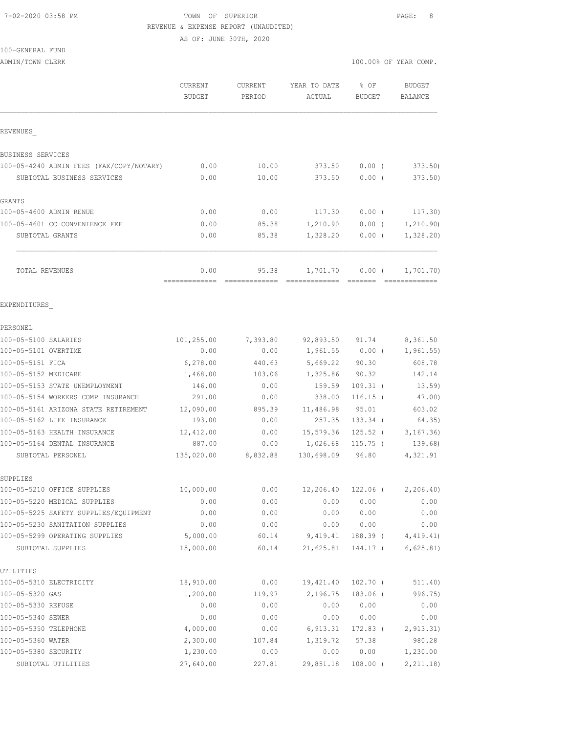### 7-02-2020 03:58 PM TOWN OF SUPERIOR PAGE: 8 REVENUE & EXPENSE REPORT (UNAUDITED)

AS OF: JUNE 30TH, 2020

# 100-GENERAL FUND

|                                          | CURRENT       | <b>CURRENT</b> | YEAR TO DATE | % OF          | <b>BUDGET</b>  |
|------------------------------------------|---------------|----------------|--------------|---------------|----------------|
|                                          | <b>BUDGET</b> | PERIOD         | ACTUAL       | <b>BUDGET</b> | <b>BALANCE</b> |
| REVENUES                                 |               |                |              |               |                |
| <b>BUSINESS SERVICES</b>                 |               |                |              |               |                |
| 100-05-4240 ADMIN FEES (FAX/COPY/NOTARY) | 0.00          | 10.00          | 373.50       | 0.00(         | 373.50         |
| SUBTOTAL BUSINESS SERVICES               | 0.00          | 10.00          | 373.50       | $0.00$ (      | 373.50)        |
| GRANTS                                   |               |                |              |               |                |
| 100-05-4600 ADMIN RENUE                  | 0.00          | 0.00           | 117.30       | $0.00$ (      | 117.30)        |
| 100-05-4601 CC CONVENIENCE FEE           | 0.00          | 85.38          | 1,210.90     | $0.00$ (      | 1, 210.90)     |
| SUBTOTAL GRANTS                          | 0.00          | 85.38          | 1,328.20     | 0.00(         | 1,328.20       |
| TOTAL REVENUES                           | 0.00          | 95.38          | 1,701.70     | 0.00(         | 1,701.70)      |
| EXPENDITURES                             |               |                |              |               |                |
| PERSONEL                                 |               |                |              |               |                |
| 100-05-5100 SALARIES                     | 101,255.00    | 7,393.80       | 92,893.50    | 91.74         | 8,361.50       |
| 100-05-5101 OVERTIME                     | 0.00          | 0.00           | 1,961.55     | $0.00$ (      | 1, 961.55)     |
| 100-05-5151 FICA                         | 6, 278.00     | 440.63         | 5,669.22     | 90.30         | 608.78         |
| 100-05-5152 MEDICARE                     | 1,468.00      | 103.06         | 1,325.86     | 90.32         | 142.14         |
| 100-05-5153 STATE UNEMPLOYMENT           | 146.00        | 0.00           | 159.59       | $109.31$ (    | 13.59          |
| 100-05-5154 WORKERS COMP INSURANCE       | 291.00        | 0.00           | 338.00       | $116.15$ (    | 47.00)         |
| 100-05-5161 ARIZONA STATE RETIREMENT     | 12,090.00     | 895.39         | 11,486.98    | 95.01         | 603.02         |
| 100-05-5162 LIFE INSURANCE               | 193.00        | 0.00           | 257.35       | $133.34$ (    | 64.35)         |
| 100-05-5163 HEALTH INSURANCE             | 12,412.00     | 0.00           | 15,579.36    | $125.52$ (    | 3, 167.36      |
| 100-05-5164 DENTAL INSURANCE             | 887.00        | 0.00           | 1,026.68     | $115.75$ (    | 139.68)        |
| SUBTOTAL PERSONEL                        | 135,020.00    | 8,832.88       | 130,698.09   | 96.80         | 4,321.91       |
| SUPPLIES                                 |               |                |              |               |                |
| 100-05-5210 OFFICE SUPPLIES              | 10,000.00     | 0.00           | 12,206.40    | $122.06$ (    | 2, 206.40      |
| 100-05-5220 MEDICAL SUPPLIES             | 0.00          | 0.00           | 0.00         | 0.00          | 0.00           |
| 100-05-5225 SAFETY SUPPLIES/EQUIPMENT    | 0.00          | 0.00           | 0.00         | 0.00          | 0.00           |
| 100-05-5230 SANITATION SUPPLIES          | 0.00          | 0.00           | 0.00         | 0.00          | 0.00           |
| 100-05-5299 OPERATING SUPPLIES           | 5,000.00      | 60.14          | 9,419.41     | 188.39 (      | 4,419.41)      |
| SUBTOTAL SUPPLIES                        | 15,000.00     | 60.14          | 21,625.81    | 144.17 (      | 6,625.81)      |
| UTILITIES                                |               |                |              |               |                |
| 100-05-5310 ELECTRICITY                  | 18,910.00     | 0.00           | 19,421.40    | 102.70 (      | 511.40)        |
| 100-05-5320 GAS                          | 1,200.00      | 119.97         | 2,196.75     | $183.06$ (    | 996.75)        |
| 100-05-5330 REFUSE                       | 0.00          | 0.00           | 0.00         | 0.00          | 0.00           |
| 100-05-5340 SEWER                        | 0.00          | 0.00           | 0.00         | 0.00          | 0.00           |
| 100-05-5350 TELEPHONE                    | 4,000.00      | 0.00           | 6,913.31     | 172.83 (      | 2, 913.31)     |
| 100-05-5360 WATER                        | 2,300.00      | 107.84         | 1,319.72     | 57.38         | 980.28         |
| 100-05-5380 SECURITY                     | 1,230.00      | 0.00           | 0.00         | 0.00          | 1,230.00       |
| SUBTOTAL UTILITIES                       | 27,640.00     | 227.81         | 29,851.18    | $108.00$ (    | 2, 211.18)     |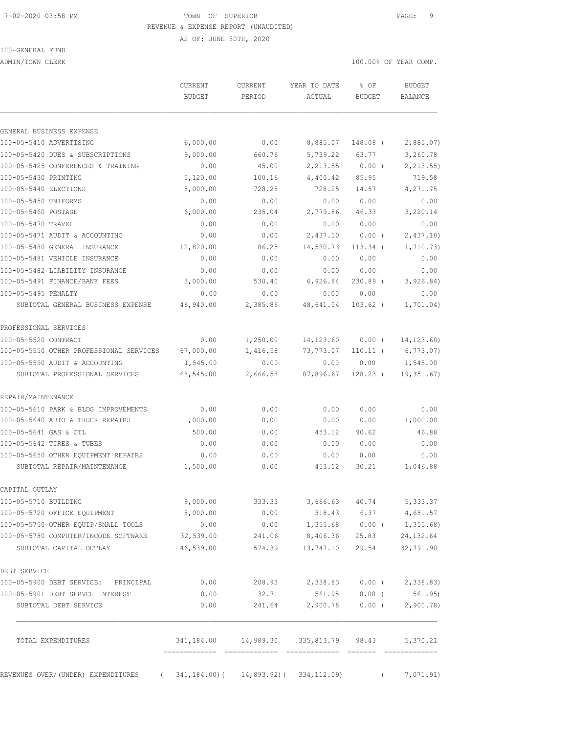## 7-02-2020 03:58 PM **TOWN** OF SUPERIOR **PAGE:** 9 REVENUE & EXPENSE REPORT (UNAUDITED)

AS OF: JUNE 30TH, 2020

100-GENERAL FUND

ADMIN/TOWN CLERK 100.00% OF YEAR COMP.

|                                                   | <b>CURRENT</b><br><b>BUDGET</b> | <b>CURRENT</b><br>PERIOD | YEAR TO DATE<br>ACTUAL                                 | % OF<br>BUDGET  | <b>BUDGET</b><br>BALANCE |
|---------------------------------------------------|---------------------------------|--------------------------|--------------------------------------------------------|-----------------|--------------------------|
| GENERAL BUSINESS EXPENSE                          |                                 |                          |                                                        |                 |                          |
| 100-05-5410 ADVERTISING                           | 6,000.00                        | 0.00                     | 8,885.07                                               | 148.08 (        | 2,885.07                 |
| 100-05-5420 DUES & SUBSCRIPTIONS                  | 9,000.00                        | 660.76                   | 5,739.22                                               | 63.77           | 3,260.78                 |
| 100-05-5425 CONFERENCES & TRAINING                | 0.00                            | 45.00                    | 2,213.55                                               | $0.00$ (        | 2, 213.55                |
| 100-05-5430 PRINTING                              | 5,120.00                        | 100.16                   | 4,400.42                                               | 85.95           | 719.58                   |
| 100-05-5440 ELECTIONS                             | 5,000.00                        | 728.25                   | 728.25                                                 | 14.57           | 4,271.75                 |
| 100-05-5450 UNIFORMS                              | 0.00                            | 0.00                     | 0.00                                                   | 0.00            | 0.00                     |
| 100-05-5460 POSTAGE                               | 6,000.00                        | 235.04                   | 2,779.86                                               | 46.33           | 3,220.14                 |
| 100-05-5470 TRAVEL                                | 0.00                            | 0.00                     | 0.00                                                   | 0.00            | 0.00                     |
| 100-05-5471 AUDIT & ACCOUNTING                    | 0.00                            | 0.00                     | 2,437.10                                               | $0.00$ (        | 2,437.10                 |
| 100-05-5480 GENERAL INSURANCE                     | 12,820.00                       | 86.25                    | 14,530.73                                              | $113.34$ (      | 1,710.73)                |
| 100-05-5481 VEHICLE INSURANCE                     | 0.00                            | 0.00                     | 0.00                                                   | 0.00            | 0.00                     |
| 100-05-5482 LIABILITY INSURANCE                   | 0.00                            | 0.00                     | 0.00                                                   | 0.00            | 0.00                     |
| 100-05-5491 FINANCE/BANK FEES                     | 3,000.00                        | 530.40                   | 6,926.84                                               | $230.89$ (      | 3,926.84)                |
| 100-05-5495 PENALTY                               | 0.00                            | 0.00                     | 0.00                                                   | 0.00            | 0.00                     |
| SUBTOTAL GENERAL BUSINESS EXPENSE                 | 46,940.00                       | 2,385.86                 | 48,641.04                                              | $103.62$ (      | 1,701.04)                |
| PROFESSIONAL SERVICES                             |                                 |                          |                                                        |                 |                          |
| 100-05-5520 CONTRACT                              | 0.00                            | 1,250.00                 | 14,123.60                                              | $0.00$ (        | 14, 123.60)              |
| 100-05-5550 OTHER PROFESSIONAL SERVICES 67,000.00 |                                 | 1,416.58                 | 73,773.07                                              |                 | $110.11$ ( 6,773.07)     |
| 100-05-5590 AUDIT & ACCOUNTING                    | 1,545.00                        | 0.00                     | 0.00                                                   | 0.00            | 1,545.00                 |
| SUBTOTAL PROFESSIONAL SERVICES                    | 68,545.00                       | 2,666.58                 | 87,896.67                                              | 128.23 (        | 19,351.67)               |
| REPAIR/MAINTENANCE                                |                                 |                          |                                                        |                 |                          |
| 100-05-5610 PARK & BLDG IMPROVEMENTS              | 0.00                            | 0.00                     | 0.00                                                   | 0.00            | 0.00                     |
| 100-05-5640 AUTO & TRUCK REPAIRS                  | 1,000.00                        | 0.00                     | 0.00                                                   | 0.00            | 1,000.00                 |
| 100-05-5641 GAS & OIL                             | 500.00                          | 0.00                     | 453.12                                                 | 90.62           | 46.88                    |
| 100-05-5642 TIRES & TUBES                         | 0.00                            | 0.00                     | 0.00                                                   | 0.00            | 0.00                     |
| 100-05-5650 OTHER EQUIPMENT REPAIRS               | 0.00                            | 0.00                     | 0.00                                                   | 0.00            | 0.00                     |
| SUBTOTAL REPAIR/MAINTENANCE                       | 1,500.00                        | 0.00                     | 453.12                                                 | 30.21           | 1,046.88                 |
| CAPITAL OUTLAY                                    |                                 |                          |                                                        |                 |                          |
| 100-05-5710 BUILDING                              | 9,000.00                        | 333.33                   |                                                        |                 | 3,666.63 40.74 5,333.37  |
| 100-05-5720 OFFICE EQUIPMENT                      | 5,000.00                        | 0.00                     |                                                        |                 | 318.43 6.37 4,681.57     |
| 100-05-5750 OTHER EQUIP/SMALL TOOLS               | 0.00                            |                          | $0.00$ 1,355.68 0.00 ( 1,355.68)                       |                 |                          |
| 100-05-5780 COMPUTER/INCODE SOFTWARE              | 32,539.00                       | 241.06                   | 8,406.36 25.83                                         |                 | 24, 132.64               |
| SUBTOTAL CAPITAL OUTLAY                           | 46,539.00                       | 574.39                   |                                                        | 13,747.10 29.54 | 32,791.90                |
| DEBT SERVICE                                      |                                 |                          |                                                        |                 |                          |
| 100-05-5900 DEBT SERVICE: PRINCIPAL               | 0.00                            |                          | 208.93 2,338.83 0.00 ( 2,338.83)                       |                 |                          |
| 100-05-5901 DEBT SERVCE INTEREST                  | 0.00                            | 32.71                    |                                                        | 561.95 0.00 (   | 561.95)                  |
| SUBTOTAL DEBT SERVICE                             | 0.00                            | 241.64                   | 2,900.78                                               |                 | $0.00$ ( 2,900.78)       |
| TOTAL EXPENDITURES                                |                                 |                          | 341, 184.00  14, 989.30  335, 813.79  98.43  5, 370.21 |                 |                          |

REVENUES OVER/(UNDER) EXPENDITURES (341,184.00)( 14,893.92)(334,112.09) (7,071.91)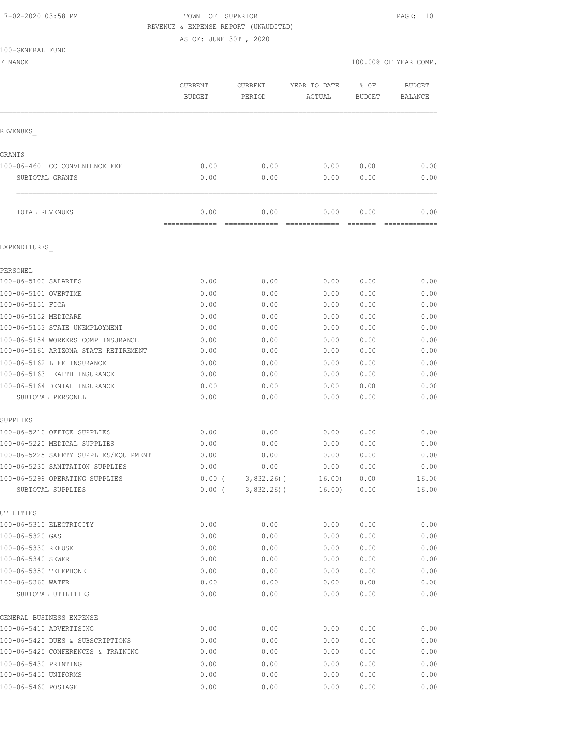## 7-02-2020 03:58 PM TOWN OF SUPERIOR PAGE: 10 REVENUE & EXPENSE REPORT (UNAUDITED)

AS OF: JUNE 30TH, 2020

| 00-CENERAL FUND |  |
|-----------------|--|

| 100-GENERAL FUND                                           |                          |                                  |                        |                       |                                 |
|------------------------------------------------------------|--------------------------|----------------------------------|------------------------|-----------------------|---------------------------------|
| FINANCE                                                    |                          |                                  |                        |                       | 100.00% OF YEAR COMP.           |
|                                                            | CURRENT<br><b>BUDGET</b> | CURRENT<br>PERIOD                | YEAR TO DATE<br>ACTUAL | % OF<br><b>BUDGET</b> | <b>BUDGET</b><br><b>BALANCE</b> |
| REVENUES                                                   |                          |                                  |                        |                       |                                 |
| GRANTS                                                     |                          |                                  |                        |                       |                                 |
| 100-06-4601 CC CONVENIENCE FEE                             | 0.00                     | 0.00                             | 0.00                   | 0.00                  | 0.00                            |
| SUBTOTAL GRANTS                                            | 0.00                     | 0.00                             | 0.00                   | 0.00                  | 0.00                            |
| TOTAL REVENUES                                             | 0.00<br>=============    | 0.00<br>=============            | 0.00<br>=============  | 0.00                  | 0.00<br>-------------           |
| EXPENDITURES                                               |                          |                                  |                        |                       |                                 |
| PERSONEL                                                   |                          |                                  |                        |                       |                                 |
| 100-06-5100 SALARIES                                       | 0.00                     | 0.00                             | 0.00                   | 0.00                  | 0.00                            |
| 100-06-5101 OVERTIME                                       | 0.00                     | 0.00                             | 0.00                   | 0.00                  | 0.00                            |
| 100-06-5151 FICA                                           | 0.00                     | 0.00                             | 0.00                   | 0.00                  | 0.00                            |
| 100-06-5152 MEDICARE                                       | 0.00                     | 0.00                             | 0.00                   | 0.00                  | 0.00                            |
| 100-06-5153 STATE UNEMPLOYMENT                             | 0.00                     | 0.00                             | 0.00                   | 0.00                  | 0.00                            |
| 100-06-5154 WORKERS COMP INSURANCE                         | 0.00                     | 0.00                             | 0.00                   | 0.00                  | 0.00                            |
| 100-06-5161 ARIZONA STATE RETIREMENT                       | 0.00                     | 0.00                             | 0.00                   | 0.00                  | 0.00                            |
| 100-06-5162 LIFE INSURANCE<br>100-06-5163 HEALTH INSURANCE | 0.00<br>0.00             | 0.00<br>0.00                     | 0.00<br>0.00           | 0.00<br>0.00          | 0.00<br>0.00                    |
| 100-06-5164 DENTAL INSURANCE                               | 0.00                     | 0.00                             | 0.00                   | 0.00                  | 0.00                            |
| SUBTOTAL PERSONEL                                          | 0.00                     | 0.00                             | 0.00                   | 0.00                  | 0.00                            |
| SUPPLIES                                                   |                          |                                  |                        |                       |                                 |
| 100-06-5210 OFFICE SUPPLIES                                | 0.00                     | 0.00                             | 0.00                   | 0.00                  | 0.00                            |
| 100-06-5220 MEDICAL SUPPLIES                               | 0.00                     | 0.00                             | 0.00                   | 0.00                  | 0.00                            |
| 100-06-5225 SAFETY SUPPLIES/EQUIPMENT                      | 0.00                     | 0.00                             | 0.00                   | 0.00                  | 0.00                            |
| 100-06-5230 SANITATION SUPPLIES                            | 0.00                     | 0.00                             | 0.00                   | 0.00                  | 0.00                            |
| 100-06-5299 OPERATING SUPPLIES<br>SUBTOTAL SUPPLIES        | 0.00(<br>$0.00$ (        | $3,832.26$ ) (<br>$3,832.26$ ) ( | 16.00<br>16.00)        | 0.00<br>0.00          | 16.00<br>16.00                  |
| UTILITIES                                                  |                          |                                  |                        |                       |                                 |
| 100-06-5310 ELECTRICITY                                    | 0.00                     | 0.00                             | 0.00                   | 0.00                  | 0.00                            |
| 100-06-5320 GAS                                            | 0.00                     | 0.00                             | 0.00                   | 0.00                  | 0.00                            |
| 100-06-5330 REFUSE                                         | 0.00                     | 0.00                             | 0.00                   | 0.00                  | 0.00                            |
| 100-06-5340 SEWER                                          | 0.00                     | 0.00                             | 0.00                   | 0.00                  | 0.00                            |
| 100-06-5350 TELEPHONE                                      | 0.00                     | 0.00                             | 0.00                   | 0.00                  | 0.00                            |
| 100-06-5360 WATER<br>SUBTOTAL UTILITIES                    | 0.00<br>0.00             | 0.00<br>0.00                     | 0.00<br>0.00           | 0.00<br>0.00          | 0.00<br>0.00                    |
| GENERAL BUSINESS EXPENSE                                   |                          |                                  |                        |                       |                                 |
| 100-06-5410 ADVERTISING                                    | 0.00                     | 0.00                             | 0.00                   | 0.00                  | 0.00                            |
| 100-06-5420 DUES & SUBSCRIPTIONS                           | 0.00                     | 0.00                             | 0.00                   | 0.00                  | 0.00                            |
| 100-06-5425 CONFERENCES & TRAINING                         | 0.00                     | 0.00                             | 0.00                   | 0.00                  | 0.00                            |
| 100-06-5430 PRINTING                                       | 0.00                     | 0.00                             | 0.00                   | 0.00                  | 0.00                            |
| 100-06-5450 UNIFORMS                                       | 0.00                     | 0.00                             | 0.00                   | 0.00                  | 0.00                            |

100-06-5460 POSTAGE 0.00 0.00 0.00 0.00 0.00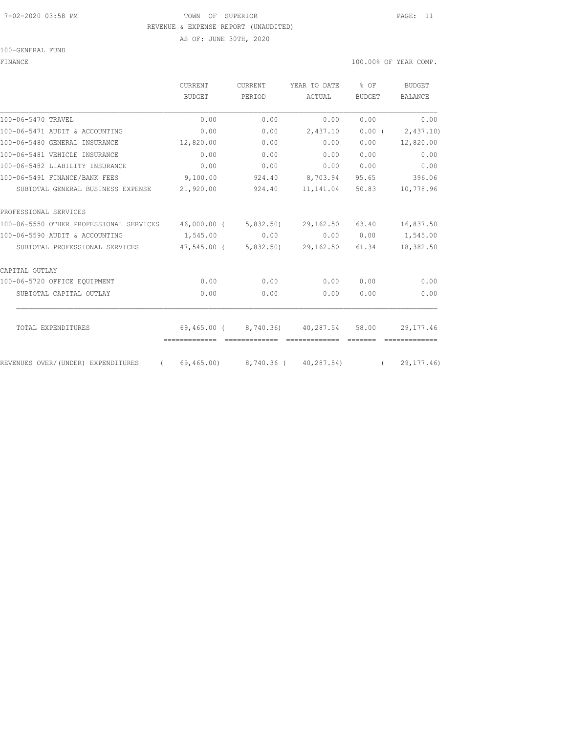#### 7-02-2020 03:58 PM TOWN OF SUPERIOR PAGE: 11 REVENUE & EXPENSE REPORT (UNAUDITED)

AS OF: JUNE 30TH, 2020

100-GENERAL FUND

FINANCE 100.00% OF YEAR COMP.

|                                                          | CURRENT<br>BUDGET | <b>CURRENT</b><br>PERIOD | YEAR TO DATE                                                        | $8$ OF<br><b>BUDGET</b> | <b>BUDGET</b><br><b>BALANCE</b> |
|----------------------------------------------------------|-------------------|--------------------------|---------------------------------------------------------------------|-------------------------|---------------------------------|
|                                                          |                   |                          | ACTUAL                                                              |                         |                                 |
| 100-06-5470 TRAVEL                                       | 0.00              | 0.00                     | 0.00                                                                | 0.00                    | 0.00                            |
| 100-06-5471 AUDIT & ACCOUNTING                           | 0.00              | 0.00                     | 2,437.10                                                            | $0.00$ (                | 2,437.10)                       |
| 100-06-5480 GENERAL INSURANCE                            | 12,820.00         | 0.00                     | 0.00                                                                | 0.00                    | 12,820.00                       |
| 100-06-5481 VEHICLE INSURANCE                            | 0.00              | 0.00                     | 0.00                                                                | 0.00                    | 0.00                            |
| 100-06-5482 LIABILITY INSURANCE                          | 0.00              | 0.00                     | 0.00                                                                | 0.00                    | 0.00                            |
| 100-06-5491 FINANCE/BANK FEES                            | 9,100.00          | 924.40                   | 8,703.94                                                            | 95.65                   | 396.06                          |
| SUBTOTAL GENERAL BUSINESS EXPENSE                        | 21,920.00         | 924.40                   | 11,141.04                                                           | 50.83                   | 10,778.96                       |
| PROFESSIONAL SERVICES                                    |                   |                          |                                                                     |                         |                                 |
| 100-06-5550 OTHER PROFESSIONAL SERVICES                  |                   | 46,000.00 (5,832.50)     | 29,162.50                                                           | 63.40                   | 16,837.50                       |
| 100-06-5590 AUDIT & ACCOUNTING                           | 1,545.00          | 0.00                     | 0.00                                                                | 0.00                    | 1,545.00                        |
| SUBTOTAL PROFESSIONAL SERVICES                           | 47,545.00 (       | 5,832.50)                | 29,162.50                                                           | 61.34                   | 18,382.50                       |
| CAPITAL OUTLAY                                           |                   |                          |                                                                     |                         |                                 |
| 100-06-5720 OFFICE EQUIPMENT                             | 0.00              | 0.00                     | 0.00                                                                | 0.00                    | 0.00                            |
| SUBTOTAL CAPITAL OUTLAY                                  | 0.00              | 0.00                     | 0.00                                                                | 0.00                    | 0.00                            |
|                                                          |                   |                          |                                                                     |                         |                                 |
|                                                          |                   |                          |                                                                     |                         | 29, 177.46                      |
|                                                          |                   |                          |                                                                     |                         | 29, 177.46                      |
| TOTAL EXPENDITURES<br>REVENUES OVER/(UNDER) EXPENDITURES | $\sqrt{2}$        |                          | 69,465.00 ( 8,740.36) 40,287.54<br>69,465.00) 8,740.36 ( 40,287.54) | 58.00<br>$\sqrt{2}$     |                                 |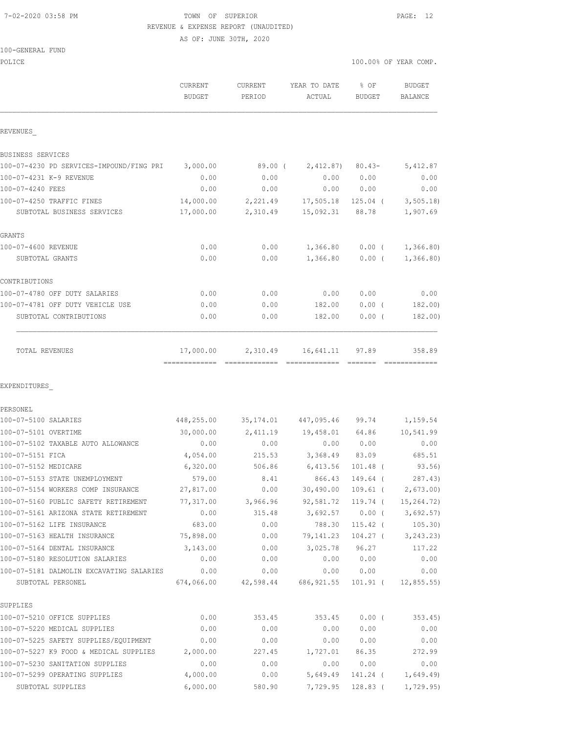## 7-02-2020 03:58 PM TOWN OF SUPERIOR PAGE: 12 REVENUE & EXPENSE REPORT (UNAUDITED)

AS OF: JUNE 30TH, 2020

|  | 100-GENERAL FUND |  |
|--|------------------|--|
|  |                  |  |

| POLICE                                            |               |           |                            |            | 100.00% OF YEAR COMP. |
|---------------------------------------------------|---------------|-----------|----------------------------|------------|-----------------------|
|                                                   | CURRENT       | CURRENT   | YEAR TO DATE               | $8$ OF     | BUDGET                |
|                                                   | <b>BUDGET</b> | PERIOD    | ACTUAL                     | BUDGET     | BALANCE               |
| REVENUES                                          |               |           |                            |            |                       |
| BUSINESS SERVICES                                 |               |           |                            |            |                       |
| 100-07-4230 PD SERVICES-IMPOUND/FING PRI 3,000.00 |               | 89.00 (   | $2,412.87$ $80.43-$        |            | 5,412.87              |
| 100-07-4231 K-9 REVENUE                           | 0.00          | 0.00      | 0.00                       | 0.00       | 0.00                  |
| 100-07-4240 FEES                                  | 0.00          | 0.00      | 0.00                       | 0.00       | 0.00                  |
| 100-07-4250 TRAFFIC FINES                         | 14,000.00     | 2,221.49  | 17,505.18                  | $125.04$ ( | 3, 505.18             |
| SUBTOTAL BUSINESS SERVICES                        | 17,000.00     | 2,310.49  | 15,092.31                  | 88.78      | 1,907.69              |
| GRANTS                                            |               |           |                            |            |                       |
| 100-07-4600 REVENUE                               | 0.00          | 0.00      | 1,366.80                   |            | $0.00$ ( $1,366.80$ ) |
| SUBTOTAL GRANTS                                   | 0.00          | 0.00      | 1,366.80                   | $0.00$ (   | 1,366.80              |
| CONTRIBUTIONS                                     |               |           |                            |            |                       |
| 100-07-4780 OFF DUTY SALARIES                     | 0.00          | 0.00      | 0.00                       | 0.00       | 0.00                  |
| 100-07-4781 OFF DUTY VEHICLE USE                  | 0.00          | 0.00      | 182.00                     | $0.00$ (   | 182.00)               |
| SUBTOTAL CONTRIBUTIONS                            | 0.00          | 0.00      | 182.00                     | 0.00(      | 182.00)               |
| TOTAL REVENUES                                    | 17,000.00     |           | 2,310.49 16,641.11 97.89   |            | 358.89                |
| EXPENDITURES                                      |               |           |                            |            |                       |
| PERSONEL                                          |               |           |                            |            |                       |
| 100-07-5100 SALARIES                              | 448,255.00    |           | 35,174.01 447,095.46 99.74 |            | 1,159.54              |
| 100-07-5101 OVERTIME                              | 30,000.00     |           | 2,411.19 19,458.01 64.86   |            | 10,541.99             |
| 100-07-5102 TAXABLE AUTO ALLOWANCE                | 0.00          | 0.00      |                            | 0.00 0.00  | 0.00                  |
| 100-07-5151 FICA                                  | 4,054.00      | 215.53    | 3,368.49                   | 83.09      | 685.51                |
| 100-07-5152 MEDICARE                              | 6,320.00      | 506.86    | 6,413.56                   | $101.48$ ( | 93.56)                |
| 100-07-5153 STATE UNEMPLOYMENT                    | 579.00        | 8.41      | 866.43                     | 149.64 (   | 287.43)               |
| 100-07-5154 WORKERS COMP INSURANCE                | 27,817.00     | 0.00      | 30,490.00                  | $109.61$ ( | 2,673.00              |
| 100-07-5160 PUBLIC SAFETY RETIREMENT              | 77,317.00     | 3,966.96  | 92,581.72                  | 119.74 (   | 15,264.72)            |
| 100-07-5161 ARIZONA STATE RETIREMENT              | 0.00          | 315.48    | 3,692.57                   | $0.00$ (   | 3,692.57)             |
| 100-07-5162 LIFE INSURANCE                        | 683.00        | 0.00      | 788.30                     | $115.42$ ( | 105.30)               |
| 100-07-5163 HEALTH INSURANCE                      | 75,898.00     | 0.00      | 79,141.23                  | $104.27$ ( | 3, 243.23)            |
| 100-07-5164 DENTAL INSURANCE                      | 3,143.00      | 0.00      | 3,025.78                   | 96.27      | 117.22                |
| 100-07-5180 RESOLUTION SALARIES                   | 0.00          | 0.00      | 0.00                       | 0.00       | 0.00                  |
| 100-07-5181 DALMOLIN EXCAVATING SALARIES          | 0.00          | 0.00      | 0.00                       | 0.00       | 0.00                  |
| SUBTOTAL PERSONEL                                 | 674,066.00    | 42,598.44 | 686, 921.55                | 101.91 (   | 12,855.55)            |
| SUPPLIES                                          |               |           |                            |            |                       |
| 100-07-5210 OFFICE SUPPLIES                       | 0.00          | 353.45    | 353.45                     | $0.00$ (   | 353.45                |
| 100-07-5220 MEDICAL SUPPLIES                      | 0.00          | 0.00      | 0.00                       | 0.00       | 0.00                  |
| 100-07-5225 SAFETY SUPPLIES/EQUIPMENT             | 0.00          | 0.00      | 0.00                       | 0.00       | 0.00                  |
| 100-07-5227 K9 FOOD & MEDICAL SUPPLIES            | 2,000.00      | 227.45    | 1,727.01                   | 86.35      | 272.99                |
| 100-07-5230 SANITATION SUPPLIES                   | 0.00          | 0.00      | 0.00                       | 0.00       | 0.00                  |

100-07-5299 OPERATING SUPPLIES 4,000.00 0.00 5,649.49 141.24 ( 1,649.49) SUBTOTAL SUPPLIES 6,000.00 580.90 7,729.95 128.83 ( 1,729.95)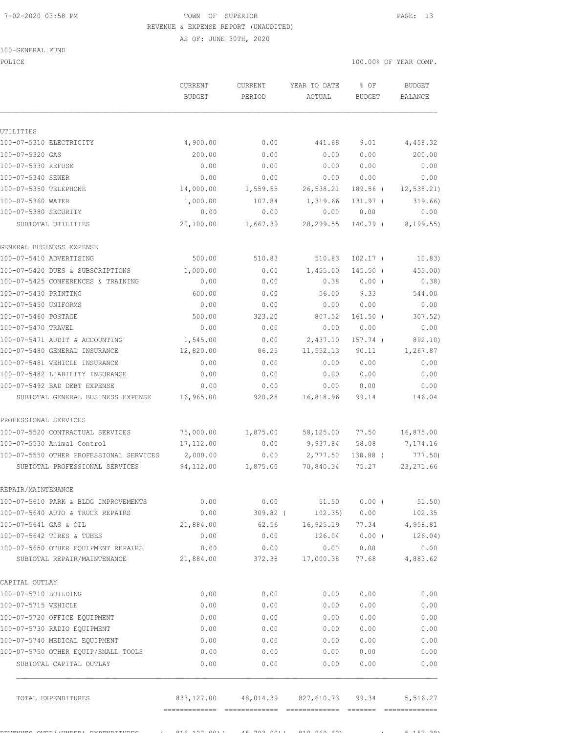# 7-02-2020 03:58 PM TOWN OF SUPERIOR PAGE: 13 REVENUE & EXPENSE REPORT (UNAUDITED)

AS OF: JUNE 30TH, 2020

### 100-GENERAL FUND

POLICE THE RIGHT OF POLICE THE RIGHT OF STREET ON THE SERVICE OF STREET ONLY A SERVICE OF STREET ONLY A SERVICE CURRENT CURRENT YEAR TO DATE % OF BUDGET

| <b>BUDGET</b> | PERIOD                                                                                                               | ACTUAL                                                                                                                                            | <b>BUDGET</b>                                                                                                                                                      | <b>BALANCE</b>                                                                                                                                                                                                                                                                                                                                                                                     |
|---------------|----------------------------------------------------------------------------------------------------------------------|---------------------------------------------------------------------------------------------------------------------------------------------------|--------------------------------------------------------------------------------------------------------------------------------------------------------------------|----------------------------------------------------------------------------------------------------------------------------------------------------------------------------------------------------------------------------------------------------------------------------------------------------------------------------------------------------------------------------------------------------|
|               |                                                                                                                      |                                                                                                                                                   |                                                                                                                                                                    |                                                                                                                                                                                                                                                                                                                                                                                                    |
|               |                                                                                                                      |                                                                                                                                                   |                                                                                                                                                                    | 4,458.32                                                                                                                                                                                                                                                                                                                                                                                           |
|               |                                                                                                                      |                                                                                                                                                   |                                                                                                                                                                    | 200.00                                                                                                                                                                                                                                                                                                                                                                                             |
|               |                                                                                                                      |                                                                                                                                                   |                                                                                                                                                                    | 0.00                                                                                                                                                                                                                                                                                                                                                                                               |
|               |                                                                                                                      |                                                                                                                                                   |                                                                                                                                                                    | 0.00                                                                                                                                                                                                                                                                                                                                                                                               |
|               |                                                                                                                      |                                                                                                                                                   |                                                                                                                                                                    | 12,538.21)                                                                                                                                                                                                                                                                                                                                                                                         |
|               |                                                                                                                      |                                                                                                                                                   |                                                                                                                                                                    | 319.66)                                                                                                                                                                                                                                                                                                                                                                                            |
|               |                                                                                                                      |                                                                                                                                                   |                                                                                                                                                                    | 0.00                                                                                                                                                                                                                                                                                                                                                                                               |
| 20,100.00     |                                                                                                                      | 28,299.55                                                                                                                                         |                                                                                                                                                                    | 8, 199.55)                                                                                                                                                                                                                                                                                                                                                                                         |
|               |                                                                                                                      |                                                                                                                                                   |                                                                                                                                                                    |                                                                                                                                                                                                                                                                                                                                                                                                    |
| 500.00        | 510.83                                                                                                               | 510.83                                                                                                                                            | $102.17$ (                                                                                                                                                         | 10.83)                                                                                                                                                                                                                                                                                                                                                                                             |
| 1,000.00      | 0.00                                                                                                                 | 1,455.00                                                                                                                                          | $145.50$ (                                                                                                                                                         | $455.00$ )                                                                                                                                                                                                                                                                                                                                                                                         |
| 0.00          | 0.00                                                                                                                 | 0.38                                                                                                                                              | $0.00$ (                                                                                                                                                           | 0.38)                                                                                                                                                                                                                                                                                                                                                                                              |
| 600.00        | 0.00                                                                                                                 | 56.00                                                                                                                                             | 9.33                                                                                                                                                               | 544.00                                                                                                                                                                                                                                                                                                                                                                                             |
| 0.00          | 0.00                                                                                                                 | 0.00                                                                                                                                              | 0.00                                                                                                                                                               | 0.00                                                                                                                                                                                                                                                                                                                                                                                               |
| 500.00        |                                                                                                                      |                                                                                                                                                   |                                                                                                                                                                    | 307.52)                                                                                                                                                                                                                                                                                                                                                                                            |
| 0.00          | 0.00                                                                                                                 | 0.00                                                                                                                                              | 0.00                                                                                                                                                               | 0.00                                                                                                                                                                                                                                                                                                                                                                                               |
|               | 0.00                                                                                                                 | 2,437.10                                                                                                                                          | 157.74 (                                                                                                                                                           | 892.10)                                                                                                                                                                                                                                                                                                                                                                                            |
|               | 86.25                                                                                                                |                                                                                                                                                   | 90.11                                                                                                                                                              | 1,267.87                                                                                                                                                                                                                                                                                                                                                                                           |
|               |                                                                                                                      |                                                                                                                                                   |                                                                                                                                                                    | 0.00                                                                                                                                                                                                                                                                                                                                                                                               |
| 0.00          | 0.00                                                                                                                 | 0.00                                                                                                                                              | 0.00                                                                                                                                                               | 0.00                                                                                                                                                                                                                                                                                                                                                                                               |
|               |                                                                                                                      |                                                                                                                                                   |                                                                                                                                                                    | 0.00                                                                                                                                                                                                                                                                                                                                                                                               |
| 16,965.00     | 920.28                                                                                                               | 16,818.96                                                                                                                                         | 99.14                                                                                                                                                              | 146.04                                                                                                                                                                                                                                                                                                                                                                                             |
|               |                                                                                                                      |                                                                                                                                                   |                                                                                                                                                                    |                                                                                                                                                                                                                                                                                                                                                                                                    |
| 75,000.00     | 1,875.00                                                                                                             |                                                                                                                                                   | 77.50                                                                                                                                                              | 16,875.00                                                                                                                                                                                                                                                                                                                                                                                          |
| 17,112.00     | 0.00                                                                                                                 |                                                                                                                                                   | 58.08                                                                                                                                                              | 7,174.16                                                                                                                                                                                                                                                                                                                                                                                           |
| 2,000.00      | 0.00                                                                                                                 | 2,777.50                                                                                                                                          | 138.88 (                                                                                                                                                           | 777.50)                                                                                                                                                                                                                                                                                                                                                                                            |
| 94,112.00     | 1,875.00                                                                                                             | 70,840.34                                                                                                                                         | 75.27                                                                                                                                                              | 23, 271.66                                                                                                                                                                                                                                                                                                                                                                                         |
|               |                                                                                                                      |                                                                                                                                                   |                                                                                                                                                                    |                                                                                                                                                                                                                                                                                                                                                                                                    |
| 0.00          | 0.00                                                                                                                 |                                                                                                                                                   |                                                                                                                                                                    | 51.50)                                                                                                                                                                                                                                                                                                                                                                                             |
|               |                                                                                                                      |                                                                                                                                                   |                                                                                                                                                                    |                                                                                                                                                                                                                                                                                                                                                                                                    |
| 21,884.00     |                                                                                                                      |                                                                                                                                                   |                                                                                                                                                                    |                                                                                                                                                                                                                                                                                                                                                                                                    |
| 0.00          |                                                                                                                      |                                                                                                                                                   |                                                                                                                                                                    | 126.04)                                                                                                                                                                                                                                                                                                                                                                                            |
| 0.00          | 0.00                                                                                                                 |                                                                                                                                                   |                                                                                                                                                                    | 0.00                                                                                                                                                                                                                                                                                                                                                                                               |
|               |                                                                                                                      |                                                                                                                                                   |                                                                                                                                                                    |                                                                                                                                                                                                                                                                                                                                                                                                    |
|               |                                                                                                                      |                                                                                                                                                   |                                                                                                                                                                    |                                                                                                                                                                                                                                                                                                                                                                                                    |
| 0.00          | 0.00                                                                                                                 | 0.00                                                                                                                                              | 0.00                                                                                                                                                               | 0.00                                                                                                                                                                                                                                                                                                                                                                                               |
|               |                                                                                                                      |                                                                                                                                                   |                                                                                                                                                                    | 0.00                                                                                                                                                                                                                                                                                                                                                                                               |
|               |                                                                                                                      | 0.00                                                                                                                                              |                                                                                                                                                                    | 0.00                                                                                                                                                                                                                                                                                                                                                                                               |
|               |                                                                                                                      |                                                                                                                                                   |                                                                                                                                                                    | 0.00                                                                                                                                                                                                                                                                                                                                                                                               |
|               |                                                                                                                      |                                                                                                                                                   |                                                                                                                                                                    | 0.00                                                                                                                                                                                                                                                                                                                                                                                               |
|               |                                                                                                                      |                                                                                                                                                   | 0.00                                                                                                                                                               | 0.00                                                                                                                                                                                                                                                                                                                                                                                               |
| 0.00          | 0.00                                                                                                                 |                                                                                                                                                   | 0.00                                                                                                                                                               | 0.00                                                                                                                                                                                                                                                                                                                                                                                               |
|               |                                                                                                                      |                                                                                                                                                   |                                                                                                                                                                    | 5,516.27                                                                                                                                                                                                                                                                                                                                                                                           |
|               | 4,900.00<br>200.00<br>0.00<br>0.00<br>14,000.00<br>1,000.00<br>0.00<br>1,545.00<br>12,820.00<br>0.00<br>0.00<br>0.00 | 0.00<br>0.00<br>0.00<br>0.00<br>1,559.55<br>107.84<br>0.00<br>323.20<br>0.00<br>0.00<br>0.00<br>0.00<br>21,884.00<br>0.00<br>0.00<br>0.00<br>0.00 | 441.68<br>0.00<br>0.00<br>0.00<br>26,538.21<br>1,319.66<br>0.00<br>1,667.39<br>807.52<br>11,552.13<br>0.00<br>0.00<br>0.00<br>0.00<br>0.00<br>0.00<br>0.00<br>0.00 | 9.01<br>0.00<br>0.00<br>0.00<br>189.56 (<br>$131.97$ (<br>0.00<br>140.79 (<br>$161.50$ (<br>0.00<br>0.00<br>58,125.00<br>9,937.84<br>$0.00$ (<br>51.50<br>309.82 ( 102.35) 0.00 102.35<br>62.56 16,925.19 77.34 4,958.81<br>126.04 0.00 (<br>0.00 0.00<br>372.38 17,000.38 77.68 4,883.62<br>0.00<br>0.00<br>0.00<br>0.00<br>0.00<br>0.00<br>0.00<br>0.00<br>833,127.00 48,014.39 827,610.73 99.34 |

 $R = \frac{1}{2}$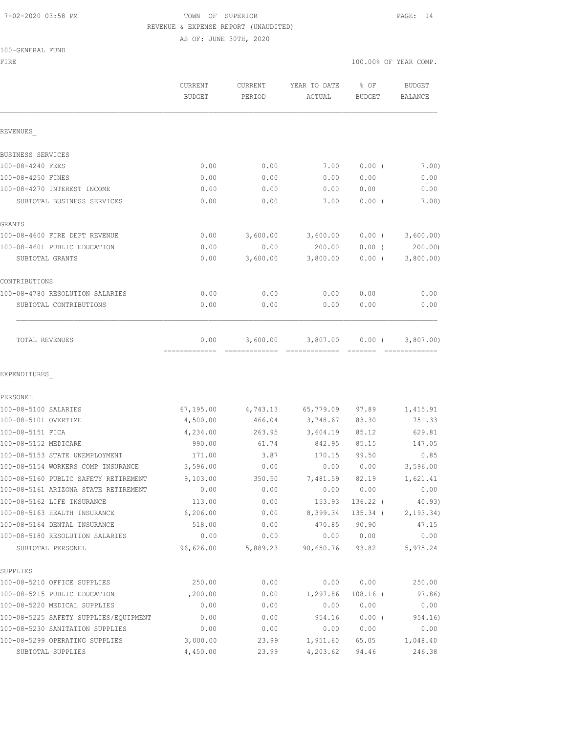## 7-02-2020 03:58 PM TOWN OF SUPERIOR PAGE: 14 REVENUE & EXPENSE REPORT (UNAUDITED) AS OF: JUNE 30TH, 2020

100-GENERAL FUND

FIRE THE SERIES AND THE SERIES OF THE SERIES OF THE SERIES OF THE SERIES OF THE SERIES OF THE SERIES OF THE SERIES OF THE SERIES OF THE SERIES OF THE SERIES OF THE SERIES OF THE SERIES OF THE SERIES OF THE SERIES OF THE SE

|                                       | <b>CURRENT</b><br><b>BUDGET</b> | <b>CURRENT</b><br>PERIOD | YEAR TO DATE<br>ACTUAL | % OF<br>BUDGET | <b>BUDGET</b><br><b>BALANCE</b> |
|---------------------------------------|---------------------------------|--------------------------|------------------------|----------------|---------------------------------|
| REVENUES                              |                                 |                          |                        |                |                                 |
| BUSINESS SERVICES                     |                                 |                          |                        |                |                                 |
| 100-08-4240 FEES                      | 0.00                            | 0.00                     | 7.00                   | 0.00(          | 7.00)                           |
| 100-08-4250 FINES                     | 0.00                            | 0.00                     | 0.00                   | 0.00           | 0.00                            |
| 100-08-4270 INTEREST INCOME           | 0.00                            | 0.00                     | 0.00                   | 0.00           | 0.00                            |
| SUBTOTAL BUSINESS SERVICES            | 0.00                            | 0.00                     | 7.00                   | 0.00(          | 7.00)                           |
| GRANTS                                |                                 |                          |                        |                |                                 |
| 100-08-4600 FIRE DEPT REVENUE         | 0.00                            | 3,600.00                 | 3,600.00               | $0.00$ (       | 3,600.00)                       |
| 100-08-4601 PUBLIC EDUCATION          | 0.00                            | 0.00                     | 200.00                 | 0.00(          | 200.00                          |
| SUBTOTAL GRANTS                       | 0.00                            | 3,600.00                 | 3,800.00               | 0.00(          | 3,800.00)                       |
| CONTRIBUTIONS                         |                                 |                          |                        |                |                                 |
| 100-08-4780 RESOLUTION SALARIES       | 0.00                            | 0.00                     | 0.00                   | 0.00           | 0.00                            |
| SUBTOTAL CONTRIBUTIONS                | 0.00                            | 0.00                     | 0.00                   | 0.00           | 0.00                            |
| TOTAL REVENUES                        | 0.00                            | 3,600.00                 | 3,807.00               | 0.00(          | 3,807.00)                       |
| EXPENDITURES                          |                                 |                          |                        |                |                                 |
| PERSONEL                              |                                 |                          |                        |                |                                 |
| 100-08-5100 SALARIES                  | 67, 195.00                      | 4,743.13                 | 65,779.09              | 97.89          | 1,415.91                        |
| 100-08-5101 OVERTIME                  | 4,500.00                        | 466.04                   | 3,748.67               | 83.30          | 751.33                          |
| 100-08-5151 FICA                      | 4,234.00                        | 263.95                   | 3,604.19               | 85.12          | 629.81                          |
| 100-08-5152 MEDICARE                  | 990.00                          | 61.74                    | 842.95                 | 85.15          | 147.05                          |
| 100-08-5153 STATE UNEMPLOYMENT        | 171.00                          | 3.87                     | 170.15                 | 99.50          | 0.85                            |
| 100-08-5154 WORKERS COMP INSURANCE    | 3,596.00                        | 0.00                     | 0.00                   | 0.00           | 3,596.00                        |
| 100-08-5160 PUBLIC SAFETY RETIREMENT  | 9,103.00                        | 350.50                   | 7,481.59               | 82.19          | 1,621.41                        |
| 100-08-5161 ARIZONA STATE RETIREMENT  | 0.00                            | 0.00                     | 0.00                   | 0.00           | 0.00                            |
| 100-08-5162 LIFE INSURANCE            | 113.00                          | 0.00                     | 153.93                 | $136.22$ (     | 40.93)                          |
| 100-08-5163 HEALTH INSURANCE          | 6,206.00                        | 0.00                     | 8,399.34               | 135.34 (       | 2, 193.34)                      |
| 100-08-5164 DENTAL INSURANCE          | 518.00                          | 0.00                     | 470.85                 | 90.90          | 47.15                           |
| 100-08-5180 RESOLUTION SALARIES       | 0.00                            | 0.00                     | 0.00                   | 0.00           | 0.00                            |
| SUBTOTAL PERSONEL                     | 96,626.00                       | 5,889.23                 | 90,650.76              | 93.82          | 5,975.24                        |
| SUPPLIES                              |                                 |                          |                        |                |                                 |
| 100-08-5210 OFFICE SUPPLIES           | 250.00                          | 0.00                     | 0.00                   | 0.00           | 250.00                          |
| 100-08-5215 PUBLIC EDUCATION          | 1,200.00                        | 0.00                     | 1,297.86               | $108.16$ (     | 97.86)                          |
| 100-08-5220 MEDICAL SUPPLIES          | 0.00                            | 0.00                     | 0.00                   | 0.00           | 0.00                            |
| 100-08-5225 SAFETY SUPPLIES/EQUIPMENT | 0.00                            | 0.00                     | 954.16                 | 0.00(          | 954.16)                         |
| 100-08-5230 SANITATION SUPPLIES       | 0.00                            | 0.00                     | 0.00                   | 0.00           | 0.00                            |
| 100-08-5299 OPERATING SUPPLIES        | 3,000.00                        | 23.99                    | 1,951.60               | 65.05          | 1,048.40                        |
| SUBTOTAL SUPPLIES                     | 4,450.00                        | 23.99                    | 4,203.62               | 94.46          | 246.38                          |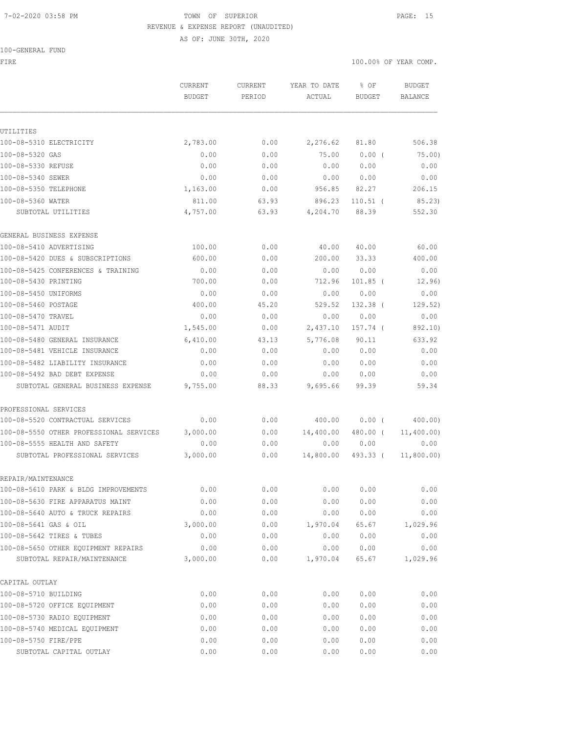# 7-02-2020 03:58 PM TOWN OF SUPERIOR PAGE: 15 REVENUE & EXPENSE REPORT (UNAUDITED)

AS OF: JUNE 30TH, 2020

100-GENERAL FUND

FIRE THE SERIES AND THE SERIES OF THE SERIES OF THE SERIES OF THE SERIES OF THE SERIES OF THE SERIES OF THE SERIES OF THE SERIES OF THE SERIES OF THE SERIES OF THE SERIES OF THE SERIES OF THE SERIES OF THE SERIES OF THE SE

|                                         | <b>CURRENT</b><br><b>BUDGET</b> | <b>CURRENT</b><br>PERIOD | YEAR TO DATE<br>ACTUAL | % OF<br>BUDGET | <b>BUDGET</b><br>BALANCE |
|-----------------------------------------|---------------------------------|--------------------------|------------------------|----------------|--------------------------|
|                                         |                                 |                          |                        |                |                          |
| UTILITIES                               |                                 |                          |                        |                |                          |
| 100-08-5310 ELECTRICITY                 | 2,783.00                        | 0.00                     | 2,276.62               | 81.80          | 506.38                   |
| 100-08-5320 GAS                         | 0.00                            | 0.00                     | 75.00                  | $0.00$ (       | 75.00                    |
| 100-08-5330 REFUSE                      | 0.00                            | 0.00                     | 0.00                   | 0.00           | 0.00                     |
| 100-08-5340 SEWER                       | 0.00                            | 0.00                     | 0.00                   | 0.00           | 0.00                     |
| 100-08-5350 TELEPHONE                   | 1,163.00                        | 0.00                     | 956.85                 | 82.27          | 206.15                   |
| 100-08-5360 WATER                       | 811.00                          | 63.93                    | 896.23                 | $110.51$ (     | 85.23                    |
| SUBTOTAL UTILITIES                      | 4,757.00                        | 63.93                    | 4,204.70               | 88.39          | 552.30                   |
| GENERAL BUSINESS EXPENSE                |                                 |                          |                        |                |                          |
| 100-08-5410 ADVERTISING                 | 100.00                          | 0.00                     | 40.00                  | 40.00          | 60.00                    |
| 100-08-5420 DUES & SUBSCRIPTIONS        | 600.00                          | 0.00                     | 200.00                 | 33.33          | 400.00                   |
| 100-08-5425 CONFERENCES & TRAINING      | 0.00                            | 0.00                     | 0.00                   | 0.00           | 0.00                     |
| 100-08-5430 PRINTING                    | 700.00                          | 0.00                     | 712.96                 | 101.85 (       | 12.96)                   |
| 100-08-5450 UNIFORMS                    | 0.00                            | 0.00                     | 0.00                   | 0.00           | 0.00                     |
| 100-08-5460 POSTAGE                     | 400.00                          | 45.20                    | 529.52                 | 132.38 (       | 129.52)                  |
| 100-08-5470 TRAVEL                      | 0.00                            | 0.00                     | 0.00                   | 0.00           | 0.00                     |
| 100-08-5471 AUDIT                       | 1,545.00                        | 0.00                     | 2,437.10               | 157.74 (       | 892.10)                  |
| 100-08-5480 GENERAL INSURANCE           | 6,410.00                        | 43.13                    | 5,776.08               | 90.11          | 633.92                   |
| 100-08-5481 VEHICLE INSURANCE           | 0.00                            | 0.00                     | 0.00                   | 0.00           | 0.00                     |
| 100-08-5482 LIABILITY INSURANCE         | 0.00                            | 0.00                     | 0.00                   | 0.00           | 0.00                     |
| 100-08-5492 BAD DEBT EXPENSE            | 0.00                            | 0.00                     | 0.00                   | 0.00           | 0.00                     |
| SUBTOTAL GENERAL BUSINESS EXPENSE       | 9,755.00                        | 88.33                    | 9,695.66               | 99.39          | 59.34                    |
| PROFESSIONAL SERVICES                   |                                 |                          |                        |                |                          |
| 100-08-5520 CONTRACTUAL SERVICES        | 0.00                            | 0.00                     | 400.00                 | 0.00(          | 400.00)                  |
| 100-08-5550 OTHER PROFESSIONAL SERVICES | 3,000.00                        | 0.00                     | 14,400.00              | 480.00 (       | 11,400.00)               |
| 100-08-5555 HEALTH AND SAFETY           | 0.00                            | 0.00                     | 0.00                   | 0.00           | 0.00                     |
| SUBTOTAL PROFESSIONAL SERVICES          | 3,000.00                        | 0.00                     | 14,800.00              | 493.33 (       | 11,800.00)               |
| REPAIR/MAINTENANCE                      |                                 |                          |                        |                |                          |
| 100-08-5610 PARK & BLDG IMPROVEMENTS    | 0.00                            | 0.00                     | 0.00                   | 0.00           | 0.00                     |
| 100-08-5630 FIRE APPARATUS MAINT        | 0.00                            | 0.00                     | 0.00                   | 0.00           | 0.00                     |
| 100-08-5640 AUTO & TRUCK REPAIRS        | 0.00                            | 0.00                     | 0.00                   | 0.00           | 0.00                     |
| 100-08-5641 GAS & OIL                   | 3,000.00                        | 0.00                     | 1,970.04               | 65.67          | 1,029.96                 |
| 100-08-5642 TIRES & TUBES               | 0.00                            | 0.00                     | 0.00                   | 0.00           | 0.00                     |
| 100-08-5650 OTHER EQUIPMENT REPAIRS     | 0.00                            | 0.00                     | 0.00                   | 0.00           | 0.00                     |
| SUBTOTAL REPAIR/MAINTENANCE             | 3,000.00                        | 0.00                     | 1,970.04               | 65.67          | 1,029.96                 |
| CAPITAL OUTLAY                          |                                 |                          |                        |                |                          |
| 100-08-5710 BUILDING                    | 0.00                            | 0.00                     | 0.00                   | 0.00           | 0.00                     |
| 100-08-5720 OFFICE EQUIPMENT            | 0.00                            | 0.00                     | 0.00                   | 0.00           | 0.00                     |
| 100-08-5730 RADIO EQUIPMENT             | 0.00                            | 0.00                     | 0.00                   | 0.00           | 0.00                     |
| 100-08-5740 MEDICAL EQUIPMENT           | 0.00                            | 0.00                     | 0.00                   | 0.00           | 0.00                     |
| 100-08-5750 FIRE/PPE                    | 0.00                            | 0.00                     | 0.00                   | 0.00           | 0.00                     |
| SUBTOTAL CAPITAL OUTLAY                 | 0.00                            | 0.00                     | 0.00                   | 0.00           | 0.00                     |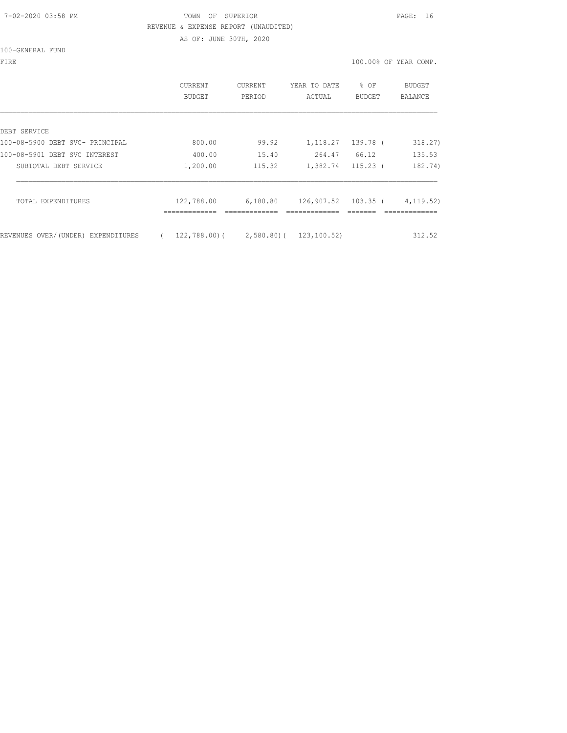# 7-02-2020 03:58 PM TOWN OF SUPERIOR PAGE: 16 REVENUE & EXPENSE REPORT (UNAUDITED) AS OF: JUNE 30TH, 2020

100-GENERAL FUND

|                                    | CURRENT<br>BUDGET | <b>CURRENT</b><br>PERIOD    | YEAR TO DATE<br>ACTUAL | % OF<br>BUDGET | <b>BUDGET</b><br>BALANCE |
|------------------------------------|-------------------|-----------------------------|------------------------|----------------|--------------------------|
| DEBT SERVICE                       |                   |                             |                        |                |                          |
| 100-08-5900 DEBT SVC- PRINCIPAL    | 800.00            | 99.92                       | 1,118.27               | 139.78 (       | 318.27)                  |
| 100-08-5901 DEBT SVC INTEREST      | 400.00            | 15.40                       | 264.47                 | 66.12          | 135.53                   |
| SUBTOTAL DEBT SERVICE              | 1,200.00          | 115.32                      | 1,382.74               | 115.23 (       | 182.74)                  |
| TOTAL EXPENDITURES                 | 122,788.00        | 6,180.80                    | 126,907.52 103.35 (    |                | 4,119.52)                |
| REVENUES OVER/(UNDER) EXPENDITURES | $\left($          | $122,788,00$ ( $2,580,80$ ( | 123,100.52)            |                | 312.52                   |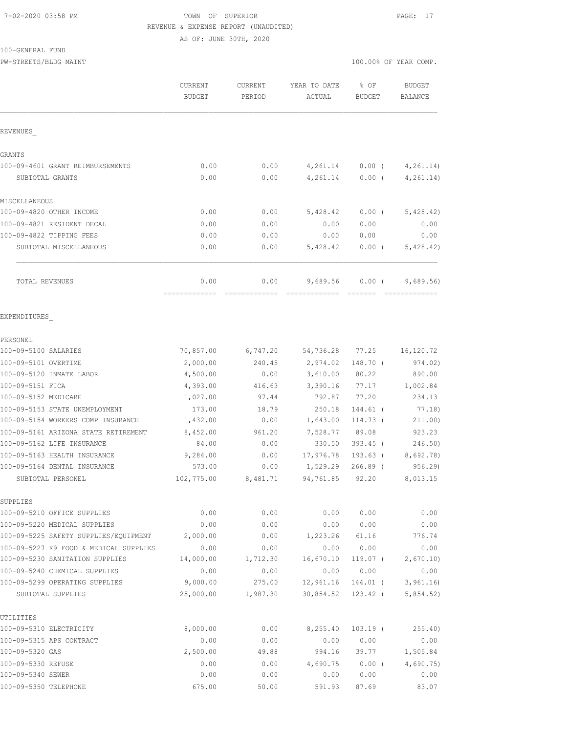# 7-02-2020 03:58 PM TOWN OF SUPERIOR PAGE: 17 REVENUE & EXPENSE REPORT (UNAUDITED)

AS OF: JUNE 30TH, 2020

### 100-GENERAL FUND

PW-STREETS/BLDG MAINT 100.00% OF YEAR COMP.

|                                        | CURRENT<br><b>BUDGET</b> | CURRENT<br>PERIOD | YEAR TO DATE<br>ACTUAL | % OF<br>BUDGET | <b>BUDGET</b><br><b>BALANCE</b> |
|----------------------------------------|--------------------------|-------------------|------------------------|----------------|---------------------------------|
| REVENUES                               |                          |                   |                        |                |                                 |
| GRANTS                                 |                          |                   |                        |                |                                 |
| 100-09-4601 GRANT REIMBURSEMENTS       | 0.00                     | 0.00              | 4,261.14               |                | $0.00$ ( $4,261.14$ )           |
| SUBTOTAL GRANTS                        | 0.00                     | 0.00              | 4,261.14               | $0.00$ (       | 4, 261.14)                      |
| MISCELLANEOUS                          |                          |                   |                        |                |                                 |
| 100-09-4820 OTHER INCOME               | 0.00                     | 0.00              | 5,428.42               | $0.00$ (       | 5,428.42)                       |
| 100-09-4821 RESIDENT DECAL             | 0.00                     | 0.00              | 0.00                   | 0.00           | 0.00                            |
| 100-09-4822 TIPPING FEES               | 0.00                     | 0.00              | 0.00                   | 0.00           | 0.00                            |
| SUBTOTAL MISCELLANEOUS                 | 0.00                     | 0.00              | 5,428.42               | $0.00$ (       | 5,428.42)                       |
| TOTAL REVENUES                         | 0.00<br>=============    | 0.00              | 9,689.56               | $0.00$ (       | 9,689.56<br>=============       |
| EXPENDITURES                           |                          | =============     |                        |                |                                 |
| PERSONEL                               |                          |                   |                        |                |                                 |
| 100-09-5100 SALARIES                   | 70,857.00                | 6,747.20          | 54,736.28              | 77.25          | 16,120.72                       |
| 100-09-5101 OVERTIME                   | 2,000.00                 | 240.45            | 2,974.02               | 148.70 (       | 974.02)                         |
| 100-09-5120 INMATE LABOR               | 4,500.00                 | 0.00              | 3,610.00               | 80.22          | 890.00                          |
| 100-09-5151 FICA                       | 4,393.00                 | 416.63            | 3,390.16               | 77.17          | 1,002.84                        |
| 100-09-5152 MEDICARE                   | 1,027.00                 | 97.44             | 792.87                 | 77.20          | 234.13                          |
| 100-09-5153 STATE UNEMPLOYMENT         | 173.00                   | 18.79             | 250.18                 | 144.61 (       | 77.18)                          |
| 100-09-5154 WORKERS COMP INSURANCE     | 1,432.00                 | 0.00              | 1,643.00               | 114.73 (       | 211.00)                         |
| 100-09-5161 ARIZONA STATE RETIREMENT   | 8,452.00                 | 961.20            | 7,528.77               | 89.08          | 923.23                          |
| 100-09-5162 LIFE INSURANCE             | 84.00                    | 0.00              | 330.50                 | $393.45$ (     | 246.50                          |
| 100-09-5163 HEALTH INSURANCE           | 9,284.00                 | 0.00              | 17,976.78              | 193.63 (       | 8,692.78)                       |
| 100-09-5164 DENTAL INSURANCE           | 573.00                   | 0.00              | 1,529.29               | $266.89$ (     | 956.29                          |
| SUBTOTAL PERSONEL                      | 102,775.00               | 8,481.71          | 94,761.85              | 92.20          | 8,013.15                        |
| SUPPLIES                               |                          |                   |                        |                |                                 |
| 100-09-5210 OFFICE SUPPLIES            | 0.00                     | 0.00              | 0.00                   | 0.00           | 0.00                            |
| 100-09-5220 MEDICAL SUPPLIES           | 0.00                     | 0.00              | 0.00                   | 0.00           | 0.00                            |
| 100-09-5225 SAFETY SUPPLIES/EQUIPMENT  | 2,000.00                 | 0.00              | 1,223.26               | 61.16          | 776.74                          |
| 100-09-5227 K9 FOOD & MEDICAL SUPPLIES | 0.00                     | 0.00              | 0.00                   | 0.00           | 0.00                            |
| 100-09-5230 SANITATION SUPPLIES        | 14,000.00                | 1,712.30          | 16,670.10              | $119.07$ (     | 2,670.10                        |
| 100-09-5240 CHEMICAL SUPPLIES          | 0.00                     | 0.00              | 0.00                   | 0.00           | 0.00                            |
| 100-09-5299 OPERATING SUPPLIES         | 9,000.00                 | 275.00            | 12,961.16              | 144.01 (       | 3,961.16                        |
| SUBTOTAL SUPPLIES                      | 25,000.00                | 1,987.30          | 30,854.52              | 123.42 (       | 5,854.52)                       |
| UTILITIES                              |                          |                   |                        |                |                                 |
| 100-09-5310 ELECTRICITY                | 8,000.00                 | 0.00              | 8,255.40               | $103.19$ (     | 255.40)                         |
| 100-09-5315 APS CONTRACT               | 0.00                     | 0.00              | 0.00                   | 0.00           | 0.00                            |
| 100-09-5320 GAS                        | 2,500.00                 | 49.88             | 994.16                 | 39.77          | 1,505.84                        |

100-09-5330 REFUSE 0.00 0.00 4,690.75 0.00 ( 4,690.75) 100-09-5340 SEWER 0.00 0.00 0.00 0.00 0.00 100-09-5350 TELEPHONE 675.00 50.00 591.93 87.69 83.07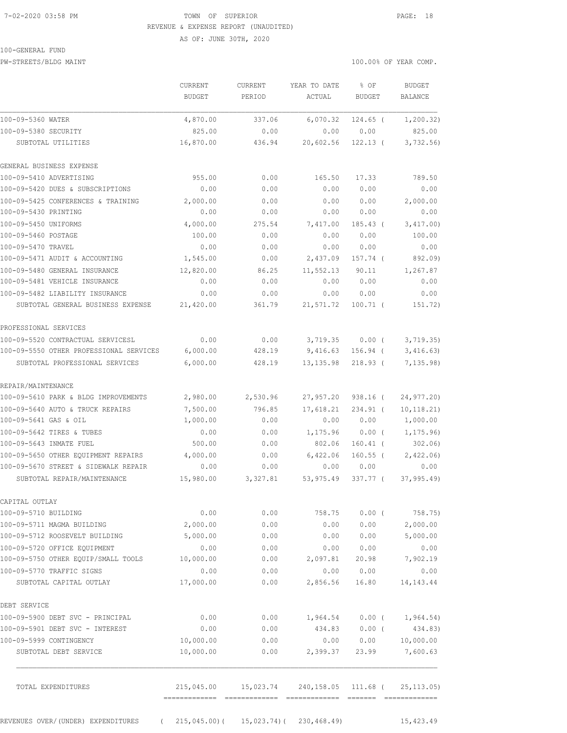# 7-02-2020 03:58 PM TOWN OF SUPERIOR PAGE: 18 REVENUE & EXPENSE REPORT (UNAUDITED)

AS OF: JUNE 30TH, 2020

### 100-GENERAL FUND

PW-STREETS/BLDG MAINT 100.00% OF YEAR COMP.

|                                                  | CURRENT<br>BUDGET       | <b>CURRENT</b><br>PERIOD                    | YEAR TO DATE<br>ACTUAL                       | $8$ OF<br><b>BUDGET</b> | <b>BUDGET</b><br><b>BALANCE</b> |
|--------------------------------------------------|-------------------------|---------------------------------------------|----------------------------------------------|-------------------------|---------------------------------|
| 100-09-5360 WATER                                | 4,870.00                | 337.06                                      | 6,070.32                                     | $124.65$ (              | 1, 200.32)                      |
| 100-09-5380 SECURITY                             | 825.00                  | 0.00                                        | 0.00                                         | 0.00                    | 825.00                          |
| SUBTOTAL UTILITIES                               | 16,870.00               | 436.94                                      | 20,602.56                                    | $122.13$ (              | 3,732.56                        |
| GENERAL BUSINESS EXPENSE                         |                         |                                             |                                              |                         |                                 |
| 100-09-5410 ADVERTISING                          | 955.00                  | 0.00                                        | 165.50                                       | 17.33                   | 789.50                          |
| 100-09-5420 DUES & SUBSCRIPTIONS                 | 0.00                    | 0.00                                        | 0.00                                         | 0.00                    | 0.00                            |
| 100-09-5425 CONFERENCES & TRAINING               | 2,000.00                | 0.00                                        | 0.00                                         | 0.00                    | 2,000.00                        |
| 100-09-5430 PRINTING                             | 0.00                    | 0.00                                        | 0.00                                         | 0.00                    | 0.00                            |
| 100-09-5450 UNIFORMS                             | 4,000.00                | 275.54                                      | 7,417.00                                     | $185.43$ (              | 3,417.00)                       |
| 100-09-5460 POSTAGE                              | 100.00                  | 0.00                                        | 0.00                                         | 0.00                    | 100.00                          |
| 100-09-5470 TRAVEL                               | 0.00                    | 0.00                                        | 0.00                                         | 0.00                    | 0.00                            |
| 100-09-5471 AUDIT & ACCOUNTING                   | 1,545.00                | 0.00                                        | 2,437.09                                     | 157.74 (                | 892.09)                         |
| 100-09-5480 GENERAL INSURANCE                    | 12,820.00               | 86.25                                       | 11,552.13                                    | 90.11                   | 1,267.87                        |
| 100-09-5481 VEHICLE INSURANCE                    | 0.00                    | 0.00                                        | 0.00                                         | 0.00                    | 0.00                            |
| 100-09-5482 LIABILITY INSURANCE                  | 0.00                    | 0.00                                        | 0.00                                         | 0.00                    | 0.00                            |
| SUBTOTAL GENERAL BUSINESS EXPENSE                | 21,420.00               | 361.79                                      | 21,571.72                                    | $100.71$ (              | 151.72)                         |
| PROFESSIONAL SERVICES                            |                         |                                             |                                              |                         |                                 |
| 100-09-5520 CONTRACTUAL SERVICESL                | 0.00                    | 0.00                                        | 3,719.35                                     | $0.00$ (                | 3,719.35)                       |
| 100-09-5550 OTHER PROFESSIONAL SERVICES          | 6,000.00                | 428.19                                      | 9,416.63                                     | $156.94$ (              | 3,416.63                        |
| SUBTOTAL PROFESSIONAL SERVICES                   | 6,000.00                | 428.19                                      | 13, 135.98                                   | $218.93$ (              | 7, 135.98                       |
| REPAIR/MAINTENANCE                               |                         |                                             |                                              |                         |                                 |
| 100-09-5610 PARK & BLDG IMPROVEMENTS             | 2,980.00                | 2,530.96                                    | 27,957.20                                    | 938.16 (                | 24,977.20)                      |
| 100-09-5640 AUTO & TRUCK REPAIRS                 | 7,500.00                | 796.85                                      | 17,618.21                                    | $234.91$ (              | 10, 118.21)                     |
| 100-09-5641 GAS & OIL                            | 1,000.00                | 0.00                                        | 0.00                                         | 0.00                    | 1,000.00                        |
| 100-09-5642 TIRES & TUBES                        | 0.00                    | 0.00                                        | 1,175.96                                     | $0.00$ (                | 1, 175.96                       |
| 100-09-5643 INMATE FUEL                          | 500.00                  | 0.00                                        | 802.06                                       | $160.41$ (              | 302.06                          |
| 100-09-5650 OTHER EQUIPMENT REPAIRS              | 4,000.00                | 0.00                                        | 6,422.06                                     | $160.55$ (              | 2,422.06                        |
| 100-09-5670 STREET & SIDEWALK REPAIR             | 0.00                    | 0.00                                        | 0.00                                         | 0.00                    | 0.00                            |
| SUBTOTAL REPAIR/MAINTENANCE                      | 15,980.00               | 3,327.81                                    | 53,975.49                                    | 337.77 (                | 37, 995.49                      |
| CAPITAL OUTLAY                                   |                         |                                             |                                              |                         |                                 |
| 100-09-5710 BUILDING                             | 0.00                    | 0.00                                        | 758.75                                       | 0.00(                   | 758.75)                         |
| 100-09-5711 MAGMA BUILDING                       | 2,000.00                | 0.00                                        | 0.00                                         | 0.00                    | 2,000.00                        |
| 100-09-5712 ROOSEVELT BUILDING                   | 5,000.00                | 0.00                                        | 0.00                                         | 0.00                    | 5,000.00                        |
| 100-09-5720 OFFICE EQUIPMENT                     | 0.00                    | 0.00                                        | 0.00                                         | 0.00                    | 0.00                            |
| 100-09-5750 OTHER EQUIP/SMALL TOOLS              | 10,000.00               | 0.00                                        | 2,097.81                                     | 20.98                   | 7,902.19                        |
| 100-09-5770 TRAFFIC SIGNS                        | 0.00                    | 0.00                                        | 0.00                                         | 0.00                    | 0.00                            |
| SUBTOTAL CAPITAL OUTLAY                          | 17,000.00               | 0.00                                        | 2,856.56                                     | 16.80                   | 14, 143. 44                     |
| DEBT SERVICE                                     |                         |                                             |                                              |                         |                                 |
| 100-09-5900 DEBT SVC - PRINCIPAL                 | 0.00                    | 0.00                                        | 1,964.54                                     |                         | $0.00$ ( 1,964.54)              |
| 100-09-5901 DEBT SVC - INTEREST                  | 0.00                    | 0.00                                        | 434.83                                       | $0.00$ (                | 434.83)                         |
| 100-09-5999 CONTINGENCY                          | 10,000.00               | 0.00                                        | 0.00                                         | 0.00                    | 10,000.00                       |
| SUBTOTAL DEBT SERVICE                            | 10,000.00               | 0.00                                        | 2,399.37                                     | 23.99                   | 7,600.63                        |
| TOTAL EXPENDITURES                               |                         |                                             | 215,045.00  15,023.74  240,158.05  111.68  ( |                         | 25, 113.05                      |
|                                                  | ======================= |                                             |                                              |                         |                                 |
| REVENUES OVER/(UNDER) EXPENDITURES<br>$\sqrt{2}$ |                         | $215,045.00$ ( $15,023.74$ ( $230,468.49$ ) |                                              |                         | 15,423.49                       |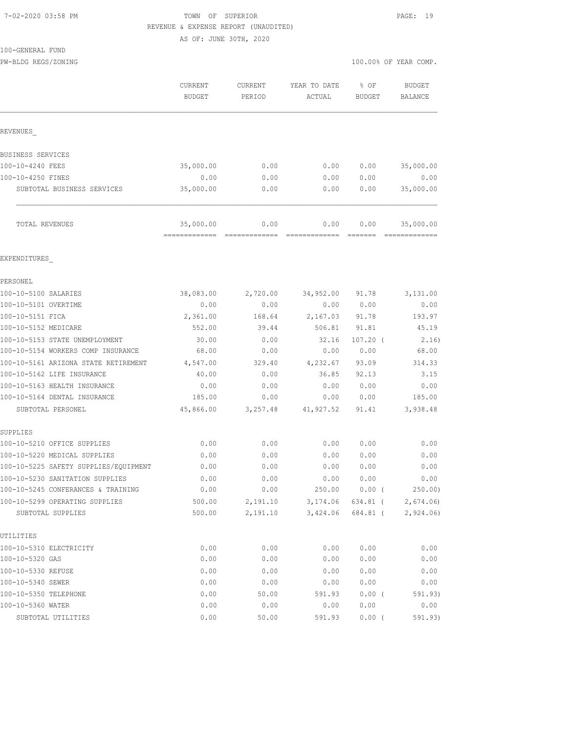#### 7-02-2020 03:58 PM TOWN OF SUPERIOR PAGE: 19 REVENUE & EXPENSE REPORT (UNAUDITED)

AS OF: JUNE 30TH, 2020

100-GENERAL FUND

PW-BLDG REGS/ZONING 100.00% OF YEAR COMP.

|                                                              | CURRENT<br><b>BUDGET</b> | CURRENT<br>PERIOD | YEAR TO DATE<br>ACTUAL | % OF<br>BUDGET | <b>BUDGET</b><br>BALANCE |
|--------------------------------------------------------------|--------------------------|-------------------|------------------------|----------------|--------------------------|
| <b>REVENUES</b>                                              |                          |                   |                        |                |                          |
| BUSINESS SERVICES                                            |                          |                   |                        |                |                          |
| 100-10-4240 FEES                                             | 35,000.00                | 0.00              | 0.00                   | 0.00           | 35,000.00                |
| 100-10-4250 FINES                                            | 0.00                     | 0.00              | 0.00                   | 0.00           | 0.00                     |
| SUBTOTAL BUSINESS SERVICES                                   | 35,000.00                | 0.00              | 0.00                   | 0.00           | 35,000.00                |
| TOTAL REVENUES                                               | 35,000.00                | 0.00              | 0.00                   | 0.00           | 35,000.00                |
| EXPENDITURES                                                 |                          |                   |                        |                |                          |
| PERSONEL                                                     |                          |                   |                        |                |                          |
| 100-10-5100 SALARIES                                         | 38,083.00                | 2,720.00          | 34,952.00              | 91.78          | 3,131.00                 |
| 100-10-5101 OVERTIME                                         | 0.00                     | 0.00              | 0.00                   | 0.00           | 0.00                     |
| 100-10-5151 FICA                                             | 2,361.00                 | 168.64            | 2,167.03               | 91.78          | 193.97                   |
| 100-10-5152 MEDICARE                                         | 552.00                   | 39.44             | 506.81                 | 91.81          | 45.19                    |
| 100-10-5153 STATE UNEMPLOYMENT                               | 30.00                    | 0.00              | 32.16                  | $107.20$ (     | 2.16)                    |
| 100-10-5154 WORKERS COMP INSURANCE                           | 68.00                    | 0.00              | 0.00                   | 0.00           | 68.00                    |
| 100-10-5161 ARIZONA STATE RETIREMENT                         | 4,547.00                 | 329.40            | 4,232.67               | 93.09          | 314.33                   |
| 100-10-5162 LIFE INSURANCE                                   | 40.00                    | 0.00              | 36.85                  | 92.13          | 3.15                     |
| 100-10-5163 HEALTH INSURANCE<br>100-10-5164 DENTAL INSURANCE | 0.00<br>185.00           | 0.00<br>0.00      | 0.00<br>0.00           | 0.00<br>0.00   | 0.00<br>185.00           |
| SUBTOTAL PERSONEL                                            | 45,866.00                | 3,257.48          | 41,927.52              | 91.41          | 3,938.48                 |
| SUPPLIES                                                     |                          |                   |                        |                |                          |
| 100-10-5210 OFFICE SUPPLIES                                  | 0.00                     | 0.00              | 0.00                   | 0.00           | 0.00                     |
| 100-10-5220 MEDICAL SUPPLIES                                 | 0.00                     | 0.00              | 0.00                   | 0.00           | 0.00                     |
| 100-10-5225 SAFETY SUPPLIES/EQUIPMENT                        | 0.00                     | 0.00              | 0.00                   | 0.00           | 0.00                     |
| 100-10-5230 SANITATION SUPPLIES                              | 0.00                     | 0.00              | 0.00                   | 0.00           | 0.00                     |
| 100-10-5245 CONFERANCES & TRAINING                           | 0.00                     | 0.00              |                        | 250.00 0.00 (  | 250.00)                  |
| 100-10-5299 OPERATING SUPPLIES                               | 500.00                   | 2,191.10          | 3,174.06               | 634.81 (       | 2,674.06                 |
| SUBTOTAL SUPPLIES                                            | 500.00                   | 2,191.10          | 3,424.06               | 684.81 (       | 2,924.06                 |
| UTILITIES                                                    |                          |                   |                        |                |                          |
| 100-10-5310 ELECTRICITY                                      | 0.00                     | 0.00              | 0.00                   | 0.00           | 0.00                     |
| 100-10-5320 GAS                                              | 0.00                     | 0.00              | 0.00                   | 0.00           | 0.00                     |
| 100-10-5330 REFUSE<br>100-10-5340 SEWER                      | 0.00<br>0.00             | 0.00<br>0.00      | 0.00<br>0.00           | 0.00<br>0.00   | 0.00<br>0.00             |
| 100-10-5350 TELEPHONE                                        | 0.00                     | 50.00             | 591.93                 | 0.00(          | 591.93)                  |
| 100-10-5360 WATER                                            | 0.00                     | 0.00              | 0.00                   | 0.00           | 0.00                     |
| SUBTOTAL UTILITIES                                           | 0.00                     | 50.00             | 591.93                 | $0.00$ (       | 591.93)                  |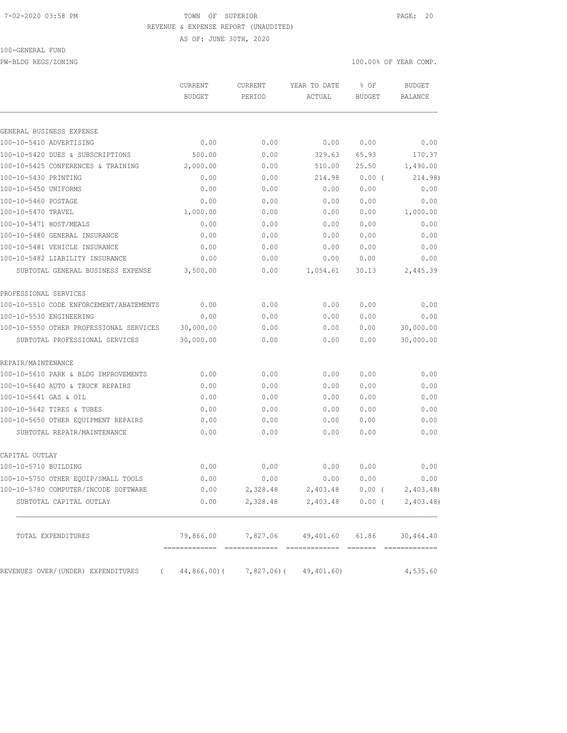## 7-02-2020 03:58 PM TOWN OF SUPERIOR PAGE: 20 REVENUE & EXPENSE REPORT (UNAUDITED)

AS OF: JUNE 30TH, 2020

## 100-GENERAL FUND

PW-BLDG REGS/ZONING 100.00% OF YEAR COMP.

|                                                                  | CURRENT<br><b>BUDGET</b>           | CURRENT<br>PERIOD | YEAR TO DATE<br>ACTUAL             | % OF<br><b>BUDGET</b> | <b>BUDGET</b><br>BALANCE  |
|------------------------------------------------------------------|------------------------------------|-------------------|------------------------------------|-----------------------|---------------------------|
| GENERAL BUSINESS EXPENSE                                         |                                    |                   |                                    |                       |                           |
| 100-10-5410 ADVERTISING                                          | 0.00                               | 0.00              | 0.00                               | 0.00                  | 0.00                      |
| 100-10-5420 DUES & SUBSCRIPTIONS                                 | 500.00                             | 0.00              | 329.63                             | 65.93                 | 170.37                    |
| 100-10-5425 CONFERENCES & TRAINING                               | 2,000.00                           | 0.00              | 510.00                             | 25.50                 | 1,490.00                  |
| 100-10-5430 PRINTING                                             | 0.00                               | 0.00              | 214.98                             | 0.00(                 | 214.98)                   |
| 100-10-5450 UNIFORMS                                             | 0.00                               | 0.00              | 0.00                               | 0.00                  | 0.00                      |
| 100-10-5460 POSTAGE                                              | 0.00                               | 0.00              | 0.00                               | 0.00                  | 0.00                      |
| 100-10-5470 TRAVEL                                               | 1,000.00                           | 0.00              | 0.00                               | 0.00                  | 1,000.00                  |
| 100-10-5471 HOST/MEALS                                           | 0.00                               | 0.00              | 0.00                               | 0.00                  | 0.00                      |
| 100-10-5480 GENERAL INSURANCE                                    | 0.00                               | 0.00              | 0.00                               | 0.00                  | 0.00                      |
|                                                                  |                                    |                   |                                    |                       |                           |
| 100-10-5481 VEHICLE INSURANCE<br>100-10-5482 LIABILITY INSURANCE | 0.00                               | 0.00              | 0.00                               | 0.00                  | 0.00                      |
| SUBTOTAL GENERAL BUSINESS EXPENSE                                | 0.00<br>3,500.00                   | 0.00<br>0.00      | 0.00<br>1,054.61                   | 0.00<br>30.13         | 0.00<br>2,445.39          |
| PROFESSIONAL SERVICES                                            |                                    |                   |                                    |                       |                           |
| 100-10-5510 CODE ENFORCEMENT/ABATEMENTS                          | 0.00                               | 0.00              | 0.00                               | 0.00                  | 0.00                      |
| 100-10-5530 ENGINEERING                                          | 0.00                               | 0.00              | 0.00                               | 0.00                  |                           |
| 100-10-5550 OTHER PROFESSIONAL SERVICES                          | 30,000.00                          | 0.00              | 0.00                               | 0.00                  | 0.00<br>30,000.00         |
| SUBTOTAL PROFESSIONAL SERVICES                                   | 30,000.00                          | 0.00              | 0.00                               | 0.00                  | 30,000.00                 |
| REPAIR/MAINTENANCE                                               |                                    |                   |                                    |                       |                           |
| 100-10-5610 PARK & BLDG IMPROVEMENTS                             | 0.00                               | 0.00              | 0.00                               | 0.00                  | 0.00                      |
| 100-10-5640 AUTO & TRUCK REPAIRS                                 | 0.00                               | 0.00              | 0.00                               | 0.00                  | 0.00                      |
| 100-10-5641 GAS & OIL                                            | 0.00                               | 0.00              | 0.00                               | 0.00                  | 0.00                      |
| 100-10-5642 TIRES & TUBES                                        | 0.00                               | 0.00              | 0.00                               | 0.00                  | 0.00                      |
| 100-10-5650 OTHER EQUIPMENT REPAIRS                              | 0.00                               | 0.00              | 0.00                               | 0.00                  | 0.00                      |
| SUBTOTAL REPAIR/MAINTENANCE                                      | 0.00                               | 0.00              | 0.00                               | 0.00                  | 0.00                      |
| CAPITAL OUTLAY                                                   |                                    |                   |                                    |                       |                           |
| 100-10-5710 BUILDING                                             | 0.00                               | 0.00              | 0.00                               | 0.00                  | 0.00                      |
| 100-10-5750 OTHER EQUIP/SMALL TOOLS                              | 0.00                               | 0.00              | 0.00                               | 0.00                  | 0.00                      |
| 100-10-5780 COMPUTER/INCODE SOFTWARE                             | 0.00                               |                   | 2,328.48 2,403.48 0.00 (2,403.48)  |                       |                           |
| SUBTOTAL CAPITAL OUTLAY                                          | 0.00                               | 2,328.48          |                                    |                       | 2,403.48 0.00 ( 2,403.48) |
| TOTAL EXPENDITURES                                               |                                    |                   | 79,866.00 7,827.06 49,401.60 61.86 |                       | 30, 464.40                |
| REVENUES OVER/(UNDER) EXPENDITURES                               | (44,866.00) (7,827.06) (49,401.60) |                   |                                    |                       | 4,535.60                  |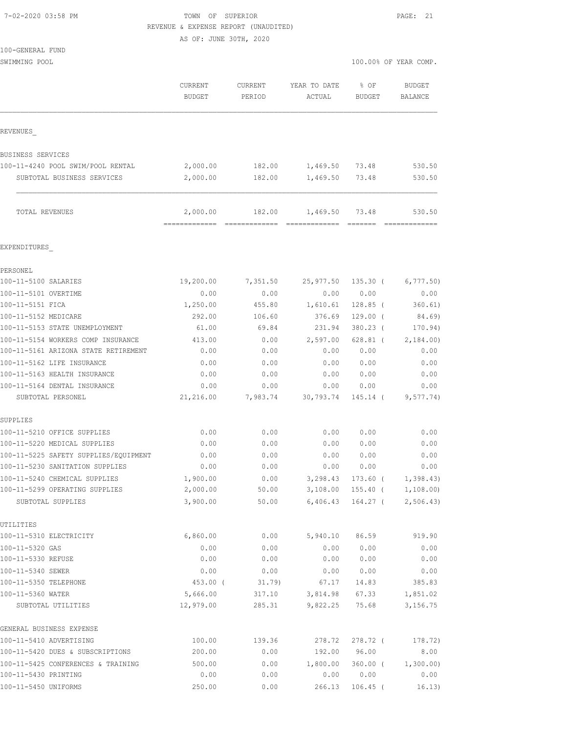| 7-02-2020 03:58 PM |  |
|--------------------|--|

TOWN OF SUPERIOR PAGE: 21 REVENUE & EXPENSE REPORT (UNAUDITED)

100.00% OF YEAR COMP.

AS OF: JUNE 30TH, 2020

| 100-GENERAL FUND |  |  |
|------------------|--|--|
| SWIMMING POOL    |  |  |
|                  |  |  |
|                  |  |  |
|                  |  |  |
|                  |  |  |

|                                      | CURRENT<br><b>BUDGET</b> | CURRENT<br>PERIOD                | YEAR TO DATE<br>ACTUAL                | % OF<br>BUDGET | <b>BUDGET</b><br>BALANCE |
|--------------------------------------|--------------------------|----------------------------------|---------------------------------------|----------------|--------------------------|
| REVENUES                             |                          |                                  |                                       |                |                          |
| BUSINESS SERVICES                    |                          |                                  |                                       |                |                          |
| 100-11-4240 POOL SWIM/POOL RENTAL    | 2,000.00                 | 182.00                           | 1,469.50 73.48                        |                | 530.50                   |
| SUBTOTAL BUSINESS SERVICES           | 2,000.00                 | 182.00                           | 1,469.50 73.48                        |                | 530.50                   |
| TOTAL REVENUES                       | =============            | 2,000.00 182.00<br>============= | 1,469.50 73.48                        |                | 530.50<br>=============  |
| EXPENDITURES                         |                          |                                  |                                       |                |                          |
| PERSONEL                             |                          |                                  |                                       |                |                          |
| 100-11-5100 SALARIES                 | 19,200.00                |                                  | 7,351.50 25,977.50 135.30 ( 6,777.50) |                |                          |
| 100-11-5101 OVERTIME                 | 0.00                     | 0.00                             | 0.00                                  | 0.00           | 0.00                     |
| 100-11-5151 FICA                     | 1,250.00                 | 455.80                           | 1,610.61                              | 128.85 (       | 360.61)                  |
| 100-11-5152 MEDICARE                 | 292.00                   | 106.60                           | 376.69                                | $129.00$ (     | 84.69)                   |
| 100-11-5153 STATE UNEMPLOYMENT       | 61.00                    | 69.84                            | 231.94                                | 380.23 (       | 170.94)                  |
| 100-11-5154 WORKERS COMP INSURANCE   | 413.00                   | 0.00                             | 2,597.00                              |                | 628.81 ( 2,184.00)       |
| 100-11-5161 ARIZONA STATE RETIREMENT | 0.00                     | 0.00                             | 0.00                                  | 0.00           | 0.00                     |

# EXPENDITURES\_

| 100-11-5100 SALARIES                  | 19,200.00 | 7,351.50 | 25,977.50 | $135.30$ ( | 6,777.50  |
|---------------------------------------|-----------|----------|-----------|------------|-----------|
| 100-11-5101 OVERTIME                  | 0.00      | 0.00     | 0.00      | 0.00       | 0.00      |
| 100-11-5151 FICA                      | 1,250.00  | 455.80   | 1,610.61  | $128.85$ ( | 360.61)   |
| 100-11-5152 MEDICARE                  | 292.00    | 106.60   | 376.69    | $129.00$ ( | 84.69)    |
| 100-11-5153 STATE UNEMPLOYMENT        | 61.00     | 69.84    | 231.94    | $380.23$ ( | 170.94)   |
| 100-11-5154 WORKERS COMP INSURANCE    | 413.00    | 0.00     | 2,597.00  | $628.81$ ( | 2,184.00  |
| 100-11-5161 ARIZONA STATE RETIREMENT  | 0.00      | 0.00     | 0.00      | 0.00       | 0.00      |
| 100-11-5162 LIFE INSURANCE            | 0.00      | 0.00     | 0.00      | 0.00       | 0.00      |
| 100-11-5163 HEALTH INSURANCE          | 0.00      | 0.00     | 0.00      | 0.00       | 0.00      |
| 100-11-5164 DENTAL INSURANCE          | 0.00      | 0.00     | 0.00      | 0.00       | 0.00      |
| SUBTOTAL PERSONEL                     | 21,216.00 | 7,983.74 | 30,793.74 | 145.14 (   | 9,577.74) |
| SUPPLIES                              |           |          |           |            |           |
| 100-11-5210 OFFICE SUPPLIES           | 0.00      | 0.00     | 0.00      | 0.00       | 0.00      |
| 100-11-5220 MEDICAL SUPPLIES          | 0.00      | 0.00     | 0.00      | 0.00       | 0.00      |
| 100-11-5225 SAFETY SUPPLIES/EOUIPMENT | 0.00      | 0.00     | 0.00      | 0.00       | 0.00      |
| 100-11-5230 SANITATION SUPPLIES       | 0.00      | 0.00     | 0.00      | 0.00       | 0.00      |
| 100-11-5240 CHEMICAL SUPPLIES         | 1,900.00  | 0.00     | 3,298.43  | $173.60$ ( | 1,398.43  |
| 100-11-5299 OPERATING SUPPLIES        | 2,000.00  | 50.00    | 3,108.00  | $155.40$ ( | 1,108.00  |
| SUBTOTAL SUPPLIES                     | 3,900.00  | 50.00    | 6,406.43  | $164.27$ ( | 2,506.43  |
| UTILITIES                             |           |          |           |            |           |
| 100-11-5310 ELECTRICITY               | 6,860.00  | 0.00     | 5,940.10  | 86.59      | 919.90    |
| 100-11-5320 GAS                       | 0.00      | 0.00     | 0.00      | 0.00       | 0.00      |
| 100-11-5330 REFUSE                    | 0.00      | 0.00     | 0.00      | 0.00       | 0.00      |
| 100-11-5340 SEWER                     | 0.00      | 0.00     | 0.00      | 0.00       | 0.00      |
| 100-11-5350 TELEPHONE                 | 453.00 (  | 31.79    | 67.17     | 14.83      | 385.83    |
| 100-11-5360 WATER                     | 5,666.00  | 317.10   | 3,814.98  | 67.33      | 1,851.02  |
| SUBTOTAL UTILITIES                    | 12,979.00 | 285.31   | 9,822.25  | 75.68      | 3,156.75  |
| GENERAL BUSINESS EXPENSE              |           |          |           |            |           |
| 100-11-5410 ADVERTISING               | 100.00    | 139.36   | 278.72    | $278.72$ ( | 178.72)   |
| 100-11-5420 DUES & SUBSCRIPTIONS      | 200.00    | 0.00     | 192.00    | 96.00      | 8.00      |
| 100-11-5425 CONFERENCES & TRAINING    | 500.00    | 0.00     | 1,800.00  | $360.00$ ( | 1,300.00) |
| 100-11-5430 PRINTING                  | 0.00      | 0.00     | 0.00      | 0.00       | 0.00      |
| 100-11-5450 UNIFORMS                  | 250.00    | 0.00     | 266.13    | $106.45$ ( | 16.13)    |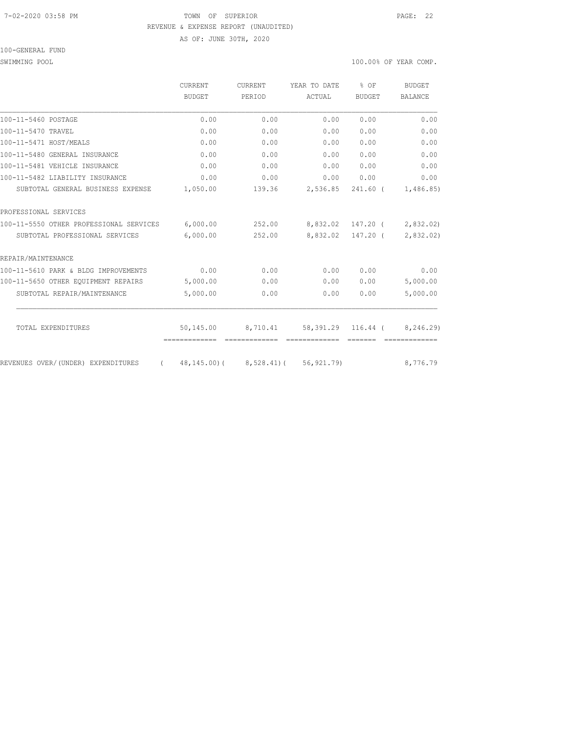#### 7-02-2020 03:58 PM TOWN OF SUPERIOR PAGE: 22 REVENUE & EXPENSE REPORT (UNAUDITED)

AS OF: JUNE 30TH, 2020

### 100-GENERAL FUND

### SWIMMING POOL SOLUTION OF TEAR COMP.

|                                                | <b>CURRENT</b> | CURRENT  | YEAR TO DATE                              | \$OF          | BUDGET    |
|------------------------------------------------|----------------|----------|-------------------------------------------|---------------|-----------|
|                                                | <b>BUDGET</b>  | PERIOD   | ACTUAL                                    | <b>BUDGET</b> | BALANCE   |
| 100-11-5460 POSTAGE                            | 0.00           | 0.00     | 0.00                                      | 0.00          | 0.00      |
| 100-11-5470 TRAVEL                             | 0.00           | 0.00     | 0.00                                      | 0.00          | 0.00      |
| 100-11-5471 HOST/MEALS                         | 0.00           | 0.00     | 0.00                                      | 0.00          | 0.00      |
| 100-11-5480 GENERAL INSURANCE                  | 0.00           | 0.00     | 0.00                                      | 0.00          | 0.00      |
| 100-11-5481 VEHICLE INSURANCE                  | 0.00           | 0.00     | 0.00                                      | 0.00          | 0.00      |
| 100-11-5482 LIABILITY INSURANCE                | 0.00           | 0.00     | 0.00                                      | 0.00          | 0.00      |
| SUBTOTAL GENERAL BUSINESS EXPENSE              | 1,050.00       | 139.36   | 2,536.85                                  | $241.60$ (    | 1,486.85) |
| PROFESSIONAL SERVICES                          |                |          |                                           |               |           |
| 100-11-5550 OTHER PROFESSIONAL SERVICES        | 6,000.00       | 252.00   | 8,832.02                                  | 147.20 (      | 2,832.02) |
| SUBTOTAL PROFESSIONAL SERVICES                 | 6,000.00       | 252.00   | 8,832.02                                  | 147.20 (      | 2,832.02) |
| REPAIR/MAINTENANCE                             |                |          |                                           |               |           |
| 100-11-5610 PARK & BLDG IMPROVEMENTS           | 0.00           | 0.00     | 0.00                                      | 0.00          | 0.00      |
| 100-11-5650 OTHER EQUIPMENT REPAIRS            | 5,000.00       | 0.00     | 0.00                                      | 0.00          | 5,000.00  |
| SUBTOTAL REPAIR/MAINTENANCE                    | 5,000.00       | 0.00     | 0.00                                      | 0.00          | 5,000.00  |
| TOTAL EXPENDITURES                             | 50,145.00      | 8,710.41 | 58,391.29                                 | $116.44$ (    | 8,246.29) |
|                                                | -------------  |          |                                           |               |           |
| REVENUES OVER/(UNDER) EXPENDITURES<br>$\left($ |                |          | 48, 145, 00) ( 8, 528, 41) ( 56, 921, 79) |               | 8,776.79  |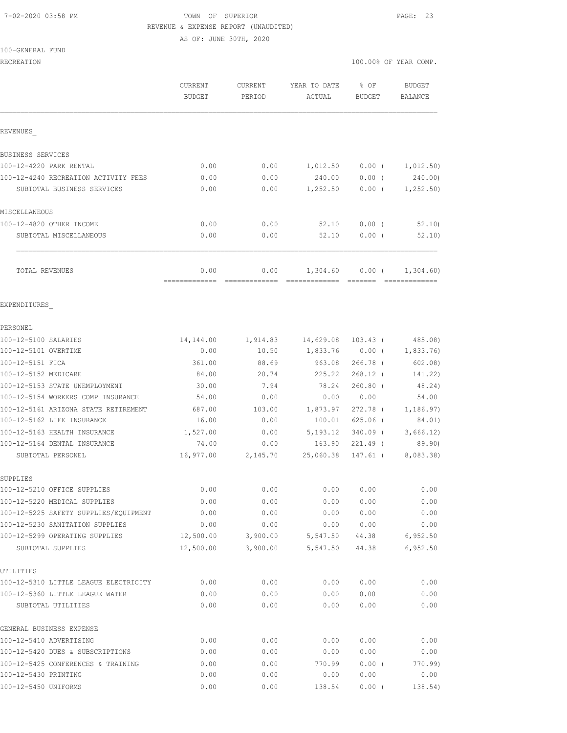# 7-02-2020 03:58 PM TOWN OF SUPERIOR PAGE: 23 REVENUE & EXPENSE REPORT (UNAUDITED) AS OF: JUNE 30TH, 2020

100-GENERAL FUND

RECREATION 100.00% OF YEAR COMP.

|                                                            | CURRENT<br><b>BUDGET</b> | <b>CURRENT</b><br>PERIOD | YEAR TO DATE<br>ACTUAL      | $8$ OF<br>BUDGET | <b>BUDGET</b><br><b>BALANCE</b> |
|------------------------------------------------------------|--------------------------|--------------------------|-----------------------------|------------------|---------------------------------|
| REVENUES                                                   |                          |                          |                             |                  |                                 |
| BUSINESS SERVICES                                          |                          |                          |                             |                  |                                 |
| 100-12-4220 PARK RENTAL                                    | 0.00                     | 0.00                     | 1,012.50                    | $0.00$ (         | 1,012.50)                       |
| 100-12-4240 RECREATION ACTIVITY FEES                       | 0.00                     | 0.00                     | 240.00                      | $0.00$ (         | 240.00)                         |
| SUBTOTAL BUSINESS SERVICES                                 | 0.00                     | 0.00                     | 1,252.50                    | $0.00$ (         | 1,252.50)                       |
| MISCELLANEOUS                                              |                          |                          |                             |                  |                                 |
| 100-12-4820 OTHER INCOME                                   | 0.00                     | 0.00                     | 52.10                       | $0.00$ (         | 52.10                           |
| SUBTOTAL MISCELLANEOUS                                     | 0.00                     | 0.00                     | 52.10                       | 0.00(            | 52.10                           |
| TOTAL REVENUES                                             | 0.00<br>-------------    | 0.00<br>=============    | 1,304.60                    | $0.00$ (         | 1,304.60)<br>- cooccooccooc     |
| EXPENDITURES                                               |                          |                          |                             |                  |                                 |
| PERSONEL                                                   |                          |                          |                             |                  |                                 |
| 100-12-5100 SALARIES                                       | 14,144.00                |                          | 1,914.83 14,629.08 103.43 ( |                  | 485.08)                         |
| 100-12-5101 OVERTIME                                       | 0.00                     | 10.50                    |                             | 1,833.76 0.00 (  | 1,833.76)                       |
| 100-12-5151 FICA                                           | 361.00                   | 88.69                    | 963.08                      | $266.78$ (       | 602.08)                         |
| 100-12-5152 MEDICARE                                       | 84.00                    | 20.74                    | 225.22                      | $268.12$ (       | 141.22)                         |
| 100-12-5153 STATE UNEMPLOYMENT                             | 30.00                    | 7.94                     | 78.24                       | $260.80$ (       | 48.24)                          |
| 100-12-5154 WORKERS COMP INSURANCE                         | 54.00                    | 0.00                     | 0.00                        | 0.00             | 54.00                           |
| 100-12-5161 ARIZONA STATE RETIREMENT                       | 687.00                   | 103.00                   | 1,873.97                    | 272.78 (         | 1,186.97)                       |
| 100-12-5162 LIFE INSURANCE                                 | 16.00                    | 0.00                     | 100.01                      | $625.06$ (       | 84.01)                          |
| 100-12-5163 HEALTH INSURANCE                               | 1,527.00                 | 0.00                     | 5,193.12                    | 340.09 (         | 3,666.12)                       |
| 100-12-5164 DENTAL INSURANCE                               | 74.00                    | 0.00                     | 163.90                      | 221.49 (         | 89.90)                          |
| SUBTOTAL PERSONEL                                          | 16,977.00                | 2,145.70                 | 25,060.38                   | 147.61 (         | 8,083.38)                       |
| SUPPLIES<br>100-12-5210 OFFICE SUPPLIES                    | 0.00                     |                          |                             | 0.00 0.00        | 0.00                            |
| 100-12-5220 MEDICAL SUPPLIES                               | 0.00                     | 0.00<br>0.00             | 0.00                        | 0.00             | 0.00                            |
| 100-12-5225 SAFETY SUPPLIES/EQUIPMENT                      | 0.00                     | 0.00                     | 0.00                        | 0.00             | 0.00                            |
| 100-12-5230 SANITATION SUPPLIES                            | 0.00                     | 0.00                     | 0.00                        | 0.00             | 0.00                            |
| 100-12-5299 OPERATING SUPPLIES                             | 12,500.00                | 3,900.00                 | 5,547.50                    | 44.38            | 6,952.50                        |
| SUBTOTAL SUPPLIES                                          | 12,500.00                | 3,900.00                 | 5,547.50                    | 44.38            | 6,952.50                        |
| UTILITIES                                                  |                          |                          |                             |                  |                                 |
| 100-12-5310 LITTLE LEAGUE ELECTRICITY                      | 0.00                     | 0.00                     | 0.00                        | 0.00             | 0.00                            |
| 100-12-5360 LITTLE LEAGUE WATER                            | 0.00                     | 0.00                     | 0.00                        | 0.00             | 0.00                            |
| SUBTOTAL UTILITIES                                         | 0.00                     | 0.00                     | 0.00                        | 0.00             | 0.00                            |
| GENERAL BUSINESS EXPENSE                                   |                          |                          |                             |                  |                                 |
| 100-12-5410 ADVERTISING                                    | 0.00                     | 0.00                     | 0.00                        | 0.00             | 0.00                            |
| 100-12-5420 DUES & SUBSCRIPTIONS                           | 0.00                     | 0.00                     | 0.00                        | 0.00             | 0.00                            |
| 100-12-5425 CONFERENCES & TRAINING<br>100-12-5430 PRINTING | 0.00<br>0.00             | 0.00<br>0.00             | 770.99<br>0.00              | $0.00$ (<br>0.00 | 770.99)<br>0.00                 |
| 100-12-5450 UNIFORMS                                       | 0.00                     | 0.00                     | 138.54                      | $0.00$ (         | 138.54)                         |
|                                                            |                          |                          |                             |                  |                                 |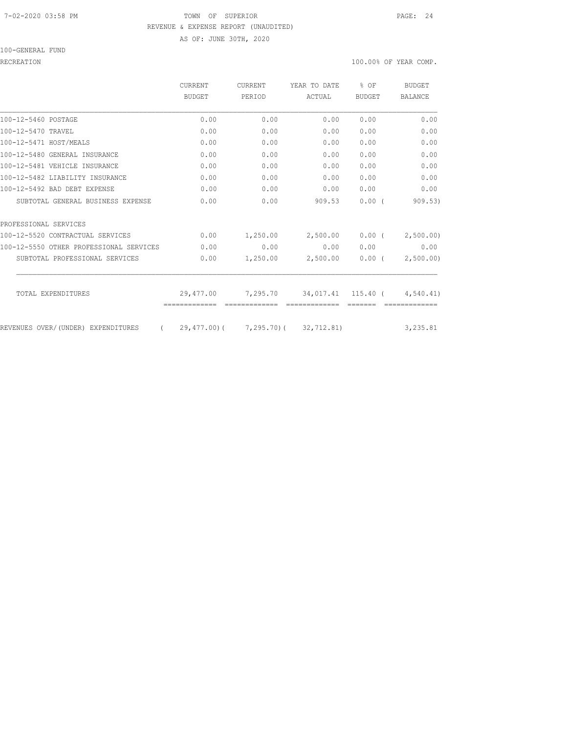# 7-02-2020 03:58 PM TOWN OF SUPERIOR PAGE: 24 REVENUE & EXPENSE REPORT (UNAUDITED) AS OF: JUNE 30TH, 2020

100-GENERAL FUND

RECREATION 100.00% OF YEAR COMP.

|                                         | <b>CURRENT</b> | <b>CURRENT</b>                      | YEAR TO DATE                | $8$ OF        | BUDGET         |
|-----------------------------------------|----------------|-------------------------------------|-----------------------------|---------------|----------------|
|                                         | BUDGET         | PERIOD                              | ACTUAL                      | <b>BUDGET</b> | <b>BALANCE</b> |
| 100-12-5460 POSTAGE                     | 0.00           | 0.00                                | 0.00                        | 0.00          | 0.00           |
| 100-12-5470 TRAVEL                      | 0.00           | 0.00                                | 0.00                        | 0.00          | 0.00           |
| 100-12-5471 HOST/MEALS                  | 0.00           | 0.00                                | 0.00                        | 0.00          | 0.00           |
| 100-12-5480 GENERAL INSURANCE           | 0.00           | 0.00                                | 0.00                        | 0.00          | 0.00           |
| 100-12-5481 VEHICLE INSURANCE           | 0.00           | 0.00                                | 0.00                        | 0.00          | 0.00           |
| 100-12-5482 LIABILITY INSURANCE         | 0.00           | 0.00                                | 0.00                        | 0.00          | 0.00           |
| 100-12-5492 BAD DEBT EXPENSE            | 0.00           | 0.00                                | 0.00                        | 0.00          | 0.00           |
| SUBTOTAL GENERAL BUSINESS EXPENSE       | 0.00           | 0.00                                | 909.53                      | 0.00(         | 909.53         |
| PROFESSIONAL SERVICES                   |                |                                     |                             |               |                |
| 100-12-5520 CONTRACTUAL SERVICES        | 0.00           | 1,250.00                            | 2,500.00                    | 0.00(         | 2,500.00)      |
| 100-12-5550 OTHER PROFESSIONAL SERVICES | 0.00           | 0.00                                | 0.00                        | 0.00          | 0.00           |
| SUBTOTAL PROFESSIONAL SERVICES          | 0.00           | 1,250.00                            | 2,500.00                    | $0.00$ (      | 2,500.00)      |
|                                         |                |                                     |                             |               |                |
| TOTAL EXPENDITURES                      | 29,477.00      |                                     | 7,295.70 34,017.41 115.40 ( |               | 4,540.41)      |
| REVENUES OVER/(UNDER) EXPENDITURES      |                | 29,477.00) ( 7,295.70) ( 32,712.81) |                             |               | 3,235.81       |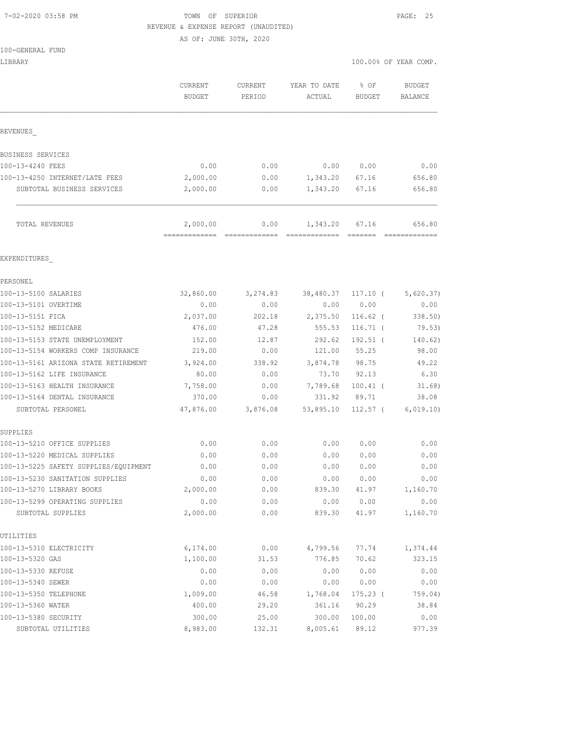## 7-02-2020 03:58 PM TOWN OF SUPERIOR PAGE: 25 REVENUE & EXPENSE REPORT (UNAUDITED)

AS OF: JUNE 30TH, 2020

| 100-GENERAL FUND |
|------------------|
|------------------|

| LIBRARY                                             |                                 |                   |                        |                                 | 100.00% OF YEAR COMP.    |
|-----------------------------------------------------|---------------------------------|-------------------|------------------------|---------------------------------|--------------------------|
|                                                     | <b>CURRENT</b><br><b>BUDGET</b> | CURRENT<br>PERIOD | YEAR TO DATE<br>ACTUAL | % OF<br><b>BUDGET</b>           | <b>BUDGET</b><br>BALANCE |
|                                                     |                                 |                   |                        |                                 |                          |
| REVENUES                                            |                                 |                   |                        |                                 |                          |
| BUSINESS SERVICES                                   |                                 |                   |                        |                                 |                          |
| 100-13-4240 FEES                                    | 0.00                            | 0.00              | 0.00                   | 0.00                            | 0.00                     |
| 100-13-4250 INTERNET/LATE FEES                      | 2,000.00                        | 0.00              | 1,343.20               | 67.16                           | 656.80                   |
| SUBTOTAL BUSINESS SERVICES                          | 2,000.00                        | 0.00              | 1,343.20               | 67.16                           | 656.80                   |
| TOTAL REVENUES                                      | 2,000.00<br>=============       | 0.00              | 1,343.20               | 67.16                           | 656.80                   |
| EXPENDITURES                                        |                                 |                   |                        |                                 |                          |
| PERSONEL                                            |                                 |                   |                        |                                 |                          |
| 100-13-5100 SALARIES                                | 32,860.00                       | 3,274.83          | 38,480.37              | $117.10$ (                      | 5,620.37)                |
| 100-13-5101 OVERTIME                                | 0.00                            | 0.00              | 0.00                   | 0.00                            | 0.00                     |
| 100-13-5151 FICA                                    | 2,037.00                        | 202.18            | 2,375.50               | $116.62$ (                      | 338.50                   |
| 100-13-5152 MEDICARE                                | 476.00                          | 47.28             | 555.53                 | $116.71$ (                      | 79.53)                   |
| 100-13-5153 STATE UNEMPLOYMENT                      | 152.00                          | 12.87             | 292.62                 | $192.51$ (                      | 140.62)                  |
| 100-13-5154 WORKERS COMP INSURANCE                  | 219.00                          | 0.00              | 121.00                 | 55.25                           | 98.00                    |
| 100-13-5161 ARIZONA STATE RETIREMENT                | 3,924.00                        | 338.92            | 3,874.78               | 98.75                           | 49.22                    |
| 100-13-5162 LIFE INSURANCE                          | 80.00                           | 0.00              | 73.70                  | 92.13                           | 6.30                     |
| 100-13-5163 HEALTH INSURANCE                        | 7,758.00                        | 0.00              | 7,789.68               | $100.41$ (                      | 31.68)                   |
| 100-13-5164 DENTAL INSURANCE                        | 370.00                          | 0.00              | 331.92                 | 89.71                           | 38.08                    |
| SUBTOTAL PERSONEL                                   | 47,876.00                       | 3,876.08          | 53,895.10              | $112.57$ (                      | 6,019.10)                |
| SUPPLIES                                            |                                 |                   |                        |                                 |                          |
| 100-13-5210 OFFICE SUPPLIES                         | 0.00                            | 0.00              | 0.00                   | 0.00                            | 0.00                     |
| 100-13-5220 MEDICAL SUPPLIES                        | 0.00                            | 0.00              | 0.00                   | 0.00                            | 0.00                     |
| 100-13-5225 SAFETY SUPPLIES/EQUIPMENT               | 0.00                            | 0.00              | 0.00                   | 0.00                            | 0.00                     |
| 100-13-5230 SANITATION SUPPLIES                     | 0.00                            | 0.00              | 0.00                   | 0.00                            | 0.00                     |
| 100-13-5270 LIBRARY BOOKS                           | 2,000.00                        | 0.00              | 839.30                 | 41.97                           | 1,160.70                 |
| 100-13-5299 OPERATING SUPPLIES<br>SUBTOTAL SUPPLIES | 0.00<br>2,000.00                | 0.00<br>0.00      | 0.00<br>839.30         | 0.00<br>41.97                   | 0.00<br>1,160.70         |
| UTILITIES                                           |                                 |                   |                        |                                 |                          |
| 100-13-5310 ELECTRICITY                             | 6,174.00                        | 0.00              | 4,799.56               | 77.74                           | 1,374.44                 |
| 100-13-5320 GAS                                     | 1,100.00                        | 31.53             | 776.85                 | 70.62                           | 323.15                   |
| 100-13-5330 REFUSE                                  | 0.00                            | 0.00              | 0.00                   | 0.00                            | 0.00                     |
| 100-13-5340 SEWER                                   | 0.00                            | 0.00              | 0.00                   | ${\bf 0}$ . ${\bf 0}$ ${\bf 0}$ | 0.00                     |
| 100-13-5350 TELEPHONE                               | 1,009.00                        | 46.58             | 1,768.04               | $175.23$ (                      | 759.04)                  |
| 100-13-5360 WATER                                   | 400.00                          | 29.20             | 361.16                 | 90.29                           | 38.84                    |
| 100-13-5380 SECURITY                                | 300.00                          | 25.00             | 300.00                 | 100.00                          | 0.00                     |
| SUBTOTAL UTILITIES                                  | 8,983.00                        | 132.31            | 8,005.61               | 89.12                           | 977.39                   |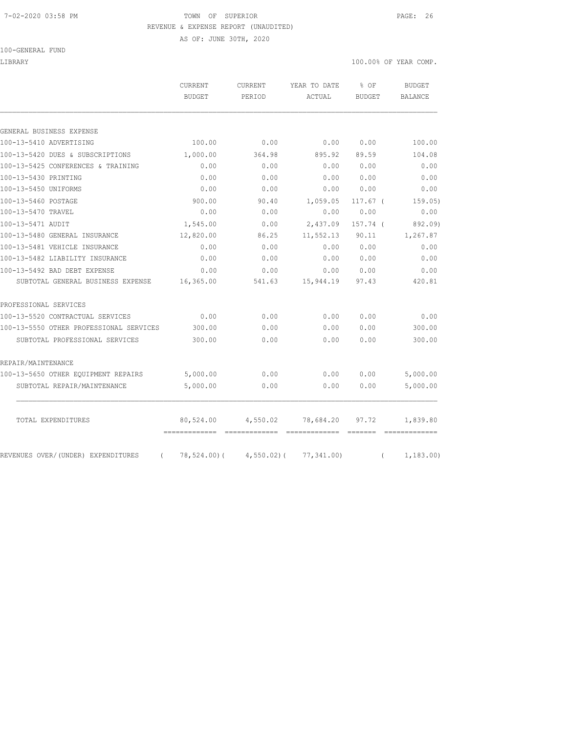#### 7-02-2020 03:58 PM TOWN OF SUPERIOR PAGE: 26 REVENUE & EXPENSE REPORT (UNAUDITED)

AS OF: JUNE 30TH, 2020

100-GENERAL FUND

|                                         | CURRENT<br><b>BUDGET</b>    | <b>CURRENT</b><br>PERIOD         | YEAR TO DATE<br>ACTUAL         | % OF<br><b>BUDGET</b> | <b>BUDGET</b><br><b>BALANCE</b> |
|-----------------------------------------|-----------------------------|----------------------------------|--------------------------------|-----------------------|---------------------------------|
|                                         |                             |                                  |                                |                       |                                 |
| GENERAL BUSINESS EXPENSE                |                             |                                  |                                |                       |                                 |
| 100-13-5410 ADVERTISING                 | 100.00                      | 0.00                             | 0.00                           | 0.00                  | 100.00                          |
| 100-13-5420 DUES & SUBSCRIPTIONS        | 1,000.00                    | 364.98                           | 895.92                         | 89.59                 | 104.08                          |
| 100-13-5425 CONFERENCES & TRAINING      | 0.00                        | 0.00                             | 0.00                           | 0.00                  | 0.00                            |
| 100-13-5430 PRINTING                    | 0.00                        | 0.00                             | 0.00                           | 0.00                  | 0.00                            |
| 100-13-5450 UNIFORMS                    | 0.00                        | 0.00                             | 0.00                           | 0.00                  | 0.00                            |
| 100-13-5460 POSTAGE                     | 900.00                      | 90.40                            | 1,059.05                       | 117.67 <sub>0</sub>   | 159.05)                         |
| 100-13-5470 TRAVEL                      | 0.00                        | 0.00                             | 0.00                           | 0.00                  | 0.00                            |
| 100-13-5471 AUDIT                       | 1,545.00                    | 0.00                             | 2,437.09                       | 157.74 (              | 892.09)                         |
| 100-13-5480 GENERAL INSURANCE           | 12,820.00                   | 86.25                            | 11,552.13                      | 90.11                 | 1,267.87                        |
| 100-13-5481 VEHICLE INSURANCE           | 0.00                        | 0.00                             | 0.00                           | 0.00                  | 0.00                            |
| 100-13-5482 LIABILITY INSURANCE         | 0.00                        | 0.00                             | 0.00                           | 0.00                  | 0.00                            |
| 100-13-5492 BAD DEBT EXPENSE            | 0.00                        | 0.00                             | 0.00                           | 0.00                  | 0.00                            |
| SUBTOTAL GENERAL BUSINESS EXPENSE       | 16,365.00                   | 541.63                           | 15,944.19                      | 97.43                 | 420.81                          |
| PROFESSIONAL SERVICES                   |                             |                                  |                                |                       |                                 |
| 100-13-5520 CONTRACTUAL SERVICES        | 0.00                        | 0.00                             | 0.00                           | 0.00                  | 0.00                            |
| 100-13-5550 OTHER PROFESSIONAL SERVICES | 300.00                      | 0.00                             | 0.00                           | 0.00                  | 300.00                          |
| SUBTOTAL PROFESSIONAL SERVICES          | 300.00                      | 0.00                             | 0.00                           | 0.00                  | 300.00                          |
| REPAIR/MAINTENANCE                      |                             |                                  |                                |                       |                                 |
| 100-13-5650 OTHER EQUIPMENT REPAIRS     | 5,000.00                    | 0.00                             | 0.00                           | 0.00                  | 5,000.00                        |
| SUBTOTAL REPAIR/MAINTENANCE             | 5,000.00                    | 0.00                             | 0.00                           | 0.00                  | 5,000.00                        |
| TOTAL EXPENDITURES                      | 80,524.00                   | 4,550.02                         | 78,684.20                      | 97.72                 | 1,839.80                        |
| REVENUES OVER/(UNDER) EXPENDITURES      | =============<br>78,524.00( | --------------<br>$4,550.02$ ) ( | -------------<br>$77,341.00$ ) | --------              | 1,183.00                        |

LIBRARY 100.00% OF YEAR COMP.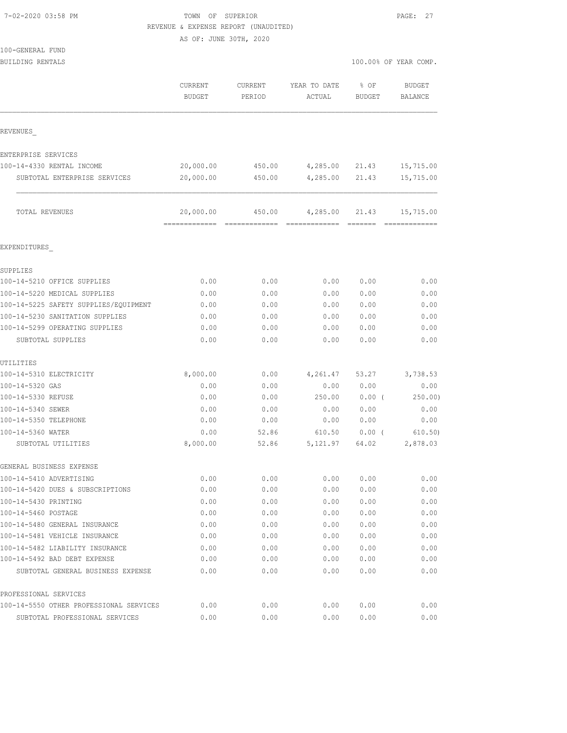# TOWN OF SUPERIOR **PAGE: 27** REVENUE & EXPENSE REPORT (UNAUDITED)

AS OF: JUNE 30TH, 2020

100-GENERAL FUND

BUILDING RENTALS **100.000 CENTALS** 100.000 OF YEAR COMP.

|                                         | CURRENT<br><b>BUDGET</b> | <b>CURRENT</b><br>PERIOD | YEAR TO DATE<br>ACTUAL | % OF<br>BUDGET | <b>BUDGET</b><br><b>BALANCE</b> |
|-----------------------------------------|--------------------------|--------------------------|------------------------|----------------|---------------------------------|
| REVENUES                                |                          |                          |                        |                |                                 |
| ENTERPRISE SERVICES                     |                          |                          |                        |                |                                 |
| 100-14-4330 RENTAL INCOME               | 20,000.00                | 450.00                   | 4,285.00               | 21.43          | 15,715.00                       |
| SUBTOTAL ENTERPRISE SERVICES            | 20,000.00                | 450.00                   | 4,285.00               | 21.43          | 15,715.00                       |
| TOTAL REVENUES                          | 20,000.00                | 450.00                   | 4,285.00               | 21.43          | 15,715.00                       |
| EXPENDITURES                            |                          |                          |                        |                |                                 |
| SUPPLIES                                |                          |                          |                        |                |                                 |
| 100-14-5210 OFFICE SUPPLIES             | 0.00                     | 0.00                     | 0.00                   | 0.00           | 0.00                            |
| 100-14-5220 MEDICAL SUPPLIES            | 0.00                     | 0.00                     | 0.00                   | 0.00           | 0.00                            |
| 100-14-5225 SAFETY SUPPLIES/EOUIPMENT   | 0.00                     | 0.00                     | 0.00                   | 0.00           | 0.00                            |
| 100-14-5230 SANITATION SUPPLIES         | 0.00                     | 0.00                     | 0.00                   | 0.00           | 0.00                            |
| 100-14-5299 OPERATING SUPPLIES          | 0.00                     | 0.00                     | 0.00                   | 0.00           | 0.00                            |
| SUBTOTAL SUPPLIES                       | 0.00                     | 0.00                     | 0.00                   | 0.00           | 0.00                            |
| UTILITIES                               |                          |                          |                        |                |                                 |
| 100-14-5310 ELECTRICITY                 | 8,000.00                 | 0.00                     | 4,261.47               | 53.27          | 3,738.53                        |
| 100-14-5320 GAS                         | 0.00                     | 0.00                     | 0.00                   | 0.00           | 0.00                            |
| 100-14-5330 REFUSE                      | 0.00                     | 0.00                     | 250.00                 | 0.00(          | 250.00)                         |
| 100-14-5340 SEWER                       | 0.00                     | 0.00                     | 0.00                   | 0.00           | 0.00                            |
| 100-14-5350 TELEPHONE                   | 0.00                     | 0.00                     | 0.00                   | 0.00           | 0.00                            |
| 100-14-5360 WATER<br>SUBTOTAL UTILITIES | 0.00<br>8,000.00         | 52.86<br>52.86           | 610.50<br>5, 121.97    | 0.00(<br>64.02 | 610.50)<br>2,878.03             |
|                                         |                          |                          |                        |                |                                 |
| GENERAL BUSINESS EXPENSE                |                          |                          |                        |                |                                 |
| 100-14-5410 ADVERTISING                 | 0.00                     | 0.00                     | 0.00                   | 0.00           | 0.00                            |
| 100-14-5420 DUES & SUBSCRIPTIONS        | 0.00                     | 0.00                     | 0.00                   | 0.00           | 0.00                            |
| 100-14-5430 PRINTING                    | 0.00                     | 0.00                     | 0.00                   | 0.00           | 0.00                            |
| 100-14-5460 POSTAGE                     | 0.00                     | 0.00                     | 0.00                   | 0.00           | 0.00                            |
| 100-14-5480 GENERAL INSURANCE           | 0.00                     | 0.00                     | 0.00                   | 0.00           | 0.00                            |
| 100-14-5481 VEHICLE INSURANCE           | 0.00                     | 0.00                     | 0.00                   | 0.00           | 0.00                            |
| 100-14-5482 LIABILITY INSURANCE         | 0.00                     | 0.00                     | 0.00                   | 0.00           | 0.00                            |
| 100-14-5492 BAD DEBT EXPENSE            | 0.00                     | 0.00                     | 0.00                   | 0.00           | 0.00                            |
| SUBTOTAL GENERAL BUSINESS EXPENSE       | 0.00                     | 0.00                     | 0.00                   | 0.00           | 0.00                            |
| PROFESSIONAL SERVICES                   |                          |                          |                        |                |                                 |
| 100-14-5550 OTHER PROFESSIONAL SERVICES | 0.00                     | 0.00                     | 0.00                   | 0.00           | 0.00                            |

SUBTOTAL PROFESSIONAL SERVICES 0.00 0.00 0.00 0.00 0.00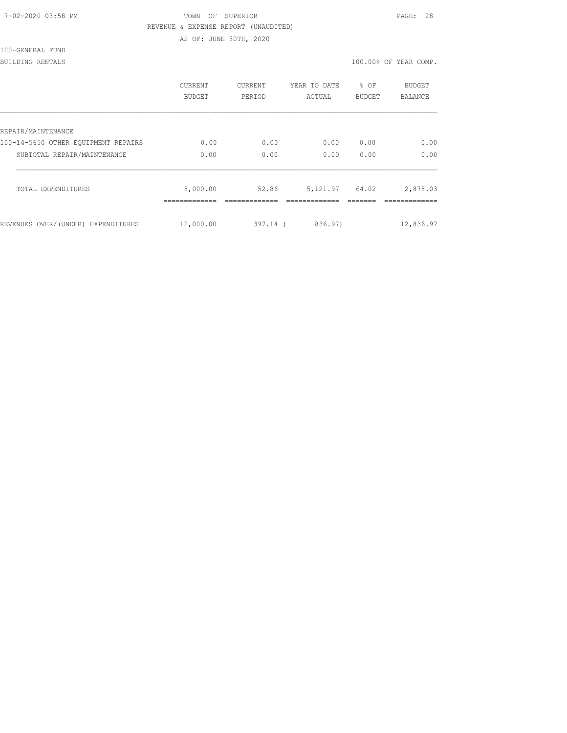| 7-02-2020 03:58 PM |  |
|--------------------|--|
|                    |  |

# TOWN OF SUPERIOR **PAGE:** 28 REVENUE & EXPENSE REPORT (UNAUDITED)

AS OF: JUNE 30TH, 2020

100-GENERAL FUND

BUILDING RENTALS 100.00% OF YEAR COMP.

|                                     | CURRENT<br><b>BUDGET</b> | <b>CURRENT</b><br>PERIOD | YEAR TO DATE<br>ACTUAL | % OF<br><b>BUDGET</b> | <b>BUDGET</b><br><b>BALANCE</b> |
|-------------------------------------|--------------------------|--------------------------|------------------------|-----------------------|---------------------------------|
| REPAIR/MAINTENANCE                  |                          |                          |                        |                       |                                 |
| 100-14-5650 OTHER EOUIPMENT REPAIRS | 0.00                     | 0.00                     | 0.00                   | 0.00                  | 0.00                            |
| SUBTOTAL REPAIR/MAINTENANCE         | 0.00                     | 0.00                     | 0.00                   | 0.00                  | 0.00                            |
| TOTAL EXPENDITURES                  | 8,000.00                 | 52.86                    | 5,121.97               | 64.02                 | 2,878.03                        |
| REVENUES OVER/(UNDER) EXPENDITURES  | 12,000.00                | $397.14$ (               | 836.97)                |                       | 12,836.97                       |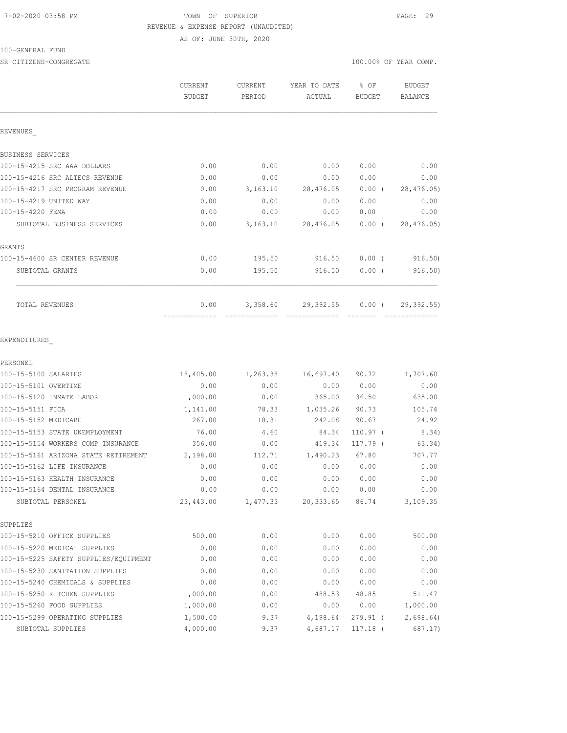# 7-02-2020 03:58 PM TOWN OF SUPERIOR PAGE: 29 REVENUE & EXPENSE REPORT (UNAUDITED) AS OF: JUNE 30TH, 2020

### 100-GENERAL FUND

SR CITIZENS-CONGREGATE SERVICES AND RESOLUTION OF SERVICES AND RESOLUTION OF SERVICES AND RESOLUTION OF SERVICES AND RESOLUTION OF SERVICES AND RESOLUTION OF SERVICES AND RESOLUTION OF SERVICES AND RESOLUTION OF SERVICES A

|                                       | CURRENT<br><b>BUDGET</b> | CURRENT<br>PERIOD | YEAR TO DATE | % OF          | <b>BUDGET</b>  |
|---------------------------------------|--------------------------|-------------------|--------------|---------------|----------------|
|                                       |                          |                   | ACTUAL       | <b>BUDGET</b> | <b>BALANCE</b> |
| REVENUES                              |                          |                   |              |               |                |
| BUSINESS SERVICES                     |                          |                   |              |               |                |
| 100-15-4215 SRC AAA DOLLARS           | 0.00                     | 0.00              | 0.00         | 0.00          | 0.00           |
| 100-15-4216 SRC ALTECS REVENUE        | 0.00                     | 0.00              | 0.00         | 0.00          | 0.00           |
| 100-15-4217 SRC PROGRAM REVENUE       | 0.00                     | 3,163.10          | 28,476.05    | $0.00$ (      | 28,476.05)     |
| 100-15-4219 UNITED WAY                | 0.00                     | 0.00              | 0.00         | 0.00          | 0.00           |
| 100-15-4220 FEMA                      | 0.00                     | 0.00              | 0.00         | 0.00          | 0.00           |
| SUBTOTAL BUSINESS SERVICES            | 0.00                     | 3,163.10          | 28,476.05    | $0.00$ (      | 28,476.05)     |
| GRANTS                                |                          |                   |              |               |                |
| 100-15-4600 SR CENTER REVENUE         | 0.00                     | 195.50            | 916.50       | $0.00$ (      | 916.50)        |
| SUBTOTAL GRANTS                       | 0.00                     | 195.50            | 916.50       | 0.00(         | 916.50)        |
| <b>TOTAL REVENUES</b>                 | 0.00                     | 3,358.60          | 29,392.55    | $0.00$ (      | 29, 392.55     |
| EXPENDITURES                          |                          |                   |              |               |                |
| PERSONEL                              |                          |                   |              |               |                |
| 100-15-5100 SALARIES                  | 18,405.00                | 1,263.38          | 16,697.40    | 90.72         | 1,707.60       |
| 100-15-5101 OVERTIME                  | 0.00                     | 0.00              | 0.00         | 0.00          | 0.00           |
| 100-15-5120 INMATE LABOR              | 1,000.00                 | 0.00              | 365.00       | 36.50         | 635.00         |
| 100-15-5151 FICA                      | 1,141.00                 | 78.33             | 1,035.26     | 90.73         | 105.74         |
| 100-15-5152 MEDICARE                  | 267.00                   | 18.31             | 242.08       | 90.67         | 24.92          |
| 100-15-5153 STATE UNEMPLOYMENT        | 76.00                    | 4.60              | 84.34        | $110.97$ (    | 8.34)          |
| 100-15-5154 WORKERS COMP INSURANCE    | 356.00                   | 0.00              | 419.34       | 117.79 (      | 63.34)         |
| 100-15-5161 ARIZONA STATE RETIREMENT  | 2,198.00                 | 112.71            | 1,490.23     | 67.80         | 707.77         |
| 100-15-5162 LIFE INSURANCE            | 0.00                     | 0.00              | 0.00         | 0.00          | 0.00           |
| 100-15-5163 HEALTH INSURANCE          | 0.00                     | 0.00              | 0.00         | 0.00          | 0.00           |
| 100-15-5164 DENTAL INSURANCE          | 0.00                     | 0.00              | 0.00         | 0.00          | 0.00           |
| SUBTOTAL PERSONEL                     | 23,443.00                | 1,477.33          | 20,333.65    | 86.74         | 3,109.35       |
| SUPPLIES                              |                          |                   |              |               |                |
| 100-15-5210 OFFICE SUPPLIES           | 500.00                   | 0.00              | 0.00         | 0.00          | 500.00         |
| 100-15-5220 MEDICAL SUPPLIES          | 0.00                     | 0.00              | 0.00         | 0.00          | 0.00           |
| 100-15-5225 SAFETY SUPPLIES/EQUIPMENT | 0.00                     | 0.00              | 0.00         | 0.00          | 0.00           |
| 100-15-5230 SANITATION SUPPLIES       | 0.00                     | 0.00              | 0.00         | 0.00          | 0.00           |
| 100-15-5240 CHEMICALS & SUPPLIES      | 0.00                     | 0.00              | 0.00         | 0.00          | 0.00           |
| 100-15-5250 KITCHEN SUPPLIES          | 1,000.00                 | 0.00              | 488.53       | 48.85         | 511.47         |
| 100-15-5260 FOOD SUPPLIES             | 1,000.00                 | 0.00              | 0.00         | 0.00          | 1,000.00       |
| 100-15-5299 OPERATING SUPPLIES        | 1,500.00                 | 9.37              | 4,198.64     | 279.91 (      | 2,698.64       |
| SUBTOTAL SUPPLIES                     | 4,000.00                 | 9.37              | 4,687.17     | $117.18$ (    | 687.17)        |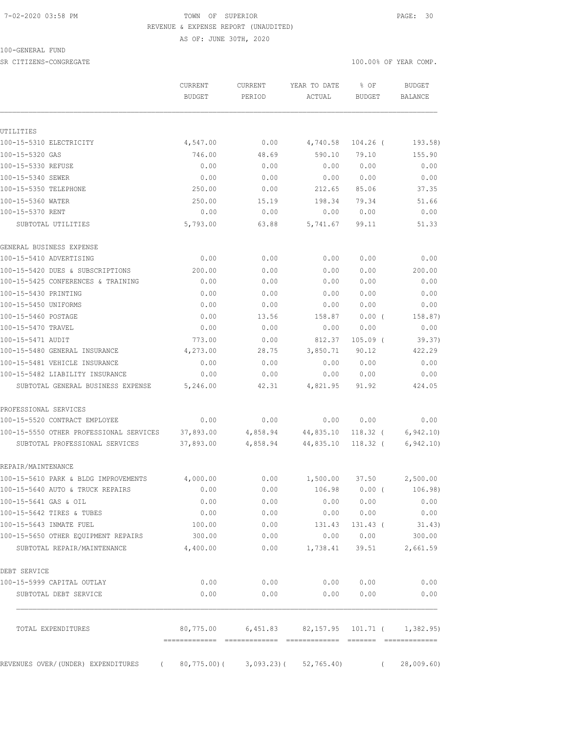#### 7-02-2020 03:58 PM TOWN OF SUPERIOR PAGE: 30 REVENUE & EXPENSE REPORT (UNAUDITED)

AS OF: JUNE 30TH, 2020

100-GENERAL FUND

SR CITIZENS-CONGREGATE SERVICES AND RESOLUTION OF SERVICES AND RESOLUTION OF SERVICES AND RESOLUTION OF SERVICES AND RESOLUTION OF SERVICES AND RESOLUTION OF SERVICES AND RESOLUTION OF SERVICES AND RESOLUTION OF SERVICES A

|                                                                           | CURRENT                | CURRENT              | YEAR TO DATE                                   | % OF                     |          | <b>BUDGET</b>           |
|---------------------------------------------------------------------------|------------------------|----------------------|------------------------------------------------|--------------------------|----------|-------------------------|
|                                                                           | <b>BUDGET</b>          | PERIOD               | ACTUAL                                         | <b>BUDGET</b>            |          | BALANCE                 |
|                                                                           |                        |                      |                                                |                          |          |                         |
| UTILITIES                                                                 |                        |                      |                                                |                          |          |                         |
| 100-15-5310 ELECTRICITY                                                   | 4,547.00               | 0.00                 | 4,740.58                                       | 104.26 (                 |          | 193.58)                 |
| 100-15-5320 GAS                                                           | 746.00                 | 48.69                | 590.10                                         | 79.10<br>0.00            |          | 155.90<br>0.00          |
| 100-15-5330 REFUSE                                                        | 0.00                   | 0.00                 | 0.00                                           |                          |          |                         |
| 100-15-5340 SEWER<br>100-15-5350 TELEPHONE                                | 0.00<br>250.00         | 0.00<br>0.00         | 0.00<br>212.65                                 | 0.00<br>85.06            |          | 0.00<br>37.35           |
| 100-15-5360 WATER                                                         | 250.00                 |                      | 198.34                                         |                          |          | 51.66                   |
| 100-15-5370 RENT                                                          | 0.00                   | 15.19<br>0.00        | 0.00                                           | 79.34<br>0.00            |          | 0.00                    |
| SUBTOTAL UTILITIES                                                        | 5,793.00               | 63.88                | 5,741.67                                       | 99.11                    |          | 51.33                   |
| GENERAL BUSINESS EXPENSE                                                  |                        |                      |                                                |                          |          |                         |
| 100-15-5410 ADVERTISING                                                   | 0.00                   | 0.00                 | 0.00                                           | 0.00                     |          | 0.00                    |
| 100-15-5420 DUES & SUBSCRIPTIONS                                          | 200.00                 | 0.00                 | 0.00                                           | 0.00                     |          | 200.00                  |
| 100-15-5425 CONFERENCES & TRAINING                                        | 0.00                   | 0.00                 | 0.00                                           | 0.00                     |          | 0.00                    |
| 100-15-5430 PRINTING                                                      | 0.00                   | 0.00                 | 0.00                                           | 0.00                     |          | 0.00                    |
| 100-15-5450 UNIFORMS                                                      | 0.00                   | 0.00                 | 0.00                                           | 0.00                     |          | 0.00                    |
| 100-15-5460 POSTAGE                                                       | 0.00                   | 13.56                | 158.87                                         | $0.00$ (                 |          | 158.87)                 |
| 100-15-5470 TRAVEL                                                        | 0.00                   | 0.00                 | 0.00                                           | 0.00                     |          | 0.00                    |
| 100-15-5471 AUDIT                                                         | 773.00                 | 0.00                 | 812.37                                         | $105.09$ (               |          | 39.37)                  |
| 100-15-5480 GENERAL INSURANCE                                             | 4,273.00               | 28.75                | 3,850.71                                       | 90.12                    |          | 422.29                  |
| 100-15-5481 VEHICLE INSURANCE                                             | 0.00                   | 0.00                 | 0.00                                           | 0.00                     |          | 0.00                    |
| 100-15-5482 LIABILITY INSURANCE                                           | 0.00                   | 0.00                 | 0.00                                           | 0.00                     |          | 0.00                    |
| SUBTOTAL GENERAL BUSINESS EXPENSE                                         | 5,246.00               | 42.31                | 4,821.95                                       | 91.92                    |          | 424.05                  |
| PROFESSIONAL SERVICES                                                     |                        |                      |                                                |                          |          |                         |
| 100-15-5520 CONTRACT EMPLOYEE                                             | 0.00                   | 0.00                 | 0.00                                           | 0.00                     |          | 0.00                    |
| 100-15-5550 OTHER PROFESSIONAL SERVICES<br>SUBTOTAL PROFESSIONAL SERVICES | 37,893.00<br>37,893.00 | 4,858.94<br>4,858.94 | 44,835.10<br>44,835.10                         | $118.32$ (<br>$118.32$ ( |          | 6, 942.10<br>6, 942.10) |
| REPAIR/MAINTENANCE                                                        |                        |                      |                                                |                          |          |                         |
| 100-15-5610 PARK & BLDG IMPROVEMENTS                                      | 4,000.00               | 0.00                 | 1,500.00                                       | 37.50                    |          | 2,500.00                |
| 100-15-5640 AUTO & TRUCK REPAIRS                                          | 0.00                   | 0.00                 | 106.98                                         | 0.00(                    |          | 106.98)                 |
| 100-15-5641 GAS & OIL                                                     | 0.00                   | 0.00                 | 0.00                                           | 0.00                     |          | 0.00                    |
| 100-15-5642 TIRES & TUBES                                                 | 0.00                   | 0.00                 | 0.00                                           | 0.00                     |          | 0.00                    |
| 100-15-5643 INMATE FUEL                                                   | 100.00                 | 0.00                 | 131.43                                         | 131.43 (                 |          | 31.43)                  |
| 100-15-5650 OTHER EQUIPMENT REPAIRS                                       | 300.00                 | 0.00                 | 0.00                                           | 0.00                     |          | 300.00                  |
| SUBTOTAL REPAIR/MAINTENANCE                                               | 4,400.00               | 0.00                 | 1,738.41                                       | 39.51                    |          | 2,661.59                |
| DEBT SERVICE                                                              |                        |                      |                                                |                          |          |                         |
| 100-15-5999 CAPITAL OUTLAY                                                | 0.00                   | 0.00                 | 0.00                                           | 0.00                     |          | 0.00                    |
| SUBTOTAL DEBT SERVICE                                                     | 0.00                   | 0.00                 | 0.00                                           | 0.00                     |          | 0.00                    |
| TOTAL EXPENDITURES                                                        | 80,775.00              |                      | $6,451.83$ $82,157.95$ $101.71$ ( $1,382.95$ ) |                          |          |                         |
| REVENUES OVER/(UNDER) EXPENDITURES<br>$\left($                            | 80,775.00)(            | $3,093.23$ ) (       | 52, 765.40                                     |                          | $\left($ | 28,009.60               |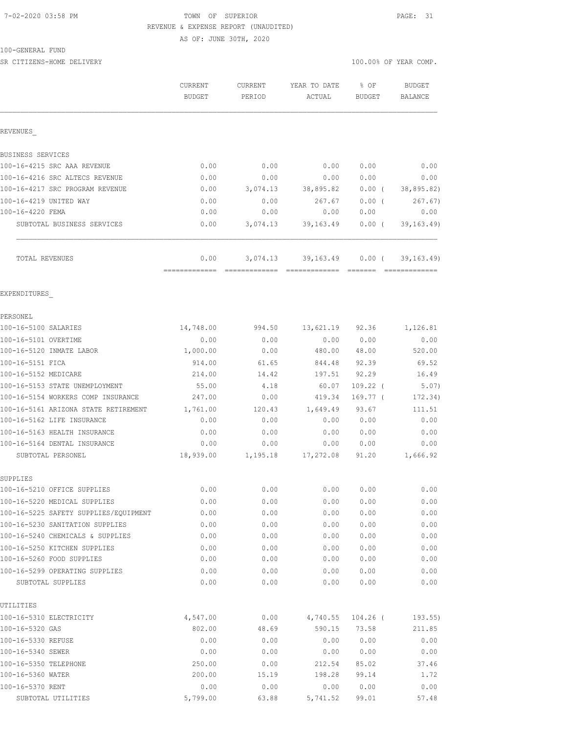#### 7-02-2020 03:58 PM TOWN OF SUPERIOR PAGE: 31 REVENUE & EXPENSE REPORT (UNAUDITED)

AS OF: JUNE 30TH, 2020

100-GENERAL FUND

SR CITIZENS-HOME DELIVERY 100.00% OF YEAR COMP.

|                                                                       | CURRENT<br><b>BUDGET</b> | CURRENT<br>PERIOD | YEAR TO DATE<br>ACTUAL       | % OF<br><b>BUDGET</b> | <b>BUDGET</b><br><b>BALANCE</b> |
|-----------------------------------------------------------------------|--------------------------|-------------------|------------------------------|-----------------------|---------------------------------|
| REVENUES                                                              |                          |                   |                              |                       |                                 |
| BUSINESS SERVICES                                                     |                          |                   |                              |                       |                                 |
| 100-16-4215 SRC AAA REVENUE                                           | 0.00                     | 0.00              | 0.00                         | 0.00                  | 0.00                            |
| 100-16-4216 SRC ALTECS REVENUE                                        | 0.00                     | 0.00              | 0.00                         | 0.00                  | 0.00                            |
| 100-16-4217 SRC PROGRAM REVENUE                                       | 0.00                     | 3,074.13          | 38,895.82                    | $0.00$ (              | 38,895.82)                      |
| 100-16-4219 UNITED WAY                                                | 0.00                     | 0.00              | 267.67                       | 0.00(                 | 267.67)                         |
| 100-16-4220 FEMA                                                      | 0.00                     | 0.00              | 0.00                         | 0.00                  | 0.00                            |
| SUBTOTAL BUSINESS SERVICES                                            | 0.00                     | 3,074.13          | 39,163.49                    | $0.00$ (              | 39, 163.49                      |
| <b>TOTAL REVENUES</b>                                                 | 0.00<br>=============    | 3,074.13          | 39,163.49                    | $0.00$ (              | 39, 163.49                      |
| EXPENDITURES                                                          |                          |                   |                              |                       |                                 |
| PERSONEL                                                              |                          |                   |                              |                       |                                 |
| 100-16-5100 SALARIES                                                  | 14,748.00                | 994.50            |                              | 13,621.19 92.36       | 1,126.81                        |
| 100-16-5101 OVERTIME                                                  | 0.00                     | 0.00              |                              | 0.00 0.00             | 0.00                            |
| 100-16-5120 INMATE LABOR                                              | 1,000.00                 | 0.00              |                              | 480.00 48.00          | 520.00                          |
| 100-16-5151 FICA                                                      | 914.00                   | 61.65             | 844.48                       | 92.39                 | 69.52                           |
| 100-16-5152 MEDICARE                                                  | 214.00                   | 14.42             | 197.51                       | 92.29                 | 16.49                           |
| 100-16-5153 STATE UNEMPLOYMENT                                        | 55.00                    | 4.18              | 60.07                        | $109.22$ (            | 5.07)                           |
| 100-16-5154 WORKERS COMP INSURANCE                                    | 247.00                   | 0.00              | 419.34                       | $169.77$ (            | 172.34)                         |
| 100-16-5161 ARIZONA STATE RETIREMENT                                  | 1,761.00                 | 120.43            | 1,649.49                     | 93.67                 | 111.51                          |
| 100-16-5162 LIFE INSURANCE                                            | 0.00                     | 0.00              | 0.00                         | 0.00                  | 0.00                            |
| 100-16-5163 HEALTH INSURANCE                                          | 0.00                     | 0.00              | 0.00                         | 0.00                  | 0.00                            |
| 100-16-5164 DENTAL INSURANCE                                          | 0.00                     | 0.00              | 0.00                         | 0.00                  | 0.00                            |
| SUBTOTAL PERSONEL                                                     | 18,939.00                | 1,195.18          | 17,272.08                    | 91.20                 | 1,666.92                        |
| SUPPLIES                                                              |                          |                   |                              |                       |                                 |
| 100-16-5210 OFFICE SUPPLIES                                           | 0.00                     | 0.00              |                              | 0.00 0.00             | 0.00                            |
| 100-16-5220 MEDICAL SUPPLIES<br>100-16-5225 SAFETY SUPPLIES/EQUIPMENT | 0.00                     | 0.00              | 0.00                         | 0.00                  | 0.00                            |
|                                                                       | 0.00                     | 0.00              | 0.00                         | 0.00                  | 0.00                            |
| 100-16-5230 SANITATION SUPPLIES<br>100-16-5240 CHEMICALS & SUPPLIES   | 0.00<br>0.00             | 0.00<br>0.00      | 0.00<br>0.00                 | 0.00<br>0.00          | 0.00<br>0.00                    |
| 100-16-5250 KITCHEN SUPPLIES                                          | 0.00                     | 0.00              | 0.00                         | 0.00                  | 0.00                            |
| 100-16-5260 FOOD SUPPLIES                                             | 0.00                     | 0.00              | 0.00                         | 0.00                  | 0.00                            |
| 100-16-5299 OPERATING SUPPLIES                                        | 0.00                     | 0.00              | 0.00                         | 0.00                  | 0.00                            |
| SUBTOTAL SUPPLIES                                                     | 0.00                     | 0.00              | 0.00                         | 0.00                  | 0.00                            |
| UTILITIES                                                             |                          |                   |                              |                       |                                 |
| 100-16-5310 ELECTRICITY                                               | 4,547.00                 |                   | $0.00$ $4,740.55$ $104.26$ ( |                       | 193.55)                         |
| 100-16-5320 GAS                                                       | 802.00                   | 48.69             | 590.15                       | 73.58                 | 211.85                          |
| 100-16-5330 REFUSE                                                    | 0.00                     | 0.00              | 0.00                         | 0.00                  | 0.00                            |
| 100-16-5340 SEWER                                                     | 0.00                     | 0.00              | 0.00                         | 0.00                  | 0.00                            |
| 100-16-5350 TELEPHONE                                                 | 250.00                   | 0.00              | 212.54                       | 85.02                 | 37.46                           |
| 100-16-5360 WATER                                                     | 200.00                   | 15.19             | 198.28                       | 99.14                 | 1.72                            |
| 100-16-5370 RENT                                                      | 0.00                     | 0.00              | 0.00                         | 0.00                  | 0.00                            |
| SUBTOTAL UTILITIES                                                    | 5,799.00                 | 63.88             | 5,741.52                     | 99.01                 | 57.48                           |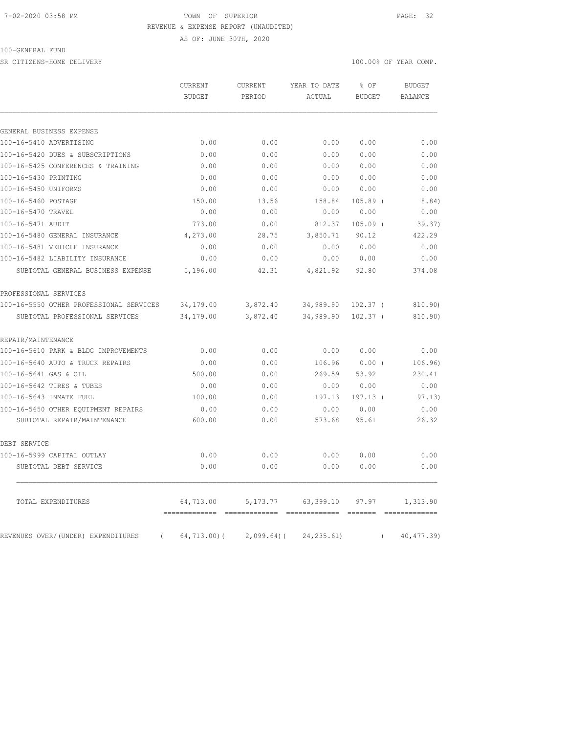#### 7-02-2020 03:58 PM TOWN OF SUPERIOR PAGE: 32 REVENUE & EXPENSE REPORT (UNAUDITED)

AS OF: JUNE 30TH, 2020

100-GENERAL FUND

SR CITIZENS-HOME DELIVERY 100.00% OF YEAR COMP.

|                                                | <b>CURRENT</b><br><b>BUDGET</b> | <b>CURRENT</b><br>PERIOD | YEAR TO DATE<br>ACTUAL | % OF<br><b>BUDGET</b> |          | <b>BUDGET</b><br><b>BALANCE</b> |
|------------------------------------------------|---------------------------------|--------------------------|------------------------|-----------------------|----------|---------------------------------|
|                                                |                                 |                          |                        |                       |          |                                 |
| GENERAL BUSINESS EXPENSE                       |                                 |                          |                        |                       |          |                                 |
| 100-16-5410 ADVERTISING                        | 0.00                            | 0.00                     | 0.00                   | 0.00                  |          | 0.00                            |
| 100-16-5420 DUES & SUBSCRIPTIONS               | 0.00                            | 0.00                     | 0.00                   | 0.00                  |          | 0.00                            |
| 100-16-5425 CONFERENCES & TRAINING             | 0.00                            | 0.00                     | 0.00                   | 0.00                  |          | 0.00                            |
| 100-16-5430 PRINTING                           | 0.00                            | 0.00                     | 0.00                   | 0.00                  |          | 0.00                            |
| 100-16-5450 UNIFORMS                           | 0.00                            | 0.00                     | 0.00                   | 0.00                  |          | 0.00                            |
| 100-16-5460 POSTAGE                            | 150.00                          | 13.56                    | 158.84                 | $105.89$ (            |          | 8.84)                           |
| 100-16-5470 TRAVEL                             | 0.00                            | 0.00                     | 0.00                   | 0.00                  |          | 0.00                            |
| 100-16-5471 AUDIT                              | 773.00                          | 0.00                     | 812.37                 | $105.09$ (            |          | 39.37)                          |
| 100-16-5480 GENERAL INSURANCE                  | 4,273.00                        | 28.75                    | 3,850.71               | 90.12                 |          | 422.29                          |
| 100-16-5481 VEHICLE INSURANCE                  | 0.00                            | 0.00                     | 0.00                   | 0.00                  |          | 0.00                            |
| 100-16-5482 LIABILITY INSURANCE                | 0.00                            | 0.00                     | 0.00                   | 0.00                  |          | 0.00                            |
| SUBTOTAL GENERAL BUSINESS EXPENSE              | 5,196.00                        | 42.31                    | 4,821.92               | 92.80                 |          | 374.08                          |
| PROFESSIONAL SERVICES                          |                                 |                          |                        |                       |          |                                 |
| 100-16-5550 OTHER PROFESSIONAL SERVICES        | 34,179.00                       | 3,872.40                 | 34,989.90 102.37 (     |                       |          | 810.90)                         |
| SUBTOTAL PROFESSIONAL SERVICES                 | 34,179.00                       | 3,872.40                 | 34,989.90              | $102.37$ (            |          | 810.90)                         |
| REPAIR/MAINTENANCE                             |                                 |                          |                        |                       |          |                                 |
| 100-16-5610 PARK & BLDG IMPROVEMENTS           | 0.00                            | 0.00                     | 0.00                   | 0.00                  |          | 0.00                            |
| 100-16-5640 AUTO & TRUCK REPAIRS               | 0.00                            | 0.00                     | 106.96                 | $0.00$ (              |          | 106.96)                         |
| 100-16-5641 GAS & OIL                          | 500.00                          | 0.00                     | 269.59                 | 53.92                 |          | 230.41                          |
| 100-16-5642 TIRES & TUBES                      | 0.00                            | 0.00                     | 0.00                   | 0.00                  |          | 0.00                            |
| 100-16-5643 INMATE FUEL                        | 100.00                          | 0.00                     | 197.13                 | 197.13 (              |          | 97.13)                          |
| 100-16-5650 OTHER EQUIPMENT REPAIRS            | 0.00                            | 0.00                     | 0.00                   | 0.00                  |          | 0.00                            |
| SUBTOTAL REPAIR/MAINTENANCE                    | 600.00                          | 0.00                     | 573.68                 | 95.61                 |          | 26.32                           |
| DEBT SERVICE                                   |                                 |                          |                        |                       |          |                                 |
| 100-16-5999 CAPITAL OUTLAY                     | 0.00                            | 0.00                     | 0.00                   | 0.00                  |          | 0.00                            |
| SUBTOTAL DEBT SERVICE                          | 0.00                            | 0.00                     | 0.00                   | 0.00                  |          | 0.00                            |
| TOTAL EXPENDITURES                             | 64,713.00                       | 5, 173. 77               | 63,399.10              | 97.97                 |          | 1,313.90                        |
| REVENUES OVER/(UNDER) EXPENDITURES<br>$\left($ | $64, 713.00$ (                  | $2,099.64$ ) (           | 24, 235.61)            |                       | $\left($ | 40, 477.39)                     |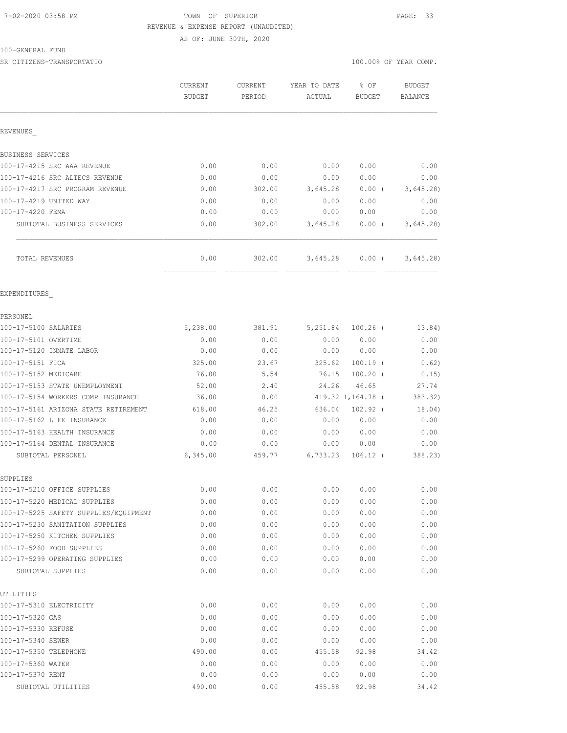#### 7-02-2020 03:58 PM TOWN OF SUPERIOR PAGE: 33 REVENUE & EXPENSE REPORT (UNAUDITED)

AS OF: JUNE 30TH, 2020

100-GENERAL FUND

SR CITIZENS-TRANSPORTATIO 100.00% OF YEAR COMP.

|                                         | CURRENT<br><b>BUDGET</b> | CURRENT<br>PERIOD | YEAR TO DATE<br>ACTUAL | % OF<br><b>BUDGET</b> | <b>BUDGET</b><br>BALANCE |
|-----------------------------------------|--------------------------|-------------------|------------------------|-----------------------|--------------------------|
| REVENUES                                |                          |                   |                        |                       |                          |
| BUSINESS SERVICES                       |                          |                   |                        |                       |                          |
| 100-17-4215 SRC AAA REVENUE             | 0.00                     | 0.00              | 0.00                   | 0.00                  | 0.00                     |
| 100-17-4216 SRC ALTECS REVENUE          | 0.00                     | 0.00              | 0.00                   | 0.00                  | 0.00                     |
| 100-17-4217 SRC PROGRAM REVENUE         | 0.00                     | 302.00            | 3,645.28               | 0.00(                 | 3,645.28                 |
| 100-17-4219 UNITED WAY                  | 0.00                     | 0.00              | 0.00                   | 0.00                  | 0.00                     |
| 100-17-4220 FEMA                        | 0.00                     | 0.00              | 0.00                   | 0.00                  | 0.00                     |
| SUBTOTAL BUSINESS SERVICES              | 0.00                     | 302.00            | 3,645.28               | $0.00$ (              | 3,645.28                 |
| TOTAL REVENUES                          | 0.00                     | 302.00            |                        | $3,645.28$ 0.00 (     | 3,645.28                 |
| EXPENDITURES                            |                          |                   |                        |                       |                          |
| PERSONEL                                |                          |                   |                        |                       |                          |
| 100-17-5100 SALARIES                    | 5,238.00                 | 381.91            |                        | 5,251.84 100.26 (     | 13.84)                   |
| 100-17-5101 OVERTIME                    | 0.00                     | 0.00              |                        | 0.00 0.00             | 0.00                     |
| 100-17-5120 INMATE LABOR                | 0.00                     | 0.00              |                        | 0.00 0.00             | 0.00                     |
| 100-17-5151 FICA                        | 325.00                   | 23.67             | 325.62                 | $100.19$ (            | 0.62)                    |
| 100-17-5152 MEDICARE                    | 76.00                    | 5.54              |                        | 76.15 100.20 (        | 0.15)                    |
| 100-17-5153 STATE UNEMPLOYMENT          | 52.00                    | 2.40              | 24.26                  | 46.65                 | 27.74                    |
| 100-17-5154 WORKERS COMP INSURANCE      | 36.00                    | 0.00              |                        | 419.32 1,164.78 (     | 383.32)                  |
| 100-17-5161 ARIZONA STATE RETIREMENT    | 618.00                   | 46.25             |                        | 636.04 102.92 (       | 18.04)                   |
| 100-17-5162 LIFE INSURANCE              | 0.00                     | 0.00              | 0.00                   | 0.00                  | 0.00                     |
| 100-17-5163 HEALTH INSURANCE            | 0.00                     | 0.00              | 0.00                   | 0.00                  | 0.00                     |
| 100-17-5164 DENTAL INSURANCE            | 0.00                     | 0.00              |                        | 0.00 0.00             | 0.00                     |
| SUBTOTAL PERSONEL                       | 6,345.00                 | 459.77            | 6,733.23               | $106.12$ (            | 388.23)                  |
| SUPPLIES<br>100-17-5210 OFFICE SUPPLIES | 0.00                     | 0.00              |                        | 0.00 0.00             | 0.00                     |
| 100-17-5220 MEDICAL SUPPLIES            | 0.00                     | 0.00              | 0.00                   | 0.00                  | 0.00                     |
| 100-17-5225 SAFETY SUPPLIES/EQUIPMENT   | 0.00                     | 0.00              | 0.00                   | 0.00                  | 0.00                     |
| 100-17-5230 SANITATION SUPPLIES         | 0.00                     | 0.00              | 0.00                   | 0.00                  | 0.00                     |
| 100-17-5250 KITCHEN SUPPLIES            | 0.00                     | 0.00              | 0.00                   | 0.00                  | 0.00                     |
| 100-17-5260 FOOD SUPPLIES               | 0.00                     | 0.00              | 0.00                   | 0.00                  | 0.00                     |
| 100-17-5299 OPERATING SUPPLIES          | 0.00                     | 0.00              | 0.00                   | 0.00                  | 0.00                     |
| SUBTOTAL SUPPLIES                       | 0.00                     | 0.00              | 0.00                   | 0.00                  | 0.00                     |
| UTILITIES                               |                          |                   |                        |                       |                          |
| 100-17-5310 ELECTRICITY                 | 0.00                     | 0.00              | 0.00                   | 0.00                  | 0.00                     |
| 100-17-5320 GAS                         | 0.00                     | 0.00              | 0.00                   | 0.00                  | 0.00                     |
| 100-17-5330 REFUSE                      | 0.00                     | 0.00              | 0.00                   | 0.00                  | 0.00                     |
| 100-17-5340 SEWER                       | 0.00                     | 0.00              | 0.00                   | 0.00                  | 0.00                     |
| 100-17-5350 TELEPHONE                   | 490.00                   | 0.00              | 455.58                 | 92.98                 | 34.42                    |
| 100-17-5360 WATER                       | 0.00                     | 0.00              | 0.00                   | 0.00                  | 0.00                     |
| 100-17-5370 RENT                        | 0.00                     | 0.00              | 0.00                   | 0.00                  | 0.00                     |
| SUBTOTAL UTILITIES                      | 490.00                   | 0.00              | 455.58                 | 92.98                 | 34.42                    |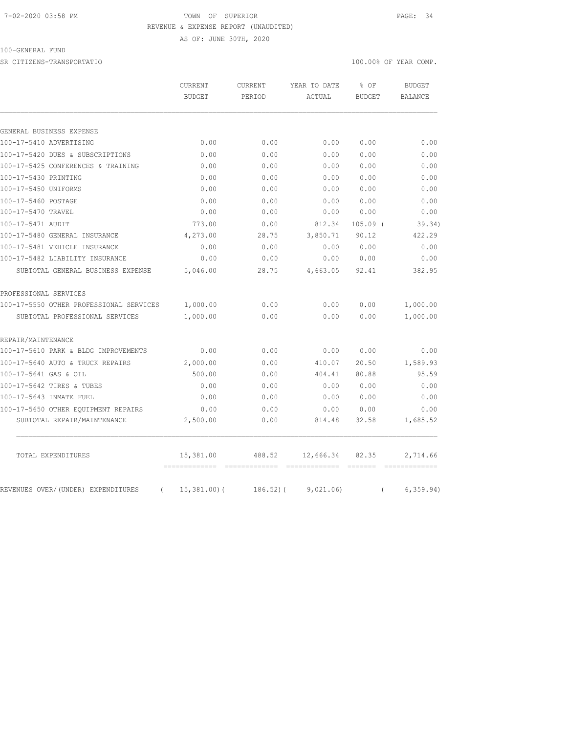#### 7-02-2020 03:58 PM TOWN OF SUPERIOR PAGE: 34 REVENUE & EXPENSE REPORT (UNAUDITED)

AS OF: JUNE 30TH, 2020

## 100-GENERAL FUND

SR CITIZENS-TRANSPORTATIO 100.00% OF YEAR COMP.

|                                                | <b>CURRENT</b><br><b>BUDGET</b> | CURRENT<br>PERIOD | YEAR TO DATE | % OF<br><b>BUDGET</b> | <b>BUDGET</b>  |
|------------------------------------------------|---------------------------------|-------------------|--------------|-----------------------|----------------|
|                                                |                                 |                   | ACTUAL       |                       | <b>BALANCE</b> |
|                                                |                                 |                   |              |                       |                |
| GENERAL BUSINESS EXPENSE                       |                                 |                   |              |                       |                |
| 100-17-5410 ADVERTISING                        | 0.00                            | 0.00              | 0.00         | 0.00                  | 0.00           |
| 100-17-5420 DUES & SUBSCRIPTIONS               | 0.00                            | 0.00              | 0.00         | 0.00                  | 0.00           |
| 100-17-5425 CONFERENCES & TRAINING             | 0.00                            | 0.00              | 0.00         | 0.00                  | 0.00           |
| 100-17-5430 PRINTING                           | 0.00                            | 0.00              | 0.00         | 0.00                  | 0.00           |
| 100-17-5450 UNIFORMS                           | 0.00                            | 0.00              | 0.00         | 0.00                  | 0.00           |
| 100-17-5460 POSTAGE                            | 0.00                            | 0.00              | 0.00         | 0.00                  | 0.00           |
| 100-17-5470 TRAVEL                             | 0.00                            | 0.00              | 0.00         | 0.00                  | 0.00           |
| 100-17-5471 AUDIT                              | 773.00                          | 0.00              | 812.34       | $105.09$ (            | 39.34)         |
| 100-17-5480 GENERAL INSURANCE                  | 4,273.00                        | 28.75             | 3,850.71     | 90.12                 | 422.29         |
| 100-17-5481 VEHICLE INSURANCE                  | 0.00                            | 0.00              | 0.00         | 0.00                  | 0.00           |
| 100-17-5482 LIABILITY INSURANCE                | 0.00                            | 0.00              | 0.00         | 0.00                  | 0.00           |
| SUBTOTAL GENERAL BUSINESS EXPENSE              | 5,046.00                        | 28.75             | 4,663.05     | 92.41                 | 382.95         |
| PROFESSIONAL SERVICES                          |                                 |                   |              |                       |                |
| 100-17-5550 OTHER PROFESSIONAL SERVICES        | 1,000.00                        | 0.00              | 0.00         | 0.00                  | 1,000.00       |
| SUBTOTAL PROFESSIONAL SERVICES                 | 1,000.00                        | 0.00              | 0.00         | 0.00                  | 1,000.00       |
| REPAIR/MAINTENANCE                             |                                 |                   |              |                       |                |
| 100-17-5610 PARK & BLDG IMPROVEMENTS           | 0.00                            | 0.00              | 0.00         | 0.00                  | 0.00           |
| 100-17-5640 AUTO & TRUCK REPAIRS               | 2,000.00                        | 0.00              | 410.07       | 20.50                 | 1,589.93       |
| 100-17-5641 GAS & OIL                          | 500.00                          | 0.00              | 404.41       | 80.88                 | 95.59          |
| 100-17-5642 TIRES & TUBES                      | 0.00                            | 0.00              | 0.00         | 0.00                  | 0.00           |
| 100-17-5643 INMATE FUEL                        | 0.00                            | 0.00              | 0.00         | 0.00                  | 0.00           |
| 100-17-5650 OTHER EQUIPMENT REPAIRS            | 0.00                            | 0.00              | 0.00         | 0.00                  | 0.00           |
| SUBTOTAL REPAIR/MAINTENANCE                    | 2,500.00                        | 0.00              | 814.48       | 32.58                 | 1,685.52       |
| TOTAL EXPENDITURES                             | 15,381.00                       | 488.52            | 12,666.34    | 82.35                 | 2,714.66       |
| REVENUES OVER/(UNDER) EXPENDITURES<br>$\left($ | 15,381.00(                      | $186.52$ ) (      | 9,021.06)    | $\left($              | 6, 359.94)     |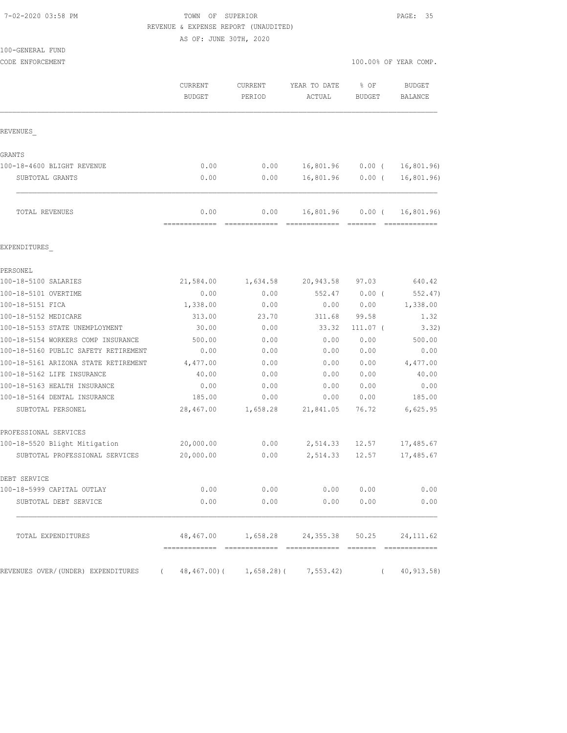## 7-02-2020 03:58 PM TOWN OF SUPERIOR PAGE: 35 REVENUE & EXPENSE REPORT (UNAUDITED)

AS OF: JUNE 30TH, 2020

|                          |                   |                        |                         | 100.00% OF YEAR COMP.                                                                                                                                                                 |
|--------------------------|-------------------|------------------------|-------------------------|---------------------------------------------------------------------------------------------------------------------------------------------------------------------------------------|
| CURRENT<br><b>BUDGET</b> | CURRENT<br>PERIOD | YEAR TO DATE<br>ACTUAL | $8$ OF<br><b>BUDGET</b> | <b>BUDGET</b><br><b>BALANCE</b>                                                                                                                                                       |
|                          |                   |                        |                         |                                                                                                                                                                                       |
|                          |                   |                        |                         |                                                                                                                                                                                       |
| 0.00                     | 0.00              |                        |                         | 16,801.96                                                                                                                                                                             |
| 0.00                     | 0.00              | 16,801.96              |                         | 16, 801.96)                                                                                                                                                                           |
| 0.00<br>=========        | 0.00              | 16,801.96              |                         | 16,801.96)                                                                                                                                                                            |
|                          |                   |                        |                         |                                                                                                                                                                                       |
|                          |                   |                        |                         |                                                                                                                                                                                       |
| 21,584.00                | 1,634.58          | 20,943.58              | 97.03                   | 640.42                                                                                                                                                                                |
| 0.00                     | 0.00              | 552.47                 | $0.00$ (                | 552.47)                                                                                                                                                                               |
| 1,338.00                 | 0.00              | 0.00                   | 0.00                    | 1,338.00                                                                                                                                                                              |
| 313.00                   | 23.70             | 311.68                 | 99.58                   | 1.32                                                                                                                                                                                  |
| 30.00                    | 0.00              | 33.32                  | $111.07$ (              | 3.32)                                                                                                                                                                                 |
| 500.00                   | 0.00              | 0.00                   | 0.00                    | 500.00                                                                                                                                                                                |
| 0.00                     | 0.00              | 0.00                   | 0.00                    | 0.00                                                                                                                                                                                  |
| 4,477.00                 | 0.00              | 0.00                   | 0.00                    | 4,477.00                                                                                                                                                                              |
| 40.00                    | 0.00              | 0.00                   | 0.00                    | 40.00                                                                                                                                                                                 |
| 0.00                     | 0.00              | 0.00                   | 0.00                    | 0.00                                                                                                                                                                                  |
| 185.00                   | 0.00              | 0.00                   | 0.00                    | 185.00                                                                                                                                                                                |
| 28,467.00                | 1,658.28          | 21,841.05              | 76.72                   | 6,625.95                                                                                                                                                                              |
|                          |                   |                        |                         |                                                                                                                                                                                       |
| 20,000.00                | 0.00              | 2,514.33               | 12.57                   | 17,485.67                                                                                                                                                                             |
| 20,000.00                | 0.00              | 2,514.33               | 12.57                   | 17,485.67                                                                                                                                                                             |
|                          |                   |                        |                         |                                                                                                                                                                                       |
| 0.00                     |                   |                        |                         | 0.00                                                                                                                                                                                  |
|                          |                   |                        |                         | 0.00                                                                                                                                                                                  |
|                          |                   |                        |                         |                                                                                                                                                                                       |
|                          |                   |                        |                         | 40, 913.58                                                                                                                                                                            |
|                          |                   | 0.00                   | 0.00<br>0.00            | 16,801.96<br>$0.00$ (<br>$0.00$ (<br>$0.00$ (<br>0.00 0.00<br>0.00 0.00<br>48,467.00   1,658.28   24,355.38   50.25   24,111.62<br>(48, 467.00) (1, 658.28) (7, 553.42)<br>$\sqrt{2}$ |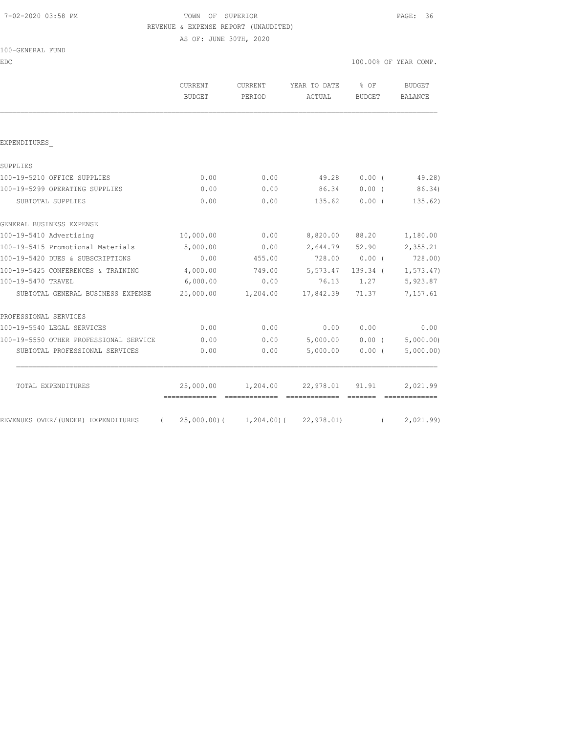# 7-02-2020 03:58 PM TOWN OF SUPERIOR PAGE: 36 REVENUE & EXPENSE REPORT (UNAUDITED)

AS OF: JUNE 30TH, 2020

| 100-GENERAL FUND |  |
|------------------|--|
|                  |  |

EDC 100.00% OF YEAR COMP.

|                                        | <b>CURRENT</b><br>BUDGET                 | CURRENT<br>PERIOD | YEAR TO DATE<br><b>ACTUAL</b> | % OF<br><b>BUDGET</b> | <b>BUDGET</b><br><b>BALANCE</b>                                                                                                                                                                                                                                                                                                                                                                                                                                                                    |
|----------------------------------------|------------------------------------------|-------------------|-------------------------------|-----------------------|----------------------------------------------------------------------------------------------------------------------------------------------------------------------------------------------------------------------------------------------------------------------------------------------------------------------------------------------------------------------------------------------------------------------------------------------------------------------------------------------------|
|                                        |                                          |                   |                               |                       |                                                                                                                                                                                                                                                                                                                                                                                                                                                                                                    |
| EXPENDITURES                           |                                          |                   |                               |                       |                                                                                                                                                                                                                                                                                                                                                                                                                                                                                                    |
| SUPPLIES                               |                                          |                   |                               |                       |                                                                                                                                                                                                                                                                                                                                                                                                                                                                                                    |
| 100-19-5210 OFFICE SUPPLIES            | 0.00                                     | 0.00              | 49.28                         | 0.00(                 | 49.28)                                                                                                                                                                                                                                                                                                                                                                                                                                                                                             |
| 100-19-5299 OPERATING SUPPLIES         | 0.00                                     | 0.00              | 86.34                         | $0.00$ (              | 86.34)                                                                                                                                                                                                                                                                                                                                                                                                                                                                                             |
| SUBTOTAL SUPPLIES                      | 0.00                                     | 0.00              | 135.62                        | 0.00(                 | 135.62)                                                                                                                                                                                                                                                                                                                                                                                                                                                                                            |
| GENERAL BUSINESS EXPENSE               |                                          |                   |                               |                       |                                                                                                                                                                                                                                                                                                                                                                                                                                                                                                    |
| 100-19-5410 Advertising                | 10,000.00                                | 0.00              | 8,820.00 88.20                |                       | 1,180.00                                                                                                                                                                                                                                                                                                                                                                                                                                                                                           |
| 100-19-5415 Promotional Materials      | 5,000.00                                 | 0.00              | 2,644.79 52.90                |                       | 2,355.21                                                                                                                                                                                                                                                                                                                                                                                                                                                                                           |
| 100-19-5420 DUES & SUBSCRIPTIONS       | 0.00                                     | 455.00            |                               | 728.00 0.00 (         | 728.00)                                                                                                                                                                                                                                                                                                                                                                                                                                                                                            |
| 100-19-5425 CONFERENCES & TRAINING     | 4,000.00                                 | 749.00            | 5, 573.47                     | 139.34 (              | 1, 573.47                                                                                                                                                                                                                                                                                                                                                                                                                                                                                          |
| 100-19-5470 TRAVEL                     | 6,000.00                                 | 0.00              | 76.13                         | 1,27                  | 5,923.87                                                                                                                                                                                                                                                                                                                                                                                                                                                                                           |
| SUBTOTAL GENERAL BUSINESS EXPENSE      | 25,000.00                                | 1,204.00          | 17,842.39 71.37               |                       | 7,157.61                                                                                                                                                                                                                                                                                                                                                                                                                                                                                           |
| PROFESSIONAL SERVICES                  |                                          |                   |                               |                       |                                                                                                                                                                                                                                                                                                                                                                                                                                                                                                    |
| 100-19-5540 LEGAL SERVICES             | 0.00                                     | 0.00              | 0.00                          | 0.00                  | 0.00                                                                                                                                                                                                                                                                                                                                                                                                                                                                                               |
| 100-19-5550 OTHER PROFESSIONAL SERVICE | 0.00                                     | 0.00              | 5,000.00                      | $0.00$ (              | 5,000.00)                                                                                                                                                                                                                                                                                                                                                                                                                                                                                          |
| SUBTOTAL PROFESSIONAL SERVICES         | 0.00                                     | 0.00              | 5,000.00                      | $0.00$ (              | 5,000.00)                                                                                                                                                                                                                                                                                                                                                                                                                                                                                          |
| TOTAL EXPENDITURES                     | 25,000.00                                |                   | 1,204.00 22,978.01            | 91.91                 | 2,021.99<br>$\begin{array}{cccccccccc} \multicolumn{2}{c}{} & \multicolumn{2}{c}{} & \multicolumn{2}{c}{} & \multicolumn{2}{c}{} & \multicolumn{2}{c}{} & \multicolumn{2}{c}{} & \multicolumn{2}{c}{} & \multicolumn{2}{c}{} & \multicolumn{2}{c}{} & \multicolumn{2}{c}{} & \multicolumn{2}{c}{} & \multicolumn{2}{c}{} & \multicolumn{2}{c}{} & \multicolumn{2}{c}{} & \multicolumn{2}{c}{} & \multicolumn{2}{c}{} & \multicolumn{2}{c}{} & \multicolumn{2}{c}{} & \multicolumn{2}{c}{} & \mult$ |
| REVENUES OVER/(UNDER) EXPENDITURES     | $(25,000.00)$ $(1,204.00)$ $(22,978.01)$ |                   |                               |                       | (2,021.99)                                                                                                                                                                                                                                                                                                                                                                                                                                                                                         |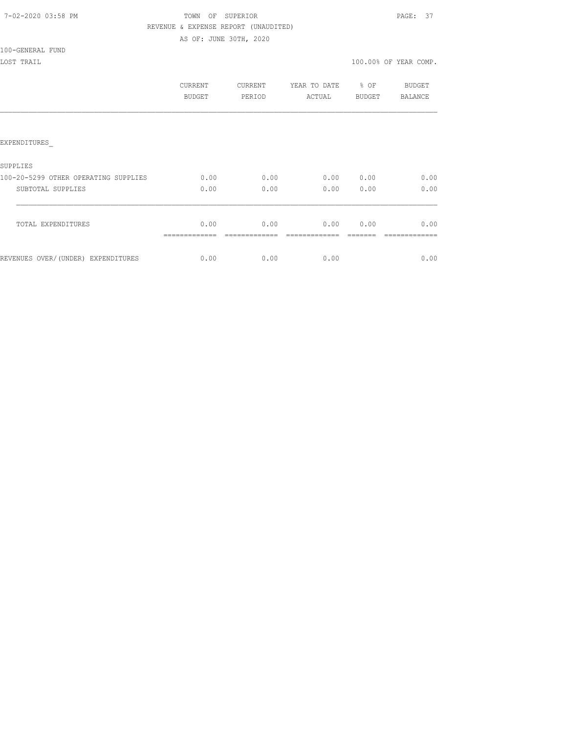| 7-02-2020 03:58 PM |  |
|--------------------|--|
|                    |  |

# TOWN OF SUPERIOR **PAGE: 37**  REVENUE & EXPENSE REPORT (UNAUDITED) AS OF: JUNE 30TH, 2020

100-GENERAL FUND

| LOST TRAIL                           |                |         |                   |           | 100.00% OF YEAR COMP. |
|--------------------------------------|----------------|---------|-------------------|-----------|-----------------------|
|                                      | <b>CURRENT</b> | CURRENT | YEAR TO DATE % OF |           | <b>BUDGET</b>         |
|                                      | BUDGET         | PERIOD  | ACTUAL            | BUDGET    | BALANCE               |
|                                      |                |         |                   |           |                       |
| EXPENDITURES                         |                |         |                   |           |                       |
| SUPPLIES                             |                |         |                   |           |                       |
| 100-20-5299 OTHER OPERATING SUPPLIES | 0.00           | 0.00    |                   | 0.00 0.00 | 0.00                  |
| SUBTOTAL SUPPLIES                    | 0.00           | 0.00    | 0.00              | 0.00      | 0.00                  |
| TOTAL EXPENDITURES                   | 0.00           | 0.00    | 0.00 0.00         |           | 0.00                  |
| REVENUES OVER/(UNDER) EXPENDITURES   | 0.00           | 0.00    | 0.00              |           | 0.00                  |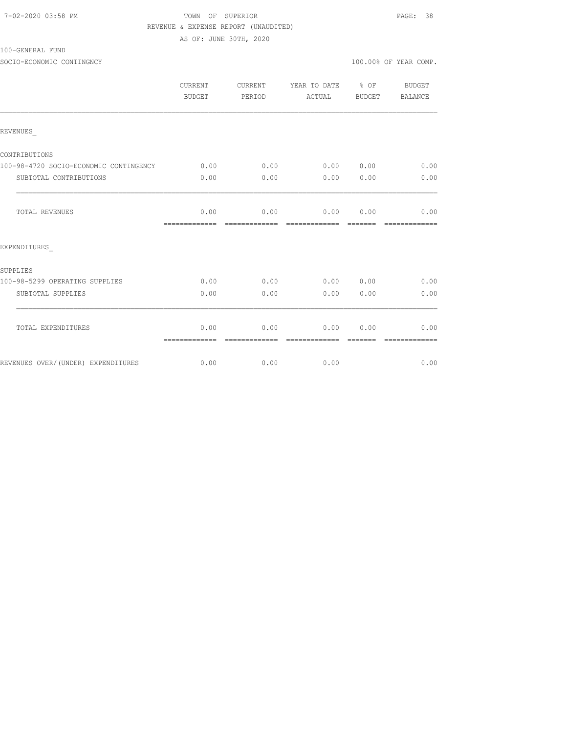# TOWN OF SUPERIOR **PAGE:** 38 REVENUE & EXPENSE REPORT (UNAUDITED)

AS OF: JUNE 30TH, 2020

100-GENERAL FUND

SOCIO-ECONOMIC CONTINGNCY 100.00% OF YEAR COMP.

|                                        | <b>CURRENT</b><br>BUDGET | CURRENT<br>PERIOD     | YEAR TO DATE % OF<br>ACTUAL | BUDGET           | BUDGET<br>BALANCE     |
|----------------------------------------|--------------------------|-----------------------|-----------------------------|------------------|-----------------------|
| REVENUES                               |                          |                       |                             |                  |                       |
| CONTRIBUTIONS                          |                          |                       |                             |                  |                       |
| 100-98-4720 SOCIO-ECONOMIC CONTINGENCY | 0.00                     | 0.00                  | 0.00 0.00                   |                  | 0.00                  |
| SUBTOTAL CONTRIBUTIONS                 | 0.00                     | 0.00                  | 0.00                        | 0.00             | 0.00                  |
| TOTAL REVENUES                         | 0.00<br>=============    |                       | $0.00$ $0.00$ $0.00$        |                  | 0.00<br>============= |
| EXPENDITURES                           |                          |                       |                             |                  |                       |
| SUPPLIES                               |                          |                       |                             |                  |                       |
| 100-98-5299 OPERATING SUPPLIES         | 0.00                     | 0.00                  | 0.00 0.00                   |                  | 0.00                  |
| SUBTOTAL SUPPLIES                      | 0.00                     | 0.00                  | 0.00                        | 0.00             | 0.00                  |
| TOTAL EXPENDITURES                     | 0.00<br>=============    | 0.00<br>============= | 0.00<br>essessessesse       | 0.00<br>-------- | 0.00<br>============= |
| REVENUES OVER/(UNDER) EXPENDITURES     | 0.00                     | 0.00                  | 0.00                        |                  | 0.00                  |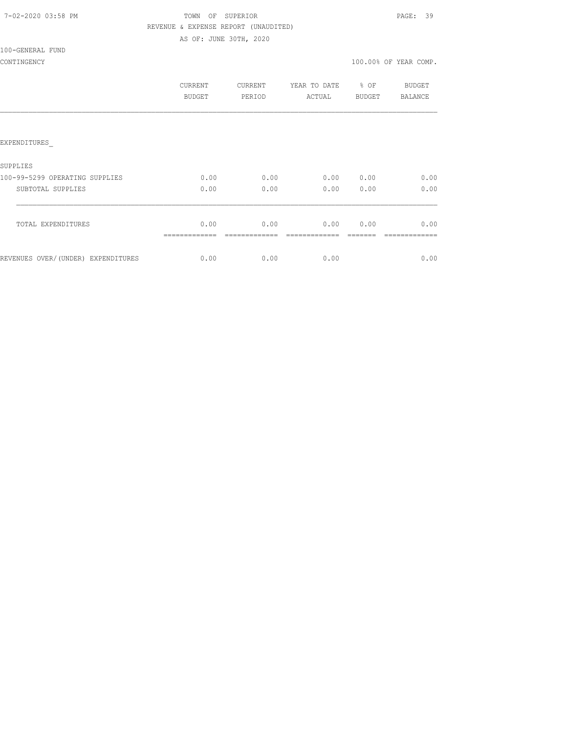| 7-02-2020 03:58 PM |  |
|--------------------|--|
|                    |  |

# TOWN OF SUPERIOR **PAGE:** 39 REVENUE & EXPENSE REPORT (UNAUDITED)

AS OF: JUNE 30TH, 2020

100-GENERAL FUND

|                                    | CURRENT<br><b>BUDGET</b> | CURRENT<br>PERIOD | YEAR TO DATE<br>ACTUAL | % OF<br><b>BUDGET</b> | BUDGET<br>BALANCE |
|------------------------------------|--------------------------|-------------------|------------------------|-----------------------|-------------------|
|                                    |                          |                   |                        |                       |                   |
| <b>EXPENDITURES</b>                |                          |                   |                        |                       |                   |
| SUPPLIES                           |                          |                   |                        |                       |                   |
| 100-99-5299 OPERATING SUPPLIES     | 0.00                     | 0.00              | 0.00                   | 0.00                  | 0.00              |
| SUBTOTAL SUPPLIES                  | 0.00                     | 0.00              | 0.00                   | 0.00                  | 0.00              |
| TOTAL EXPENDITURES                 | 0.00                     | 0.00              | 0.00                   | 0.00                  | 0.00              |
| REVENUES OVER/(UNDER) EXPENDITURES | 0.00                     | 0.00              | 0.00                   |                       | 0.00              |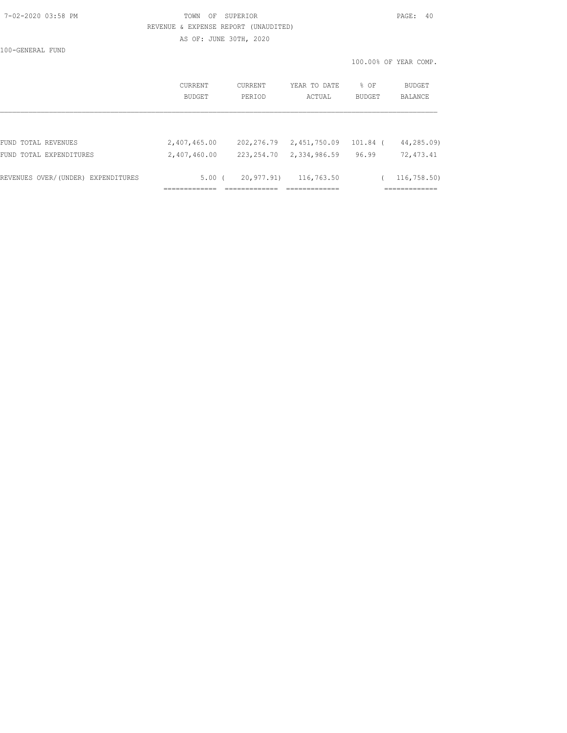### 7-02-2020 03:58 PM TOWN OF SUPERIOR PAGE: 40 REVENUE & EXPENSE REPORT (UNAUDITED) AS OF: JUNE 30TH, 2020

100-GENERAL FUND

|                                    | CURRENT<br>BUDGET | CURRENT<br>PERIOD | YEAR TO DATE<br>ACTUAL | % OF<br><b>BUDGET</b> | BUDGET<br>BALANCE |
|------------------------------------|-------------------|-------------------|------------------------|-----------------------|-------------------|
|                                    |                   |                   |                        |                       |                   |
| FUND TOTAL REVENUES                | 2,407,465.00      | 202,276.79        | 2,451,750.09           | 101.84 (              | 44,285.09)        |
| FUND TOTAL EXPENDITURES            | 2,407,460.00      | 223, 254.70       | 2,334,986.59           | 96.99                 | 72,473.41         |
| REVENUES OVER/(UNDER) EXPENDITURES | $5.00$ (          | 20,977.91)        | 116,763.50             |                       | 116,758.50)       |
|                                    |                   |                   |                        |                       |                   |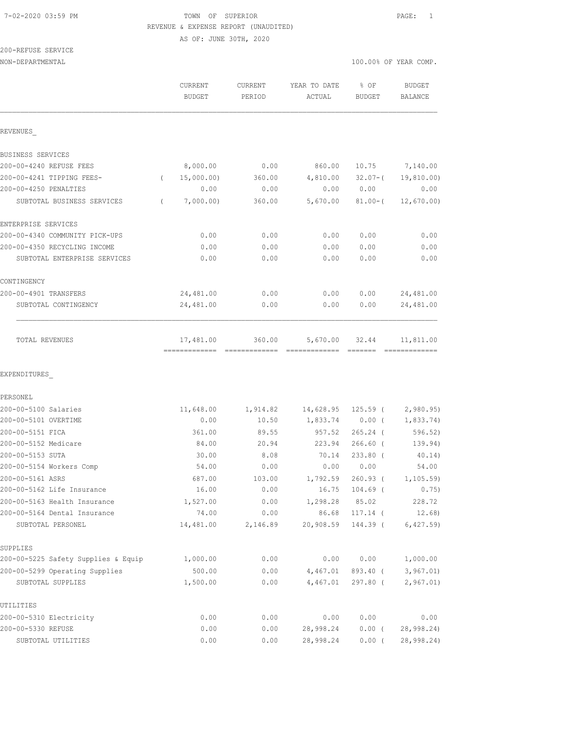# 7-02-2020 03:59 PM TOWN OF SUPERIOR PAGE: 1 REVENUE & EXPENSE REPORT (UNAUDITED)

AS OF: JUNE 30TH, 2020

| 200-REFUSE SERVICE |  |
|--------------------|--|
|                    |  |

| NON-DEPARTMENTAL                    |                                            |                   |                            | 100.00% OF YEAR COMP.                                                                                                                                                                                                                                                                                                                                                                                                                                                                           |                             |
|-------------------------------------|--------------------------------------------|-------------------|----------------------------|-------------------------------------------------------------------------------------------------------------------------------------------------------------------------------------------------------------------------------------------------------------------------------------------------------------------------------------------------------------------------------------------------------------------------------------------------------------------------------------------------|-----------------------------|
|                                     | <b>CURRENT</b><br><b>BUDGET</b>            | CURRENT<br>PERIOD | YEAR TO DATE<br>ACTUAL     | $8$ OF<br><b>BUDGET</b>                                                                                                                                                                                                                                                                                                                                                                                                                                                                         | <b>BUDGET</b><br>BALANCE    |
| REVENUES                            |                                            |                   |                            |                                                                                                                                                                                                                                                                                                                                                                                                                                                                                                 |                             |
| BUSINESS SERVICES                   |                                            |                   |                            |                                                                                                                                                                                                                                                                                                                                                                                                                                                                                                 |                             |
| 200-00-4240 REFUSE FEES             | 8,000.00                                   | 0.00              | 860.00                     | 10.75                                                                                                                                                                                                                                                                                                                                                                                                                                                                                           | 7,140.00                    |
| 200-00-4241 TIPPING FEES-           | 15,000.00)<br>$\left($                     | 360.00            | 4,810.00                   | $32.07 - ($                                                                                                                                                                                                                                                                                                                                                                                                                                                                                     | 19,810.00)                  |
| 200-00-4250 PENALTIES               | 0.00                                       | 0.00              | 0.00                       | 0.00                                                                                                                                                                                                                                                                                                                                                                                                                                                                                            | 0.00                        |
| SUBTOTAL BUSINESS SERVICES          | 7,000.00)<br>$\left($                      | 360.00            | 5,670.00                   | $81.00 - ($                                                                                                                                                                                                                                                                                                                                                                                                                                                                                     | 12,670.00)                  |
| ENTERPRISE SERVICES                 |                                            |                   |                            |                                                                                                                                                                                                                                                                                                                                                                                                                                                                                                 |                             |
| 200-00-4340 COMMUNITY PICK-UPS      | 0.00                                       | 0.00              | 0.00                       | 0.00                                                                                                                                                                                                                                                                                                                                                                                                                                                                                            | 0.00                        |
| 200-00-4350 RECYCLING INCOME        | 0.00                                       | 0.00              | 0.00                       | 0.00                                                                                                                                                                                                                                                                                                                                                                                                                                                                                            | 0.00                        |
| SUBTOTAL ENTERPRISE SERVICES        | 0.00                                       | 0.00              | 0.00                       | 0.00                                                                                                                                                                                                                                                                                                                                                                                                                                                                                            | 0.00                        |
| CONTINGENCY                         |                                            |                   |                            |                                                                                                                                                                                                                                                                                                                                                                                                                                                                                                 |                             |
| 200-00-4901 TRANSFERS               | 24,481.00                                  | 0.00              | 0.00                       | 0.00                                                                                                                                                                                                                                                                                                                                                                                                                                                                                            | 24,481.00                   |
| SUBTOTAL CONTINGENCY                | 24,481.00                                  | 0.00              | 0.00                       | 0.00                                                                                                                                                                                                                                                                                                                                                                                                                                                                                            | 24,481.00                   |
| TOTAL REVENUES                      | 17,481.00<br>-------------- -------------- | 360.00            | 5,670.00<br>-------------- | 32.44<br>$\begin{array}{cccccccccc} \multicolumn{2}{c}{} & \multicolumn{2}{c}{} & \multicolumn{2}{c}{} & \multicolumn{2}{c}{} & \multicolumn{2}{c}{} & \multicolumn{2}{c}{} & \multicolumn{2}{c}{} & \multicolumn{2}{c}{} & \multicolumn{2}{c}{} & \multicolumn{2}{c}{} & \multicolumn{2}{c}{} & \multicolumn{2}{c}{} & \multicolumn{2}{c}{} & \multicolumn{2}{c}{} & \multicolumn{2}{c}{} & \multicolumn{2}{c}{} & \multicolumn{2}{c}{} & \multicolumn{2}{c}{} & \multicolumn{2}{c}{} & \mult$ | 11,811.00<br>-------------- |
| EXPENDITURES                        |                                            |                   |                            |                                                                                                                                                                                                                                                                                                                                                                                                                                                                                                 |                             |
| PERSONEL                            |                                            |                   |                            |                                                                                                                                                                                                                                                                                                                                                                                                                                                                                                 |                             |
| 200-00-5100 Salaries                | 11,648.00                                  | 1,914.82          | 14,628.95                  | $125.59$ (                                                                                                                                                                                                                                                                                                                                                                                                                                                                                      | 2,980.95                    |
| 200-00-5101 OVERTIME                | 0.00                                       | 10.50             | 1,833.74                   | $0.00$ (                                                                                                                                                                                                                                                                                                                                                                                                                                                                                        | 1,833.74)                   |
| 200-00-5151 FICA                    | 361.00                                     | 89.55             | 957.52                     | $265.24$ (                                                                                                                                                                                                                                                                                                                                                                                                                                                                                      | 596.52)                     |
| 200-00-5152 Medicare                | 84.00                                      | 20.94             | 223.94                     | $266.60$ (                                                                                                                                                                                                                                                                                                                                                                                                                                                                                      | 139.94)                     |
| 200-00-5153 SUTA                    | 30.00                                      | 8.08              | 70.14                      | $233.80$ (                                                                                                                                                                                                                                                                                                                                                                                                                                                                                      | 40.14)                      |
| 200-00-5154 Workers Comp            | 54.00                                      | 0.00              | 0.00                       | 0.00                                                                                                                                                                                                                                                                                                                                                                                                                                                                                            | 54.00                       |
| 200-00-5161 ASRS                    | 687.00                                     | 103.00            | 1,792.59                   | $260.93$ (                                                                                                                                                                                                                                                                                                                                                                                                                                                                                      | 1, 105.59                   |
| 200-00-5162 Life Insurance          | 16.00                                      | 0.00              | 16.75                      | $104.69$ (                                                                                                                                                                                                                                                                                                                                                                                                                                                                                      | 0.75)                       |
| 200-00-5163 Health Insurance        | 1,527.00                                   | 0.00              | 1,298.28                   | 85.02                                                                                                                                                                                                                                                                                                                                                                                                                                                                                           | 228.72                      |
| 200-00-5164 Dental Insurance        | 74.00                                      | 0.00              | 86.68                      | 117.14 (                                                                                                                                                                                                                                                                                                                                                                                                                                                                                        | 12.68)                      |
| SUBTOTAL PERSONEL                   | 14,481.00                                  | 2,146.89          | 20,908.59                  | 144.39 (                                                                                                                                                                                                                                                                                                                                                                                                                                                                                        | 6,427.59                    |
| SUPPLIES                            |                                            |                   |                            |                                                                                                                                                                                                                                                                                                                                                                                                                                                                                                 |                             |
| 200-00-5225 Safety Supplies & Equip | 1,000.00                                   | 0.00              | 0.00                       | 0.00                                                                                                                                                                                                                                                                                                                                                                                                                                                                                            | 1,000.00                    |
| 200-00-5299 Operating Supplies      | 500.00                                     | 0.00              | 4,467.01                   | 893.40 (                                                                                                                                                                                                                                                                                                                                                                                                                                                                                        | 3,967.01                    |
| SUBTOTAL SUPPLIES                   | 1,500.00                                   | 0.00              | 4,467.01                   | $297.80$ (                                                                                                                                                                                                                                                                                                                                                                                                                                                                                      | 2,967.01)                   |
| UTILITIES                           |                                            |                   |                            |                                                                                                                                                                                                                                                                                                                                                                                                                                                                                                 |                             |
| 200-00-5310 Electricity             | 0.00                                       | 0.00              | 0.00                       | 0.00                                                                                                                                                                                                                                                                                                                                                                                                                                                                                            | 0.00                        |
| 200-00-5330 REFUSE                  | 0.00                                       | 0.00              | 28,998.24                  | $0.00$ (                                                                                                                                                                                                                                                                                                                                                                                                                                                                                        | 28,998.24)                  |
| SUBTOTAL UTILITIES                  | 0.00                                       | 0.00              | 28,998.24                  | $0.00$ (                                                                                                                                                                                                                                                                                                                                                                                                                                                                                        | 28,998.24)                  |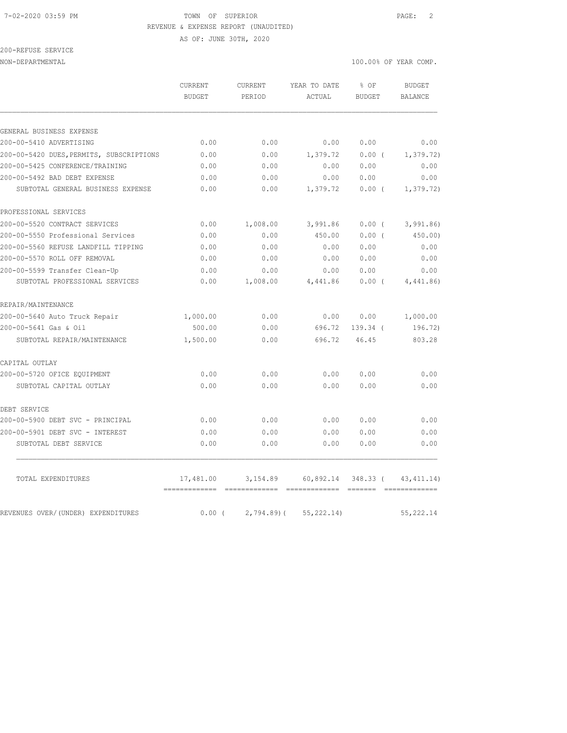#### 7-02-2020 03:59 PM TOWN OF SUPERIOR PAGE: 2 REVENUE & EXPENSE REPORT (UNAUDITED)

AS OF: JUNE 30TH, 2020

200-REFUSE SERVICE

|                                                                   | <b>CURRENT</b><br><b>BUDGET</b> | <b>CURRENT</b><br>PERIOD | YEAR TO DATE<br>ACTUAL | % OF<br>BUDGET   | <b>BUDGET</b><br><b>BALANCE</b> |
|-------------------------------------------------------------------|---------------------------------|--------------------------|------------------------|------------------|---------------------------------|
|                                                                   |                                 |                          |                        |                  |                                 |
| GENERAL BUSINESS EXPENSE                                          |                                 |                          |                        |                  |                                 |
| 200-00-5410 ADVERTISING                                           | 0.00                            | 0.00                     | 0.00                   | 0.00             | 0.00                            |
| 200-00-5420 DUES, PERMITS, SUBSCRIPTIONS                          | 0.00                            | 0.00                     | 1,379.72               | 0.00(            | 1, 379.72)                      |
| 200-00-5425 CONFERENCE/TRAINING                                   | 0.00                            | 0.00                     | 0.00                   | 0.00             | 0.00                            |
| 200-00-5492 BAD DEBT EXPENSE<br>SUBTOTAL GENERAL BUSINESS EXPENSE | 0.00<br>0.00                    | 0.00<br>0.00             | 0.00<br>1,379.72       | 0.00<br>$0.00$ ( | 0.00<br>1, 379.72)              |
| PROFESSIONAL SERVICES                                             |                                 |                          |                        |                  |                                 |
| 200-00-5520 CONTRACT SERVICES                                     | 0.00                            | 1,008.00                 | 3,991.86               | $0.00$ (         | 3,991.86                        |
| 200-00-5550 Professional Services                                 | 0.00                            | 0.00                     | 450.00                 | $0.00$ (         | 450.00)                         |
| 200-00-5560 REFUSE LANDFILL TIPPING                               | 0.00                            | 0.00                     | 0.00                   | 0.00             | 0.00                            |
| 200-00-5570 ROLL OFF REMOVAL                                      | 0.00                            | 0.00                     | 0.00                   | 0.00             | 0.00                            |
| 200-00-5599 Transfer Clean-Up                                     | 0.00                            | 0.00                     | 0.00                   | 0.00             | 0.00                            |
| SUBTOTAL PROFESSIONAL SERVICES                                    | 0.00                            | 1,008.00                 | 4,441.86               | 0.00(            | 4,441.86)                       |
| REPAIR/MAINTENANCE                                                |                                 |                          |                        |                  |                                 |
| 200-00-5640 Auto Truck Repair                                     | 1,000.00                        | 0.00                     | 0.00                   | 0.00             | 1,000.00                        |
| 200-00-5641 Gas & Oil                                             | 500.00                          | 0.00                     | 696.72                 | 139.34 (         | 196.72)                         |
| SUBTOTAL REPAIR/MAINTENANCE                                       | 1,500.00                        | 0.00                     | 696.72                 | 46.45            | 803.28                          |
| CAPITAL OUTLAY                                                    |                                 |                          |                        |                  |                                 |
| 200-00-5720 OFICE EQUIPMENT                                       | 0.00                            | 0.00                     | 0.00                   | 0.00             | 0.00                            |
| SUBTOTAL CAPITAL OUTLAY                                           | 0.00                            | 0.00                     | 0.00                   | 0.00             | 0.00                            |
| DEBT SERVICE                                                      |                                 |                          |                        |                  |                                 |
| 200-00-5900 DEBT SVC - PRINCIPAL                                  | 0.00                            | 0.00                     | 0.00                   | 0.00             | 0.00                            |
| 200-00-5901 DEBT SVC - INTEREST                                   | 0.00                            | 0.00                     | 0.00                   | 0.00             | 0.00                            |
| SUBTOTAL DEBT SERVICE                                             | 0.00                            | 0.00                     | 0.00                   | 0.00             | 0.00                            |
| TOTAL EXPENDITURES                                                | 17,481.00                       | 3,154.89                 | $60,892.14$ 348.33 (   |                  | 43, 411.14)                     |
| REVENUES OVER/(UNDER) EXPENDITURES                                | 0.00(                           | $2,794.89$ (             | 55, 222.14)            |                  | 55, 222.14                      |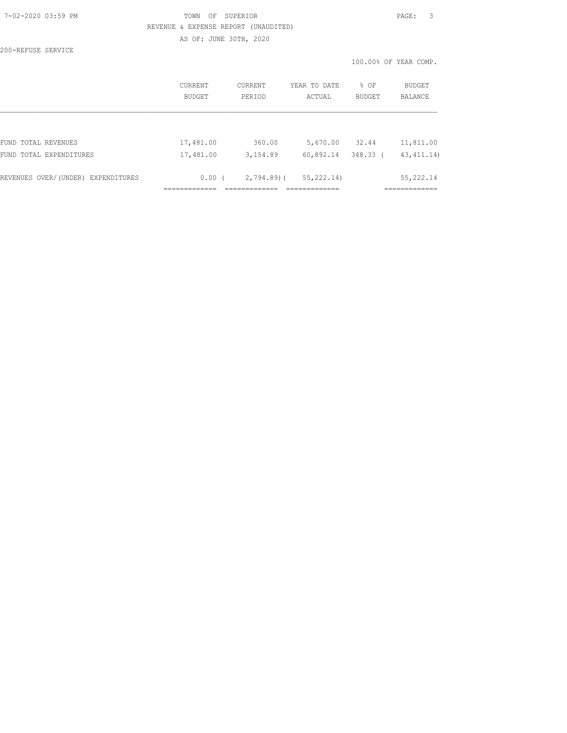### 7-02-2020 03:59 PM TOWN OF SUPERIOR PAGE: 3 REVENUE & EXPENSE REPORT (UNAUDITED) AS OF: JUNE 30TH, 2020

200-REFUSE SERVICE

|                                    | CURRENT<br><b>BUDGET</b> | CURRENT<br>PERIOD | YEAR TO DATE<br>ACTUAL | % OF<br><b>BUDGET</b> | BUDGET<br><b>BALANCE</b> |
|------------------------------------|--------------------------|-------------------|------------------------|-----------------------|--------------------------|
|                                    |                          |                   |                        |                       |                          |
| FUND TOTAL REVENUES                | 17,481.00                | 360.00            | 5,670.00               | 32.44                 | 11,811.00                |
| FUND TOTAL EXPENDITURES            | 17,481.00                | 3,154.89          | 60,892.14              | $348.33$ (            | 43, 411.14)              |
| REVENUES OVER/(UNDER) EXPENDITURES | $0.00$ (                 | $2,794.89$ (      | 55, 222.14)            |                       | 55, 222.14               |
|                                    |                          |                   |                        |                       |                          |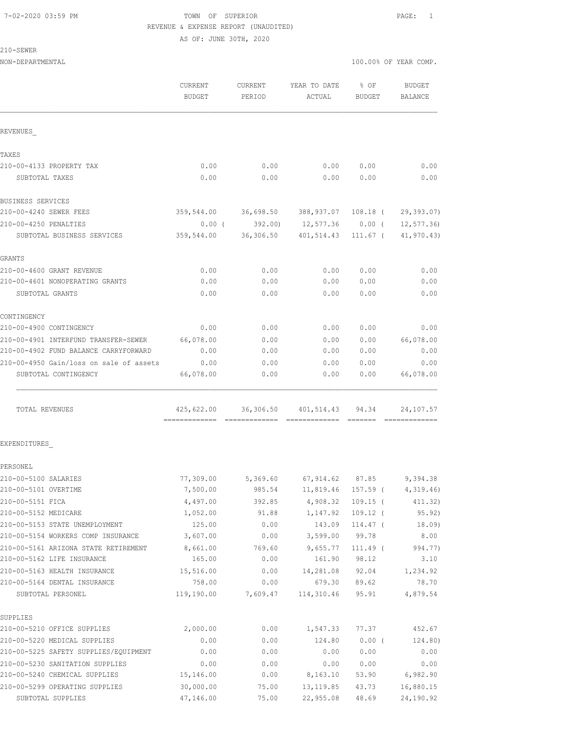### 7-02-2020 03:59 PM TOWN OF SUPERIOR PAGE: 1 REVENUE & EXPENSE REPORT (UNAUDITED) AS OF: JUNE 30TH, 2020

210-SEWER

|                                         | CURRENT<br><b>BUDGET</b>                    | CURRENT<br>PERIOD | YEAR TO DATE<br>ACTUAL          | 8 OF<br>BUDGET | <b>BUDGET</b><br>BALANCE |
|-----------------------------------------|---------------------------------------------|-------------------|---------------------------------|----------------|--------------------------|
| REVENUES                                |                                             |                   |                                 |                |                          |
| TAXES                                   |                                             |                   |                                 |                |                          |
| 210-00-4133 PROPERTY TAX                | 0.00                                        | 0.00              | 0.00                            | 0.00           | 0.00                     |
| SUBTOTAL TAXES                          | 0.00                                        | 0.00              | 0.00                            | 0.00           | 0.00                     |
| BUSINESS SERVICES                       |                                             |                   |                                 |                |                          |
| 210-00-4240 SEWER FEES                  | 359,544.00                                  | 36,698.50         | 388,937.07                      | 108.18 (       | 29, 393.07)              |
| 210-00-4250 PENALTIES                   | $0.00$ (                                    | 392.00)           | 12,577.36 0.00 (                |                | 12, 577.36               |
| SUBTOTAL BUSINESS SERVICES              |                                             |                   | 359,544.00 36,306.50 401,514.43 | 111.67 (       | 41,970.43)               |
| GRANTS                                  |                                             |                   |                                 |                |                          |
| 210-00-4600 GRANT REVENUE               | 0.00                                        | 0.00              | 0.00                            | 0.00           | 0.00                     |
| 210-00-4601 NONOPERATING GRANTS         | 0.00                                        | 0.00              | 0.00                            | 0.00           | 0.00                     |
| SUBTOTAL GRANTS                         | 0.00                                        | 0.00              | 0.00                            | 0.00           | 0.00                     |
| CONTINGENCY                             |                                             |                   |                                 |                |                          |
| 210-00-4900 CONTINGENCY                 | 0.00                                        | 0.00              | 0.00                            | 0.00           | 0.00                     |
| 210-00-4901 INTERFUND TRANSFER-SEWER    | 66,078.00                                   | 0.00              | 0.00                            | 0.00           | 66,078.00                |
| 210-00-4902 FUND BALANCE CARRYFORWARD   | 0.00                                        | 0.00              | 0.00                            | 0.00           | 0.00                     |
| 210-00-4950 Gain/loss on sale of assets | 0.00                                        | 0.00              | 0.00                            | 0.00           | 0.00                     |
| SUBTOTAL CONTINGENCY                    | 66,078.00                                   | 0.00              | 0.00                            | 0.00           | 66,078.00                |
| TOTAL REVENUES                          | 425,622.00<br>-------------- -------------- | 36,306.50         | 401,514.43                      | 94.34          | 24,107.57                |
| EXPENDITURES                            |                                             |                   |                                 |                |                          |
| PERSONEL                                |                                             |                   |                                 |                |                          |
| 210-00-5100 SALARIES                    | 77,309.00                                   |                   | 5,369.60 67,914.62              | 87.85          | 9,394.38                 |
| 210-00-5101 OVERTIME                    | 7,500.00                                    | 985.54            | 11,819.46                       | 157.59 (       | 4,319.46                 |
| 210-00-5151 FICA                        | 4,497.00                                    | 392.85            | 4,908.32                        | $109.15$ (     | 411.32)                  |
| 210-00-5152 MEDICARE                    | 1,052.00                                    | 91.88             | 1,147.92                        | $109.12$ (     | 95.92)                   |
| 210-00-5153 STATE UNEMPLOYMENT          | 125.00                                      | 0.00              | 143.09                          | 114.47 (       | 18.09)                   |
| 210-00-5154 WORKERS COMP INSURANCE      | 3,607.00                                    | 0.00              | 3,599.00                        | 99.78          | 8.00                     |
| 210-00-5161 ARIZONA STATE RETIREMENT    | 8,661.00                                    | 769.60            | 9,655.77                        | $111.49$ (     | 994.77)                  |
| 210-00-5162 LIFE INSURANCE              | 165.00                                      | 0.00              | 161.90                          | 98.12          | 3.10                     |
| 210-00-5163 HEALTH INSURANCE            | 15,516.00                                   | 0.00              | 14,281.08                       | 92.04          | 1,234.92                 |
| 210-00-5164 DENTAL INSURANCE            | 758.00                                      | 0.00              | 679.30                          | 89.62          | 78.70                    |
| SUBTOTAL PERSONEL                       | 119,190.00                                  | 7,609.47          | 114,310.46                      | 95.91          | 4,879.54                 |
| SUPPLIES                                |                                             |                   |                                 |                |                          |
| 210-00-5210 OFFICE SUPPLIES             | 2,000.00                                    | 0.00              | 1,547.33                        | 77.37          | 452.67                   |
| 210-00-5220 MEDICAL SUPPLIES            | 0.00                                        | 0.00              | 124.80                          | $0.00$ (       | 124.80)                  |
| 210-00-5225 SAFETY SUPPLIES/EQUIPMENT   | 0.00                                        | 0.00              | 0.00                            | 0.00           | 0.00                     |
| 210-00-5230 SANITATION SUPPLIES         | 0.00                                        | 0.00              | 0.00                            | 0.00           | 0.00                     |
| 210-00-5240 CHEMICAL SUPPLIES           | 15,146.00                                   | 0.00              | 8,163.10                        | 53.90          | 6,982.90                 |
| 210-00-5299 OPERATING SUPPLIES          | 30,000.00                                   | 75.00             | 13, 119.85                      | 43.73          | 16,880.15                |
| SUBTOTAL SUPPLIES                       | 47,146.00                                   | 75.00             | 22,955.08                       | 48.69          | 24,190.92                |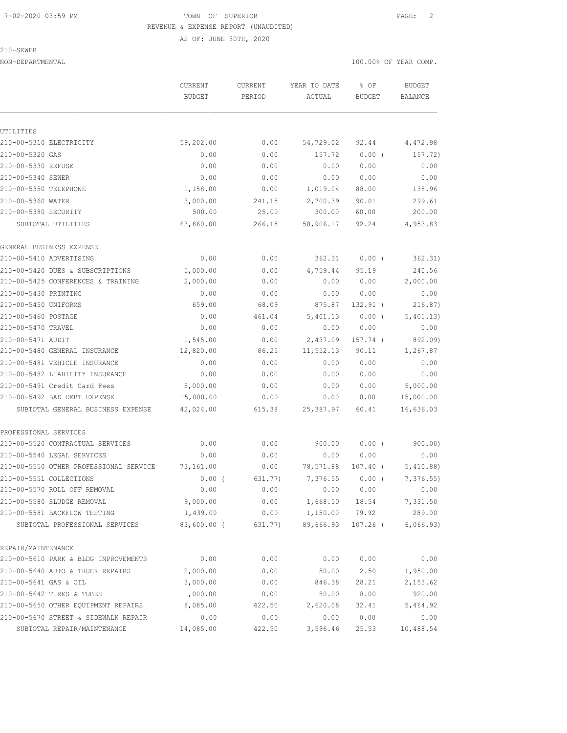#### 7-02-2020 03:59 PM TOWN OF SUPERIOR PAGE: 2 REVENUE & EXPENSE REPORT (UNAUDITED)

AS OF: JUNE 30TH, 2020

#### 210-SEWER

|                                        | <b>CURRENT</b> | CURRENT | YEAR TO DATE | % OF          | <b>BUDGET</b>  |
|----------------------------------------|----------------|---------|--------------|---------------|----------------|
|                                        | <b>BUDGET</b>  | PERIOD  | ACTUAL       | <b>BUDGET</b> | <b>BALANCE</b> |
| UTILITIES                              |                |         |              |               |                |
| 210-00-5310 ELECTRICITY                | 59,202.00      | 0.00    | 54,729.02    | 92.44         | 4,472.98       |
| 210-00-5320 GAS                        | 0.00           | 0.00    | 157.72       | 0.00(         | 157.72)        |
| 210-00-5330 REFUSE                     | 0.00           | 0.00    | 0.00         | 0.00          | 0.00           |
| 210-00-5340 SEWER                      | 0.00           | 0.00    | 0.00         | 0.00          | 0.00           |
| 210-00-5350 TELEPHONE                  | 1,158.00       | 0.00    | 1,019.04     | 88.00         | 138.96         |
| 210-00-5360 WATER                      | 3,000.00       | 241.15  | 2,700.39     | 90.01         | 299.61         |
| 210-00-5380 SECURITY                   | 500.00         | 25.00   | 300.00       | 60.00         | 200.00         |
| SUBTOTAL UTILITIES                     | 63,860.00      | 266.15  | 58,906.17    | 92.24         | 4,953.83       |
| GENERAL BUSINESS EXPENSE               |                |         |              |               |                |
| 210-00-5410 ADVERTISING                | 0.00           | 0.00    | 362.31       | $0.00$ (      | 362.31)        |
| 210-00-5420 DUES & SUBSCRIPTIONS       | 5,000.00       | 0.00    | 4,759.44     | 95.19         | 240.56         |
| 210-00-5425 CONFERENCES & TRAINING     | 2,000.00       | 0.00    | 0.00         | 0.00          | 2,000.00       |
| 210-00-5430 PRINTING                   | 0.00           | 0.00    | 0.00         | 0.00          | 0.00           |
| 210-00-5450 UNIFORMS                   | 659.00         | 68.09   | 875.87       | 132.91 (      | 216.87)        |
| 210-00-5460 POSTAGE                    | 0.00           | 461.04  | 5,401.13     | 0.00(         | 5,401.13)      |
| 210-00-5470 TRAVEL                     | 0.00           | 0.00    | 0.00         | 0.00          | 0.00           |
| 210-00-5471 AUDIT                      | 1,545.00       | 0.00    | 2,437.09     | 157.74 (      | 892.09)        |
| 210-00-5480 GENERAL INSURANCE          | 12,820.00      | 86.25   | 11,552.13    | 90.11         | 1,267.87       |
| 210-00-5481 VEHICLE INSURANCE          | 0.00           | 0.00    | 0.00         | 0.00          | 0.00           |
| 210-00-5482 LIABILITY INSURANCE        | 0.00           | 0.00    | 0.00         | 0.00          | 0.00           |
| 210-00-5491 Credit Card Fees           | 5,000.00       | 0.00    | 0.00         | 0.00          | 5,000.00       |
| 210-00-5492 BAD DEBT EXPENSE           | 15,000.00      | 0.00    | 0.00         | 0.00          | 15,000.00      |
| SUBTOTAL GENERAL BUSINESS EXPENSE      | 42,024.00      | 615.38  | 25, 387.97   | 60.41         | 16,636.03      |
| PROFESSIONAL SERVICES                  |                |         |              |               |                |
| 210-00-5520 CONTRACTUAL SERVICES       | 0.00           | 0.00    | 900.00       | 0.00(         | 900.00)        |
| 210-00-5540 LEGAL SERVICES             | 0.00           | 0.00    | 0.00         | 0.00          | 0.00           |
| 210-00-5550 OTHER PROFESSIONAL SERVICE | 73,161.00      | 0.00    | 78,571.88    | 107.40 (      | 5,410.88)      |
| 210-00-5551 COLLECTIONS                | $0.00$ (       | 631.77) | 7,376.55     | $0.00$ (      | 7,376.55       |
| 210-00-5570 ROLL OFF REMOVAL           | 0.00           | 0.00    | 0.00         | 0.00          | 0.00           |
| 210-00-5580 SLUDGE REMOVAL             | 9,000.00       | 0.00    | 1,668.50     | 18.54         | 7,331.50       |
| 210-00-5581 BACKFLOW TESTING           | 1,439.00       | 0.00    | 1,150.00     | 79.92         | 289.00         |
| SUBTOTAL PROFESSIONAL SERVICES         | $83,600.00$ (  | 631.77) | 89,666.93    | $107.26$ (    | 6,066.93)      |
| REPAIR/MAINTENANCE                     |                |         |              |               |                |
| 210-00-5610 PARK & BLDG IMPROVEMENTS   | 0.00           | 0.00    | 0.00         | 0.00          | 0.00           |
| 210-00-5640 AUTO & TRUCK REPAIRS       | 2,000.00       | 0.00    | 50.00        | 2.50          | 1,950.00       |
| 210-00-5641 GAS & OIL                  | 3,000.00       | 0.00    | 846.38       | 28.21         | 2,153.62       |
| 210-00-5642 TIRES & TUBES              | 1,000.00       | 0.00    | 80.00        | 8.00          | 920.00         |
| 210-00-5650 OTHER EQUIPMENT REPAIRS    | 8,085.00       | 422.50  | 2,620.08     | 32.41         | 5,464.92       |
| 210-00-5670 STREET & SIDEWALK REPAIR   | 0.00           | 0.00    | 0.00         | 0.00          | 0.00           |
| SUBTOTAL REPAIR/MAINTENANCE            | 14,085.00      | 422.50  | 3,596.46     | 25.53         | 10,488.54      |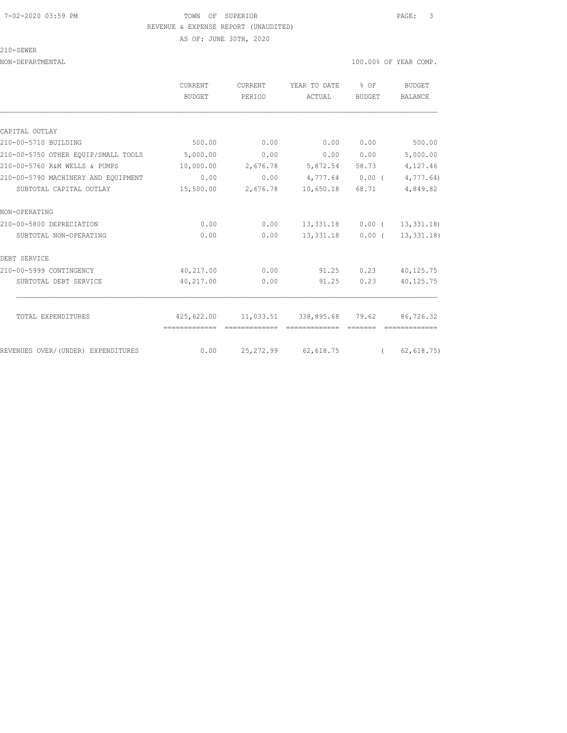#### 7-02-2020 03:59 PM TOWN OF SUPERIOR PAGE: 3 REVENUE & EXPENSE REPORT (UNAUDITED)

AS OF: JUNE 30TH, 2020

210-SEWER

|                                     | CURRENT<br><b>BUDGET</b> | CURRENT<br>PERIOD | YEAR TO DATE<br>ACTUAL                                       | % OF<br>BUDGET | BUDGET<br>BALANCE      |
|-------------------------------------|--------------------------|-------------------|--------------------------------------------------------------|----------------|------------------------|
|                                     |                          |                   |                                                              |                |                        |
| CAPITAL OUTLAY                      |                          |                   |                                                              |                |                        |
| 210-00-5710 BUILDING                | 500.00                   | 0.00              | 0.00                                                         | 0.00           | 500.00                 |
| 210-00-5750 OTHER EOUIP/SMALL TOOLS | 5,000.00                 | 0.00              | 0.00                                                         | 0.00           | 5,000.00               |
| 210-00-5760 R&M WELLS & PUMPS       | 10,000.00                | 2,676.78          |                                                              | 5,872.54 58.73 | 4,127.46               |
| 210-00-5790 MACHINERY AND EQUIPMENT | 0.00                     | 0.00              | $4,777.64$ 0.00 (                                            |                | 4,777.64               |
| SUBTOTAL CAPITAL OUTLAY             | 15,500.00                | 2,676.78          | 10,650.18                                                    | 68.71          | 4,849.82               |
| NON-OPERATING                       |                          |                   |                                                              |                |                        |
| 210-00-5800 DEPRECIATION            | 0.00                     | 0.00              | 13,331.18                                                    |                | $0.00$ ( $13,331.18$ ) |
| SUBTOTAL NON-OPERATING              | 0.00                     | 0.00              | 13,331.18                                                    | $0.00$ (       | 13,331.18)             |
| DEBT SERVICE                        |                          |                   |                                                              |                |                        |
| 210-00-5999 CONTINGENCY             | 40,217.00                | 0.00              | 91.25                                                        | 0.23           | 40,125.75              |
| SUBTOTAL DEBT SERVICE               | 40,217.00                | 0.00              | 91.25                                                        | 0.23           | 40,125.75              |
|                                     |                          |                   |                                                              |                |                        |
| TOTAL EXPENDITURES                  |                          | =============     | 425,622.00   11,033.51   338,895.68   79.62<br>============= |                | 86,726.32              |
| REVENUES OVER/(UNDER) EXPENDITURES  | 0.00                     |                   | 25, 272.99 62, 618.75                                        | $\sqrt{2}$     | 62, 618.75             |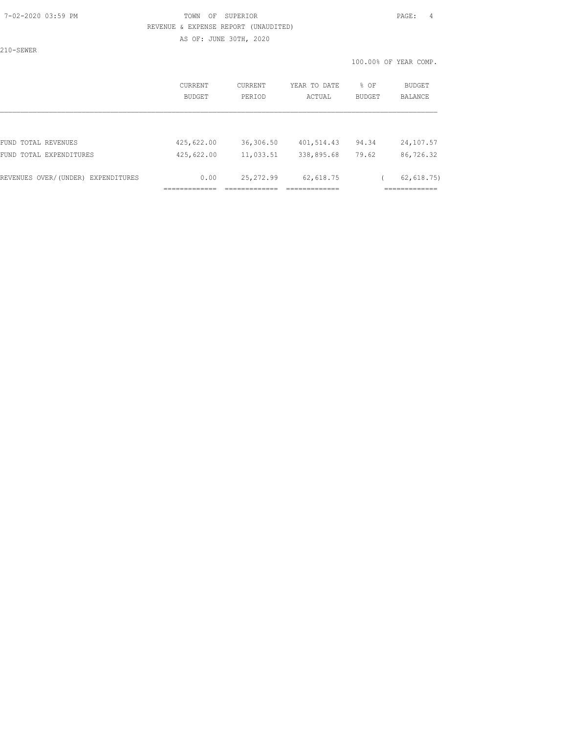### 7-02-2020 03:59 PM TOWN OF SUPERIOR PAGE: 4 REVENUE & EXPENSE REPORT (UNAUDITED) AS OF: JUNE 30TH, 2020

210-SEWER

|                                    | CURRENT<br>BUDGET | CURRENT<br>PERIOD | YEAR TO DATE<br>ACTUAL | % OF<br>BUDGET | BUDGET<br>BALANCE |
|------------------------------------|-------------------|-------------------|------------------------|----------------|-------------------|
|                                    |                   |                   |                        |                |                   |
| FUND TOTAL REVENUES                | 425,622.00        | 36,306.50         | 401,514.43             | 94.34          | 24,107.57         |
| FUND TOTAL EXPENDITURES            | 425,622.00        | 11,033.51         | 338,895.68             | 79.62          | 86,726.32         |
| REVENUES OVER/(UNDER) EXPENDITURES | 0.00              | 25, 272.99        | 62,618.75              |                | 62, 618.75)       |
|                                    |                   |                   |                        |                |                   |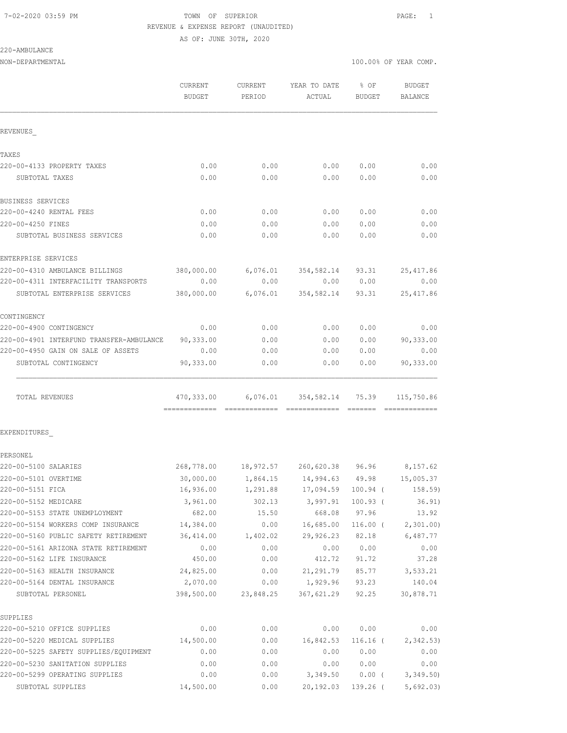# 7-02-2020 03:59 PM TOWN OF SUPERIOR PAGE: 1 REVENUE & EXPENSE REPORT (UNAUDITED)

AS OF: JUNE 30TH, 2020

220-AMBULANCE

|                                          | CURRENT<br><b>BUDGET</b> | CURRENT<br>PERIOD | YEAR TO DATE<br>ACTUAL              | % OF<br><b>BUDGET</b>                                                                                                                                                                                                                                                                                                                                                                                                                                                                  | <b>BUDGET</b><br>BALANCE |
|------------------------------------------|--------------------------|-------------------|-------------------------------------|----------------------------------------------------------------------------------------------------------------------------------------------------------------------------------------------------------------------------------------------------------------------------------------------------------------------------------------------------------------------------------------------------------------------------------------------------------------------------------------|--------------------------|
|                                          |                          |                   |                                     |                                                                                                                                                                                                                                                                                                                                                                                                                                                                                        |                          |
| REVENUES                                 |                          |                   |                                     |                                                                                                                                                                                                                                                                                                                                                                                                                                                                                        |                          |
| TAXES                                    |                          |                   |                                     |                                                                                                                                                                                                                                                                                                                                                                                                                                                                                        |                          |
| 220-00-4133 PROPERTY TAXES               | 0.00                     | 0.00              | 0.00                                | 0.00                                                                                                                                                                                                                                                                                                                                                                                                                                                                                   | 0.00                     |
| SUBTOTAL TAXES                           | 0.00                     | 0.00              | 0.00                                | 0.00                                                                                                                                                                                                                                                                                                                                                                                                                                                                                   | 0.00                     |
| BUSINESS SERVICES                        |                          |                   |                                     |                                                                                                                                                                                                                                                                                                                                                                                                                                                                                        |                          |
| 220-00-4240 RENTAL FEES                  | 0.00                     | 0.00              | 0.00                                | 0.00                                                                                                                                                                                                                                                                                                                                                                                                                                                                                   | 0.00                     |
| 220-00-4250 FINES                        | 0.00                     | 0.00              | 0.00                                | 0.00                                                                                                                                                                                                                                                                                                                                                                                                                                                                                   | 0.00                     |
| SUBTOTAL BUSINESS SERVICES               | 0.00                     | 0.00              | 0.00                                | 0.00                                                                                                                                                                                                                                                                                                                                                                                                                                                                                   | 0.00                     |
| ENTERPRISE SERVICES                      |                          |                   |                                     |                                                                                                                                                                                                                                                                                                                                                                                                                                                                                        |                          |
| 220-00-4310 AMBULANCE BILLINGS           | 380,000.00               |                   | $6,076.01$ $354,582.14$ $93.31$     |                                                                                                                                                                                                                                                                                                                                                                                                                                                                                        | 25, 417.86               |
| 220-00-4311 INTERFACILITY TRANSPORTS     | 0.00                     | 0.00              | 0.00                                | 0.00                                                                                                                                                                                                                                                                                                                                                                                                                                                                                   | 0.00                     |
| SUBTOTAL ENTERPRISE SERVICES             | 380,000.00               | 6,076.01          | 354,582.14 93.31                    |                                                                                                                                                                                                                                                                                                                                                                                                                                                                                        | 25, 417.86               |
| CONTINGENCY                              |                          |                   |                                     |                                                                                                                                                                                                                                                                                                                                                                                                                                                                                        |                          |
| 220-00-4900 CONTINGENCY                  | 0.00                     | 0.00              | 0.00                                | 0.00                                                                                                                                                                                                                                                                                                                                                                                                                                                                                   | 0.00                     |
| 220-00-4901 INTERFUND TRANSFER-AMBULANCE | 90,333.00                | 0.00              | 0.00                                | 0.00                                                                                                                                                                                                                                                                                                                                                                                                                                                                                   | 90,333.00                |
| 220-00-4950 GAIN ON SALE OF ASSETS       | 0.00                     | 0.00              | 0.00                                | 0.00                                                                                                                                                                                                                                                                                                                                                                                                                                                                                   | 0.00                     |
| SUBTOTAL CONTINGENCY                     | 90,333.00                | 0.00              | 0.00                                | 0.00                                                                                                                                                                                                                                                                                                                                                                                                                                                                                   | 90,333.00                |
| TOTAL REVENUES                           | 470,333.00               | --------------    | 6,076.01 354,582.14 75.39           | $\begin{array}{cccccccccc} \multicolumn{2}{c}{} & \multicolumn{2}{c}{} & \multicolumn{2}{c}{} & \multicolumn{2}{c}{} & \multicolumn{2}{c}{} & \multicolumn{2}{c}{} & \multicolumn{2}{c}{} & \multicolumn{2}{c}{} & \multicolumn{2}{c}{} & \multicolumn{2}{c}{} & \multicolumn{2}{c}{} & \multicolumn{2}{c}{} & \multicolumn{2}{c}{} & \multicolumn{2}{c}{} & \multicolumn{2}{c}{} & \multicolumn{2}{c}{} & \multicolumn{2}{c}{} & \multicolumn{2}{c}{} & \multicolumn{2}{c}{} & \mult$ | 115,750.86               |
| EXPENDITURES                             |                          |                   |                                     |                                                                                                                                                                                                                                                                                                                                                                                                                                                                                        |                          |
| PERSONEL                                 |                          |                   |                                     |                                                                                                                                                                                                                                                                                                                                                                                                                                                                                        |                          |
| 220-00-5100 SALARIES                     | 268,778.00               |                   | 18,972.57 260,620.38 96.96 8,157.62 |                                                                                                                                                                                                                                                                                                                                                                                                                                                                                        |                          |
| 220-00-5101 OVERTIME                     | 30,000.00                |                   | 1,864.15 14,994.63 49.98            |                                                                                                                                                                                                                                                                                                                                                                                                                                                                                        | 15,005.37                |
| 220-00-5151 FICA                         | 16,936.00                | 1,291.88          | 17,094.59                           | $100.94$ (                                                                                                                                                                                                                                                                                                                                                                                                                                                                             | 158.59)                  |
| 220-00-5152 MEDICARE                     | 3,961.00                 | 302.13            | 3,997.91                            | $100.93$ (                                                                                                                                                                                                                                                                                                                                                                                                                                                                             | 36.91)                   |
| 220-00-5153 STATE UNEMPLOYMENT           | 682.00                   | 15.50             | 668.08                              | 97.96                                                                                                                                                                                                                                                                                                                                                                                                                                                                                  | 13.92                    |
| 220-00-5154 WORKERS COMP INSURANCE       | 14,384.00                | 0.00              | 16,685.00                           | $116.00$ (                                                                                                                                                                                                                                                                                                                                                                                                                                                                             | 2,301.00                 |
| 220-00-5160 PUBLIC SAFETY RETIREMENT     | 36,414.00                | 1,402.02          | 29,926.23 82.18                     |                                                                                                                                                                                                                                                                                                                                                                                                                                                                                        | 6,487.77                 |
| 220-00-5161 ARIZONA STATE RETIREMENT     | 0.00                     | 0.00              | 0.00                                | 0.00                                                                                                                                                                                                                                                                                                                                                                                                                                                                                   | 0.00                     |
| 220-00-5162 LIFE INSURANCE               | 450.00                   | 0.00              | 412.72                              | 91.72                                                                                                                                                                                                                                                                                                                                                                                                                                                                                  | 37.28                    |
| 220-00-5163 HEALTH INSURANCE             | 24,825.00                | 0.00              | 21, 291. 79 85. 77                  |                                                                                                                                                                                                                                                                                                                                                                                                                                                                                        | 3,533.21                 |
| 220-00-5164 DENTAL INSURANCE             | 2,070.00                 | 0.00              | 1,929.96                            | 93.23                                                                                                                                                                                                                                                                                                                                                                                                                                                                                  | 140.04                   |
| SUBTOTAL PERSONEL                        | 398,500.00               | 23,848.25         | 367,621.29                          | 92.25                                                                                                                                                                                                                                                                                                                                                                                                                                                                                  | 30,878.71                |
| SUPPLIES                                 |                          |                   |                                     |                                                                                                                                                                                                                                                                                                                                                                                                                                                                                        |                          |
| 220-00-5210 OFFICE SUPPLIES              | 0.00                     | 0.00              | 0.00                                | 0.00                                                                                                                                                                                                                                                                                                                                                                                                                                                                                   | 0.00                     |
| 220-00-5220 MEDICAL SUPPLIES             | 14,500.00                | 0.00              | 16,842.53                           | $116.16$ (                                                                                                                                                                                                                                                                                                                                                                                                                                                                             | 2,342.53                 |
| 220-00-5225 SAFETY SUPPLIES/EQUIPMENT    | 0.00                     | 0.00              | 0.00                                | 0.00                                                                                                                                                                                                                                                                                                                                                                                                                                                                                   | 0.00                     |
| 220-00-5230 SANITATION SUPPLIES          | 0.00                     | 0.00              | 0.00                                | 0.00                                                                                                                                                                                                                                                                                                                                                                                                                                                                                   | 0.00                     |
| 220-00-5299 OPERATING SUPPLIES           | 0.00                     | 0.00              | 3,349.50                            | $0.00$ (                                                                                                                                                                                                                                                                                                                                                                                                                                                                               | 3,349.50                 |
| SUBTOTAL SUPPLIES                        | 14,500.00                | 0.00              |                                     | 20,192.03 139.26 (                                                                                                                                                                                                                                                                                                                                                                                                                                                                     | 5,692.03)                |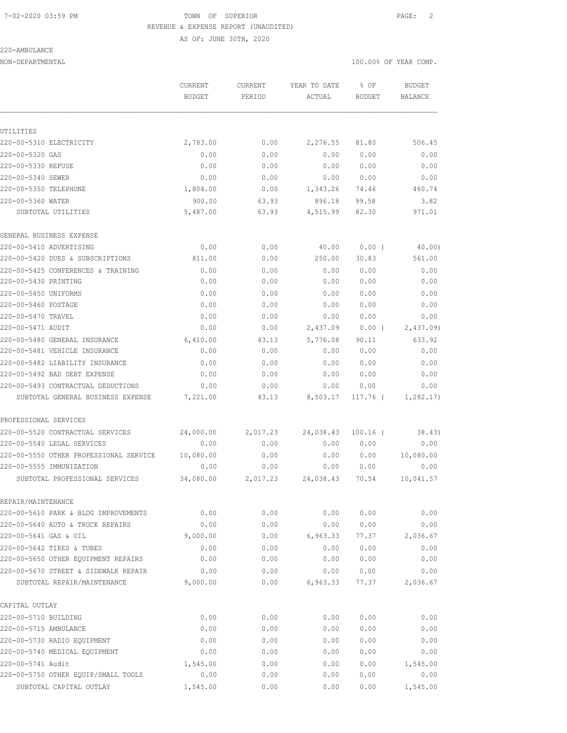# 7-02-2020 03:59 PM TOWN OF SUPERIOR PAGE: 2 REVENUE & EXPENSE REPORT (UNAUDITED)

AS OF: JUNE 30TH, 2020

#### 220-AMBULANCE

|                                        | CURRENT<br><b>BUDGET</b> | <b>CURRENT</b><br>PERIOD | YEAR TO DATE<br>ACTUAL | % OF<br>BUDGET | <b>BUDGET</b><br>BALANCE |
|----------------------------------------|--------------------------|--------------------------|------------------------|----------------|--------------------------|
|                                        |                          |                          |                        |                |                          |
| UTILITIES                              |                          |                          |                        |                |                          |
| 220-00-5310 ELECTRICITY                | 2,783.00                 | 0.00                     | 2,276.55               | 81.80          | 506.45                   |
| 220-00-5320 GAS                        | 0.00                     | 0.00                     | 0.00                   | 0.00           | 0.00                     |
| 220-00-5330 REFUSE                     | 0.00                     | 0.00                     | 0.00                   | 0.00           | 0.00                     |
| 220-00-5340 SEWER                      | 0.00                     | 0.00                     | 0.00                   | 0.00           | 0.00                     |
| 220-00-5350 TELEPHONE                  | 1,804.00                 | 0.00                     | 1,343.26               | 74.46          | 460.74                   |
| 220-00-5360 WATER                      | 900.00                   | 63.93                    | 896.18                 | 99.58          | 3.82                     |
| SUBTOTAL UTILITIES                     | 5,487.00                 | 63.93                    | 4,515.99               | 82.30          | 971.01                   |
| GENERAL BUSINESS EXPENSE               |                          |                          |                        |                |                          |
| 220-00-5410 ADVERTISING                | 0.00                     | 0.00                     | 40.00                  | $0.00$ (       | 40.00)                   |
| 220-00-5420 DUES & SUBSCRIPTIONS       | 811.00                   | 0.00                     | 250.00                 | 30.83          | 561.00                   |
| 220-00-5425 CONFERENCES & TRAINING     | 0.00                     | 0.00                     | 0.00                   | 0.00           | 0.00                     |
| 220-00-5430 PRINTING                   | 0.00                     | 0.00                     | 0.00                   | 0.00           | 0.00                     |
| 220-00-5450 UNIFORMS                   | 0.00                     | 0.00                     | 0.00                   | 0.00           | 0.00                     |
| 220-00-5460 POSTAGE                    | 0.00                     | 0.00                     | 0.00                   | 0.00           | 0.00                     |
| 220-00-5470 TRAVEL                     | 0.00                     | 0.00                     | 0.00                   | 0.00           | 0.00                     |
| 220-00-5471 AUDIT                      | 0.00                     | 0.00                     | 2,437.09               | $0.00$ (       | 2,437.09                 |
| 220-00-5480 GENERAL INSURANCE          | 6,410.00                 | 43.13                    | 5,776.08               | 90.11          | 633.92                   |
| 220-00-5481 VEHICLE INSURANCE          | 0.00                     | 0.00                     | 0.00                   | 0.00           | 0.00                     |
| 220-00-5482 LIABILITY INSURANCE        | 0.00                     | 0.00                     | 0.00                   | 0.00           | 0.00                     |
| 220-00-5492 BAD DEBT EXPENSE           | 0.00                     | 0.00                     | 0.00                   | 0.00           | 0.00                     |
| 220-00-5493 CONTRACTUAL DEDUCTIONS     | 0.00                     | 0.00                     | 0.00                   | 0.00           | 0.00                     |
| SUBTOTAL GENERAL BUSINESS EXPENSE      | 7,221.00                 | 43.13                    | 8,503.17               | 117.76 (       | 1,282.17                 |
| PROFESSIONAL SERVICES                  |                          |                          |                        |                |                          |
| 220-00-5520 CONTRACTUAL SERVICES       | 24,000.00                | 2,017.23                 | 24,038.43              | $100.16$ (     | 38.43)                   |
| 220-00-5540 LEGAL SERVICES             | 0.00                     | 0.00                     | 0.00                   | 0.00           | 0.00                     |
| 220-00-5550 OTHER PROFESSIONAL SERVICE | 10,080.00                | 0.00                     | 0.00                   | 0.00           | 10,080.00                |
| 220-00-5555 IMMUNIZATION               | 0.00                     | 0.00                     | 0.00                   | 0.00           | 0.00                     |
| SUBTOTAL PROFESSIONAL SERVICES         | 34,080.00                | 2,017.23                 | 24,038.43              | 70.54          | 10,041.57                |
| REPAIR/MAINTENANCE                     |                          |                          |                        |                |                          |
| 220-00-5610 PARK & BLDG IMPROVEMENTS   | 0.00                     | 0.00                     | 0.00                   | 0.00           | 0.00                     |
| 220-00-5640 AUTO & TRUCK REPAIRS       | 0.00                     | 0.00                     | 0.00                   | 0.00           | 0.00                     |
| 220-00-5641 GAS & OIL                  | 9,000.00                 | 0.00                     | 6,963.33               | 77.37          | 2,036.67                 |
| 220-00-5642 TIRES & TUBES              | 0.00                     | 0.00                     | 0.00                   | 0.00           | 0.00                     |
| 220-00-5650 OTHER EQUIPMENT REPAIRS    | 0.00                     | 0.00                     | 0.00                   | 0.00           | 0.00                     |
| 220-00-5670 STREET & SIDEWALK REPAIR   | 0.00                     | 0.00                     | 0.00                   | 0.00           | 0.00                     |
| SUBTOTAL REPAIR/MAINTENANCE            | 9,000.00                 | 0.00                     | 6,963.33               | 77.37          | 2,036.67                 |
| CAPITAL OUTLAY                         |                          |                          |                        |                |                          |
| 220-00-5710 BUILDING                   | 0.00                     | 0.00                     | 0.00                   | 0.00           | 0.00                     |
| 220-00-5715 AMBULANCE                  | 0.00                     | 0.00                     | 0.00                   | 0.00           | 0.00                     |
| 220-00-5730 RADIO EQUIPMENT            | 0.00                     | 0.00                     | 0.00                   | 0.00           | 0.00                     |
| 220-00-5740 MEDICAL EQUIPMENT          | 0.00                     | 0.00                     | 0.00                   | 0.00           | 0.00                     |
| 220-00-5741 Audit                      | 1,545.00                 | 0.00                     | 0.00                   | 0.00           | 1,545.00                 |
| 220-00-5750 OTHER EQUIP/SMALL TOOLS    | 0.00                     | 0.00                     | 0.00                   | 0.00           | 0.00                     |
| SUBTOTAL CAPITAL OUTLAY                | 1,545.00                 | 0.00                     | 0.00                   | 0.00           | 1,545.00                 |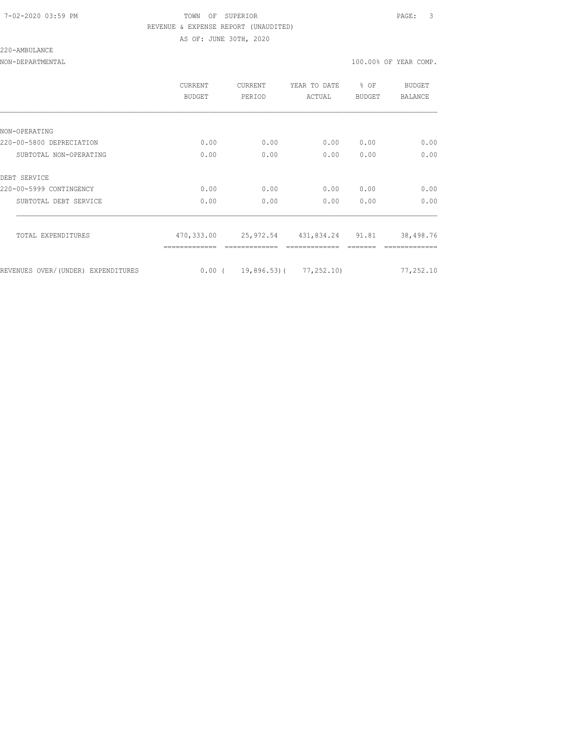### 7-02-2020 03:59 PM TOWN OF SUPERIOR PAGE: 3 REVENUE & EXPENSE REPORT (UNAUDITED) AS OF: JUNE 30TH, 2020

220-AMBULANCE

|                                    | CURRENT<br><b>BUDGET</b> | CURRENT<br>PERIOD | YEAR TO DATE<br>ACTUAL           | % OF<br><b>BUDGET</b> | <b>BUDGET</b><br><b>BALANCE</b> |
|------------------------------------|--------------------------|-------------------|----------------------------------|-----------------------|---------------------------------|
|                                    |                          |                   |                                  |                       |                                 |
| NON-OPERATING                      |                          |                   |                                  |                       |                                 |
| 220-00-5800 DEPRECIATION           | 0.00                     | 0.00              | 0.00                             | 0.00                  | 0.00                            |
| SUBTOTAL NON-OPERATING             | 0.00                     | 0.00              | 0.00                             | 0.00                  | 0.00                            |
| DEBT SERVICE                       |                          |                   |                                  |                       |                                 |
| 220-00-5999 CONTINGENCY            | 0.00                     | 0.00              | 0.00                             | 0.00                  | 0.00                            |
| SUBTOTAL DEBT SERVICE              | 0.00                     | 0.00              | 0.00                             | 0.00                  | 0.00                            |
| TOTAL EXPENDITURES                 | 470,333.00               |                   | 25,972.54 431,834.24 91.81       |                       | 38,498.76                       |
|                                    |                          |                   |                                  |                       |                                 |
| REVENUES OVER/(UNDER) EXPENDITURES |                          |                   | $0.00$ ( 19,896.53) ( 77,252.10) |                       | 77,252.10                       |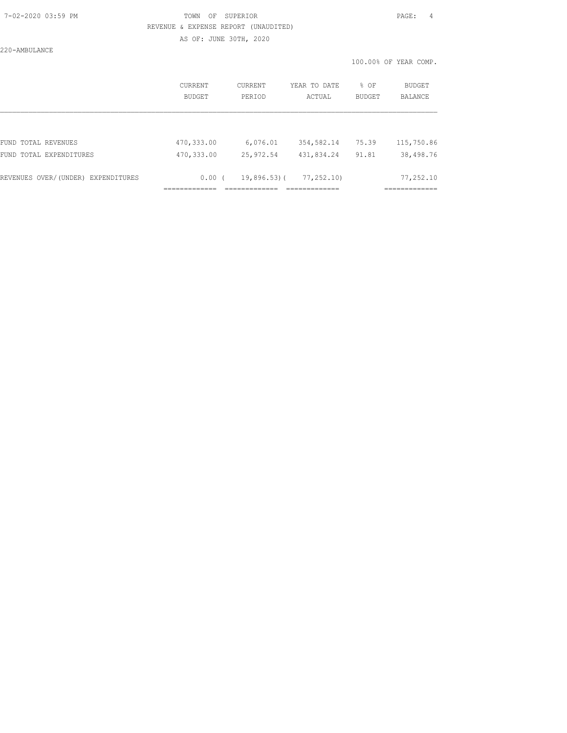### 7-02-2020 03:59 PM TOWN OF SUPERIOR PAGE: 4 REVENUE & EXPENSE REPORT (UNAUDITED) AS OF: JUNE 30TH, 2020

220-AMBULANCE

|                                    | CURRENT    | CURRENT     | YEAR TO DATE | % OF          | BUDGET         |
|------------------------------------|------------|-------------|--------------|---------------|----------------|
|                                    | BUDGET     | PERIOD      | ACTUAL       | <b>BUDGET</b> | <b>BALANCE</b> |
| FUND TOTAL REVENUES                | 470,333.00 | 6,076.01    | 354,582.14   | 75.39         | 115,750.86     |
| FUND TOTAL EXPENDITURES            | 470,333.00 | 25, 972.54  | 431,834.24   | 91.81         | 38,498.76      |
| REVENUES OVER/(UNDER) EXPENDITURES | 0.00(      | 19,896.53)( | 77,252.10)   |               | 77,252.10      |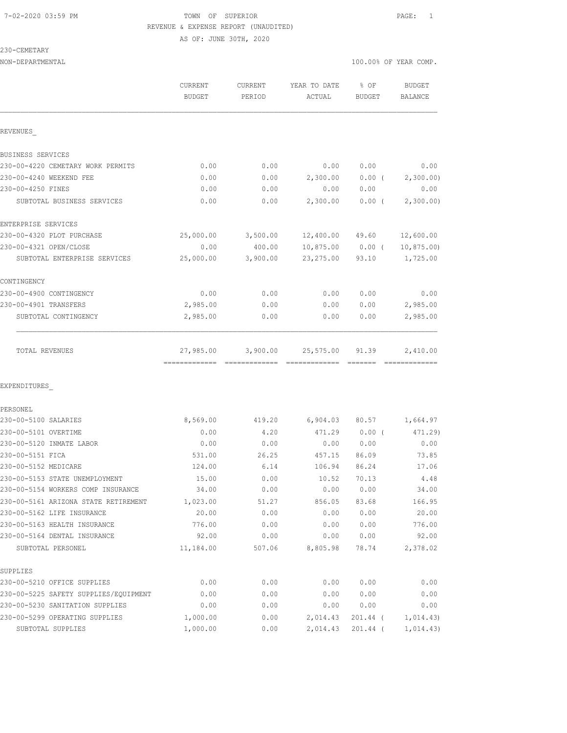# 7-02-2020 03:59 PM TOWN OF SUPERIOR PAGE: 1 REVENUE & EXPENSE REPORT (UNAUDITED)

AS OF: JUNE 30TH, 2020

230-CEMETARY

| ムリハーヘビMEIANI                          |                   |                   |                          |                         |                       |
|---------------------------------------|-------------------|-------------------|--------------------------|-------------------------|-----------------------|
| NON-DEPARTMENTAL                      |                   |                   |                          |                         | 100.00% OF YEAR COMP. |
|                                       | CURRENT<br>BUDGET | CURRENT<br>PERIOD | YEAR TO DATE<br>ACTUAL   | $8$ OF<br><b>BUDGET</b> | BUDGET<br>BALANCE     |
| REVENUES                              |                   |                   |                          |                         |                       |
|                                       |                   |                   |                          |                         |                       |
| BUSINESS SERVICES                     |                   |                   |                          |                         |                       |
| 230-00-4220 CEMETARY WORK PERMITS     | 0.00              | 0.00              | 0.00                     | 0.00                    | 0.00                  |
| 230-00-4240 WEEKEND FEE               | 0.00              | 0.00              | 2,300.00                 | $0.00$ (                | 2,300.00)             |
| 230-00-4250 FINES                     | 0.00              | 0.00              | 0.00                     | 0.00                    | 0.00                  |
| SUBTOTAL BUSINESS SERVICES            | 0.00              | 0.00              | 2,300.00                 | $0.00$ (                | 2,300.00)             |
| ENTERPRISE SERVICES                   |                   |                   |                          |                         |                       |
| 230-00-4320 PLOT PURCHASE             | 25,000.00         | 3,500.00          | 12,400.00 49.60          |                         | 12,600.00             |
| 230-00-4321 OPEN/CLOSE                | 0.00              | 400.00            |                          | $10,875.00$ 0.00 (      | 10, 875.00            |
| SUBTOTAL ENTERPRISE SERVICES          | 25,000.00         | 3,900.00          | 23,275.00                | 93.10                   | 1,725.00              |
| CONTINGENCY                           |                   |                   |                          |                         |                       |
| 230-00-4900 CONTINGENCY               | 0.00              | 0.00              | 0.00                     | 0.00                    | 0.00                  |
| 230-00-4901 TRANSFERS                 | 2,985.00          | 0.00              | 0.00                     | 0.00                    | 2,985.00              |
| SUBTOTAL CONTINGENCY                  | 2,985.00          | 0.00              | 0.00                     | 0.00                    | 2,985.00              |
|                                       |                   |                   |                          |                         |                       |
| TOTAL REVENUES                        | 27,985.00         |                   | 3,900.00 25,575.00 91.39 |                         | 2,410.00              |
|                                       |                   |                   |                          |                         |                       |
| EXPENDITURES                          |                   |                   |                          |                         |                       |
| PERSONEL                              |                   |                   |                          |                         |                       |
| 230-00-5100 SALARIES                  | 8,569.00          | 419.20            |                          | 6,904.03 80.57          | 1,664.97              |
| 230-00-5101 OVERTIME                  | 0.00              | 4.20              | 471.29                   | $0.00$ (                | 471.29)               |
| 230-00-5120 INMATE LABOR              | 0.00              | 0.00              | 0.00                     | 0.00                    | 0.00                  |
| 230-00-5151 FICA                      | 531.00            | 26.25             | 457.15                   | 86.09                   | 73.85                 |
| 230-00-5152 MEDICARE                  | 124.00            | 6.14              | 106.94                   | 86.24                   | 17.06                 |
| 230-00-5153 STATE UNEMPLOYMENT        | 15.00             | 0.00              | 10.52                    | 70.13                   | 4.48                  |
| 230-00-5154 WORKERS COMP INSURANCE    | 34.00             | 0.00              | 0.00                     | 0.00                    | 34.00                 |
| 230-00-5161 ARIZONA STATE RETIREMENT  | 1,023.00          | 51.27             | 856.05                   | 83.68                   | 166.95                |
| 230-00-5162 LIFE INSURANCE            | 20.00             | 0.00              | 0.00                     | 0.00                    | 20.00                 |
| 230-00-5163 HEALTH INSURANCE          | 776.00            | 0.00              | 0.00                     | 0.00                    | 776.00                |
| 230-00-5164 DENTAL INSURANCE          | 92.00             | 0.00              | 0.00                     | 0.00                    | 92.00                 |
| SUBTOTAL PERSONEL                     | 11,184.00         | 507.06            | 8,805.98                 | 78.74                   | 2,378.02              |
| SUPPLIES                              |                   |                   |                          |                         |                       |
| 230-00-5210 OFFICE SUPPLIES           | 0.00              | 0.00              | 0.00                     | 0.00                    | 0.00                  |
| 230-00-5225 SAFETY SUPPLIES/EQUIPMENT | 0.00              | 0.00              | 0.00                     | 0.00                    | 0.00                  |
| 230-00-5230 SANITATION SUPPLIES       | 0.00              | 0.00              | 0.00                     | 0.00                    | 0.00                  |
| 230-00-5299 OPERATING SUPPLIES        | 1,000.00          | 0.00              | 2,014.43                 | 201.44 (                | 1,014.43)             |
|                                       |                   |                   |                          |                         |                       |

SUBTOTAL SUPPLIES 1,000.00 0.00 2,014.43 201.44 ( 1,014.43)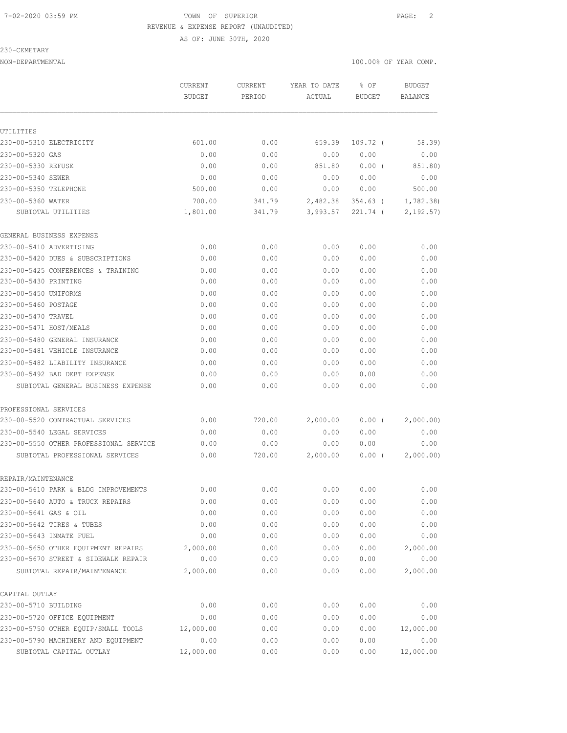### 7-02-2020 03:59 PM TOWN OF SUPERIOR PAGE: 2 REVENUE & EXPENSE REPORT (UNAUDITED)

AS OF: JUNE 30TH, 2020

230-CEMETARY

NON-DEPARTMENTAL 100.00% OF YEAR COMP.

|                                                                     | CURRENT<br><b>BUDGET</b> | CURRENT<br>PERIOD | YEAR TO DATE<br>ACTUAL | % OF<br>BUDGET | <b>BUDGET</b><br>BALANCE |
|---------------------------------------------------------------------|--------------------------|-------------------|------------------------|----------------|--------------------------|
| UTILITIES                                                           |                          |                   |                        |                |                          |
| 230-00-5310 ELECTRICITY                                             | 601.00                   | 0.00              | 659.39                 | $109.72$ (     | 58.39                    |
| 230-00-5320 GAS                                                     | 0.00                     | 0.00              | 0.00                   | 0.00           | 0.00                     |
| 230-00-5330 REFUSE                                                  | 0.00                     | 0.00              | 851.80                 | $0.00$ (       | 851.80)                  |
| 230-00-5340 SEWER                                                   | 0.00                     | 0.00              | 0.00                   | 0.00           | 0.00                     |
| 230-00-5350 TELEPHONE                                               | 500.00                   | 0.00              | 0.00                   | 0.00           | 500.00                   |
| 230-00-5360 WATER                                                   | 700.00                   | 341.79            | 2,482.38               | 354.63 (       | 1,782.38)                |
| SUBTOTAL UTILITIES                                                  | 1,801.00                 | 341.79            | 3,993.57               | $221.74$ (     | 2, 192.57)               |
| GENERAL BUSINESS EXPENSE                                            |                          |                   |                        |                |                          |
| 230-00-5410 ADVERTISING                                             | 0.00                     | 0.00              | 0.00                   | 0.00           | 0.00                     |
| 230-00-5420 DUES & SUBSCRIPTIONS                                    | 0.00                     | 0.00              | 0.00                   | 0.00           | 0.00                     |
| 230-00-5425 CONFERENCES & TRAINING                                  | 0.00                     | 0.00              | 0.00                   | 0.00           | 0.00                     |
| 230-00-5430 PRINTING                                                | 0.00                     | 0.00              | 0.00                   | 0.00           | 0.00                     |
| 230-00-5450 UNIFORMS                                                | 0.00                     | 0.00              | 0.00                   | 0.00           | 0.00                     |
| 230-00-5460 POSTAGE                                                 | 0.00                     | 0.00              | 0.00                   | 0.00           | 0.00                     |
| 230-00-5470 TRAVEL                                                  | 0.00                     | 0.00              | 0.00                   | 0.00           | 0.00                     |
| 230-00-5471 HOST/MEALS                                              | 0.00                     | 0.00              | 0.00                   | 0.00           | 0.00                     |
| 230-00-5480 GENERAL INSURANCE                                       | 0.00                     | 0.00              | 0.00                   | 0.00           | 0.00                     |
| 230-00-5481 VEHICLE INSURANCE                                       | 0.00                     | 0.00              | 0.00                   | 0.00           | 0.00                     |
| 230-00-5482 LIABILITY INSURANCE                                     | 0.00                     | 0.00              | 0.00                   | 0.00           | 0.00                     |
| 230-00-5492 BAD DEBT EXPENSE                                        | 0.00                     | 0.00              | 0.00                   | 0.00           | 0.00                     |
| SUBTOTAL GENERAL BUSINESS EXPENSE                                   | 0.00                     | 0.00              | 0.00                   | 0.00           | 0.00                     |
| PROFESSIONAL SERVICES                                               |                          |                   |                        |                |                          |
| 230-00-5520 CONTRACTUAL SERVICES                                    | 0.00                     | 720.00            | 2,000.00               | $0.00$ (       | 2,000.00)                |
| 230-00-5540 LEGAL SERVICES                                          | 0.00                     | 0.00              | 0.00                   | 0.00           | 0.00                     |
| 230-00-5550 OTHER PROFESSIONAL SERVICE                              | 0.00                     | 0.00              | 0.00                   | 0.00           | 0.00                     |
| SUBTOTAL PROFESSIONAL SERVICES                                      | 0.00                     | 720.00            | 2,000.00               | $0.00$ (       | 2,000.00)                |
| REPAIR/MAINTENANCE                                                  |                          |                   |                        |                |                          |
| 230-00-5610 PARK & BLDG IMPROVEMENTS                                | 0.00                     | 0.00              | 0.00                   | 0.00           | 0.00                     |
| 230-00-5640 AUTO & TRUCK REPAIRS                                    | 0.00                     | 0.00              | 0.00                   | 0.00           | 0.00                     |
| 230-00-5641 GAS & OIL                                               | 0.00                     | 0.00              | 0.00                   | 0.00           | 0.00                     |
| 230-00-5642 TIRES & TUBES                                           | 0.00                     | 0.00              | 0.00                   | 0.00           | 0.00                     |
| 230-00-5643 INMATE FUEL                                             | 0.00                     | 0.00              | 0.00                   | 0.00           | 0.00                     |
| 230-00-5650 OTHER EQUIPMENT REPAIRS                                 | 2,000.00                 | 0.00              | 0.00                   | 0.00           | 2,000.00                 |
| 230-00-5670 STREET & SIDEWALK REPAIR<br>SUBTOTAL REPAIR/MAINTENANCE | 0.00<br>2,000.00         | 0.00<br>0.00      | 0.00<br>0.00           | 0.00<br>0.00   | 0.00<br>2,000.00         |
|                                                                     |                          |                   |                        |                |                          |
| CAPITAL OUTLAY<br>230-00-5710 BUILDING                              | 0.00                     | 0.00              | 0.00                   | 0.00           | 0.00                     |
| 230-00-5720 OFFICE EQUIPMENT                                        | 0.00                     | 0.00              | 0.00                   | 0.00           | 0.00                     |
| 230-00-5750 OTHER EQUIP/SMALL TOOLS                                 | 12,000.00                | 0.00              | 0.00                   | 0.00           | 12,000.00                |
| 230-00-5790 MACHINERY AND EQUIPMENT                                 | 0.00                     | 0.00              | 0.00                   | 0.00           | 0.00                     |
|                                                                     |                          |                   |                        |                |                          |

SUBTOTAL CAPITAL OUTLAY 12,000.00 0.00 0.00 0.00 12,000.00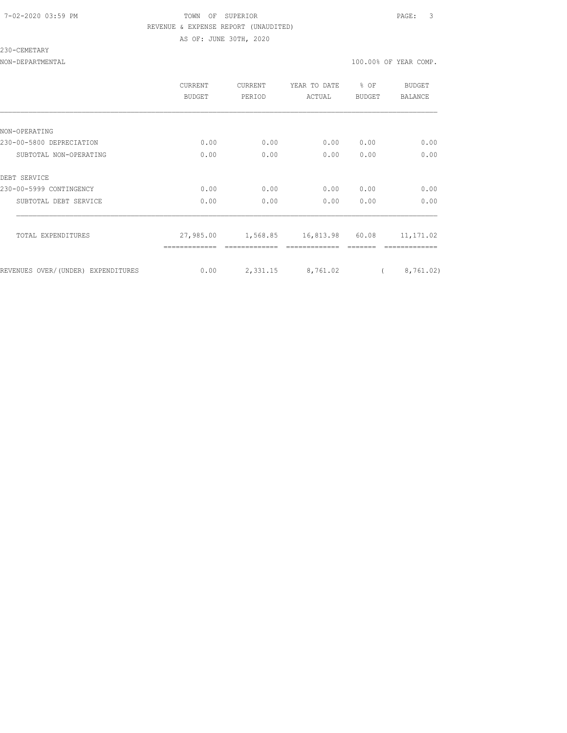### 7-02-2020 03:59 PM TOWN OF SUPERIOR PAGE: 3 REVENUE & EXPENSE REPORT (UNAUDITED) AS OF: JUNE 30TH, 2020

230-CEMETARY

|                                    | CURRENT<br><b>BUDGET</b> | <b>CURRENT</b><br>PERIOD | YEAR TO DATE<br>ACTUAL | % OF<br>BUDGET | BUDGET<br>BALANCE |
|------------------------------------|--------------------------|--------------------------|------------------------|----------------|-------------------|
|                                    |                          |                          |                        |                |                   |
| NON-OPERATING                      |                          |                          |                        |                |                   |
| 230-00-5800 DEPRECIATION           | 0.00                     | 0.00                     | 0.00                   | 0.00           | 0.00              |
| SUBTOTAL NON-OPERATING             | 0.00                     | 0.00                     | 0.00                   | 0.00           | 0.00              |
| DEBT SERVICE                       |                          |                          |                        |                |                   |
| 230-00-5999 CONTINGENCY            | 0.00                     | 0.00                     | 0.00                   | 0.00           | 0.00              |
| SUBTOTAL DEBT SERVICE              | 0.00                     | 0.00                     | 0.00                   | 0.00           | 0.00              |
| TOTAL EXPENDITURES                 | 27,985.00                | 1,568.85                 | 16,813.98              | 60.08          | 11, 171.02        |
| REVENUES OVER/(UNDER) EXPENDITURES | 0.00                     | 2,331.15                 | 8,761.02               |                | 8,761.02)         |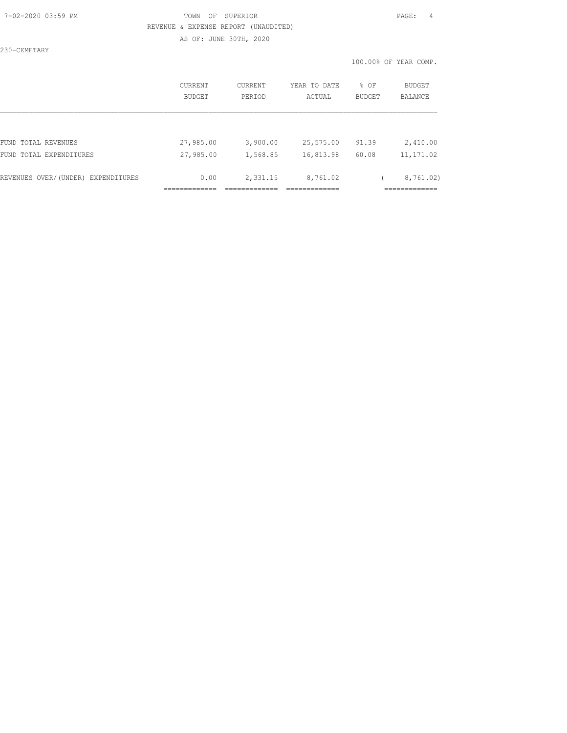### 7-02-2020 03:59 PM TOWN OF SUPERIOR PAGE: 4 REVENUE & EXPENSE REPORT (UNAUDITED) AS OF: JUNE 30TH, 2020

230-CEMETARY

|                                    | <b>CURRENT</b><br>BUDGET | CURRENT<br>PERIOD | YEAR TO DATE<br>ACTUAL | % OF<br><b>BUDGET</b> | BUDGET<br><b>BALANCE</b>  |
|------------------------------------|--------------------------|-------------------|------------------------|-----------------------|---------------------------|
|                                    |                          |                   |                        |                       |                           |
| FUND TOTAL REVENUES                | 27,985.00                | 3,900.00          | 25,575.00              | 91.39                 | 2,410.00                  |
| FUND TOTAL EXPENDITURES            | 27,985.00                | 1,568.85          | 16,813.98              | 60.08                 | 11, 171.02                |
| REVENUES OVER/(UNDER) EXPENDITURES | 0.00                     | 2,331.15          | 8,761.02               |                       | 8,761.02)<br>____________ |
|                                    |                          |                   |                        |                       | ----------                |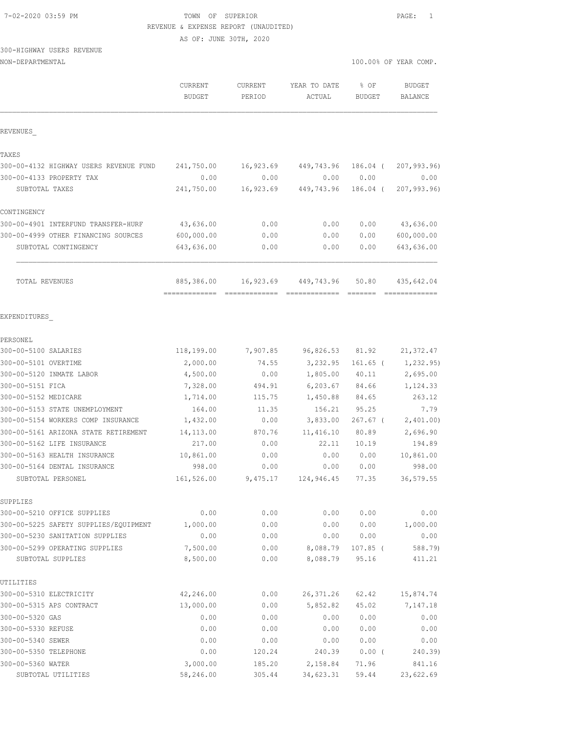| 7-02-2020 03:59 PM |
|--------------------|
|--------------------|

### TOWN OF SUPERIOR **PAGE:** 1 REVENUE & EXPENSE REPORT (UNAUDITED)

AS OF: JUNE 30TH, 2020

# 300-HIGHWAY USERS REVENUE

| NON-DEPARTMENTAL                       |                          |                   |                        | 100.00% OF YEAR COMP. |                          |  |  |
|----------------------------------------|--------------------------|-------------------|------------------------|-----------------------|--------------------------|--|--|
|                                        | CURRENT<br><b>BUDGET</b> | CURRENT<br>PERIOD | YEAR TO DATE<br>ACTUAL | % OF<br><b>BUDGET</b> | <b>BUDGET</b><br>BALANCE |  |  |
| REVENUES                               |                          |                   |                        |                       |                          |  |  |
| TAXES                                  |                          |                   |                        |                       |                          |  |  |
| 300-00-4132 HIGHWAY USERS REVENUE FUND | 241,750.00               | 16,923.69         | 449,743.96             | 186.04 (              | 207,993.96)              |  |  |
| 300-00-4133 PROPERTY TAX               | 0.00                     | 0.00              | 0.00                   | 0.00                  | 0.00                     |  |  |
| SUBTOTAL TAXES                         | 241,750.00               | 16,923.69         | 449,743.96             | 186.04 (              | 207, 993.96              |  |  |
| CONTINGENCY                            |                          |                   |                        |                       |                          |  |  |
| 300-00-4901 INTERFUND TRANSFER-HURF    | 43,636.00                | 0.00              | 0.00                   | 0.00                  | 43,636.00                |  |  |
| 300-00-4999 OTHER FINANCING SOURCES    | 600,000.00               | 0.00              | 0.00                   | 0.00                  | 600,000.00               |  |  |
| SUBTOTAL CONTINGENCY                   | 643,636.00               | 0.00              | 0.00                   | 0.00                  | 643,636.00               |  |  |
| TOTAL REVENUES                         | 885,386.00               |                   | 16,923.69 449,743.96   | 50.80                 | 435,642.04               |  |  |
| EXPENDITURES                           |                          |                   |                        |                       |                          |  |  |
| PERSONEL                               |                          |                   |                        |                       |                          |  |  |
| 300-00-5100 SALARIES                   | 118,199.00               | 7,907.85          | 96,826.53              | 81.92                 | 21, 372.47               |  |  |
| 300-00-5101 OVERTIME                   | 2,000.00                 | 74.55             | 3,232.95               | $161.65$ (            | 1, 232.95)               |  |  |
| 300-00-5120 INMATE LABOR               | 4,500.00                 | 0.00              | 1,805.00               | 40.11                 | 2,695.00                 |  |  |
| 300-00-5151 FICA                       | 7,328.00                 | 494.91            | 6, 203.67              | 84.66                 | 1,124.33                 |  |  |
| 300-00-5152 MEDICARE                   | 1,714.00                 | 115.75            | 1,450.88               | 84.65                 | 263.12                   |  |  |
| 300-00-5153 STATE UNEMPLOYMENT         | 164.00                   | 11.35             | 156.21                 | 95.25                 | 7.79                     |  |  |
| 300-00-5154 WORKERS COMP INSURANCE     | 1,432.00                 | 0.00              | 3,833.00               | $267.67$ (            | 2,401.00                 |  |  |
| 300-00-5161 ARIZONA STATE RETIREMENT   | 14, 113.00               | 870.76            | 11,416.10              | 80.89                 | 2,696.90                 |  |  |
| 300-00-5162 LIFE INSURANCE             | 217.00                   | 0.00              | 22.11                  | 10.19                 | 194.89                   |  |  |
| 300-00-5163 HEALTH INSURANCE           | 10,861.00                | 0.00              | 0.00                   | 0.00                  | 10,861.00                |  |  |
| 300-00-5164 DENTAL INSURANCE           | 998.00                   | 0.00              | 0.00                   | 0.00                  | 998.00                   |  |  |
| SUBTOTAL PERSONEL                      | 161,526.00               |                   | 9,475.17 124,946.45    | 77.35                 | 36,579.55                |  |  |
| SUPPLIES                               |                          |                   |                        |                       |                          |  |  |
| 300-00-5210 OFFICE SUPPLIES            | 0.00                     | 0.00              | 0.00                   | 0.00                  | 0.00                     |  |  |
| 300-00-5225 SAFETY SUPPLIES/EQUIPMENT  | 1,000.00                 | 0.00              | 0.00                   | 0.00                  | 1,000.00                 |  |  |
| 300-00-5230 SANITATION SUPPLIES        | 0.00                     | 0.00              | 0.00                   | 0.00                  | 0.00                     |  |  |
| 300-00-5299 OPERATING SUPPLIES         | 7,500.00                 | 0.00              | 8,088.79               | $107.85$ (            | 588.79)                  |  |  |
| SUBTOTAL SUPPLIES                      | 8,500.00                 | 0.00              | 8,088.79               | 95.16                 | 411.21                   |  |  |
| UTILITIES                              |                          |                   |                        |                       |                          |  |  |
| 300-00-5310 ELECTRICITY                | 42,246.00                | 0.00              | 26, 371.26             | 62.42                 | 15,874.74                |  |  |
| 300-00-5315 APS CONTRACT               | 13,000.00                | 0.00              | 5,852.82               | 45.02                 | 7,147.18                 |  |  |
| 300-00-5320 GAS                        | 0.00                     | 0.00              | 0.00                   | 0.00                  | 0.00                     |  |  |
| 300-00-5330 REFUSE                     | 0.00                     | 0.00              | 0.00                   | 0.00                  | 0.00                     |  |  |
| 300-00-5340 SEWER                      | 0.00                     | 0.00              | 0.00                   | 0.00                  | 0.00                     |  |  |
| 300-00-5350 TELEPHONE                  | 0.00                     | 120.24            | 240.39                 | $0.00$ (              | 240.39)                  |  |  |
| 300-00-5360 WATER                      | 3,000.00                 | 185.20            | 2,158.84               | 71.96                 | 841.16                   |  |  |

SUBTOTAL UTILITIES 58,246.00 305.44 34,623.31 59.44 23,622.69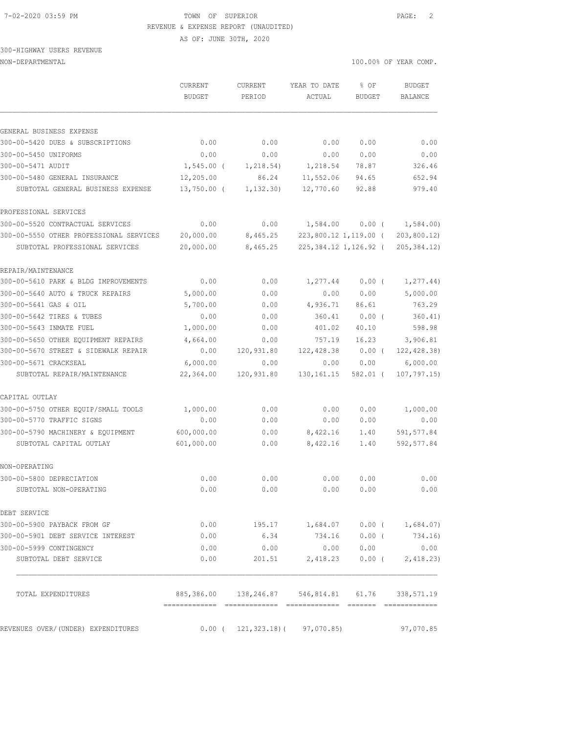#### 7-02-2020 03:59 PM TOWN OF SUPERIOR PAGE: 2 REVENUE & EXPENSE REPORT (UNAUDITED)

AS OF: JUNE 30TH, 2020

### 300-HIGHWAY USERS REVENUE NON-DEPARTMENTAL 100.00% OF YEAR COMP.

| GENERAL BUSINESS EXPENSE<br>300-00-5420 DUES & SUBSCRIPTIONS<br>0.00<br>0.00<br>0.00<br>0.00<br>300-00-5450 UNIFORMS<br>0.00<br>0.00<br>0.00<br>0.00<br>300-00-5471 AUDIT<br>$1,545.00$ (<br>1,218.54)<br>1,218.54<br>78.87<br>300-00-5480 GENERAL INSURANCE<br>12,205.00<br>86.24<br>11,552.06<br>94.65<br>$13,750.00$ (<br>12,770.60<br>92.88<br>SUBTOTAL GENERAL BUSINESS EXPENSE<br>1, 132.30<br>PROFESSIONAL SERVICES<br>300-00-5520 CONTRACTUAL SERVICES<br>0.00<br>0.00<br>$0.00$ ( $1,584.00$ )<br>1,584.00<br>300-00-5550 OTHER PROFESSIONAL SERVICES<br>20,000.00<br>223,800.12 1,119.00 (<br>8,465.25<br>225,384.12 1,126.92 (<br>20,000.00<br>8,465.25<br>SUBTOTAL PROFESSIONAL SERVICES<br>REPAIR/MAINTENANCE<br>300-00-5610 PARK & BLDG IMPROVEMENTS<br>0.00<br>0.00<br>1,277.44<br>$0.00$ (<br>300-00-5640 AUTO & TRUCK REPAIRS<br>5,000.00<br>0.00<br>0.00<br>0.00<br>300-00-5641 GAS & OIL<br>0.00<br>5,700.00<br>4,936.71<br>86.61<br>300-00-5642 TIRES & TUBES<br>0.00<br>0.00<br>360.41<br>$0.00$ (<br>300-00-5643 INMATE FUEL<br>0.00<br>1,000.00<br>401.02<br>40.10<br>300-00-5650 OTHER EQUIPMENT REPAIRS<br>4,664.00<br>16.23<br>0.00<br>757.19<br>300-00-5670 STREET & SIDEWALK REPAIR<br>0.00<br>120,931.80<br>122,428.38<br>$0.00$ (<br>300-00-5671 CRACKSEAL<br>6,000.00<br>0.00<br>0.00<br>0.00<br>22,364.00<br>120,931.80<br>SUBTOTAL REPAIR/MAINTENANCE<br>130, 161. 15<br>582.01 (<br>CAPITAL OUTLAY<br>300-00-5750 OTHER EQUIP/SMALL TOOLS<br>0.00<br>1,000.00<br>0.00<br>0.00<br>300-00-5770 TRAFFIC SIGNS<br>0.00<br>0.00<br>0.00<br>0.00<br>300-00-5790 MACHINERY & EQUIPMENT<br>600,000.00<br>0.00<br>8,422.16<br>1.40<br>601,000.00<br>8,422.16<br>SUBTOTAL CAPITAL OUTLAY<br>0.00<br>1.40<br>NON-OPERATING<br>300-00-5800 DEPRECIATION<br>0.00<br>0.00<br>0.00<br>0.00<br>SUBTOTAL NON-OPERATING<br>0.00<br>0.00<br>0.00<br>0.00<br>DEBT SERVICE<br>300-00-5900 PAYBACK FROM GF<br>0.00<br>195.17 1,684.07 0.00 ( 1,684.07)<br>300-00-5901 DEBT SERVICE INTEREST<br>0.00<br>6.34<br>734.16 0.00 (<br>300-00-5999 CONTINGENCY<br>0.00<br>0.00<br>0.00 0.00 | <b>BUDGET</b><br>BALANCE |
|--------------------------------------------------------------------------------------------------------------------------------------------------------------------------------------------------------------------------------------------------------------------------------------------------------------------------------------------------------------------------------------------------------------------------------------------------------------------------------------------------------------------------------------------------------------------------------------------------------------------------------------------------------------------------------------------------------------------------------------------------------------------------------------------------------------------------------------------------------------------------------------------------------------------------------------------------------------------------------------------------------------------------------------------------------------------------------------------------------------------------------------------------------------------------------------------------------------------------------------------------------------------------------------------------------------------------------------------------------------------------------------------------------------------------------------------------------------------------------------------------------------------------------------------------------------------------------------------------------------------------------------------------------------------------------------------------------------------------------------------------------------------------------------------------------------------------------------------------------------------------------------------------------------------------------------------------------------------------------------------------------------------------------------------------------------------------------------------------|--------------------------|
|                                                                                                                                                                                                                                                                                                                                                                                                                                                                                                                                                                                                                                                                                                                                                                                                                                                                                                                                                                                                                                                                                                                                                                                                                                                                                                                                                                                                                                                                                                                                                                                                                                                                                                                                                                                                                                                                                                                                                                                                                                                                                                  |                          |
|                                                                                                                                                                                                                                                                                                                                                                                                                                                                                                                                                                                                                                                                                                                                                                                                                                                                                                                                                                                                                                                                                                                                                                                                                                                                                                                                                                                                                                                                                                                                                                                                                                                                                                                                                                                                                                                                                                                                                                                                                                                                                                  |                          |
|                                                                                                                                                                                                                                                                                                                                                                                                                                                                                                                                                                                                                                                                                                                                                                                                                                                                                                                                                                                                                                                                                                                                                                                                                                                                                                                                                                                                                                                                                                                                                                                                                                                                                                                                                                                                                                                                                                                                                                                                                                                                                                  | 0.00                     |
|                                                                                                                                                                                                                                                                                                                                                                                                                                                                                                                                                                                                                                                                                                                                                                                                                                                                                                                                                                                                                                                                                                                                                                                                                                                                                                                                                                                                                                                                                                                                                                                                                                                                                                                                                                                                                                                                                                                                                                                                                                                                                                  | 0.00                     |
|                                                                                                                                                                                                                                                                                                                                                                                                                                                                                                                                                                                                                                                                                                                                                                                                                                                                                                                                                                                                                                                                                                                                                                                                                                                                                                                                                                                                                                                                                                                                                                                                                                                                                                                                                                                                                                                                                                                                                                                                                                                                                                  | 326.46                   |
|                                                                                                                                                                                                                                                                                                                                                                                                                                                                                                                                                                                                                                                                                                                                                                                                                                                                                                                                                                                                                                                                                                                                                                                                                                                                                                                                                                                                                                                                                                                                                                                                                                                                                                                                                                                                                                                                                                                                                                                                                                                                                                  | 652.94<br>979.40         |
|                                                                                                                                                                                                                                                                                                                                                                                                                                                                                                                                                                                                                                                                                                                                                                                                                                                                                                                                                                                                                                                                                                                                                                                                                                                                                                                                                                                                                                                                                                                                                                                                                                                                                                                                                                                                                                                                                                                                                                                                                                                                                                  |                          |
|                                                                                                                                                                                                                                                                                                                                                                                                                                                                                                                                                                                                                                                                                                                                                                                                                                                                                                                                                                                                                                                                                                                                                                                                                                                                                                                                                                                                                                                                                                                                                                                                                                                                                                                                                                                                                                                                                                                                                                                                                                                                                                  |                          |
|                                                                                                                                                                                                                                                                                                                                                                                                                                                                                                                                                                                                                                                                                                                                                                                                                                                                                                                                                                                                                                                                                                                                                                                                                                                                                                                                                                                                                                                                                                                                                                                                                                                                                                                                                                                                                                                                                                                                                                                                                                                                                                  | 203,800.12               |
|                                                                                                                                                                                                                                                                                                                                                                                                                                                                                                                                                                                                                                                                                                                                                                                                                                                                                                                                                                                                                                                                                                                                                                                                                                                                                                                                                                                                                                                                                                                                                                                                                                                                                                                                                                                                                                                                                                                                                                                                                                                                                                  | 205, 384.12)             |
|                                                                                                                                                                                                                                                                                                                                                                                                                                                                                                                                                                                                                                                                                                                                                                                                                                                                                                                                                                                                                                                                                                                                                                                                                                                                                                                                                                                                                                                                                                                                                                                                                                                                                                                                                                                                                                                                                                                                                                                                                                                                                                  |                          |
|                                                                                                                                                                                                                                                                                                                                                                                                                                                                                                                                                                                                                                                                                                                                                                                                                                                                                                                                                                                                                                                                                                                                                                                                                                                                                                                                                                                                                                                                                                                                                                                                                                                                                                                                                                                                                                                                                                                                                                                                                                                                                                  | 1, 277.44)               |
|                                                                                                                                                                                                                                                                                                                                                                                                                                                                                                                                                                                                                                                                                                                                                                                                                                                                                                                                                                                                                                                                                                                                                                                                                                                                                                                                                                                                                                                                                                                                                                                                                                                                                                                                                                                                                                                                                                                                                                                                                                                                                                  | 5,000.00                 |
|                                                                                                                                                                                                                                                                                                                                                                                                                                                                                                                                                                                                                                                                                                                                                                                                                                                                                                                                                                                                                                                                                                                                                                                                                                                                                                                                                                                                                                                                                                                                                                                                                                                                                                                                                                                                                                                                                                                                                                                                                                                                                                  | 763.29                   |
|                                                                                                                                                                                                                                                                                                                                                                                                                                                                                                                                                                                                                                                                                                                                                                                                                                                                                                                                                                                                                                                                                                                                                                                                                                                                                                                                                                                                                                                                                                                                                                                                                                                                                                                                                                                                                                                                                                                                                                                                                                                                                                  | 360.41)                  |
|                                                                                                                                                                                                                                                                                                                                                                                                                                                                                                                                                                                                                                                                                                                                                                                                                                                                                                                                                                                                                                                                                                                                                                                                                                                                                                                                                                                                                                                                                                                                                                                                                                                                                                                                                                                                                                                                                                                                                                                                                                                                                                  | 598.98                   |
|                                                                                                                                                                                                                                                                                                                                                                                                                                                                                                                                                                                                                                                                                                                                                                                                                                                                                                                                                                                                                                                                                                                                                                                                                                                                                                                                                                                                                                                                                                                                                                                                                                                                                                                                                                                                                                                                                                                                                                                                                                                                                                  | 3,906.81                 |
|                                                                                                                                                                                                                                                                                                                                                                                                                                                                                                                                                                                                                                                                                                                                                                                                                                                                                                                                                                                                                                                                                                                                                                                                                                                                                                                                                                                                                                                                                                                                                                                                                                                                                                                                                                                                                                                                                                                                                                                                                                                                                                  | 122, 428.38)             |
|                                                                                                                                                                                                                                                                                                                                                                                                                                                                                                                                                                                                                                                                                                                                                                                                                                                                                                                                                                                                                                                                                                                                                                                                                                                                                                                                                                                                                                                                                                                                                                                                                                                                                                                                                                                                                                                                                                                                                                                                                                                                                                  | 6,000.00                 |
|                                                                                                                                                                                                                                                                                                                                                                                                                                                                                                                                                                                                                                                                                                                                                                                                                                                                                                                                                                                                                                                                                                                                                                                                                                                                                                                                                                                                                                                                                                                                                                                                                                                                                                                                                                                                                                                                                                                                                                                                                                                                                                  | 107, 797.15              |
|                                                                                                                                                                                                                                                                                                                                                                                                                                                                                                                                                                                                                                                                                                                                                                                                                                                                                                                                                                                                                                                                                                                                                                                                                                                                                                                                                                                                                                                                                                                                                                                                                                                                                                                                                                                                                                                                                                                                                                                                                                                                                                  |                          |
|                                                                                                                                                                                                                                                                                                                                                                                                                                                                                                                                                                                                                                                                                                                                                                                                                                                                                                                                                                                                                                                                                                                                                                                                                                                                                                                                                                                                                                                                                                                                                                                                                                                                                                                                                                                                                                                                                                                                                                                                                                                                                                  | 1,000.00                 |
|                                                                                                                                                                                                                                                                                                                                                                                                                                                                                                                                                                                                                                                                                                                                                                                                                                                                                                                                                                                                                                                                                                                                                                                                                                                                                                                                                                                                                                                                                                                                                                                                                                                                                                                                                                                                                                                                                                                                                                                                                                                                                                  | 0.00                     |
|                                                                                                                                                                                                                                                                                                                                                                                                                                                                                                                                                                                                                                                                                                                                                                                                                                                                                                                                                                                                                                                                                                                                                                                                                                                                                                                                                                                                                                                                                                                                                                                                                                                                                                                                                                                                                                                                                                                                                                                                                                                                                                  | 591,577.84               |
|                                                                                                                                                                                                                                                                                                                                                                                                                                                                                                                                                                                                                                                                                                                                                                                                                                                                                                                                                                                                                                                                                                                                                                                                                                                                                                                                                                                                                                                                                                                                                                                                                                                                                                                                                                                                                                                                                                                                                                                                                                                                                                  | 592, 577.84              |
|                                                                                                                                                                                                                                                                                                                                                                                                                                                                                                                                                                                                                                                                                                                                                                                                                                                                                                                                                                                                                                                                                                                                                                                                                                                                                                                                                                                                                                                                                                                                                                                                                                                                                                                                                                                                                                                                                                                                                                                                                                                                                                  |                          |
|                                                                                                                                                                                                                                                                                                                                                                                                                                                                                                                                                                                                                                                                                                                                                                                                                                                                                                                                                                                                                                                                                                                                                                                                                                                                                                                                                                                                                                                                                                                                                                                                                                                                                                                                                                                                                                                                                                                                                                                                                                                                                                  | 0.00                     |
|                                                                                                                                                                                                                                                                                                                                                                                                                                                                                                                                                                                                                                                                                                                                                                                                                                                                                                                                                                                                                                                                                                                                                                                                                                                                                                                                                                                                                                                                                                                                                                                                                                                                                                                                                                                                                                                                                                                                                                                                                                                                                                  | 0.00                     |
|                                                                                                                                                                                                                                                                                                                                                                                                                                                                                                                                                                                                                                                                                                                                                                                                                                                                                                                                                                                                                                                                                                                                                                                                                                                                                                                                                                                                                                                                                                                                                                                                                                                                                                                                                                                                                                                                                                                                                                                                                                                                                                  |                          |
|                                                                                                                                                                                                                                                                                                                                                                                                                                                                                                                                                                                                                                                                                                                                                                                                                                                                                                                                                                                                                                                                                                                                                                                                                                                                                                                                                                                                                                                                                                                                                                                                                                                                                                                                                                                                                                                                                                                                                                                                                                                                                                  |                          |
|                                                                                                                                                                                                                                                                                                                                                                                                                                                                                                                                                                                                                                                                                                                                                                                                                                                                                                                                                                                                                                                                                                                                                                                                                                                                                                                                                                                                                                                                                                                                                                                                                                                                                                                                                                                                                                                                                                                                                                                                                                                                                                  | 734.16)                  |
|                                                                                                                                                                                                                                                                                                                                                                                                                                                                                                                                                                                                                                                                                                                                                                                                                                                                                                                                                                                                                                                                                                                                                                                                                                                                                                                                                                                                                                                                                                                                                                                                                                                                                                                                                                                                                                                                                                                                                                                                                                                                                                  | 0.00                     |
| SUBTOTAL DEBT SERVICE<br>0.00<br>$2,418.23$ 0.00 ( 2,418.23)<br>201.51                                                                                                                                                                                                                                                                                                                                                                                                                                                                                                                                                                                                                                                                                                                                                                                                                                                                                                                                                                                                                                                                                                                                                                                                                                                                                                                                                                                                                                                                                                                                                                                                                                                                                                                                                                                                                                                                                                                                                                                                                           |                          |
| 885,386.00  138,246.87  546,814.81  61.76  338,571.19<br>TOTAL EXPENDITURES                                                                                                                                                                                                                                                                                                                                                                                                                                                                                                                                                                                                                                                                                                                                                                                                                                                                                                                                                                                                                                                                                                                                                                                                                                                                                                                                                                                                                                                                                                                                                                                                                                                                                                                                                                                                                                                                                                                                                                                                                      |                          |
| REVENUES OVER/(UNDER) EXPENDITURES<br>$0.00$ ( 121, 323.18) ( 97, 070.85)                                                                                                                                                                                                                                                                                                                                                                                                                                                                                                                                                                                                                                                                                                                                                                                                                                                                                                                                                                                                                                                                                                                                                                                                                                                                                                                                                                                                                                                                                                                                                                                                                                                                                                                                                                                                                                                                                                                                                                                                                        | 97,070.85                |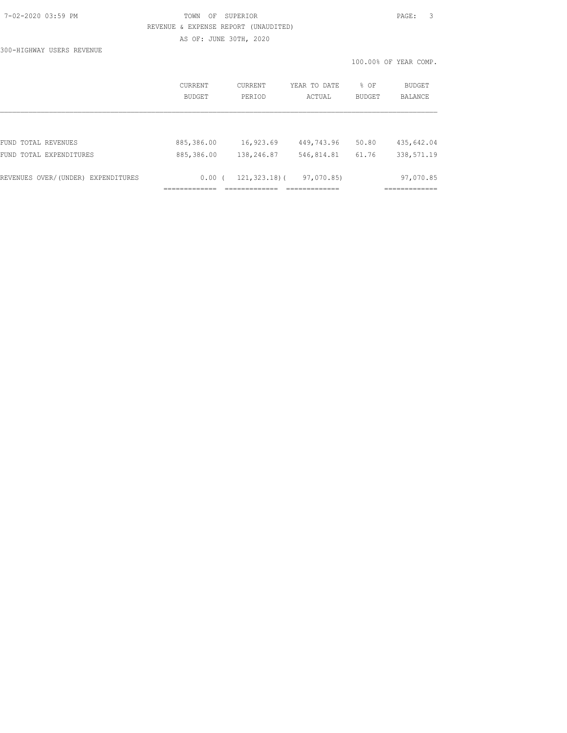# 7-02-2020 03:59 PM TOWN OF SUPERIOR PAGE: 3 REVENUE & EXPENSE REPORT (UNAUDITED) AS OF: JUNE 30TH, 2020

300-HIGHWAY USERS REVENUE

|                                    |                          |                   |                        |                | 100.00% OF YEAR COMP.    |
|------------------------------------|--------------------------|-------------------|------------------------|----------------|--------------------------|
|                                    | CURRENT<br><b>BUDGET</b> | CURRENT<br>PERIOD | YEAR TO DATE<br>ACTUAL | % OF<br>BUDGET | <b>BUDGET</b><br>BALANCE |
|                                    |                          |                   |                        |                |                          |
| FUND TOTAL REVENUES                | 885,386.00               | 16,923.69         | 449,743.96             | 50.80          | 435,642.04               |
| FUND TOTAL EXPENDITURES            | 885,386.00               | 138,246.87        | 546,814.81             | 61.76          | 338,571.19               |
| REVENUES OVER/(UNDER) EXPENDITURES | $0.00$ (                 | $121, 323.18$ (   | 97,070.85)             |                | 97,070.85                |
|                                    |                          |                   |                        |                |                          |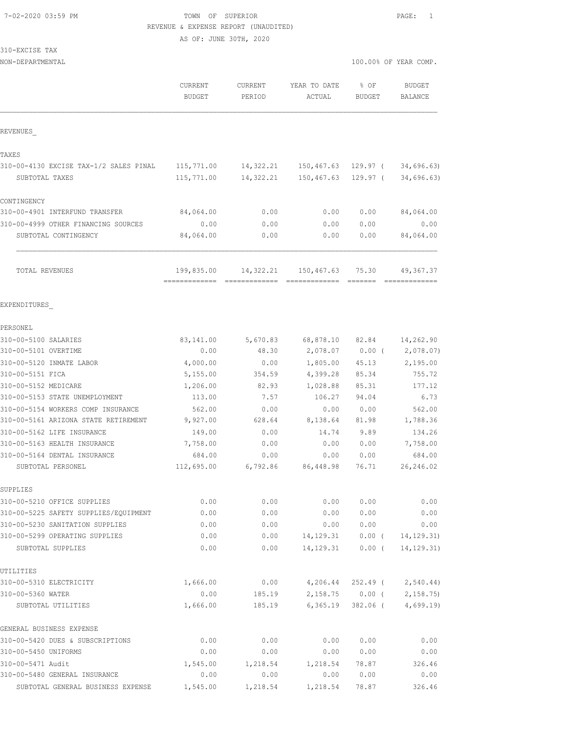### 7-02-2020 03:59 PM TOWN OF SUPERIOR PAGE: 1 REVENUE & EXPENSE REPORT (UNAUDITED)

AS OF: JUNE 30TH, 2020

| CURRENT<br><b>BUDGET</b>                          | CURRENT<br>PERIOD                                                                     | YEAR TO DATE<br>ACTUAL                                                                                                        | % OF<br><b>BUDGET</b>                                              | <b>BUDGET</b><br>BALANCE                                                                                                                                                                                                                                                                                                                       |
|---------------------------------------------------|---------------------------------------------------------------------------------------|-------------------------------------------------------------------------------------------------------------------------------|--------------------------------------------------------------------|------------------------------------------------------------------------------------------------------------------------------------------------------------------------------------------------------------------------------------------------------------------------------------------------------------------------------------------------|
|                                                   |                                                                                       |                                                                                                                               |                                                                    |                                                                                                                                                                                                                                                                                                                                                |
|                                                   |                                                                                       |                                                                                                                               |                                                                    |                                                                                                                                                                                                                                                                                                                                                |
| 310-00-4130 EXCISE TAX-1/2 SALES PINAL 115,771.00 |                                                                                       |                                                                                                                               |                                                                    | 34,696.63)                                                                                                                                                                                                                                                                                                                                     |
| 115,771.00                                        |                                                                                       |                                                                                                                               |                                                                    | 34,696.63)                                                                                                                                                                                                                                                                                                                                     |
|                                                   |                                                                                       |                                                                                                                               |                                                                    |                                                                                                                                                                                                                                                                                                                                                |
| 84,064.00                                         | 0.00                                                                                  | 0.00                                                                                                                          | 0.00                                                               | 84,064.00                                                                                                                                                                                                                                                                                                                                      |
| 0.00                                              | 0.00                                                                                  | 0.00                                                                                                                          | 0.00                                                               | 0.00                                                                                                                                                                                                                                                                                                                                           |
| 84,064.00                                         | 0.00                                                                                  | 0.00                                                                                                                          | 0.00                                                               | 84,064.00                                                                                                                                                                                                                                                                                                                                      |
|                                                   |                                                                                       |                                                                                                                               |                                                                    | 49,367.37                                                                                                                                                                                                                                                                                                                                      |
|                                                   |                                                                                       |                                                                                                                               |                                                                    |                                                                                                                                                                                                                                                                                                                                                |
|                                                   |                                                                                       |                                                                                                                               |                                                                    |                                                                                                                                                                                                                                                                                                                                                |
|                                                   |                                                                                       |                                                                                                                               |                                                                    | 14,262.90                                                                                                                                                                                                                                                                                                                                      |
|                                                   |                                                                                       |                                                                                                                               |                                                                    | 2,078.07)                                                                                                                                                                                                                                                                                                                                      |
|                                                   |                                                                                       |                                                                                                                               |                                                                    | 2,195.00                                                                                                                                                                                                                                                                                                                                       |
|                                                   | 354.59                                                                                |                                                                                                                               | 85.34                                                              | 755.72                                                                                                                                                                                                                                                                                                                                         |
| 1,206.00                                          | 82.93                                                                                 | 1,028.88                                                                                                                      | 85.31                                                              | 177.12                                                                                                                                                                                                                                                                                                                                         |
| 113.00                                            | 7.57                                                                                  | 106.27                                                                                                                        | 94.04                                                              | 6.73                                                                                                                                                                                                                                                                                                                                           |
| 562.00                                            | 0.00                                                                                  | 0.00                                                                                                                          | 0.00                                                               | 562.00                                                                                                                                                                                                                                                                                                                                         |
| 9,927.00                                          | 628.64                                                                                |                                                                                                                               | 81.98                                                              | 1,788.36                                                                                                                                                                                                                                                                                                                                       |
| 149.00                                            | 0.00                                                                                  | 14.74                                                                                                                         | 9.89                                                               | 134.26                                                                                                                                                                                                                                                                                                                                         |
| 7,758.00                                          | 0.00                                                                                  | 0.00                                                                                                                          | 0.00                                                               | 7,758.00                                                                                                                                                                                                                                                                                                                                       |
| 684.00                                            | 0.00                                                                                  | 0.00                                                                                                                          | 0.00                                                               | 684.00                                                                                                                                                                                                                                                                                                                                         |
|                                                   |                                                                                       |                                                                                                                               | 76.71                                                              | 26,246.02                                                                                                                                                                                                                                                                                                                                      |
|                                                   |                                                                                       |                                                                                                                               |                                                                    |                                                                                                                                                                                                                                                                                                                                                |
| 0.00                                              | 0.00                                                                                  | 0.00                                                                                                                          | 0.00                                                               | 0.00                                                                                                                                                                                                                                                                                                                                           |
|                                                   |                                                                                       |                                                                                                                               |                                                                    | 0.00                                                                                                                                                                                                                                                                                                                                           |
| 0.00                                              | 0.00                                                                                  |                                                                                                                               | 0.00                                                               | 0.00                                                                                                                                                                                                                                                                                                                                           |
|                                                   |                                                                                       |                                                                                                                               |                                                                    | 14, 129. 31)                                                                                                                                                                                                                                                                                                                                   |
|                                                   |                                                                                       |                                                                                                                               |                                                                    | 14, 129.31)                                                                                                                                                                                                                                                                                                                                    |
|                                                   |                                                                                       |                                                                                                                               |                                                                    |                                                                                                                                                                                                                                                                                                                                                |
|                                                   |                                                                                       |                                                                                                                               |                                                                    | 2,540.44)                                                                                                                                                                                                                                                                                                                                      |
| 1,666.00                                          | 185.19                                                                                |                                                                                                                               | 382.06 (                                                           | 2,158.75<br>4,699.19                                                                                                                                                                                                                                                                                                                           |
|                                                   |                                                                                       |                                                                                                                               |                                                                    |                                                                                                                                                                                                                                                                                                                                                |
| 0.00                                              | 0.00                                                                                  | 0.00                                                                                                                          | 0.00                                                               | 0.00                                                                                                                                                                                                                                                                                                                                           |
| 0.00                                              | 0.00                                                                                  | 0.00                                                                                                                          | 0.00                                                               | 0.00                                                                                                                                                                                                                                                                                                                                           |
| 1,545.00                                          | 1,218.54                                                                              | 1,218.54                                                                                                                      | 78.87                                                              | 326.46                                                                                                                                                                                                                                                                                                                                         |
|                                                   | 83,141.00<br>0.00<br>4,000.00<br>5,155.00<br>0.00<br>0.00<br>0.00<br>1,666.00<br>0.00 | 199,835.00<br>==========================<br>5,670.83<br>48.30<br>0.00<br>112,695.00<br>0.00<br>0.00<br>0.00<br>0.00<br>185.19 | 14,322.21<br>68,878.10<br>2,078.07<br>1,805.00<br>4,399.28<br>0.00 | 100.00% OF YEAR COMP.<br>14,322.21  150,467.63  129.97 (<br>150,467.63<br>129.97 (<br>14, 322, 21 150, 467, 63 75, 30<br>$=$ $=$ $=$ $=$ $=$ $=$ $=$<br>82.84<br>$0.00$ (<br>45.13<br>8,138.64<br>6,792.86 86,448.98<br>0.00<br>0.00<br>14,129.31<br>$0.00$ (<br>14, 129. 31<br>0.00(<br>4,206.44<br>252.49 (<br>$2,158.75$ 0.00 (<br>6,365.19 |

310-00-5480 GENERAL INSURANCE 0.00 0.00 0.00 0.00 0.00 SUBTOTAL GENERAL BUSINESS EXPENSE 1,545.00 1,218.54 1,218.54 78.87 326.46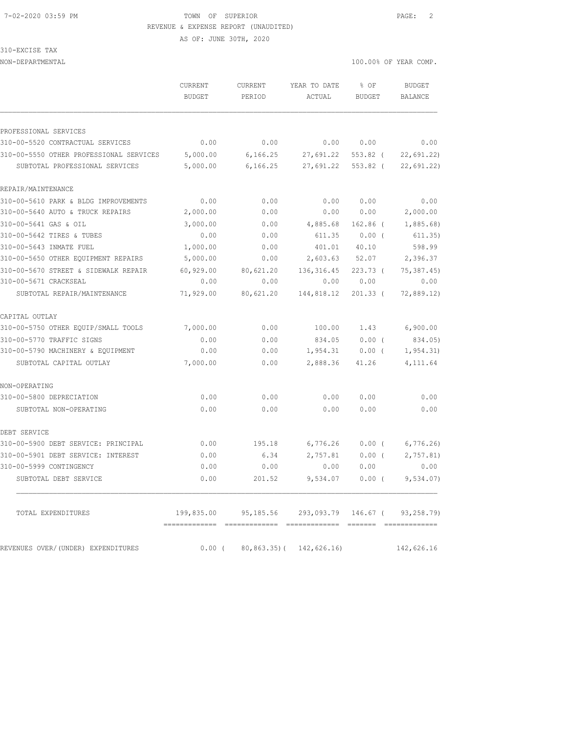### 7-02-2020 03:59 PM TOWN OF SUPERIOR PAGE: 2 REVENUE & EXPENSE REPORT (UNAUDITED)

AS OF: JUNE 30TH, 2020

310-EXCISE TAX

|                                         | CURRENT<br><b>BUDGET</b> | CURRENT<br>PERIOD                       | YEAR TO DATE<br>ACTUAL                                 | % OF<br><b>BUDGET</b> | <b>BUDGET</b><br><b>BALANCE</b> |
|-----------------------------------------|--------------------------|-----------------------------------------|--------------------------------------------------------|-----------------------|---------------------------------|
| PROFESSIONAL SERVICES                   |                          |                                         |                                                        |                       |                                 |
| 310-00-5520 CONTRACTUAL SERVICES        | 0.00                     | 0.00                                    | 0.00                                                   | 0.00                  | 0.00                            |
| 310-00-5550 OTHER PROFESSIONAL SERVICES | 5,000.00                 | 6,166.25                                | 27,691.22                                              | 553.82 (              | 22,691.22                       |
| SUBTOTAL PROFESSIONAL SERVICES          | 5,000.00                 | 6,166.25                                | 27,691.22                                              | 553.82 (              | 22,691.22)                      |
| REPAIR/MAINTENANCE                      |                          |                                         |                                                        |                       |                                 |
| 310-00-5610 PARK & BLDG IMPROVEMENTS    | 0.00                     | 0.00                                    | 0.00                                                   | 0.00                  | 0.00                            |
| 310-00-5640 AUTO & TRUCK REPAIRS        | 2,000.00                 | 0.00                                    | 0.00                                                   | 0.00                  | 2,000.00                        |
| 310-00-5641 GAS & OIL                   | 3,000.00                 | 0.00                                    | 4,885.68                                               | $162.86$ (            | 1,885.68                        |
| 310-00-5642 TIRES & TUBES               | 0.00                     | 0.00                                    | 611.35                                                 | $0.00$ (              | 611.35)                         |
| 310-00-5643 INMATE FUEL                 | 1,000.00                 | 0.00                                    | 401.01                                                 | 40.10                 | 598.99                          |
| 310-00-5650 OTHER EQUIPMENT REPAIRS     | 5,000.00                 | 0.00                                    | 2,603.63                                               | 52.07                 | 2,396.37                        |
| 310-00-5670 STREET & SIDEWALK REPAIR    | 60,929.00                | 80,621.20                               | 136, 316.45                                            | 223.73(               | 75, 387.45                      |
| 310-00-5671 CRACKSEAL                   | 0.00                     | 0.00                                    | 0.00                                                   | 0.00                  | 0.00                            |
| SUBTOTAL REPAIR/MAINTENANCE             | 71,929.00                | 80,621.20                               | 144,818.12                                             | $201.33$ (            | 72,889.12)                      |
| CAPITAL OUTLAY                          |                          |                                         |                                                        |                       |                                 |
| 310-00-5750 OTHER EQUIP/SMALL TOOLS     | 7,000.00                 | 0.00                                    | 100.00                                                 | 1.43                  | 6,900.00                        |
| 310-00-5770 TRAFFIC SIGNS               | 0.00                     | 0.00                                    | 834.05                                                 | $0.00$ (              | 834.05)                         |
| 310-00-5790 MACHINERY & EQUIPMENT       | 0.00                     | 0.00                                    | 1,954.31                                               | $0.00$ (              | 1, 954.31)                      |
| SUBTOTAL CAPITAL OUTLAY                 | 7,000.00                 | 0.00                                    | 2,888.36                                               | 41.26                 | 4, 111.64                       |
| NON-OPERATING                           |                          |                                         |                                                        |                       |                                 |
| 310-00-5800 DEPRECIATION                | 0.00                     | 0.00                                    | 0.00                                                   | 0.00                  | 0.00                            |
| SUBTOTAL NON-OPERATING                  | 0.00                     | 0.00                                    | 0.00                                                   | 0.00                  | 0.00                            |
| DEBT SERVICE                            |                          |                                         |                                                        |                       |                                 |
| 310-00-5900 DEBT SERVICE: PRINCIPAL     | 0.00                     | 195.18                                  | 6,776.26                                               | $0.00$ (              | 6,776.26                        |
| 310-00-5901 DEBT SERVICE: INTEREST      | 0.00                     | 6.34                                    | 2,757.81                                               | 0.00(                 | 2,757.81)                       |
| 310-00-5999 CONTINGENCY                 | 0.00                     | 0.00                                    | 0.00                                                   | 0.00                  | 0.00                            |
| SUBTOTAL DEBT SERVICE                   | 0.00                     | 201.52                                  | 9,534.07                                               | $0.00$ (              | 9,534.07)                       |
| TOTAL EXPENDITURES                      |                          |                                         | 199,835.00  95,185.56  293,093.79  146.67  (93,258.79) |                       |                                 |
| REVENUES OVER/(UNDER) EXPENDITURES      |                          | $0.00$ ( $80,863.35$ ) ( $142,626.16$ ) |                                                        |                       | 142,626.16                      |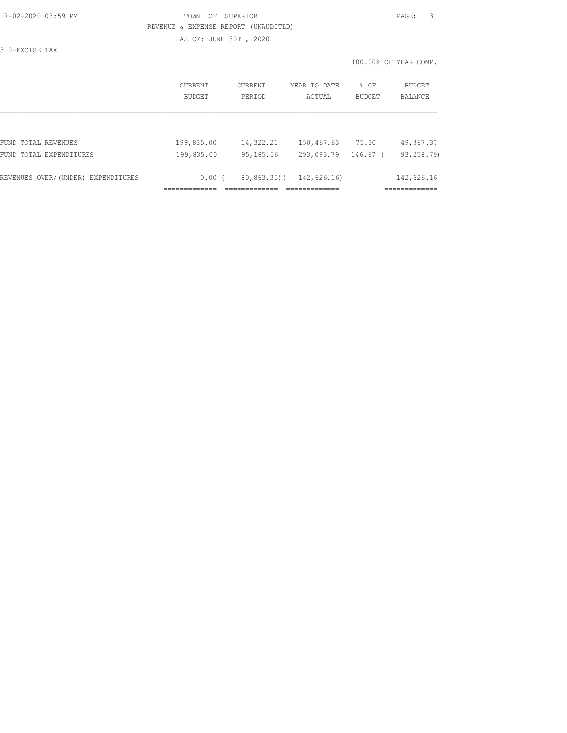### 7-02-2020 03:59 PM TOWN OF SUPERIOR PAGE: 3 REVENUE & EXPENSE REPORT (UNAUDITED)

AS OF: JUNE 30TH, 2020

310-EXCISE TAX

|                                    | CURRENT<br>BUDGET | <b>CURRENT</b><br>PERIOD | YEAR TO DATE<br>ACTUAL | $8$ OF<br><b>BUDGET</b> | BUDGET<br>BALANCE |
|------------------------------------|-------------------|--------------------------|------------------------|-------------------------|-------------------|
|                                    |                   |                          |                        |                         |                   |
| FUND TOTAL REVENUES                | 199,835.00        | 14,322.21                | 150,467.63             | 75.30                   | 49, 367.37        |
| FUND TOTAL EXPENDITURES            | 199,835.00        | 95,185.56                | 293,093.79             | 146.67 (                | 93, 258.79)       |
| REVENUES OVER/(UNDER) EXPENDITURES | $0.00$ (          | 80,863.35)(              | 142,626.16)            |                         | 142,626.16        |
|                                    |                   |                          |                        |                         |                   |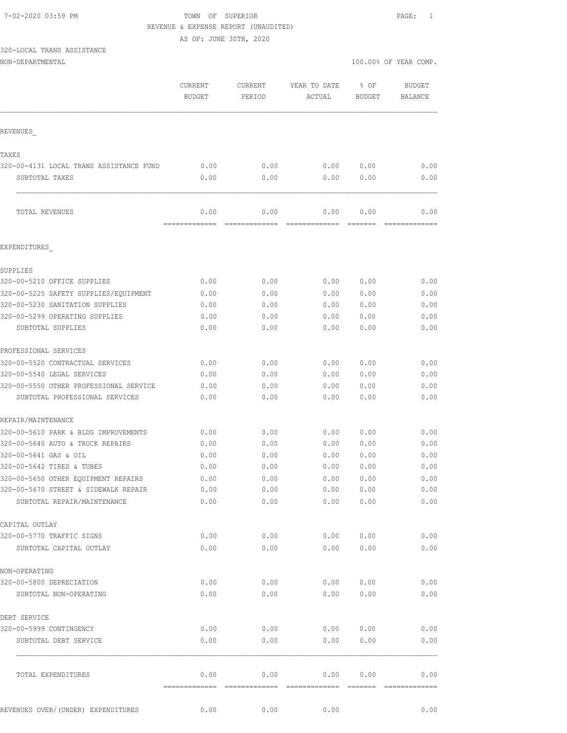#### 7-02-2020 03:59 PM TOWN OF SUPERIOR PAGE: 1 REVENUE & EXPENSE REPORT (UNAUDITED)

AS OF: JUNE 30TH, 2020

# 320-LOCAL TRANS ASSISTANCE

| NON-DEPARTMENTAL | 100.<br>0.00% OF YEAR COMP.<br>. |
|------------------|----------------------------------|
|                  |                                  |

|                                                           | <b>CURRENT</b><br><b>BUDGET</b> | CURRENT<br>PERIOD     | YEAR TO DATE<br>ACTUAL | % OF<br><b>BUDGET</b> | <b>BUDGET</b><br>BALANCE |
|-----------------------------------------------------------|---------------------------------|-----------------------|------------------------|-----------------------|--------------------------|
| REVENUES                                                  |                                 |                       |                        |                       |                          |
|                                                           |                                 |                       |                        |                       |                          |
| TAXES                                                     |                                 |                       |                        |                       |                          |
| 320-00-4131 LOCAL TRANS ASSISTANCE FUND<br>SUBTOTAL TAXES | 0.00<br>0.00                    | 0.00<br>0.00          | 0.00<br>0.00           | 0.00<br>0.00          | 0.00<br>0.00             |
|                                                           |                                 |                       |                        |                       |                          |
| TOTAL REVENUES                                            | 0.00<br>=============           | 0.00<br>============= | 0.00                   | 0.00                  | 0.00                     |
| EXPENDITURES                                              |                                 |                       |                        |                       |                          |
| SUPPLIES                                                  |                                 |                       |                        |                       |                          |
| 320-00-5210 OFFICE SUPPLIES                               | 0.00                            | 0.00                  | 0.00                   | 0.00                  | 0.00                     |
| 320-00-5225 SAFETY SUPPLIES/EQUIPMENT                     | 0.00                            | 0.00                  | 0.00                   | 0.00                  | 0.00                     |
| 320-00-5230 SANITATION SUPPLIES                           | 0.00                            | 0.00                  | 0.00                   | 0.00                  | 0.00                     |
| 320-00-5299 OPERATING SUPPLIES                            | 0.00                            | 0.00                  | 0.00                   | 0.00                  | 0.00                     |
| SUBTOTAL SUPPLIES                                         | 0.00                            | 0.00                  | 0.00                   | 0.00                  | 0.00                     |
| PROFESSIONAL SERVICES                                     |                                 |                       |                        |                       |                          |
| 320-00-5520 CONTRACTUAL SERVICES                          | 0.00                            | 0.00                  | 0.00                   | 0.00                  | 0.00                     |
| 320-00-5540 LEGAL SERVICES                                | 0.00                            | 0.00                  | 0.00                   | 0.00                  | 0.00                     |
| 320-00-5550 OTHER PROFESSIONAL SERVICE                    | 0.00                            | 0.00                  | 0.00                   | 0.00                  | 0.00                     |
| SUBTOTAL PROFESSIONAL SERVICES                            | 0.00                            | 0.00                  | 0.00                   | 0.00                  | 0.00                     |
| REPAIR/MAINTENANCE                                        |                                 |                       |                        |                       |                          |
| 320-00-5610 PARK & BLDG IMPROVEMENTS                      | 0.00                            | 0.00                  | 0.00                   | 0.00                  | 0.00                     |
| 320-00-5640 AUTO & TRUCK REPAIRS                          | 0.00                            | 0.00                  | 0.00                   | 0.00                  | 0.00                     |
| 320-00-5641 GAS & OIL                                     | 0.00                            | 0.00                  | 0.00                   | 0.00                  | 0.00                     |
| 320-00-5642 TIRES & TUBES                                 | 0.00                            | 0.00                  | 0.00                   | 0.00                  | 0.00                     |
| 320-00-5650 OTHER EQUIPMENT REPAIRS                       | 0.00                            | 0.00                  | 0.00                   | 0.00                  | 0.00                     |
| 320-00-5670 STREET & SIDEWALK REPAIR                      | 0.00                            | 0.00                  | 0.00                   | 0.00                  | 0.00                     |
| SUBTOTAL REPAIR/MAINTENANCE                               | 0.00                            | 0.00                  | 0.00                   | 0.00                  | 0.00                     |
| CAPITAL OUTLAY                                            |                                 |                       |                        |                       |                          |
| 320-00-5770 TRAFFIC SIGNS                                 | 0.00                            | 0.00                  | 0.00                   | 0.00                  | 0.00                     |
| SUBTOTAL CAPITAL OUTLAY                                   | 0.00                            | 0.00                  | 0.00                   | 0.00                  | 0.00                     |
| NON-OPERATING                                             |                                 |                       |                        |                       |                          |
| 320-00-5800 DEPRECIATION                                  | 0.00                            | 0.00                  | 0.00                   | 0.00                  | 0.00                     |
| SUBTOTAL NON-OPERATING                                    | 0.00                            | 0.00                  | 0.00                   | 0.00                  | 0.00                     |
| DEBT SERVICE                                              |                                 |                       |                        |                       |                          |
| 320-00-5999 CONTINGENCY                                   | 0.00                            | 0.00                  | 0.00                   | 0.00                  | 0.00                     |
| SUBTOTAL DEBT SERVICE                                     | 0.00                            | 0.00                  | 0.00                   | 0.00                  | 0.00                     |
| TOTAL EXPENDITURES                                        | 0.00                            | 0.00                  | 0.00                   | 0.00                  | 0.00                     |
| REVENUES OVER/(UNDER) EXPENDITURES                        | 0.00                            | 0.00                  | 0.00                   |                       | 0.00                     |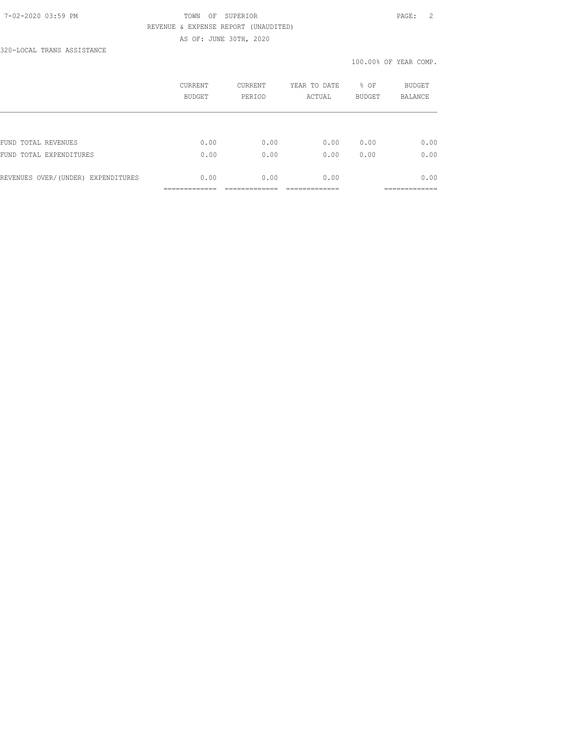### 7-02-2020 03:59 PM TOWN OF SUPERIOR PAGE: 2 REVENUE & EXPENSE REPORT (UNAUDITED) AS OF: JUNE 30TH, 2020

320-LOCAL TRANS ASSISTANCE

| BUDGET | PERIOD | ACTUAL | <b>BUDGET</b> | <b>BUDGET</b><br><b>BALANCE</b> |
|--------|--------|--------|---------------|---------------------------------|
|        |        |        |               |                                 |
| 0.00   | 0.00   | 0.00   | 0.00          | 0.00                            |
| 0.00   | 0.00   | 0.00   | 0.00          | 0.00                            |
| 0.00   | 0.00   | 0.00   |               | 0.00                            |
|        |        |        |               |                                 |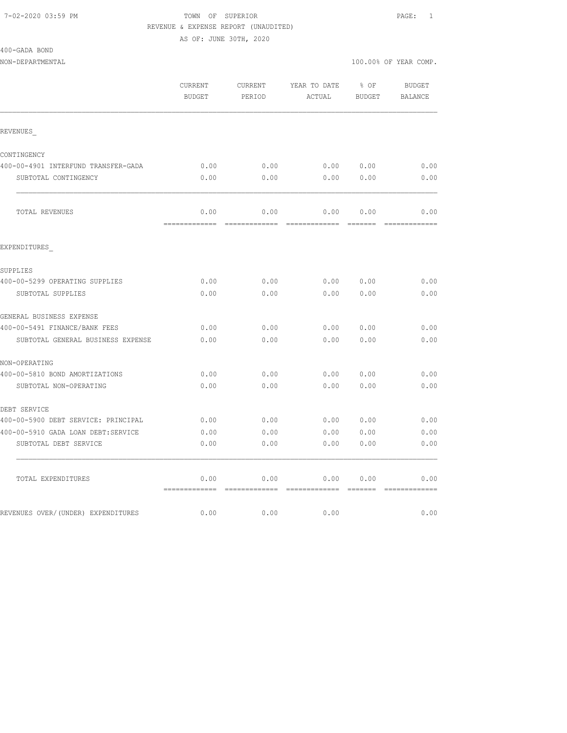### 7-02-2020 03:59 PM TOWN OF SUPERIOR PAGE: 1 REVENUE & EXPENSE REPORT (UNAUDITED)

AS OF: JUNE 30TH, 2020

| 400-GADA BOND |  |
|---------------|--|
|               |  |

| NON-DEPARTMENTAL |  |
|------------------|--|
|                  |  |

|                                     | CURRENT<br><b>BUDGET</b> | CURRENT<br>PERIOD | YEAR TO DATE<br>ACTUAL | % OF<br><b>BUDGET</b>                                                                                                                                                                                                                                                                                                                                                                                                                                                                  | <b>BUDGET</b><br>BALANCE |
|-------------------------------------|--------------------------|-------------------|------------------------|----------------------------------------------------------------------------------------------------------------------------------------------------------------------------------------------------------------------------------------------------------------------------------------------------------------------------------------------------------------------------------------------------------------------------------------------------------------------------------------|--------------------------|
| REVENUES                            |                          |                   |                        |                                                                                                                                                                                                                                                                                                                                                                                                                                                                                        |                          |
| CONTINGENCY                         |                          |                   |                        |                                                                                                                                                                                                                                                                                                                                                                                                                                                                                        |                          |
| 400-00-4901 INTERFUND TRANSFER-GADA | 0.00                     | 0.00              | 0.00 0.00              |                                                                                                                                                                                                                                                                                                                                                                                                                                                                                        | 0.00                     |
| SUBTOTAL CONTINGENCY                | 0.00                     | 0.00              | 0.00                   | 0.00                                                                                                                                                                                                                                                                                                                                                                                                                                                                                   | 0.00                     |
| TOTAL REVENUES                      | 0.00                     | 0.00              | 0.00                   | 0.00                                                                                                                                                                                                                                                                                                                                                                                                                                                                                   | 0.00                     |
| EXPENDITURES                        | -------------            | =============     | =============          | $\begin{array}{cccccccccc} \multicolumn{2}{c}{} & \multicolumn{2}{c}{} & \multicolumn{2}{c}{} & \multicolumn{2}{c}{} & \multicolumn{2}{c}{} & \multicolumn{2}{c}{} & \multicolumn{2}{c}{} & \multicolumn{2}{c}{} & \multicolumn{2}{c}{} & \multicolumn{2}{c}{} & \multicolumn{2}{c}{} & \multicolumn{2}{c}{} & \multicolumn{2}{c}{} & \multicolumn{2}{c}{} & \multicolumn{2}{c}{} & \multicolumn{2}{c}{} & \multicolumn{2}{c}{} & \multicolumn{2}{c}{} & \multicolumn{2}{c}{} & \mult$ |                          |
|                                     |                          |                   |                        |                                                                                                                                                                                                                                                                                                                                                                                                                                                                                        |                          |
| SUPPLIES                            |                          |                   |                        |                                                                                                                                                                                                                                                                                                                                                                                                                                                                                        |                          |
| 400-00-5299 OPERATING SUPPLIES      | 0.00                     | 0.00              |                        | $0.00$ $0.00$                                                                                                                                                                                                                                                                                                                                                                                                                                                                          | 0.00                     |
| SUBTOTAL SUPPLIES                   | 0.00                     | 0.00              | 0.00                   | 0.00                                                                                                                                                                                                                                                                                                                                                                                                                                                                                   | 0.00                     |
| GENERAL BUSINESS EXPENSE            |                          |                   |                        |                                                                                                                                                                                                                                                                                                                                                                                                                                                                                        |                          |
| 400-00-5491 FINANCE/BANK FEES       | 0.00                     | 0.00              | 0.00                   | 0.00                                                                                                                                                                                                                                                                                                                                                                                                                                                                                   | 0.00                     |
| SUBTOTAL GENERAL BUSINESS EXPENSE   | 0.00                     | 0.00              | 0.00                   | 0.00                                                                                                                                                                                                                                                                                                                                                                                                                                                                                   | 0.00                     |
| NON-OPERATING                       |                          |                   |                        |                                                                                                                                                                                                                                                                                                                                                                                                                                                                                        |                          |
| 400-00-5810 BOND AMORTIZATIONS      | 0.00                     | 0.00              | 0.00                   | 0.00                                                                                                                                                                                                                                                                                                                                                                                                                                                                                   | 0.00                     |
| SUBTOTAL NON-OPERATING              | 0.00                     | 0.00              | 0.00                   | 0.00                                                                                                                                                                                                                                                                                                                                                                                                                                                                                   | 0.00                     |
| DEBT SERVICE                        |                          |                   |                        |                                                                                                                                                                                                                                                                                                                                                                                                                                                                                        |                          |
| 400-00-5900 DEBT SERVICE: PRINCIPAL | 0.00                     | 0.00              | 0.00                   | 0.00                                                                                                                                                                                                                                                                                                                                                                                                                                                                                   | 0.00                     |
| 400-00-5910 GADA LOAN DEBT:SERVICE  | 0.00                     | 0.00              | 0.00                   | 0.00                                                                                                                                                                                                                                                                                                                                                                                                                                                                                   | 0.00                     |
| SUBTOTAL DEBT SERVICE               | 0.00                     | 0.00              | 0.00                   | 0.00                                                                                                                                                                                                                                                                                                                                                                                                                                                                                   | 0.00                     |
| TOTAL EXPENDITURES                  | 0.00                     | 0.00              | 0.00                   | 0.00                                                                                                                                                                                                                                                                                                                                                                                                                                                                                   | 0.00                     |
|                                     |                          |                   |                        |                                                                                                                                                                                                                                                                                                                                                                                                                                                                                        |                          |
| REVENUES OVER/(UNDER) EXPENDITURES  | 0.00                     | 0.00              | 0.00                   |                                                                                                                                                                                                                                                                                                                                                                                                                                                                                        | 0.00                     |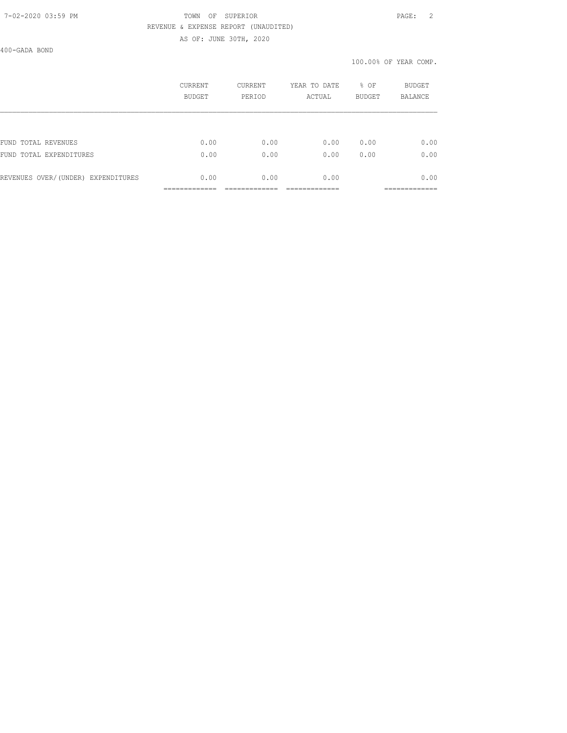### 7-02-2020 03:59 PM TOWN OF SUPERIOR PAGE: 2 REVENUE & EXPENSE REPORT (UNAUDITED) AS OF: JUNE 30TH, 2020

400-GADA BOND

|                                    | CURRENT | CURRENT | YEAR TO DATE | % OF          | BUDGET         |
|------------------------------------|---------|---------|--------------|---------------|----------------|
|                                    | BUDGET  | PERIOD  | ACTUAL       | <b>BUDGET</b> | <b>BALANCE</b> |
| FUND TOTAL REVENUES                | 0.00    | 0.00    | 0.00         | 0.00          | 0.00           |
| FUND TOTAL EXPENDITURES            | 0.00    | 0.00    | 0.00         | 0.00          | 0.00           |
| REVENUES OVER/(UNDER) EXPENDITURES | 0.00    | 0.00    | 0.00         |               | 0.00           |
|                                    |         |         |              |               | __________     |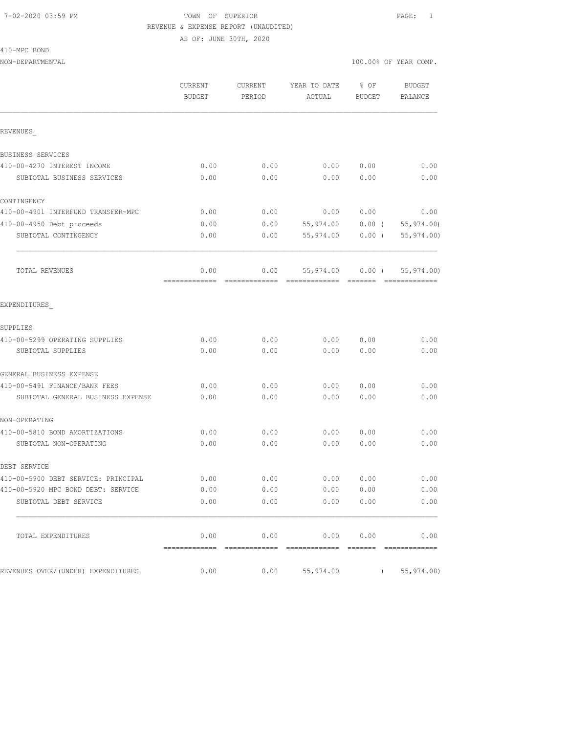### 7-02-2020 03:59 PM TOWN OF SUPERIOR PAGE: 1 REVENUE & EXPENSE REPORT (UNAUDITED) AS OF: JUNE 30TH, 2020

410-MPC BOND

|                                     | CURRENT<br>CURRENT<br><b>BUDGET</b><br>PERIOD |      | YEAR TO DATE<br>ACTUAL | % OF<br><b>BUDGET</b> | <b>BUDGET</b><br>BALANCE      |  |
|-------------------------------------|-----------------------------------------------|------|------------------------|-----------------------|-------------------------------|--|
| REVENUES                            |                                               |      |                        |                       |                               |  |
| BUSINESS SERVICES                   |                                               |      |                        |                       |                               |  |
| 410-00-4270 INTEREST INCOME         | 0.00                                          | 0.00 | 0.00                   | 0.00                  | 0.00                          |  |
| SUBTOTAL BUSINESS SERVICES          | 0.00                                          | 0.00 | 0.00                   | 0.00                  | 0.00                          |  |
| CONTINGENCY                         |                                               |      |                        |                       |                               |  |
| 410-00-4901 INTERFUND TRANSFER-MPC  | 0.00                                          | 0.00 | 0.00                   | 0.00                  | 0.00                          |  |
| 410-00-4950 Debt proceeds           | 0.00                                          | 0.00 | 55,974.00              | $0.00$ (              | 55, 974.00)                   |  |
| SUBTOTAL CONTINGENCY                | 0.00                                          | 0.00 | 55,974.00              | $0.00$ (              | 55,974.00)                    |  |
| TOTAL REVENUES                      | 0.00                                          | 0.00 | 55,974.00              | $0.00$ (              | 55,974.00)<br>- 2222222222222 |  |
| EXPENDITURES                        |                                               |      |                        |                       |                               |  |
| SUPPLIES                            |                                               |      |                        |                       |                               |  |
| 410-00-5299 OPERATING SUPPLIES      | 0.00                                          | 0.00 | 0.00                   | 0.00                  | 0.00                          |  |
| SUBTOTAL SUPPLIES                   | 0.00                                          | 0.00 | 0.00                   | 0.00                  | 0.00                          |  |
| GENERAL BUSINESS EXPENSE            |                                               |      |                        |                       |                               |  |
| 410-00-5491 FINANCE/BANK FEES       | 0.00                                          | 0.00 | 0.00                   | 0.00                  | 0.00                          |  |
| SUBTOTAL GENERAL BUSINESS EXPENSE   | 0.00                                          | 0.00 | 0.00                   | 0.00                  | 0.00                          |  |
| NON-OPERATING                       |                                               |      |                        |                       |                               |  |
| 410-00-5810 BOND AMORTIZATIONS      | 0.00                                          | 0.00 | 0.00                   | 0.00                  | 0.00                          |  |
| SUBTOTAL NON-OPERATING              | 0.00                                          | 0.00 | 0.00                   | 0.00                  | 0.00                          |  |
| DEBT SERVICE                        |                                               |      |                        |                       |                               |  |
| 410-00-5900 DEBT SERVICE: PRINCIPAL | 0.00                                          | 0.00 | 0.00                   | 0.00                  | 0.00                          |  |
| 410-00-5920 MPC BOND DEBT: SERVICE  | 0.00                                          | 0.00 | 0.00                   | 0.00                  | 0.00                          |  |
| SUBTOTAL DEBT SERVICE               | 0.00                                          | 0.00 |                        | 0.00 0.00             | 0.00                          |  |
| TOTAL EXPENDITURES                  | 0.00                                          |      | $0.00$ $0.00$ $0.00$   |                       | 0.00                          |  |
| REVENUES OVER/(UNDER) EXPENDITURES  | 0.00                                          | 0.00 | 55,974.00              |                       | (55, 974.00)                  |  |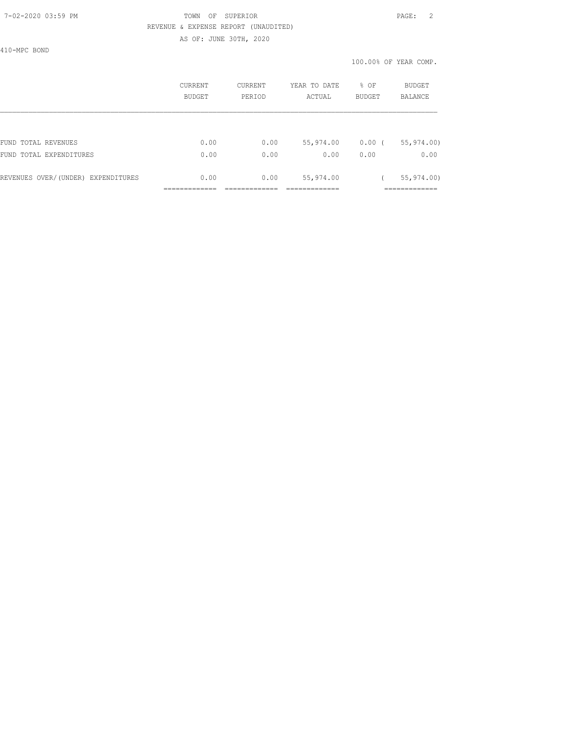### 7-02-2020 03:59 PM TOWN OF SUPERIOR PAGE: 2 REVENUE & EXPENSE REPORT (UNAUDITED)

AS OF: JUNE 30TH, 2020

410-MPC BOND

|                                    | CURRENT<br>BUDGET | CURRENT<br>PERIOD | YEAR TO DATE<br>ACTUAL | % OF<br>BUDGET | <b>BUDGET</b><br><b>BALANCE</b> |
|------------------------------------|-------------------|-------------------|------------------------|----------------|---------------------------------|
|                                    |                   |                   |                        |                |                                 |
| FUND TOTAL REVENUES                | 0.00              | 0.00              | 55,974.00              | $0.00$ (       | 55, 974.00                      |
| FUND TOTAL EXPENDITURES            | 0.00              | 0.00              | 0.00                   | 0.00           | 0.00                            |
| REVENUES OVER/(UNDER) EXPENDITURES | 0.00              | 0.00              | 55,974.00              |                | 55, 974.00                      |
|                                    |                   |                   |                        |                |                                 |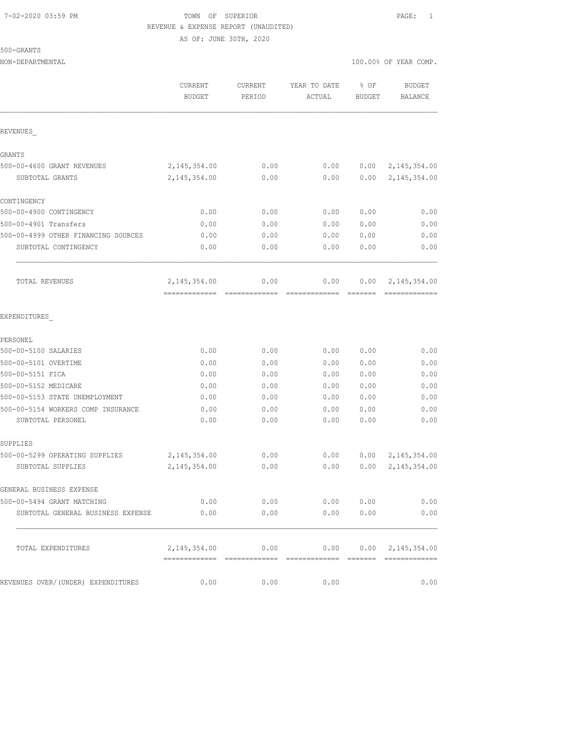## 7-02-2020 03:59 PM TOWN OF SUPERIOR PAGE: 1 REVENUE & EXPENSE REPORT (UNAUDITED) AS OF: JUNE 30TH, 2020

500-GRANTS

| NON-DEPARTMENTAL                    |                                  |                          |                        |                | 100.00% OF YEAR COMP.     |
|-------------------------------------|----------------------------------|--------------------------|------------------------|----------------|---------------------------|
|                                     | ${\tt CURRENT}$<br><b>BUDGET</b> | <b>CURRENT</b><br>PERIOD | YEAR TO DATE<br>ACTUAL | % OF<br>BUDGET | <b>BUDGET</b><br>BALANCE  |
| REVENUES                            |                                  |                          |                        |                |                           |
| GRANTS                              |                                  |                          |                        |                |                           |
| 500-00-4600 GRANT REVENUES          | 2, 145, 354.00                   | 0.00                     | 0.00                   | 0.00           | 2,145,354.00              |
| SUBTOTAL GRANTS                     | 2, 145, 354.00                   | 0.00                     | 0.00                   | 0.00           | 2, 145, 354.00            |
| CONTINGENCY                         |                                  |                          |                        |                |                           |
| 500-00-4900 CONTINGENCY             | 0.00                             | 0.00                     | 0.00                   | 0.00           | 0.00                      |
| 500-00-4901 Transfers               | 0.00                             | 0.00                     | 0.00                   | 0.00           | 0.00                      |
| 500-00-4999 OTHER FINANCING SOURCES | 0.00                             | 0.00                     | 0.00                   | 0.00           | 0.00                      |
| SUBTOTAL CONTINGENCY                | 0.00                             | 0.00                     | 0.00                   | 0.00           | 0.00                      |
| TOTAL REVENUES                      | 2, 145, 354.00                   | 0.00                     | 0.00                   | 0.00           | 2,145,354.00              |
| EXPENDITURES                        |                                  |                          |                        |                |                           |
| PERSONEL                            |                                  |                          |                        |                |                           |
| 500-00-5100 SALARIES                | 0.00                             | 0.00                     | 0.00                   | 0.00           | 0.00                      |
| 500-00-5101 OVERTIME                | 0.00                             | 0.00                     | 0.00                   | 0.00           | 0.00                      |
| 500-00-5151 FICA                    | 0.00                             | 0.00                     | 0.00                   | 0.00           | 0.00                      |
| 500-00-5152 MEDICARE                | 0.00                             | 0.00                     | 0.00                   | 0.00           | 0.00                      |
| 500-00-5153 STATE UNEMPLOYMENT      | 0.00                             | 0.00                     | 0.00                   | 0.00           | 0.00                      |
| 500-00-5154 WORKERS COMP INSURANCE  | 0.00                             | 0.00                     | 0.00                   | 0.00           | 0.00                      |
| SUBTOTAL PERSONEL                   | 0.00                             | 0.00                     | 0.00                   | 0.00           | 0.00                      |
| SUPPLIES                            |                                  |                          |                        |                |                           |
| 500-00-5299 OPERATING SUPPLIES      | 2, 145, 354.00                   | 0.00                     | 0.00                   | 0.00           | 2, 145, 354.00            |
| SUBTOTAL SUPPLIES                   | 2, 145, 354.00                   | 0.00                     | 0.00                   | 0.00           | 2, 145, 354.00            |
| GENERAL BUSINESS EXPENSE            |                                  |                          |                        |                |                           |
| 500-00-5494 GRANT MATCHING          |                                  |                          | $0.00$ 0.00 0.00 0.00  |                | 0.00                      |
| SUBTOTAL GENERAL BUSINESS EXPENSE   | 0.00                             | 0.00                     |                        | 0.00 0.00      | 0.00                      |
| TOTAL EXPENDITURES                  | 2,145,354.00                     | 0.00                     | 0.00                   |                | $0.00 \quad 2,145,354.00$ |
| REVENUES OVER/(UNDER) EXPENDITURES  | 0.00                             | 0.00                     | 0.00                   |                | 0.00                      |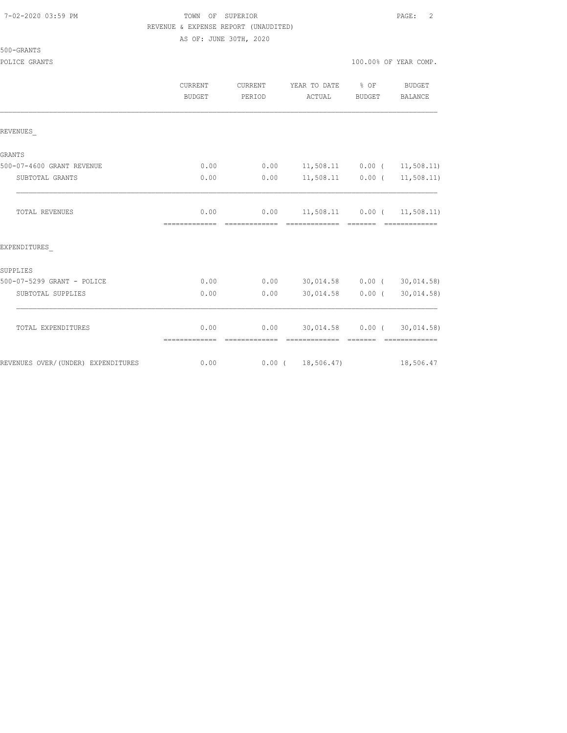### TOWN OF SUPERIOR **PAGE:** 2 REVENUE & EXPENSE REPORT (UNAUDITED)

# 500-GRANTS

POLICE GRANTS

|  |  |  | 100.00% OF YEAR COMP. |  |
|--|--|--|-----------------------|--|
|  |  |  |                       |  |

|                                    | <b>CURRENT</b><br><b>BUDGET</b> | CURRENT<br>PERIOD     | YEAR TO DATE<br>ACTUAL                         | $8$ OF<br><b>BUDGET</b> | <b>BUDGET</b><br>BALANCE         |
|------------------------------------|---------------------------------|-----------------------|------------------------------------------------|-------------------------|----------------------------------|
| REVENUES                           |                                 |                       |                                                |                         |                                  |
| <b>GRANTS</b>                      |                                 |                       |                                                |                         |                                  |
| 500-07-4600 GRANT REVENUE          | 0.00                            | 0.00                  | $11,508.11$ 0.00 ( 11,508.11)                  |                         |                                  |
| SUBTOTAL GRANTS                    | 0.00                            | 0.00                  | $11,508.11$ 0.00 ( 11,508.11)                  |                         |                                  |
| TOTAL REVENUES                     | 0.00<br>=============           | 0.00<br>============= | $11,508.11$ 0.00 ( 11,508.11)<br>============= | <b>CONSIDER</b>         | =============                    |
| EXPENDITURES                       |                                 |                       |                                                |                         |                                  |
| SUPPLIES                           |                                 |                       |                                                |                         |                                  |
| 500-07-5299 GRANT - POLICE         | 0.00                            | 0.00                  | 30,014.58 0.00 (30,014.58)                     |                         |                                  |
| SUBTOTAL SUPPLIES                  | 0.00                            | 0.00                  | 30,014.58 0.00 (                               |                         | 30,014.58)                       |
| TOTAL EXPENDITURES                 | 0.00                            | 0.00<br>============= | 30,014.58 0.00 (<br>============== =======     |                         | 30,014.58)<br><b>CONSECTIONS</b> |
| REVENUES OVER/(UNDER) EXPENDITURES | 0.00                            |                       | 0.00(18,506.47)                                |                         | 18,506.47                        |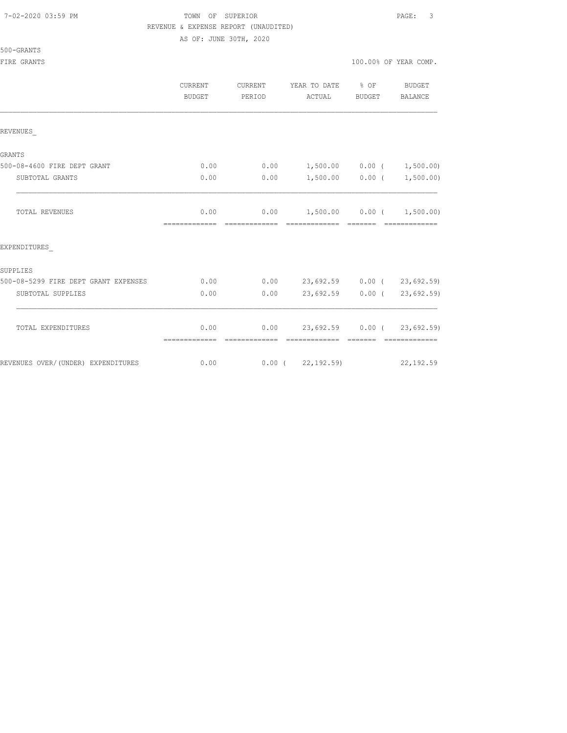#### 7-02-2020 03:59 PM TOWN OF SUPERIOR PAGE: 3 REVENUE & EXPENSE REPORT (UNAUDITED)

AS OF: JUNE 30TH, 2020

### 500-GRANTS

|                                      | CURRENT<br><b>BUDGET</b> | CURRENT<br>PERIOD      | YEAR TO DATE<br>ACTUAL                       | % OF<br>BUDGET    | <b>BUDGET</b><br><b>BALANCE</b> |
|--------------------------------------|--------------------------|------------------------|----------------------------------------------|-------------------|---------------------------------|
| REVENUES                             |                          |                        |                                              |                   |                                 |
| GRANTS                               |                          |                        |                                              |                   |                                 |
| 500-08-4600 FIRE DEPT GRANT          | 0.00                     | 0.00                   | 1,500.00 0.00 (                              |                   | 1,500.00)                       |
| SUBTOTAL GRANTS                      | 0.00                     | 0.00                   |                                              | $1,500.00$ 0.00 ( | 1,500.00)                       |
| <b>TOTAL REVENUES</b>                | 0.00<br>-------------    | 0.00<br>-------------- | $1,500.00$ 0.00 ( 1,500.00)<br>============= |                   |                                 |
| EXPENDITURES                         |                          |                        |                                              |                   |                                 |
| SUPPLIES                             |                          |                        |                                              |                   |                                 |
| 500-08-5299 FIRE DEPT GRANT EXPENSES | 0.00                     | 0.00                   | 23,692.59 0.00 (                             |                   | 23,692.59                       |
| SUBTOTAL SUPPLIES                    | 0.00                     | 0.00                   | 23,692.59                                    | $0.00$ (          | 23,692.59)                      |
| TOTAL EXPENDITURES                   | 0.00<br>=============    | 0.00                   | $23,692.59$ 0.00 (<br>--------------         |                   | 23,692.59)<br>--------------    |
| REVENUES OVER/(UNDER) EXPENDITURES   | 0.00                     |                        | $0.00$ ( 22, 192.59)                         |                   | 22, 192.59                      |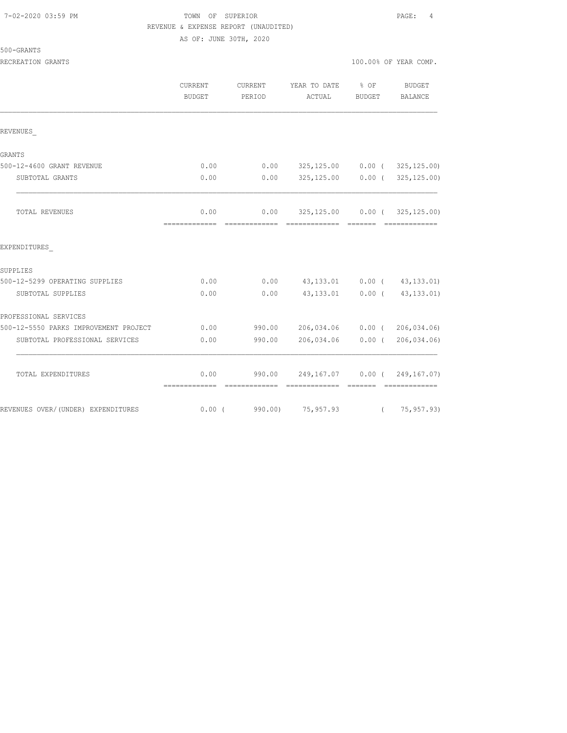|  | 7-02-2020 03:59 PM |  |
|--|--------------------|--|
|  |                    |  |

# TOWN OF SUPERIOR **PAGE:** 4 REVENUE & EXPENSE REPORT (UNAUDITED)

AS OF: JUNE 30TH, 2020

| 500-GRANTS |  |
|------------|--|
|------------|--|

RECREATION GRANTS **100.000 CRANTS** 100.000 OF YEAR COMP.

|                                       | CURRENT<br><b>BUDGET</b> | CURRENT<br>PERIOD                                                                                                                                                                                                                                                                                                                                                                                                                                                                                | YEAR TO DATE<br>ACTUAL                     | $8$ OF<br>BUDGET | BUDGET<br><b>BALANCE</b>                                                                                                                                                                                                                                                                                                                                                                                                                                                                               |
|---------------------------------------|--------------------------|--------------------------------------------------------------------------------------------------------------------------------------------------------------------------------------------------------------------------------------------------------------------------------------------------------------------------------------------------------------------------------------------------------------------------------------------------------------------------------------------------|--------------------------------------------|------------------|--------------------------------------------------------------------------------------------------------------------------------------------------------------------------------------------------------------------------------------------------------------------------------------------------------------------------------------------------------------------------------------------------------------------------------------------------------------------------------------------------------|
| REVENUES                              |                          |                                                                                                                                                                                                                                                                                                                                                                                                                                                                                                  |                                            |                  |                                                                                                                                                                                                                                                                                                                                                                                                                                                                                                        |
| GRANTS                                |                          |                                                                                                                                                                                                                                                                                                                                                                                                                                                                                                  |                                            |                  |                                                                                                                                                                                                                                                                                                                                                                                                                                                                                                        |
| 500-12-4600 GRANT REVENUE             | 0.00                     | 0.00                                                                                                                                                                                                                                                                                                                                                                                                                                                                                             |                                            |                  | 325, 125.00   0.00   (   325, 125.00)                                                                                                                                                                                                                                                                                                                                                                                                                                                                  |
| SUBTOTAL GRANTS                       | 0.00                     | 0.00                                                                                                                                                                                                                                                                                                                                                                                                                                                                                             |                                            |                  | 325,125.00   0.00   (   325,125.00)                                                                                                                                                                                                                                                                                                                                                                                                                                                                    |
| TOTAL REVENUES                        | 0.00<br>=============    | 0.00<br>-------------                                                                                                                                                                                                                                                                                                                                                                                                                                                                            | 325,125.00   0.00   (   325,125.00)        |                  | --------------                                                                                                                                                                                                                                                                                                                                                                                                                                                                                         |
| EXPENDITURES                          |                          |                                                                                                                                                                                                                                                                                                                                                                                                                                                                                                  |                                            |                  |                                                                                                                                                                                                                                                                                                                                                                                                                                                                                                        |
| SUPPLIES                              |                          |                                                                                                                                                                                                                                                                                                                                                                                                                                                                                                  |                                            |                  |                                                                                                                                                                                                                                                                                                                                                                                                                                                                                                        |
| 500-12-5299 OPERATING SUPPLIES        | 0.00                     | 0.00                                                                                                                                                                                                                                                                                                                                                                                                                                                                                             | 43, 133.01 0.00 (43, 133.01)               |                  |                                                                                                                                                                                                                                                                                                                                                                                                                                                                                                        |
| SUBTOTAL SUPPLIES                     | 0.00                     | 0.00                                                                                                                                                                                                                                                                                                                                                                                                                                                                                             | 43,133.01 0.00 (43,133.01)                 |                  |                                                                                                                                                                                                                                                                                                                                                                                                                                                                                                        |
| PROFESSIONAL SERVICES                 |                          |                                                                                                                                                                                                                                                                                                                                                                                                                                                                                                  |                                            |                  |                                                                                                                                                                                                                                                                                                                                                                                                                                                                                                        |
| 500-12-5550 PARKS IMPROVEMENT PROJECT | 0.00                     | 990.00                                                                                                                                                                                                                                                                                                                                                                                                                                                                                           | 206,034.06  0.00  ( 206,034.06)            |                  |                                                                                                                                                                                                                                                                                                                                                                                                                                                                                                        |
| SUBTOTAL PROFESSIONAL SERVICES        | 0.00                     | 990.00                                                                                                                                                                                                                                                                                                                                                                                                                                                                                           | 206,034.06                                 |                  | $0.00$ ( 206,034.06)                                                                                                                                                                                                                                                                                                                                                                                                                                                                                   |
| TOTAL EXPENDITURES                    | 0.00<br>=============    | 990.00<br>$\begin{array}{cccccccccccccc} \multicolumn{2}{c}{} & \multicolumn{2}{c}{} & \multicolumn{2}{c}{} & \multicolumn{2}{c}{} & \multicolumn{2}{c}{} & \multicolumn{2}{c}{} & \multicolumn{2}{c}{} & \multicolumn{2}{c}{} & \multicolumn{2}{c}{} & \multicolumn{2}{c}{} & \multicolumn{2}{c}{} & \multicolumn{2}{c}{} & \multicolumn{2}{c}{} & \multicolumn{2}{c}{} & \multicolumn{2}{c}{} & \multicolumn{2}{c}{} & \multicolumn{2}{c}{} & \multicolumn{2}{c}{} & \multicolumn{2}{c}{} & \$ | 249,167.07 0.00 (<br>-------------- ------ |                  | 249, 167.07)<br>$\begin{array}{cccccccccccccc} \multicolumn{2}{c}{} & \multicolumn{2}{c}{} & \multicolumn{2}{c}{} & \multicolumn{2}{c}{} & \multicolumn{2}{c}{} & \multicolumn{2}{c}{} & \multicolumn{2}{c}{} & \multicolumn{2}{c}{} & \multicolumn{2}{c}{} & \multicolumn{2}{c}{} & \multicolumn{2}{c}{} & \multicolumn{2}{c}{} & \multicolumn{2}{c}{} & \multicolumn{2}{c}{} & \multicolumn{2}{c}{} & \multicolumn{2}{c}{} & \multicolumn{2}{c}{} & \multicolumn{2}{c}{} & \multicolumn{2}{c}{} & \$ |

REVENUES OVER/(UNDER) EXPENDITURES 6.00 (990.00) 75,957.93 (75,957.93)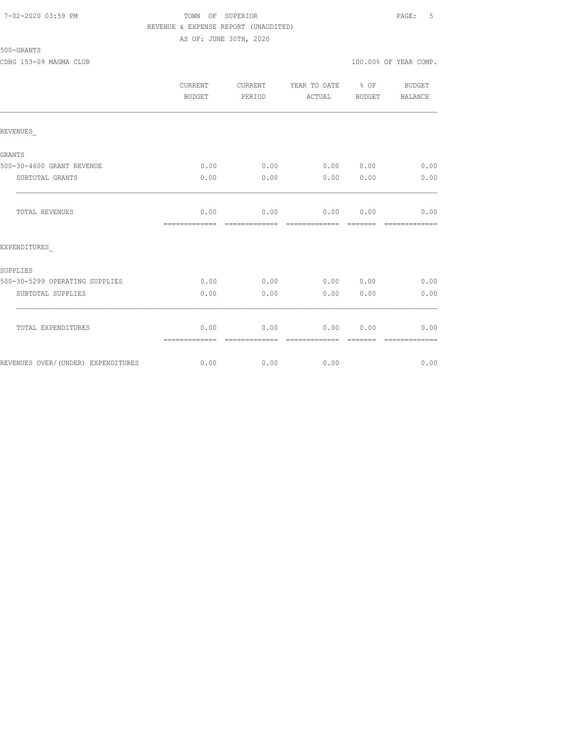### 7-02-2020 03:59 PM TOWN OF SUPERIOR PAGE: 5 REVENUE & EXPENSE REPORT (UNAUDITED) AS OF: JUNE 30TH, 2020

# 500-GRANTS

|                                    | <b>CURRENT</b><br>BUDGET | CURRENT<br>PERIOD     | YEAR TO DATE % OF<br>ACTUAL | BUDGET | BUDGET<br>BALANCE |
|------------------------------------|--------------------------|-----------------------|-----------------------------|--------|-------------------|
| REVENUES                           |                          |                       |                             |        |                   |
| <b>GRANTS</b>                      |                          |                       |                             |        |                   |
| 500-30-4600 GRANT REVENUE          | 0.00                     | 0.00                  | 0.00 0.00                   |        | 0.00              |
| SUBTOTAL GRANTS                    | 0.00                     | 0.00                  | 0.00                        | 0.00   | 0.00              |
| TOTAL REVENUES                     | 0.00<br>=============    | 0.00                  | 0.00 0.00<br>=============  |        | 0.00              |
| EXPENDITURES                       |                          |                       |                             |        |                   |
| SUPPLIES                           |                          |                       |                             |        |                   |
| 500-30-5299 OPERATING SUPPLIES     | 0.00                     | 0.00                  | 0.00 0.00                   |        | 0.00              |
| SUBTOTAL SUPPLIES                  | 0.00                     | 0.00                  | 0.00                        | 0.00   | 0.00              |
| TOTAL EXPENDITURES                 | 0.00<br>=============    | 0.00<br>------------- | 0.00<br>-------------       | 0.00   | 0.00              |
| REVENUES OVER/(UNDER) EXPENDITURES | 0.00                     | 0.00                  | 0.00                        |        | 0.00              |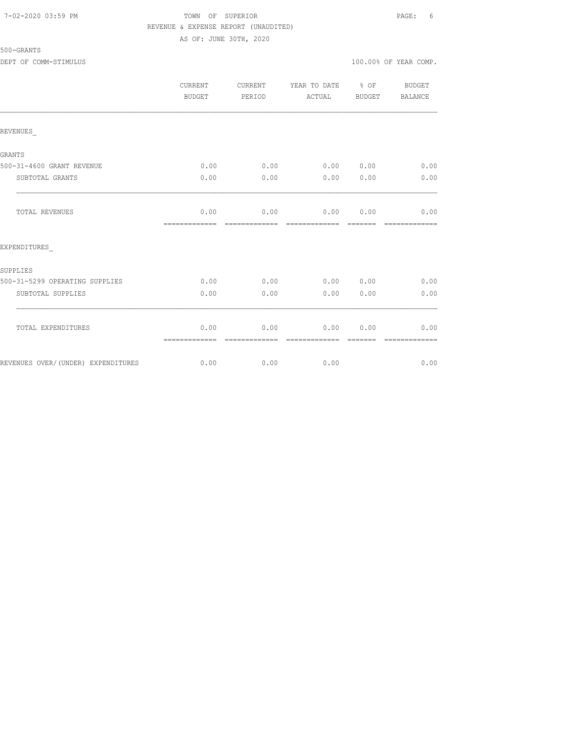## 7-02-2020 03:59 PM TOWN OF SUPERIOR PAGE: 6 REVENUE & EXPENSE REPORT (UNAUDITED)

500-GRANTS

AS OF: JUNE 30TH, 2020

#### DEPT OF COMM-STIMULUS  $100.00\%$  OF YEAR COMP.

|                                    | CURRENT<br><b>BUDGET</b> | <b>CURRENT</b><br>PERIOD | YEAR TO DATE % OF<br>ACTUAL | BUDGET           | BUDGET<br><b>BALANCE</b> |
|------------------------------------|--------------------------|--------------------------|-----------------------------|------------------|--------------------------|
| REVENUES                           |                          |                          |                             |                  |                          |
| GRANTS                             |                          |                          |                             |                  |                          |
| 500-31-4600 GRANT REVENUE          | 0.00                     | 0.00                     | 0.000000                    |                  | 0.00                     |
| SUBTOTAL GRANTS                    | 0.00                     | 0.00                     | 0.00                        | 0.00             | 0.00                     |
| TOTAL REVENUES                     | 0.00<br>=============    | 0.00<br>=============    | 0.00 0.00<br>=============  | =======          | 0.00<br>=============    |
| EXPENDITURES                       |                          |                          |                             |                  |                          |
| SUPPLIES                           |                          |                          |                             |                  |                          |
| 500-31-5299 OPERATING SUPPLIES     | 0.00                     | 0.00                     | 0.00 0.00                   |                  | 0.00                     |
| SUBTOTAL SUPPLIES                  | 0.00                     | 0.00                     | 0.00                        | 0.00             | 0.00                     |
| TOTAL EXPENDITURES                 | 0.00<br>=============    | 0.00<br>-------------    | 0.00<br>--------------      | 0.00<br>-------- | 0.00<br>=============    |
| REVENUES OVER/(UNDER) EXPENDITURES | 0.00                     | 0.00                     | 0.00                        |                  | 0.00                     |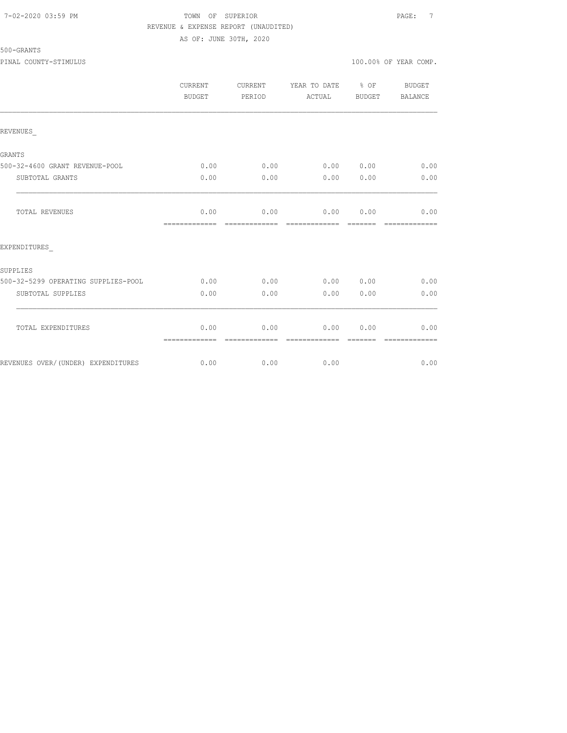### 7-02-2020 03:59 PM TOWN OF SUPERIOR PAGE: 7 REVENUE & EXPENSE REPORT (UNAUDITED) AS OF: JUNE 30TH, 2020

|                                     | CURRENT<br>BUDGET     | CURRENT<br>PERIOD     | YEAR TO DATE % OF<br>ACTUAL | BUDGET          | BUDGET<br>BALANCE     |
|-------------------------------------|-----------------------|-----------------------|-----------------------------|-----------------|-----------------------|
| REVENUES                            |                       |                       |                             |                 |                       |
| GRANTS                              |                       |                       |                             |                 |                       |
| 500-32-4600 GRANT REVENUE-POOL      | 0.00                  | 0.00                  | 0.00 0.00                   |                 | 0.00                  |
| SUBTOTAL GRANTS                     | 0.00                  | 0.00                  | 0.00                        | 0.00            | 0.00                  |
| <b>TOTAL REVENUES</b>               | 0.00<br>============= | 0.00<br>============= | 0.00<br>=============       | 0.00<br>------- | 0.00<br>============= |
| EXPENDITURES                        |                       |                       |                             |                 |                       |
| SUPPLIES                            |                       |                       |                             |                 |                       |
| 500-32-5299 OPERATING SUPPLIES-POOL | 0.00                  | 0.00                  | 0.00 0.00                   |                 | 0.00                  |
| SUBTOTAL SUPPLIES                   | 0.00                  | 0.00                  | 0.00                        | 0.00            | 0.00                  |
| TOTAL EXPENDITURES                  | 0.00<br>============= | 0.00                  | 0.00                        | 0.00            | 0.00                  |
| REVENUES OVER/(UNDER) EXPENDITURES  | 0.00                  | 0.00                  | 0.00                        |                 | 0.00                  |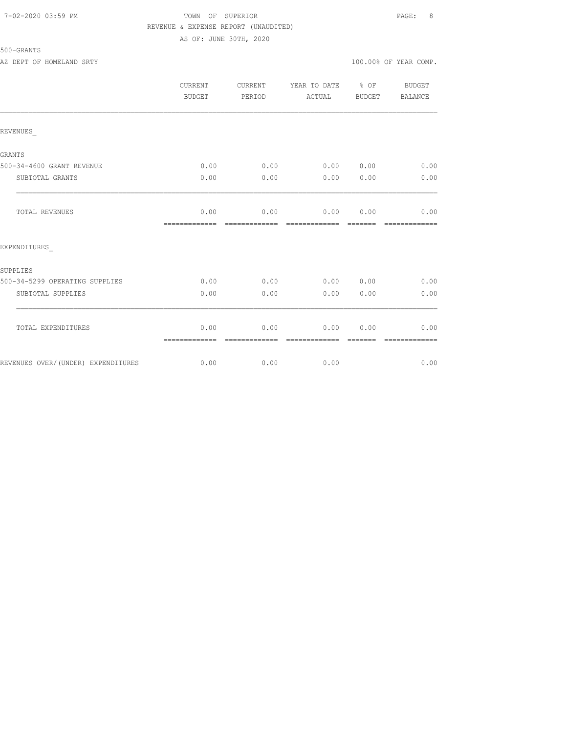## 7-02-2020 03:59 PM TOWN OF SUPERIOR PAGE: 8 REVENUE & EXPENSE REPORT (UNAUDITED) AS OF: JUNE 30TH, 2020

|                                    | CURRENT<br>BUDGET     | CURRENT<br>PERIOD     | YEAR TO DATE % OF<br>ACTUAL | BUDGET                                                                                                                                                                                                                                                                                                                                                                                                                                                                                 | <b>BUDGET</b><br><b>BALANCE</b> |
|------------------------------------|-----------------------|-----------------------|-----------------------------|----------------------------------------------------------------------------------------------------------------------------------------------------------------------------------------------------------------------------------------------------------------------------------------------------------------------------------------------------------------------------------------------------------------------------------------------------------------------------------------|---------------------------------|
| REVENUES                           |                       |                       |                             |                                                                                                                                                                                                                                                                                                                                                                                                                                                                                        |                                 |
| <b>GRANTS</b>                      |                       |                       |                             |                                                                                                                                                                                                                                                                                                                                                                                                                                                                                        |                                 |
| 500-34-4600 GRANT REVENUE          | 0.00                  | 0.00                  | 0.00 0.00                   |                                                                                                                                                                                                                                                                                                                                                                                                                                                                                        | 0.00                            |
| SUBTOTAL GRANTS                    | 0.00                  | 0.00                  | 0.00                        | 0.00                                                                                                                                                                                                                                                                                                                                                                                                                                                                                   | 0.00                            |
| TOTAL REVENUES                     | 0.00<br>============= | 0.00<br>============= | 0.00 0.00<br>=============  | $\begin{array}{cccccccccc} \multicolumn{2}{c}{} & \multicolumn{2}{c}{} & \multicolumn{2}{c}{} & \multicolumn{2}{c}{} & \multicolumn{2}{c}{} & \multicolumn{2}{c}{} & \multicolumn{2}{c}{} & \multicolumn{2}{c}{} & \multicolumn{2}{c}{} & \multicolumn{2}{c}{} & \multicolumn{2}{c}{} & \multicolumn{2}{c}{} & \multicolumn{2}{c}{} & \multicolumn{2}{c}{} & \multicolumn{2}{c}{} & \multicolumn{2}{c}{} & \multicolumn{2}{c}{} & \multicolumn{2}{c}{} & \multicolumn{2}{c}{} & \mult$ | 0.00<br>=============           |
| EXPENDITURES                       |                       |                       |                             |                                                                                                                                                                                                                                                                                                                                                                                                                                                                                        |                                 |
| SUPPLIES                           |                       |                       |                             |                                                                                                                                                                                                                                                                                                                                                                                                                                                                                        |                                 |
| 500-34-5299 OPERATING SUPPLIES     | 0.00                  | 0.00                  | 0.00 0.00                   |                                                                                                                                                                                                                                                                                                                                                                                                                                                                                        | 0.00                            |
| SUBTOTAL SUPPLIES                  | 0.00                  | 0.00                  | 0.00                        | 0.00                                                                                                                                                                                                                                                                                                                                                                                                                                                                                   | 0.00                            |
| TOTAL EXPENDITURES                 | 0.00<br>============= | 0.00                  | 0.00<br>=============       | 0.00                                                                                                                                                                                                                                                                                                                                                                                                                                                                                   | 0.00                            |
| REVENUES OVER/(UNDER) EXPENDITURES | 0.00                  | 0.00                  | 0.00                        |                                                                                                                                                                                                                                                                                                                                                                                                                                                                                        | 0.00                            |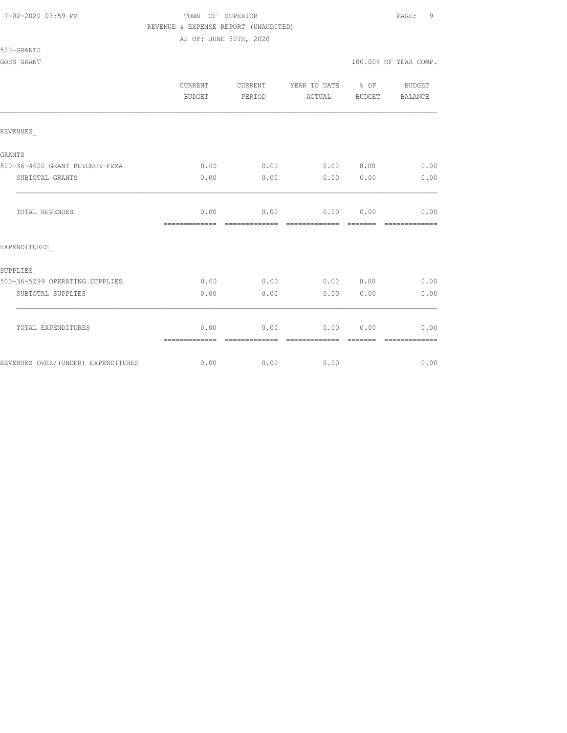#### 7-02-2020 03:59 PM TOWN OF SUPERIOR PAGE: 9 REVENUE & EXPENSE REPORT (UNAUDITED)

AS OF: JUNE 30TH, 2020

|                                    | CURRENT<br><b>BUDGET</b> | <b>CURRENT</b><br>PERIOD | YEAR TO DATE % OF<br>ACTUAL | BUDGET | BUDGET<br>BALANCE     |
|------------------------------------|--------------------------|--------------------------|-----------------------------|--------|-----------------------|
| REVENUES                           |                          |                          |                             |        |                       |
| GRANTS                             |                          |                          |                             |        |                       |
| 500-36-4600 GRANT REVENUE-FEMA     | 0.00                     | 0.00                     | $0.00$ $0.00$ $0.00$ $0.00$ |        |                       |
| SUBTOTAL GRANTS                    | 0.00                     | 0.00                     | 0.00                        | 0.00   | 0.00                  |
| TOTAL REVENUES                     | 0.00<br>=============    | 0.00<br>-------------    | $0.00$ 0.00                 |        | 0.00<br>------------- |
| EXPENDITURES                       |                          |                          |                             |        |                       |
| SUPPLIES                           |                          |                          |                             |        |                       |
| 500-36-5299 OPERATING SUPPLIES     | 0.00                     | 0.00                     | 0.00 0.00                   |        | 0.00                  |
| SUBTOTAL SUPPLIES                  | 0.00                     | 0.00                     | 0.00                        | 0.00   | 0.00                  |
| TOTAL EXPENDITURES                 | 0.00<br>=============    | 0.00                     | 0.00                        | 0.00   | 0.00<br>------------- |
| REVENUES OVER/(UNDER) EXPENDITURES | 0.00                     | 0.00                     | 0.00                        |        | 0.00                  |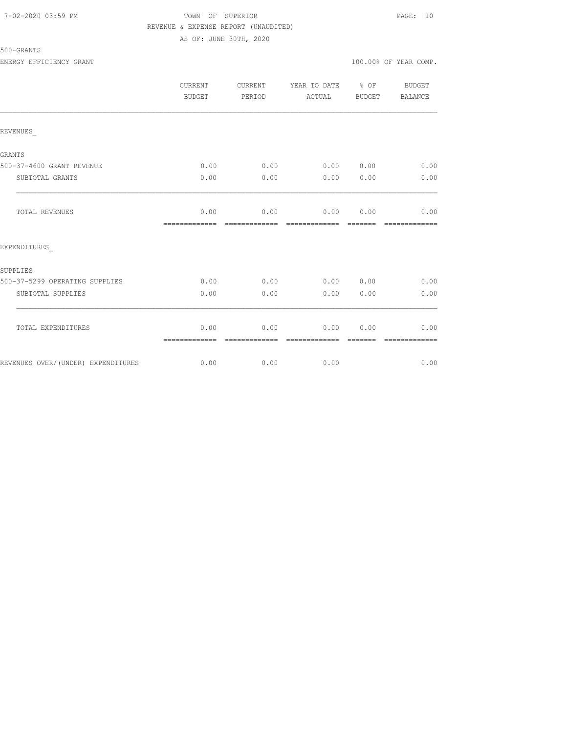## 7-02-2020 03:59 PM TOWN OF SUPERIOR PAGE: 10 REVENUE & EXPENSE REPORT (UNAUDITED) AS OF: JUNE 30TH, 2020

| <b>ENERGY</b><br>. | $\blacksquare$<br>TCIENCY<br>- FC FC FC 1-0 C 1-1 | GRANT | .00% OF YEAR COMP<br>100. |  | UUIL. |  |
|--------------------|---------------------------------------------------|-------|---------------------------|--|-------|--|
|                    |                                                   |       |                           |  |       |  |

|                                    | CURRENT<br>BUDGET     | CURRENT<br>PERIOD     | YEAR TO DATE % OF<br>ACTUAL | BUDGET                                                                                                                                                                                                                                                                                                                                                                                                                                                                                         | BUDGET<br>BALANCE                                                                                                                                                                                                                                                                                                                                                                                                                                                                              |
|------------------------------------|-----------------------|-----------------------|-----------------------------|------------------------------------------------------------------------------------------------------------------------------------------------------------------------------------------------------------------------------------------------------------------------------------------------------------------------------------------------------------------------------------------------------------------------------------------------------------------------------------------------|------------------------------------------------------------------------------------------------------------------------------------------------------------------------------------------------------------------------------------------------------------------------------------------------------------------------------------------------------------------------------------------------------------------------------------------------------------------------------------------------|
| REVENUES                           |                       |                       |                             |                                                                                                                                                                                                                                                                                                                                                                                                                                                                                                |                                                                                                                                                                                                                                                                                                                                                                                                                                                                                                |
| GRANTS                             |                       |                       |                             |                                                                                                                                                                                                                                                                                                                                                                                                                                                                                                |                                                                                                                                                                                                                                                                                                                                                                                                                                                                                                |
| 500-37-4600 GRANT REVENUE          | 0.00                  | 0.00                  | 0.00 0.00                   |                                                                                                                                                                                                                                                                                                                                                                                                                                                                                                | 0.00                                                                                                                                                                                                                                                                                                                                                                                                                                                                                           |
| SUBTOTAL GRANTS                    | 0.00                  | 0.00                  | 0.00                        | 0.00                                                                                                                                                                                                                                                                                                                                                                                                                                                                                           | 0.00                                                                                                                                                                                                                                                                                                                                                                                                                                                                                           |
| TOTAL REVENUES                     | 0.00<br>============= |                       | $0.00$ 0.00                 | 0.00                                                                                                                                                                                                                                                                                                                                                                                                                                                                                           | 0.00<br>$\begin{array}{cccccccccc} \multicolumn{2}{c}{} & \multicolumn{2}{c}{} & \multicolumn{2}{c}{} & \multicolumn{2}{c}{} & \multicolumn{2}{c}{} & \multicolumn{2}{c}{} & \multicolumn{2}{c}{} & \multicolumn{2}{c}{} & \multicolumn{2}{c}{} & \multicolumn{2}{c}{} & \multicolumn{2}{c}{} & \multicolumn{2}{c}{} & \multicolumn{2}{c}{} & \multicolumn{2}{c}{} & \multicolumn{2}{c}{} & \multicolumn{2}{c}{} & \multicolumn{2}{c}{} & \multicolumn{2}{c}{} & \multicolumn{2}{c}{} & \mult$ |
| EXPENDITURES                       |                       |                       |                             |                                                                                                                                                                                                                                                                                                                                                                                                                                                                                                |                                                                                                                                                                                                                                                                                                                                                                                                                                                                                                |
| SUPPLIES                           |                       |                       |                             |                                                                                                                                                                                                                                                                                                                                                                                                                                                                                                |                                                                                                                                                                                                                                                                                                                                                                                                                                                                                                |
| 500-37-5299 OPERATING SUPPLIES     | 0.00                  | 0.00                  | 0.00 0.00                   |                                                                                                                                                                                                                                                                                                                                                                                                                                                                                                | 0.00                                                                                                                                                                                                                                                                                                                                                                                                                                                                                           |
| SUBTOTAL SUPPLIES                  | 0.00                  | 0.00                  | 0.00                        | 0.00                                                                                                                                                                                                                                                                                                                                                                                                                                                                                           | 0.00                                                                                                                                                                                                                                                                                                                                                                                                                                                                                           |
| TOTAL EXPENDITURES                 | 0.00<br>============= | 0.00<br>============= | 0.00<br>=============       | 0.00<br>$\begin{array}{cccccccccc} \multicolumn{2}{c}{} & \multicolumn{2}{c}{} & \multicolumn{2}{c}{} & \multicolumn{2}{c}{} & \multicolumn{2}{c}{} & \multicolumn{2}{c}{} & \multicolumn{2}{c}{} & \multicolumn{2}{c}{} & \multicolumn{2}{c}{} & \multicolumn{2}{c}{} & \multicolumn{2}{c}{} & \multicolumn{2}{c}{} & \multicolumn{2}{c}{} & \multicolumn{2}{c}{} & \multicolumn{2}{c}{} & \multicolumn{2}{c}{} & \multicolumn{2}{c}{} & \multicolumn{2}{c}{} & \multicolumn{2}{c}{} & \mult$ | 0.00<br>=============                                                                                                                                                                                                                                                                                                                                                                                                                                                                          |
| REVENUES OVER/(UNDER) EXPENDITURES | 0.00                  | 0.00                  | 0.00                        |                                                                                                                                                                                                                                                                                                                                                                                                                                                                                                | 0.00                                                                                                                                                                                                                                                                                                                                                                                                                                                                                           |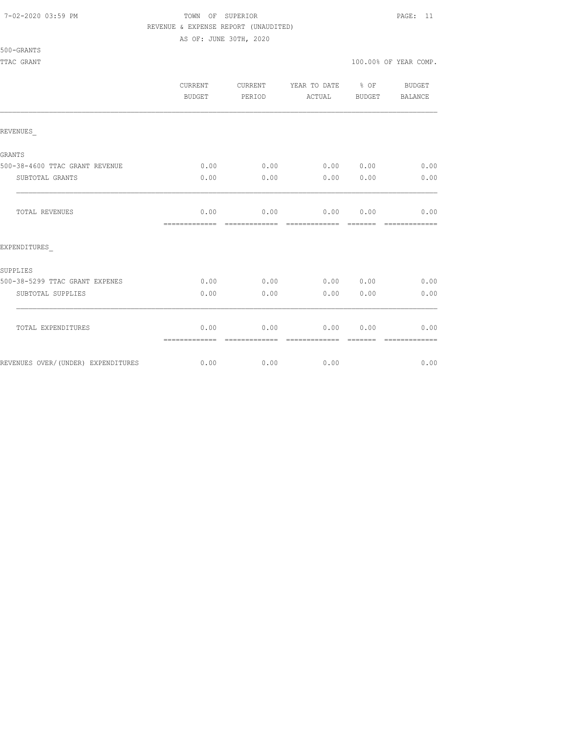#### 7-02-2020 03:59 PM TOWN OF SUPERIOR PAGE: 11 REVENUE & EXPENSE REPORT (UNAUDITED)

AS OF: JUNE 30TH, 2020

|                                    | <b>CURRENT</b><br><b>BUDGET</b> | CURRENT<br>PERIOD     | YEAR TO DATE % OF<br>ACTUAL                                                                                                                                                                                                                                                                                                                                                                                                                                                                         | BUDGET           | <b>BUDGET</b><br>BALANCE |
|------------------------------------|---------------------------------|-----------------------|-----------------------------------------------------------------------------------------------------------------------------------------------------------------------------------------------------------------------------------------------------------------------------------------------------------------------------------------------------------------------------------------------------------------------------------------------------------------------------------------------------|------------------|--------------------------|
| REVENUES                           |                                 |                       |                                                                                                                                                                                                                                                                                                                                                                                                                                                                                                     |                  |                          |
|                                    |                                 |                       |                                                                                                                                                                                                                                                                                                                                                                                                                                                                                                     |                  |                          |
| GRANTS                             |                                 |                       |                                                                                                                                                                                                                                                                                                                                                                                                                                                                                                     |                  |                          |
| 500-38-4600 TTAC GRANT REVENUE     | 0.00                            | 0.00                  | 0.00 0.00                                                                                                                                                                                                                                                                                                                                                                                                                                                                                           |                  | 0.00                     |
| SUBTOTAL GRANTS                    | 0.00                            | 0.00                  | 0.00                                                                                                                                                                                                                                                                                                                                                                                                                                                                                                | 0.00             | 0.00                     |
| TOTAL REVENUES                     | 0.00<br>-------------           | 0.00<br>============= | 0.00 0.00<br>$\begin{array}{cccccccccc} \multicolumn{2}{c}{} & \multicolumn{2}{c}{} & \multicolumn{2}{c}{} & \multicolumn{2}{c}{} & \multicolumn{2}{c}{} & \multicolumn{2}{c}{} & \multicolumn{2}{c}{} & \multicolumn{2}{c}{} & \multicolumn{2}{c}{} & \multicolumn{2}{c}{} & \multicolumn{2}{c}{} & \multicolumn{2}{c}{} & \multicolumn{2}{c}{} & \multicolumn{2}{c}{} & \multicolumn{2}{c}{} & \multicolumn{2}{c}{} & \multicolumn{2}{c}{} & \multicolumn{2}{c}{} & \multicolumn{2}{c}{} & \mult$ | --------         | 0.00<br>=============    |
| EXPENDITURES                       |                                 |                       |                                                                                                                                                                                                                                                                                                                                                                                                                                                                                                     |                  |                          |
| SUPPLIES                           |                                 |                       |                                                                                                                                                                                                                                                                                                                                                                                                                                                                                                     |                  |                          |
| 500-38-5299 TTAC GRANT EXPENES     | 0.00                            | 0.00                  | 0.00 0.00                                                                                                                                                                                                                                                                                                                                                                                                                                                                                           |                  | 0.00                     |
| SUBTOTAL SUPPLIES                  | 0.00                            | 0.00                  | 0.00                                                                                                                                                                                                                                                                                                                                                                                                                                                                                                | 0.00             | 0.00                     |
|                                    |                                 |                       |                                                                                                                                                                                                                                                                                                                                                                                                                                                                                                     |                  |                          |
| TOTAL EXPENDITURES                 | 0.00<br>=============           | 0.00<br>------------- | 0.00<br>-------------                                                                                                                                                                                                                                                                                                                                                                                                                                                                               | 0.00<br>-------- | 0.00<br>-------------    |
| REVENUES OVER/(UNDER) EXPENDITURES | 0.00                            | 0.00                  | 0.00                                                                                                                                                                                                                                                                                                                                                                                                                                                                                                |                  | 0.00                     |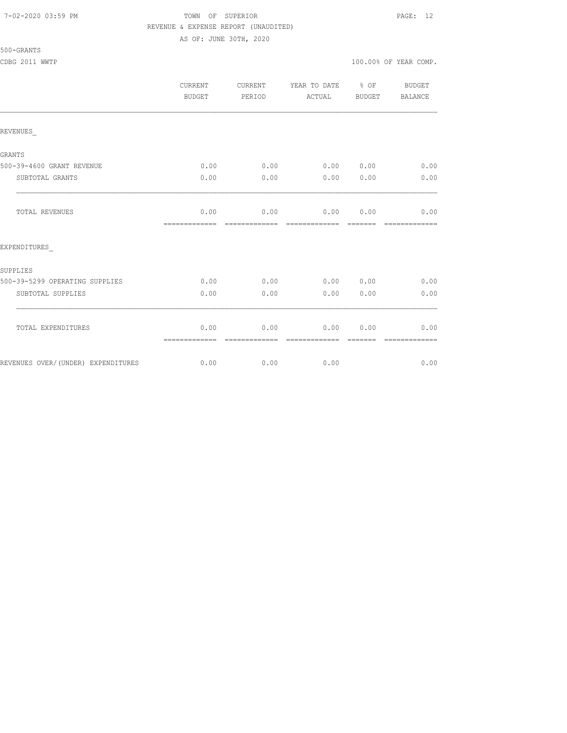#### 7-02-2020 03:59 PM TOWN OF SUPERIOR PAGE: 12 REVENUE & EXPENSE REPORT (UNAUDITED) AS OF: JUNE 30TH, 2020

|                                    | <b>CURRENT</b><br>BUDGET | <b>CURRENT</b><br>PERIOD | YEAR TO DATE % OF<br>ACTUAL | BUDGET | BUDGET<br>BALANCE     |
|------------------------------------|--------------------------|--------------------------|-----------------------------|--------|-----------------------|
| REVENUES                           |                          |                          |                             |        |                       |
| GRANTS                             |                          |                          |                             |        |                       |
| 500-39-4600 GRANT REVENUE          | 0.00                     | 0.00                     | $0.00$ $0.00$ $0.00$        |        |                       |
| SUBTOTAL GRANTS                    | 0.00                     | 0.00                     | 0.00                        | 0.00   | 0.00                  |
| TOTAL REVENUES                     | 0.00<br>=============    | 0.00<br>-------------    | 0.00<br>--------------      | 0.00   | 0.00<br>============= |
| EXPENDITURES                       |                          |                          |                             |        |                       |
| SUPPLIES                           |                          |                          |                             |        |                       |
| 500-39-5299 OPERATING SUPPLIES     | 0.00                     | 0.00                     | 0.00 0.00                   |        | 0.00                  |
| SUBTOTAL SUPPLIES                  | 0.00                     | 0.00                     | 0.00                        | 0.00   | 0.00                  |
| TOTAL EXPENDITURES                 | 0.00<br>=============    | 0.00                     | 0.00                        | 0.00   | 0.00<br>------------- |
| REVENUES OVER/(UNDER) EXPENDITURES | 0.00                     | 0.00                     | 0.00                        |        | 0.00                  |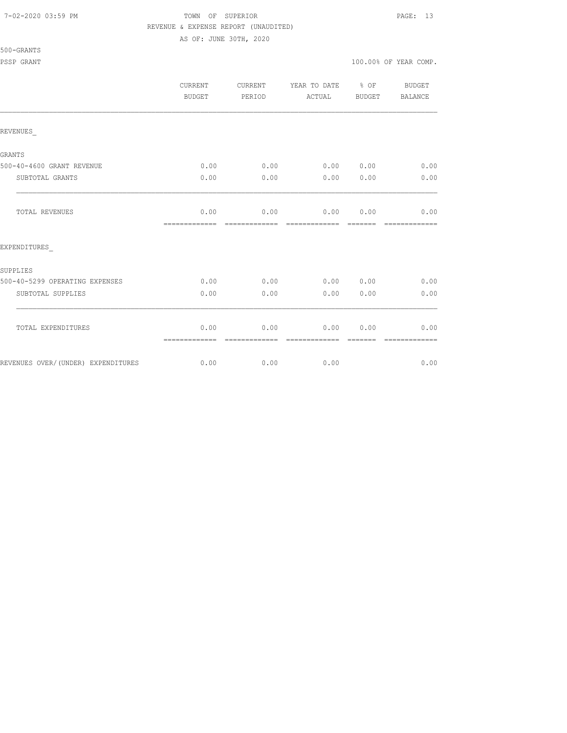#### 7-02-2020 03:59 PM TOWN OF SUPERIOR PAGE: 13 REVENUE & EXPENSE REPORT (UNAUDITED)

AS OF: JUNE 30TH, 2020

|                                    | CURRENT<br>BUDGET     | CURRENT<br>PERIOD     | YEAR TO DATE % OF<br>ACTUAL | BUDGET          | BUDGET<br>BALANCE     |
|------------------------------------|-----------------------|-----------------------|-----------------------------|-----------------|-----------------------|
| REVENUES                           |                       |                       |                             |                 |                       |
| GRANTS                             |                       |                       |                             |                 |                       |
| 500-40-4600 GRANT REVENUE          | 0.00                  | 0.00                  | 0.00 0.00                   |                 | 0.00                  |
| SUBTOTAL GRANTS                    | 0.00                  | 0.00                  | 0.00                        | 0.00            | 0.00                  |
| TOTAL REVENUES                     | 0.00<br>============= | 0.00                  | 0.00 0.00                   |                 | 0.00<br>============= |
| EXPENDITURES                       |                       |                       |                             |                 |                       |
| SUPPLIES                           |                       |                       |                             |                 |                       |
| 500-40-5299 OPERATING EXPENSES     | 0.00                  | 0.00                  | 0.00 0.00                   |                 | 0.00                  |
| SUBTOTAL SUPPLIES                  | 0.00                  | 0.00                  | 0.00                        | 0.00            | 0.00                  |
| TOTAL EXPENDITURES                 | 0.00<br>============= | 0.00<br>============= | 0.00<br>-------------       | 0.00<br>------- | 0.00<br>============= |
| REVENUES OVER/(UNDER) EXPENDITURES | 0.00                  | 0.00                  | 0.00                        |                 | 0.00                  |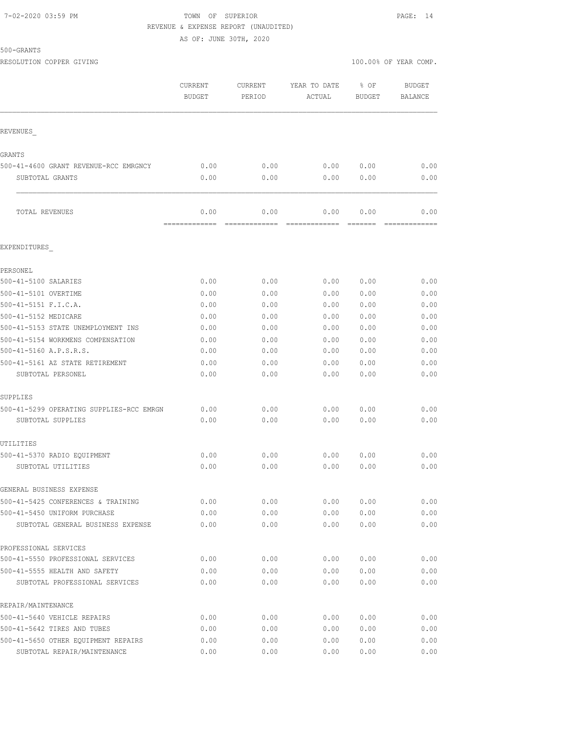#### 7-02-2020 03:59 PM TOWN OF SUPERIOR PAGE: 14 REVENUE & EXPENSE REPORT (UNAUDITED)

AS OF: JUNE 30TH, 2020

500-GRANTS

RESOLUTION COPPER GIVING  $100.00\%$  OF YEAR COMP.

|                                                                   | CURRENT<br><b>BUDGET</b> | <b>CURRENT</b><br>PERIOD | YEAR TO DATE<br>ACTUAL | % OF<br><b>BUDGET</b> | <b>BUDGET</b><br><b>BALANCE</b> |
|-------------------------------------------------------------------|--------------------------|--------------------------|------------------------|-----------------------|---------------------------------|
| REVENUES                                                          |                          |                          |                        |                       |                                 |
| <b>GRANTS</b>                                                     |                          |                          |                        |                       |                                 |
| 500-41-4600 GRANT REVENUE-RCC EMRGNCY                             | 0.00                     | 0.00                     | 0.00                   | 0.00                  | 0.00                            |
| SUBTOTAL GRANTS                                                   | 0.00                     | 0.00                     | 0.00                   | 0.00                  | 0.00                            |
| TOTAL REVENUES                                                    | 0.00<br>=============    | 0.00<br>=============    | 0.00<br>=============  | 0.00                  | 0.00                            |
| EXPENDITURES                                                      |                          |                          |                        |                       |                                 |
| PERSONEL                                                          |                          |                          |                        |                       |                                 |
| 500-41-5100 SALARIES                                              | 0.00                     | 0.00                     | 0.00                   | 0.00                  | 0.00                            |
| 500-41-5101 OVERTIME                                              | 0.00                     | 0.00                     | 0.00                   | 0.00                  | 0.00                            |
| 500-41-5151 F.I.C.A.                                              | 0.00                     | 0.00                     | 0.00                   | 0.00                  | 0.00                            |
| 500-41-5152 MEDICARE                                              | 0.00                     | 0.00                     | 0.00                   | 0.00                  | 0.00                            |
| 500-41-5153 STATE UNEMPLOYMENT INS                                | 0.00                     | 0.00                     | 0.00                   | 0.00                  | 0.00                            |
| 500-41-5154 WORKMENS COMPENSATION                                 | 0.00                     | 0.00                     | 0.00                   | 0.00                  | 0.00                            |
| 500-41-5160 A.P.S.R.S.                                            | 0.00                     | 0.00                     | 0.00                   | 0.00                  | 0.00                            |
| 500-41-5161 AZ STATE RETIREMENT                                   | 0.00                     | 0.00                     | 0.00                   | 0.00                  | 0.00                            |
| SUBTOTAL PERSONEL                                                 | 0.00                     | 0.00                     | 0.00                   | 0.00                  | 0.00                            |
| SUPPLIES                                                          |                          |                          |                        |                       |                                 |
| 500-41-5299 OPERATING SUPPLIES-RCC EMRGN                          | 0.00                     | 0.00                     | 0.00                   | 0.00                  | 0.00                            |
| SUBTOTAL SUPPLIES                                                 | 0.00                     | 0.00                     | 0.00                   | 0.00                  | 0.00                            |
| UTILITIES                                                         |                          |                          |                        |                       |                                 |
| 500-41-5370 RADIO EQUIPMENT                                       | 0.00                     | 0.00                     | 0.00                   | 0.00                  | 0.00                            |
| SUBTOTAL UTILITIES                                                | 0.00                     | 0.00                     | 0.00                   | 0.00                  | 0.00                            |
| GENERAL BUSINESS EXPENSE                                          |                          |                          |                        |                       |                                 |
| 500-41-5425 CONFERENCES & TRAINING                                | 0.00                     | 0.00                     | 0.00                   | 0.00                  | 0.00                            |
| 500-41-5450 UNIFORM PURCHASE<br>SUBTOTAL GENERAL BUSINESS EXPENSE | 0.00<br>0.00             | 0.00<br>0.00             | 0.00<br>0.00           | 0.00<br>0.00          | 0.00<br>0.00                    |
|                                                                   |                          |                          |                        |                       |                                 |
| PROFESSIONAL SERVICES                                             |                          |                          |                        |                       |                                 |
| 500-41-5550 PROFESSIONAL SERVICES                                 | 0.00                     | 0.00                     | 0.00                   | 0.00                  | 0.00                            |
| 500-41-5555 HEALTH AND SAFETY<br>SUBTOTAL PROFESSIONAL SERVICES   | 0.00<br>0.00             | 0.00<br>0.00             | 0.00<br>0.00           | 0.00<br>0.00          | 0.00<br>0.00                    |
| REPAIR/MAINTENANCE                                                |                          |                          |                        |                       |                                 |
| 500-41-5640 VEHICLE REPAIRS                                       | 0.00                     | 0.00                     | 0.00                   | 0.00                  | 0.00                            |
| 500-41-5642 TIRES AND TUBES                                       | 0.00                     | 0.00                     | 0.00                   | 0.00                  | 0.00                            |
| 500-41-5650 OTHER EQUIPMENT REPAIRS                               | 0.00                     | 0.00                     | 0.00                   | 0.00                  | 0.00                            |
| SUBTOTAL REPAIR/MAINTENANCE                                       | 0.00                     | 0.00                     | 0.00                   | 0.00                  | 0.00                            |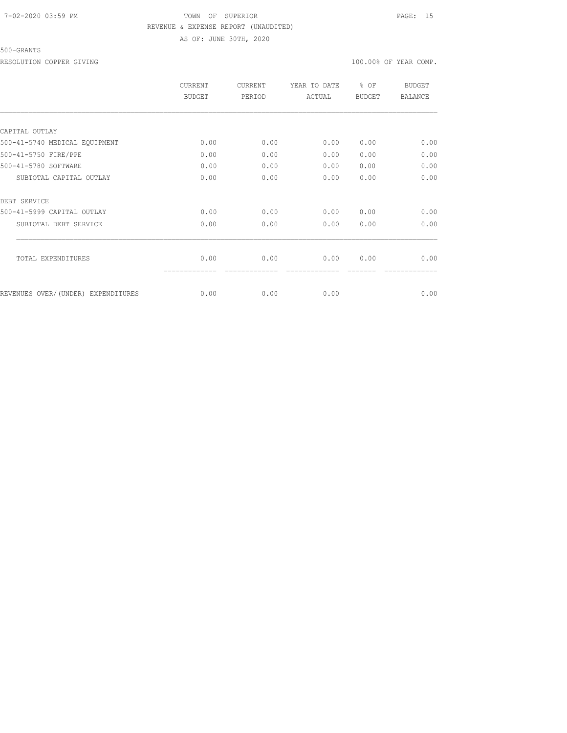## 7-02-2020 03:59 PM TOWN OF SUPERIOR PAGE: 15 REVENUE & EXPENSE REPORT (UNAUDITED) AS OF: JUNE 30TH, 2020

#### 500-GRANTS

RESOLUTION COPPER GIVING  $100.00\%$  OF YEAR COMP.

|                                    | <b>CURRENT</b><br><b>BUDGET</b> | <b>CURRENT</b><br>PERIOD | YEAR TO DATE<br>ACTUAL | $8$ OF<br><b>BUDGET</b> | <b>BUDGET</b><br><b>BALANCE</b> |
|------------------------------------|---------------------------------|--------------------------|------------------------|-------------------------|---------------------------------|
|                                    |                                 |                          |                        |                         |                                 |
| CAPITAL OUTLAY                     |                                 |                          |                        |                         |                                 |
| 500-41-5740 MEDICAL EQUIPMENT      | 0.00                            | 0.00                     | 0.00                   | 0.00                    | 0.00                            |
| 500-41-5750 FIRE/PPE               | 0.00                            | 0.00                     | 0.00                   | 0.00                    | 0.00                            |
| 500-41-5780 SOFTWARE               | 0.00                            | 0.00                     | 0.00                   | 0.00                    | 0.00                            |
| SUBTOTAL CAPITAL OUTLAY            | 0.00                            | 0.00                     | 0.00                   | 0.00                    | 0.00                            |
| DEBT SERVICE                       |                                 |                          |                        |                         |                                 |
| 500-41-5999 CAPITAL OUTLAY         | 0.00                            | 0.00                     | 0.00                   | 0.00                    | 0.00                            |
| SUBTOTAL DEBT SERVICE              | 0.00                            | 0.00                     | 0.00                   | 0.00                    | 0.00                            |
| TOTAL EXPENDITURES                 | 0.00                            | 0.00                     | 0.00                   |                         | 0.00                            |
|                                    |                                 |                          |                        | 0.00                    |                                 |
| REVENUES OVER/(UNDER) EXPENDITURES | 0.00                            | 0.00                     | 0.00                   |                         | 0.00                            |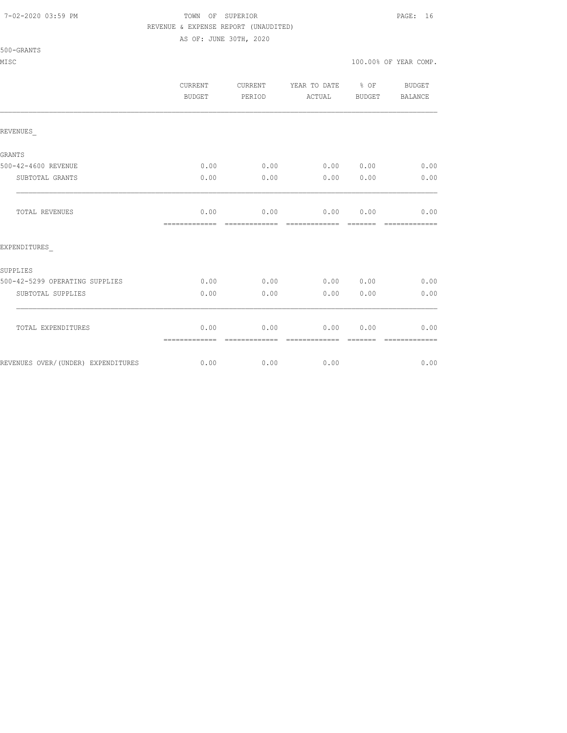#### 7-02-2020 03:59 PM TOWN OF SUPERIOR PAGE: 16 REVENUE & EXPENSE REPORT (UNAUDITED)

AS OF: JUNE 30TH, 2020

|                                    | <b>CURRENT</b><br>BUDGET | CURRENT<br>PERIOD     | YEAR TO DATE % OF BUDGET<br>ACTUAL | BUDGET  | <b>BALANCE</b>        |
|------------------------------------|--------------------------|-----------------------|------------------------------------|---------|-----------------------|
| REVENUES                           |                          |                       |                                    |         |                       |
| GRANTS                             |                          |                       |                                    |         |                       |
| 500-42-4600 REVENUE                | 0.00                     |                       | $0.00$ 0.00 0.00                   |         | 0.00                  |
| SUBTOTAL GRANTS                    | 0.00                     | 0.00                  | 0.00 0.00                          |         | 0.00                  |
| TOTAL REVENUES                     | 0.00<br>=============    | 0.00<br>============= | 0.00 0.00<br>=============         | ======= | 0.00<br>============= |
| EXPENDITURES                       |                          |                       |                                    |         |                       |
| SUPPLIES                           |                          |                       |                                    |         |                       |
| 500-42-5299 OPERATING SUPPLIES     |                          |                       | $0.00$ 0.00 0.00 0.00 0.00 0.00    |         |                       |
| SUBTOTAL SUPPLIES                  | 0.00                     | 0.00                  | 0.00                               | 0.00    | 0.00                  |
| TOTAL EXPENDITURES                 | 0.00<br>=============    | 0.00<br>______        | 0.00<br>-----                      | 0.00    | 0.00<br>============= |
| REVENUES OVER/(UNDER) EXPENDITURES |                          | $0.00$ 0.00 0.00      |                                    |         | 0.00                  |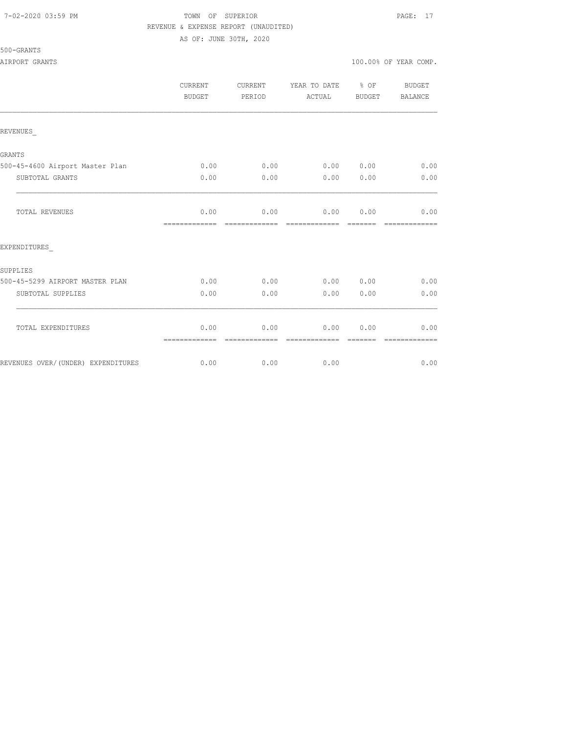#### 7-02-2020 03:59 PM TOWN OF SUPERIOR PAGE: 17 REVENUE & EXPENSE REPORT (UNAUDITED)

AS OF: JUNE 30TH, 2020

|                                     | <b>CURRENT</b><br><b>BUDGET</b>        | <b>CURRENT</b><br>PERIOD | YEAR TO DATE % OF<br>ACTUAL            | BUDGET           | <b>BUDGET</b><br><b>BALANCE</b> |
|-------------------------------------|----------------------------------------|--------------------------|----------------------------------------|------------------|---------------------------------|
| REVENUES                            |                                        |                          |                                        |                  |                                 |
| GRANTS                              |                                        |                          |                                        |                  |                                 |
| 500-45-4600 Airport Master Plan     | 0.00                                   | 0.00                     | 0.00 0.00                              |                  | 0.00                            |
| SUBTOTAL GRANTS                     | 0.00                                   | 0.00                     | 0.00                                   | 0.00             | 0.00                            |
| TOTAL REVENUES                      | 0.00<br>============================== | 0.00                     | 0.00 0.00<br>- cooperatesta - cooperat |                  | 0.00<br>=============           |
| EXPENDITURES                        |                                        |                          |                                        |                  |                                 |
| SUPPLIES                            |                                        |                          |                                        |                  |                                 |
| 500-45-5299 AIRPORT MASTER PLAN     | 0.00                                   | 0.00                     | 0.00                                   | 0.00             | 0.00                            |
| SUBTOTAL SUPPLIES                   | 0.00                                   | 0.00                     | 0.00                                   | 0.00             | 0.00                            |
| TOTAL EXPENDITURES                  | 0.00<br>=============                  | 0.00<br>--------------   | 0.00<br>-------------                  | 0.00<br>-------- | 0.00<br>=============           |
| REVENUES OVER/ (UNDER) EXPENDITURES | 0.00                                   | 0.00                     | 0.00                                   |                  | 0.00                            |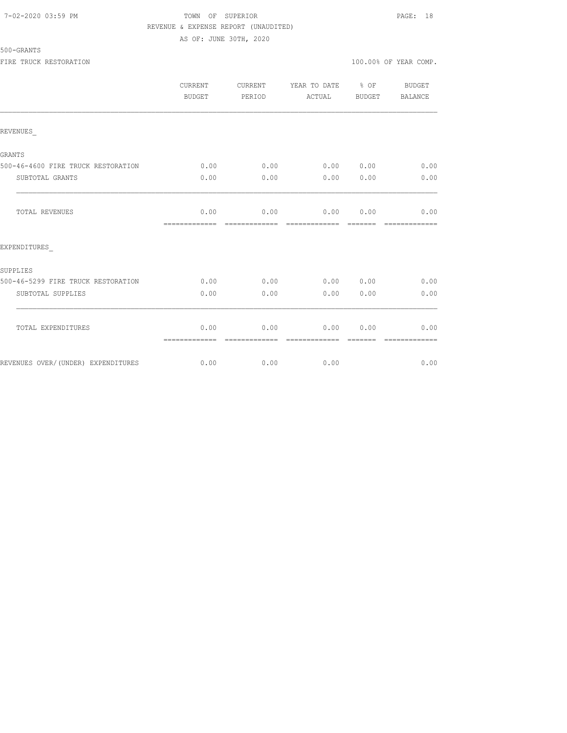### 7-02-2020 03:59 PM TOWN OF SUPERIOR PAGE: 18 REVENUE & EXPENSE REPORT (UNAUDITED) AS OF: JUNE 30TH, 2020

| 500-GRANTS             |                       |  |  |
|------------------------|-----------------------|--|--|
| FIRE TRUCK RESTORATION | 100.00% OF YEAR COMP. |  |  |

|                                    | CURRENT<br><b>BUDGET</b> | CURRENT<br>PERIOD | YEAR TO DATE<br>ACTUAL | $8$ OF<br><b>BUDGET</b> | <b>BUDGET</b><br><b>BALANCE</b> |
|------------------------------------|--------------------------|-------------------|------------------------|-------------------------|---------------------------------|
| REVENUES                           |                          |                   |                        |                         |                                 |
| <b>GRANTS</b>                      |                          |                   |                        |                         |                                 |
| 500-46-4600 FIRE TRUCK RESTORATION | 0.00                     | 0.00              | 0.00                   | 0.00                    | 0.00                            |
| SUBTOTAL GRANTS                    | 0.00                     | 0.00              | 0.00                   | 0.00                    | 0.00                            |
| <b>TOTAL REVENUES</b>              | 0.00<br>=============    | 0.00              | 0.00<br>----------     | 0.00                    | 0.00                            |
| EXPENDITURES                       |                          |                   |                        |                         |                                 |
| SUPPLIES                           |                          |                   |                        |                         |                                 |
| 500-46-5299 FIRE TRUCK RESTORATION | 0.00                     | 0.00              | 0.00                   | 0.00                    | 0.00                            |
| SUBTOTAL SUPPLIES                  | 0.00                     | 0.00              | 0.00                   | 0.00                    | 0.00                            |
| TOTAL EXPENDITURES                 | 0.00                     | 0.00              | 0.00                   | 0.00                    | 0.00                            |
| REVENUES OVER/(UNDER) EXPENDITURES | =============<br>0.00    | 0.00              | 0.00                   |                         | 0.00                            |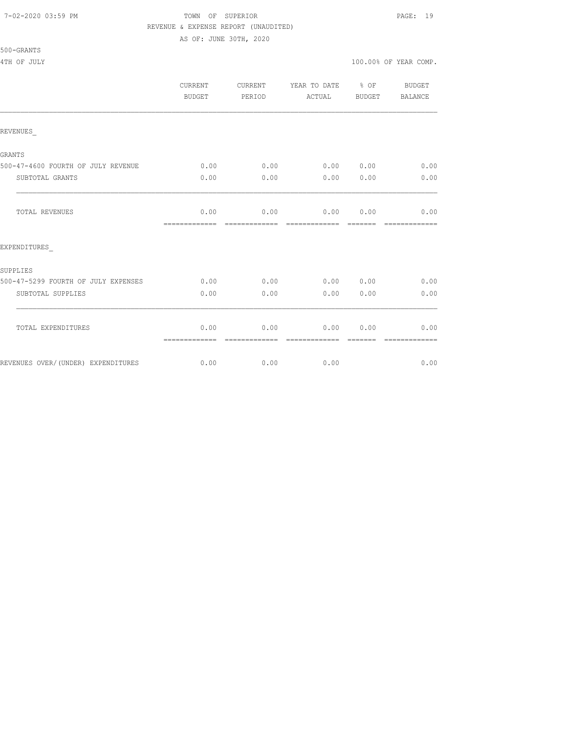#### 7-02-2020 03:59 PM TOWN OF SUPERIOR PAGE: 19 REVENUE & EXPENSE REPORT (UNAUDITED)

AS OF: JUNE 30TH, 2020

|                                     | <b>CURRENT</b><br>BUDGET | <b>CURRENT</b><br>PERIOD | YEAR TO DATE % OF<br>ACTUAL    | BUDGET           | BUDGET<br>BALANCE      |
|-------------------------------------|--------------------------|--------------------------|--------------------------------|------------------|------------------------|
| REVENUES                            |                          |                          |                                |                  |                        |
| GRANTS                              |                          |                          |                                |                  |                        |
| 500-47-4600 FOURTH OF JULY REVENUE  | 0.00                     | 0.00                     | 0.000000                       |                  | 0.00                   |
| SUBTOTAL GRANTS                     | 0.00                     | 0.00                     | 0.00                           | 0.00             | 0.00                   |
| <b>TOTAL REVENUES</b>               | 0.00<br>=============    | 0.00<br>-------------    | $0.00$ $0.00$<br>============= | --------         | 0.00<br>-------------  |
| EXPENDITURES                        |                          |                          |                                |                  |                        |
| SUPPLIES                            |                          |                          |                                |                  |                        |
| 500-47-5299 FOURTH OF JULY EXPENSES | 0.00                     | 0.00                     | 0.00 0.00                      |                  | 0.00                   |
| SUBTOTAL SUPPLIES                   | 0.00                     | 0.00                     | 0.00                           | 0.00             | 0.00                   |
| TOTAL EXPENDITURES                  | 0.00<br>=============    | 0.00<br>-------------    | 0.00<br>-------------          | 0.00<br>-------- | 0.00<br>-------------- |
| REVENUES OVER/(UNDER) EXPENDITURES  | 0.00                     | 0.00                     | 0.00                           |                  | 0.00                   |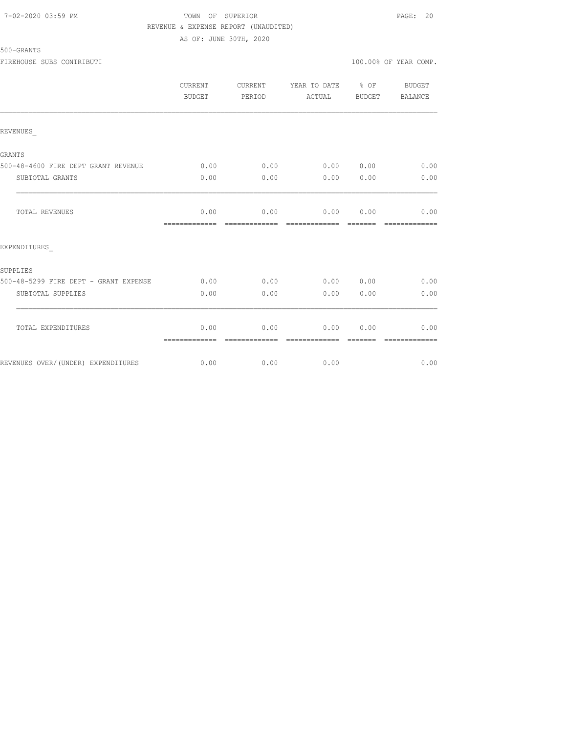500-GRANTS

### 7-02-2020 03:59 PM TOWN OF SUPERIOR PAGE: 20 REVENUE & EXPENSE REPORT (UNAUDITED) AS OF: JUNE 30TH, 2020

| FIREHOUSE SUBS<br>CONTRIBUTI | .00%<br>n n<br>YEAR COMP<br>OF. |
|------------------------------|---------------------------------|
|                              |                                 |

|                                       | <b>CURRENT</b><br><b>BUDGET</b> | CURRENT<br>PERIOD | YEAR TO DATE % OF<br>ACTUAL | <b>BUDGET</b> | <b>BUDGET</b><br>BALANCE |
|---------------------------------------|---------------------------------|-------------------|-----------------------------|---------------|--------------------------|
| REVENUES                              |                                 |                   |                             |               |                          |
| <b>GRANTS</b>                         |                                 |                   |                             |               |                          |
| 500-48-4600 FIRE DEPT GRANT REVENUE   | 0.00                            | 0.00              | 0.00 0.00                   |               | 0.00                     |
| SUBTOTAL GRANTS                       | 0.00                            | 0.00              | 0.00                        | 0.00          | 0.00                     |
| TOTAL REVENUES                        | 0.00<br>=============           | --------------    | $0.00$ $0.00$ $0.00$ $0.00$ |               | 0.00<br>=============    |
| EXPENDITURES                          |                                 |                   |                             |               |                          |
| SUPPLIES                              |                                 |                   |                             |               |                          |
| 500-48-5299 FIRE DEPT - GRANT EXPENSE | 0.00                            | 0.00              | 0.00 0.00                   |               | 0.00                     |
| SUBTOTAL SUPPLIES                     | 0.00                            | 0.00              | 0.00                        | 0.00          | 0.00                     |
| TOTAL EXPENDITURES                    | 0.00<br>=============           | 0.00              | 0.00<br>-------------       | 0.00          | 0.00                     |
| REVENUES OVER/(UNDER) EXPENDITURES    | 0.00                            | 0.00              | 0.00                        |               | 0.00                     |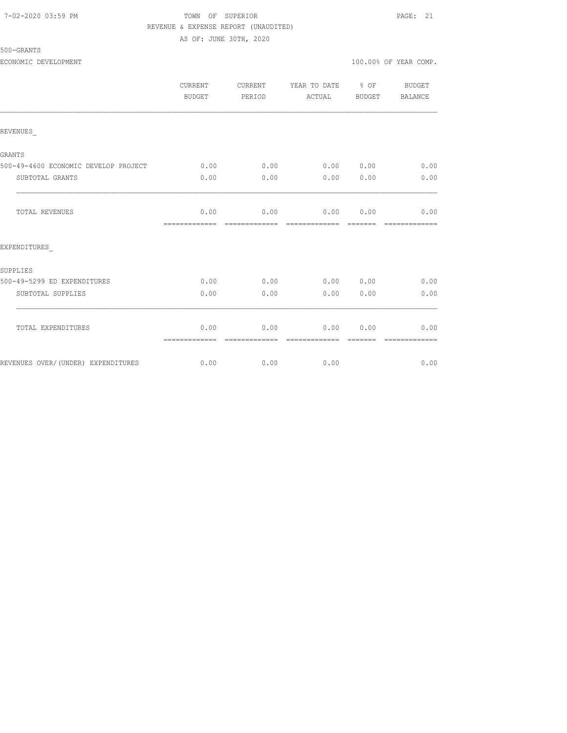#### 7-02-2020 03:59 PM TOWN OF SUPERIOR PAGE: 21 REVENUE & EXPENSE REPORT (UNAUDITED)

AS OF: JUNE 30TH, 2020

|                                      | CURRENT<br>BUDGET     | CURRENT<br>PERIOD     | YEAR TO DATE<br>ACTUAL | % OF<br>BUDGET  | BUDGET<br><b>BALANCE</b> |
|--------------------------------------|-----------------------|-----------------------|------------------------|-----------------|--------------------------|
| REVENUES                             |                       |                       |                        |                 |                          |
| <b>GRANTS</b>                        |                       |                       |                        |                 |                          |
| 500-49-4600 ECONOMIC DEVELOP PROJECT | 0.00                  | 0.00                  | 0.00 0.00              |                 | 0.00                     |
| SUBTOTAL GRANTS                      | 0.00                  | 0.00                  | 0.00                   | 0.00            | 0.00                     |
| <b>TOTAL REVENUES</b>                | 0.00<br>============= | 0.00<br>============= | 0.00<br>=============  | 0.00<br>------- | 0.00<br>=============    |
| EXPENDITURES                         |                       |                       |                        |                 |                          |
| SUPPLIES                             |                       |                       |                        |                 |                          |
| 500-49-5299 ED EXPENDITURES          | 0.00                  | 0.00                  | 0.00                   | 0.00            | 0.00                     |
| SUBTOTAL SUPPLIES                    | 0.00                  | 0.00                  | 0.00                   | 0.00            | 0.00                     |
| TOTAL EXPENDITURES                   | 0.00<br>============= | 0.00                  | 0.00                   | 0.00            | 0.00                     |
| REVENUES OVER/(UNDER) EXPENDITURES   | 0.00                  | 0.00                  | 0.00                   |                 | 0.00                     |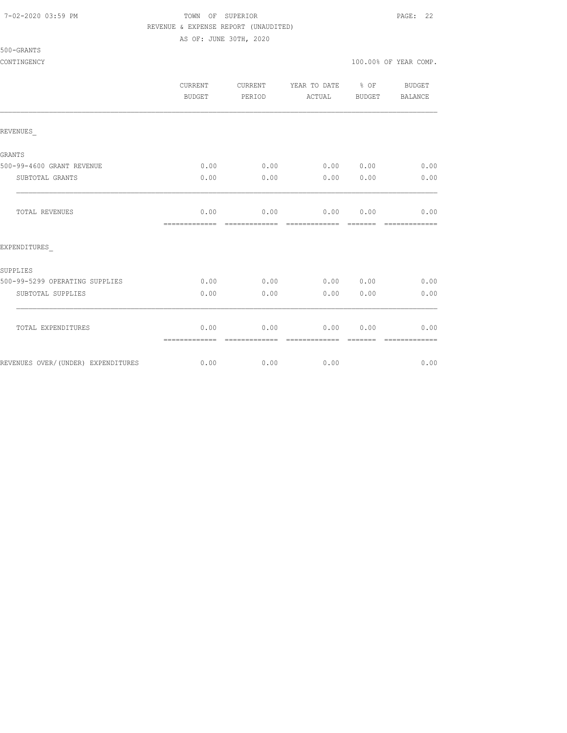#### 7-02-2020 03:59 PM TOWN OF SUPERIOR PAGE: 22 REVENUE & EXPENSE REPORT (UNAUDITED)

AS OF: JUNE 30TH, 2020

|                                    | CURRENT<br><b>BUDGET</b> | CURRENT<br>PERIOD     | YEAR TO DATE % OF<br>ACTUAL | BUDGET           | BUDGET<br>BALANCE     |
|------------------------------------|--------------------------|-----------------------|-----------------------------|------------------|-----------------------|
| REVENUES                           |                          |                       |                             |                  |                       |
| GRANTS                             |                          |                       |                             |                  |                       |
| 500-99-4600 GRANT REVENUE          | 0.00                     |                       | $0.00$ 0.00 0.00            |                  | 0.00                  |
| SUBTOTAL GRANTS                    | 0.00                     | 0.00                  | 0.00                        | 0.00             | 0.00                  |
| TOTAL REVENUES                     | 0.00<br>=============    | 0.00<br>============= | 0.00 0.00<br>=============  | =======          | 0.00<br>============= |
| EXPENDITURES                       |                          |                       |                             |                  |                       |
| SUPPLIES                           |                          |                       |                             |                  |                       |
| 500-99-5299 OPERATING SUPPLIES     | 0.00                     | 0.00                  | 0.00 0.00                   |                  | 0.00                  |
| SUBTOTAL SUPPLIES                  | 0.00                     | 0.00                  | 0.00                        | 0.00             | 0.00                  |
| TOTAL EXPENDITURES                 | 0.00<br>=============    | 0.00<br>============= | 0.00<br>=============       | 0.00<br>-------- | 0.00<br>============= |
| REVENUES OVER/(UNDER) EXPENDITURES | 0.00                     | 0.00                  | 0.00                        |                  | 0.00                  |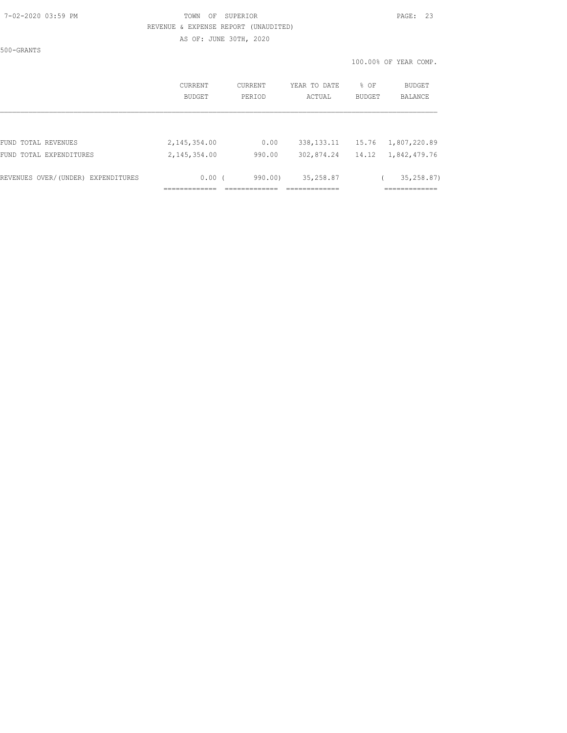#### 7-02-2020 03:59 PM TOWN OF SUPERIOR PAGE: 23 REVENUE & EXPENSE REPORT (UNAUDITED) AS OF: JUNE 30TH, 2020

500-GRANTS

|                                    | CURRENT<br>BUDGET | CURRENT<br>PERIOD | YEAR TO DATE<br>ACTUAL | % OF<br>BUDGET | <b>BUDGET</b><br>BALANCE |
|------------------------------------|-------------------|-------------------|------------------------|----------------|--------------------------|
|                                    |                   |                   |                        |                |                          |
| FUND TOTAL REVENUES                | 2,145,354.00      | 0.00              | 338, 133. 11           | 15.76          | 1,807,220.89             |
| FUND TOTAL EXPENDITURES            | 2,145,354.00      | 990.00            | 302,874.24             | 14.12          | 1,842,479.76             |
| REVENUES OVER/(UNDER) EXPENDITURES | 0.00(             | 990.00)           | 35,258.87              |                | 35, 258, 87)             |
|                                    |                   |                   |                        |                |                          |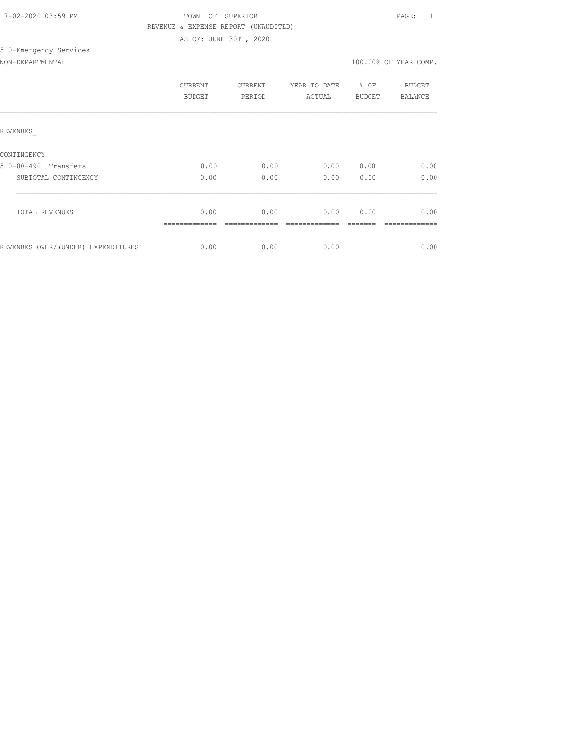| 7-02-2020 03:59 PM |  |
|--------------------|--|
|                    |  |

## TOWN OF SUPERIOR **PAGE:** 1 REVENUE & EXPENSE REPORT (UNAUDITED) AS OF: JUNE 30TH, 2020

# 510-Emergency Services

| NON-DEPARTMENTAL |  |
|------------------|--|
|                  |  |

|                                    | CURRENT<br><b>BUDGET</b> | <b>CURRENT</b><br>PERIOD | YEAR TO DATE<br>ACTUAL | % OF<br>BUDGET | BUDGET<br><b>BALANCE</b> |
|------------------------------------|--------------------------|--------------------------|------------------------|----------------|--------------------------|
| REVENUES                           |                          |                          |                        |                |                          |
| CONTINGENCY                        |                          |                          |                        |                |                          |
| 510-00-4901 Transfers              | 0.00                     | 0.00                     | 0.00                   | 0.00           | 0.00                     |
| SUBTOTAL CONTINGENCY               | 0.00                     | 0.00                     | 0.00                   | 0.00           | 0.00                     |
|                                    |                          |                          |                        |                |                          |
| TOTAL REVENUES                     | 0.00                     | 0.00                     | 0.00                   | 0.00           | 0.00                     |
|                                    |                          |                          |                        |                |                          |
| REVENUES OVER/(UNDER) EXPENDITURES | 0.00                     | 0.00                     | 0.00                   |                | 0.00                     |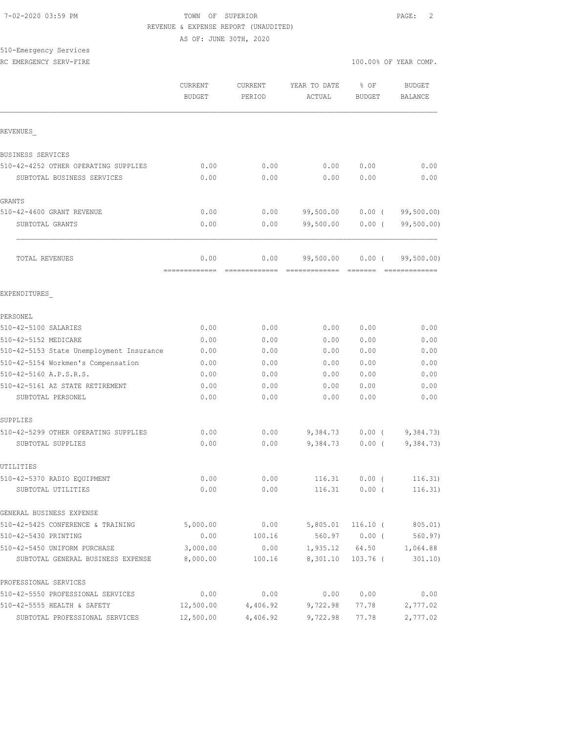#### 7-02-2020 03:59 PM TOWN OF SUPERIOR PAGE: 2 REVENUE & EXPENSE REPORT (UNAUDITED)

AS OF: JUNE 30TH, 2020

# 510-Emergency Services

|--|

|                                            | CURRENT<br><b>BUDGET</b> | CURRENT<br>PERIOD                                                                                                                                                                                                                                                                                                                                                                                                                                                                              | YEAR TO DATE<br>ACTUAL | % OF<br><b>BUDGET</b> | <b>BUDGET</b><br>BALANCE                                                                                                                                                                                                                                                                                                                                                                                                                                                                             |
|--------------------------------------------|--------------------------|------------------------------------------------------------------------------------------------------------------------------------------------------------------------------------------------------------------------------------------------------------------------------------------------------------------------------------------------------------------------------------------------------------------------------------------------------------------------------------------------|------------------------|-----------------------|------------------------------------------------------------------------------------------------------------------------------------------------------------------------------------------------------------------------------------------------------------------------------------------------------------------------------------------------------------------------------------------------------------------------------------------------------------------------------------------------------|
| REVENUES                                   |                          |                                                                                                                                                                                                                                                                                                                                                                                                                                                                                                |                        |                       |                                                                                                                                                                                                                                                                                                                                                                                                                                                                                                      |
|                                            |                          |                                                                                                                                                                                                                                                                                                                                                                                                                                                                                                |                        |                       |                                                                                                                                                                                                                                                                                                                                                                                                                                                                                                      |
| BUSINESS SERVICES                          |                          |                                                                                                                                                                                                                                                                                                                                                                                                                                                                                                |                        |                       |                                                                                                                                                                                                                                                                                                                                                                                                                                                                                                      |
| 510-42-4252 OTHER OPERATING SUPPLIES       | 0.00                     | 0.00                                                                                                                                                                                                                                                                                                                                                                                                                                                                                           | 0.00                   | 0.00                  | 0.00                                                                                                                                                                                                                                                                                                                                                                                                                                                                                                 |
| SUBTOTAL BUSINESS SERVICES                 | 0.00                     | 0.00                                                                                                                                                                                                                                                                                                                                                                                                                                                                                           | 0.00                   | 0.00                  | 0.00                                                                                                                                                                                                                                                                                                                                                                                                                                                                                                 |
| GRANTS                                     |                          |                                                                                                                                                                                                                                                                                                                                                                                                                                                                                                |                        |                       |                                                                                                                                                                                                                                                                                                                                                                                                                                                                                                      |
| 510-42-4600 GRANT REVENUE                  | 0.00                     | 0.00                                                                                                                                                                                                                                                                                                                                                                                                                                                                                           | 99,500.00              | $0.00$ (              | 99, 500.00)                                                                                                                                                                                                                                                                                                                                                                                                                                                                                          |
| SUBTOTAL GRANTS                            | 0.00                     | 0.00                                                                                                                                                                                                                                                                                                                                                                                                                                                                                           | 99,500.00              | $0.00$ (              | 99,500.00)                                                                                                                                                                                                                                                                                                                                                                                                                                                                                           |
| TOTAL REVENUES                             | 0.00<br>-------------    | 0.00<br>$\begin{array}{cccccccccccccc} \multicolumn{2}{c}{} & \multicolumn{2}{c}{} & \multicolumn{2}{c}{} & \multicolumn{2}{c}{} & \multicolumn{2}{c}{} & \multicolumn{2}{c}{} & \multicolumn{2}{c}{} & \multicolumn{2}{c}{} & \multicolumn{2}{c}{} & \multicolumn{2}{c}{} & \multicolumn{2}{c}{} & \multicolumn{2}{c}{} & \multicolumn{2}{c}{} & \multicolumn{2}{c}{} & \multicolumn{2}{c}{} & \multicolumn{2}{c}{} & \multicolumn{2}{c}{} & \multicolumn{2}{c}{} & \multicolumn{2}{c}{} & \$ | 99,500.00              | $0.00$ (              | 99,500.00)<br>$\begin{array}{cccccccccc} \multicolumn{2}{c}{} & \multicolumn{2}{c}{} & \multicolumn{2}{c}{} & \multicolumn{2}{c}{} & \multicolumn{2}{c}{} & \multicolumn{2}{c}{} & \multicolumn{2}{c}{} & \multicolumn{2}{c}{} & \multicolumn{2}{c}{} & \multicolumn{2}{c}{} & \multicolumn{2}{c}{} & \multicolumn{2}{c}{} & \multicolumn{2}{c}{} & \multicolumn{2}{c}{} & \multicolumn{2}{c}{} & \multicolumn{2}{c}{} & \multicolumn{2}{c}{} & \multicolumn{2}{c}{} & \multicolumn{2}{c}{} & \mult$ |
| EXPENDITURES                               |                          |                                                                                                                                                                                                                                                                                                                                                                                                                                                                                                |                        |                       |                                                                                                                                                                                                                                                                                                                                                                                                                                                                                                      |
| PERSONEL                                   |                          |                                                                                                                                                                                                                                                                                                                                                                                                                                                                                                |                        |                       |                                                                                                                                                                                                                                                                                                                                                                                                                                                                                                      |
| 510-42-5100 SALARIES                       | 0.00                     | 0.00                                                                                                                                                                                                                                                                                                                                                                                                                                                                                           | 0.00                   | 0.00                  | 0.00                                                                                                                                                                                                                                                                                                                                                                                                                                                                                                 |
| 510-42-5152 MEDICARE                       | 0.00                     | 0.00                                                                                                                                                                                                                                                                                                                                                                                                                                                                                           | 0.00                   | 0.00                  | 0.00                                                                                                                                                                                                                                                                                                                                                                                                                                                                                                 |
| 510-42-5153 State Unemployment Insurance   | 0.00                     | 0.00                                                                                                                                                                                                                                                                                                                                                                                                                                                                                           | 0.00                   | 0.00                  | 0.00                                                                                                                                                                                                                                                                                                                                                                                                                                                                                                 |
| 510-42-5154 Workmen's Compensation         | 0.00                     | 0.00                                                                                                                                                                                                                                                                                                                                                                                                                                                                                           | 0.00                   | 0.00                  | 0.00                                                                                                                                                                                                                                                                                                                                                                                                                                                                                                 |
| 510-42-5160 A.P.S.R.S.                     | 0.00                     | 0.00                                                                                                                                                                                                                                                                                                                                                                                                                                                                                           | 0.00                   | 0.00                  | 0.00                                                                                                                                                                                                                                                                                                                                                                                                                                                                                                 |
| 510-42-5161 AZ STATE RETIREMENT            | 0.00                     | 0.00                                                                                                                                                                                                                                                                                                                                                                                                                                                                                           | 0.00                   | 0.00                  | 0.00                                                                                                                                                                                                                                                                                                                                                                                                                                                                                                 |
| SUBTOTAL PERSONEL                          | 0.00                     | 0.00                                                                                                                                                                                                                                                                                                                                                                                                                                                                                           | 0.00                   | 0.00                  | 0.00                                                                                                                                                                                                                                                                                                                                                                                                                                                                                                 |
| SUPPLIES                                   |                          |                                                                                                                                                                                                                                                                                                                                                                                                                                                                                                |                        |                       |                                                                                                                                                                                                                                                                                                                                                                                                                                                                                                      |
| 510-42-5299 OTHER OPERATING SUPPLIES       | 0.00                     | 0.00                                                                                                                                                                                                                                                                                                                                                                                                                                                                                           | 9,384.73               | $0.00$ (              | 9,384.73)                                                                                                                                                                                                                                                                                                                                                                                                                                                                                            |
| SUBTOTAL SUPPLIES                          | 0.00                     | 0.00                                                                                                                                                                                                                                                                                                                                                                                                                                                                                           | 9,384.73               | $0.00$ (              | 9,384.73)                                                                                                                                                                                                                                                                                                                                                                                                                                                                                            |
| UTILITIES                                  |                          |                                                                                                                                                                                                                                                                                                                                                                                                                                                                                                |                        |                       |                                                                                                                                                                                                                                                                                                                                                                                                                                                                                                      |
| 510-42-5370 RADIO EQUIPMENT                | 0.00                     | 0.00                                                                                                                                                                                                                                                                                                                                                                                                                                                                                           | 116.31                 | $0.00$ (              | 116.31)                                                                                                                                                                                                                                                                                                                                                                                                                                                                                              |
| SUBTOTAL UTILITIES                         | 0.00                     | 0.00                                                                                                                                                                                                                                                                                                                                                                                                                                                                                           |                        | 116.31 0.00 (         | 116.31)                                                                                                                                                                                                                                                                                                                                                                                                                                                                                              |
| GENERAL BUSINESS EXPENSE                   |                          |                                                                                                                                                                                                                                                                                                                                                                                                                                                                                                |                        |                       |                                                                                                                                                                                                                                                                                                                                                                                                                                                                                                      |
| 510-42-5425 CONFERENCE & TRAINING          | 5,000.00                 | 0.00                                                                                                                                                                                                                                                                                                                                                                                                                                                                                           |                        | $5,805.01$ 116.10 (   | 805.01)                                                                                                                                                                                                                                                                                                                                                                                                                                                                                              |
| 510-42-5430 PRINTING                       | 0.00                     | 100.16                                                                                                                                                                                                                                                                                                                                                                                                                                                                                         |                        | 560.97 0.00 (         | 560.97)                                                                                                                                                                                                                                                                                                                                                                                                                                                                                              |
| 510-42-5450 UNIFORM PURCHASE               | 3,000.00                 | 0.00                                                                                                                                                                                                                                                                                                                                                                                                                                                                                           |                        | 1,935.12 64.50        | 1,064.88                                                                                                                                                                                                                                                                                                                                                                                                                                                                                             |
| SUBTOTAL GENERAL BUSINESS EXPENSE 8,000.00 |                          | 100.16                                                                                                                                                                                                                                                                                                                                                                                                                                                                                         | 8,301.10               | 103.76 (              | 301.10)                                                                                                                                                                                                                                                                                                                                                                                                                                                                                              |
| PROFESSIONAL SERVICES                      |                          |                                                                                                                                                                                                                                                                                                                                                                                                                                                                                                |                        |                       |                                                                                                                                                                                                                                                                                                                                                                                                                                                                                                      |
| 510-42-5550 PROFESSIONAL SERVICES          | 0.00                     | 0.00                                                                                                                                                                                                                                                                                                                                                                                                                                                                                           | 0.00                   | 0.00                  | 0.00                                                                                                                                                                                                                                                                                                                                                                                                                                                                                                 |
| 510-42-5555 HEALTH & SAFETY                | 12,500.00                | 4,406.92                                                                                                                                                                                                                                                                                                                                                                                                                                                                                       | 9,722.98               | 77.78                 | 2,777.02                                                                                                                                                                                                                                                                                                                                                                                                                                                                                             |
| SUBTOTAL PROFESSIONAL SERVICES             | 12,500.00                | 4,406.92                                                                                                                                                                                                                                                                                                                                                                                                                                                                                       | 9,722.98               | 77.78                 | 2,777.02                                                                                                                                                                                                                                                                                                                                                                                                                                                                                             |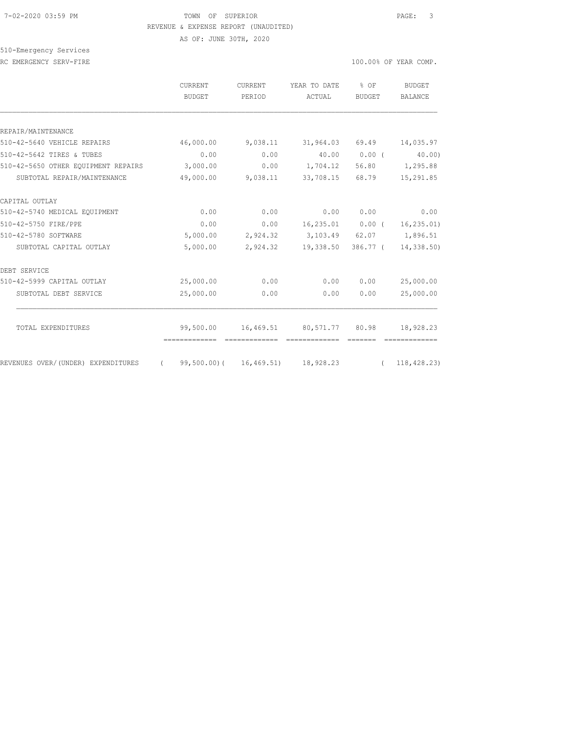#### 7-02-2020 03:59 PM TOWN OF SUPERIOR PAGE: 3 REVENUE & EXPENSE REPORT (UNAUDITED)

AS OF: JUNE 30TH, 2020

510-Emergency Services

RC EMERGENCY SERV-FIRE **100.00%** OF YEAR COMP.

|                                              | <b>CURRENT</b><br>BUDGET                               | CURRENT<br>PERIOD | YEAR TO DATE % OF<br>ACTUAL        | BUDGET       | BUDGET<br><b>BALANCE</b> |
|----------------------------------------------|--------------------------------------------------------|-------------------|------------------------------------|--------------|--------------------------|
|                                              |                                                        |                   |                                    |              |                          |
| REPAIR/MAINTENANCE                           |                                                        |                   |                                    |              |                          |
| 510-42-5640 VEHICLE REPAIRS                  |                                                        |                   | 46,000.00 9,038.11 31,964.03 69.49 |              | 14,035.97                |
| 510-42-5642 TIRES & TUBES                    | 0.00                                                   | 0.00              |                                    | 40.00 0.00 ( | 40.00                    |
| 510-42-5650 OTHER EQUIPMENT REPAIRS 3,000.00 |                                                        |                   | $0.00$ 1,704.12                    |              | 56.80 1,295.88           |
| SUBTOTAL REPAIR/MAINTENANCE                  | 49,000.00                                              | 9,038.11          | 33,708.15                          | 68.79        | 15,291.85                |
| CAPITAL OUTLAY                               |                                                        |                   |                                    |              |                          |
| 510-42-5740 MEDICAL EOUIPMENT                | 0.00                                                   | 0.00              | 0.00                               | 0.00         | 0.00                     |
| 510-42-5750 FIRE/PPE                         | 0.00                                                   |                   | $0.00$ $16,235.01$ $0.00$ (        |              | 16, 235.01)              |
| 510-42-5780 SOFTWARE                         | 5,000.00                                               |                   | 2,924.32 3,103.49 62.07 1,896.51   |              |                          |
| SUBTOTAL CAPITAL OUTLAY                      | 5,000.00                                               |                   | 2,924.32 19,338.50                 | 386.77 (     | 14,338.50)               |
| DEBT SERVICE                                 |                                                        |                   |                                    |              |                          |
| 510-42-5999 CAPITAL OUTLAY                   | 25,000.00                                              | 0.00              | 0.00                               | 0.00         | 25,000.00                |
| SUBTOTAL DEBT SERVICE                        | 25,000.00                                              | 0.00              | 0.00                               | 0.00         | 25,000.00                |
|                                              |                                                        |                   |                                    |              |                          |
| TOTAL EXPENDITURES                           | 99,500.00                                              |                   | 16,469.51 80,571.77 80.98          |              | 18,928.23                |
| REVENUES OVER/ (UNDER) EXPENDITURES          | $(99,500.00)$ $(16,469.51)$ $18,928.23$ $(118,428.23)$ |                   |                                    |              |                          |
|                                              |                                                        |                   |                                    |              |                          |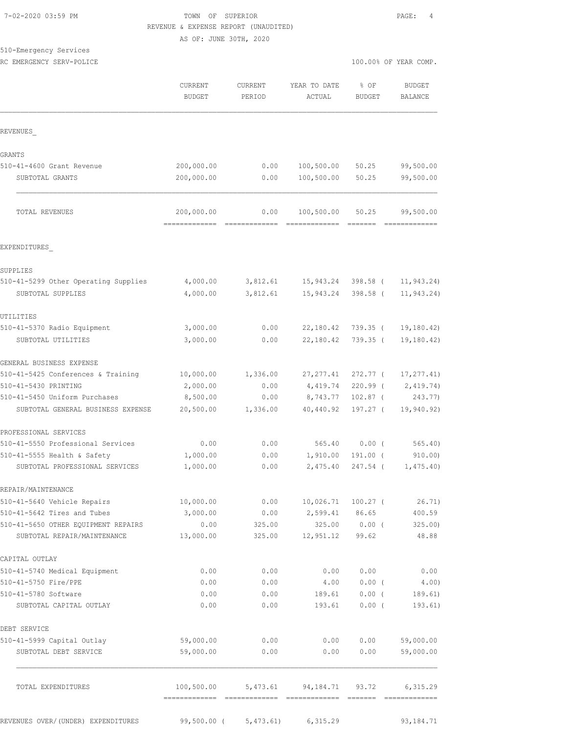## TOWN OF SUPERIOR **PAGE:** 4 REVENUE & EXPENSE REPORT (UNAUDITED)

AS OF: JUNE 30TH, 2020

510-Emergency Services

|                                                               | CURRENT<br><b>BUDGET</b>                    | <b>CURRENT</b><br>PERIOD | YEAR TO DATE<br>ACTUAL                                | % OF<br>BUDGET         | <b>BUDGET</b><br><b>BALANCE</b> |
|---------------------------------------------------------------|---------------------------------------------|--------------------------|-------------------------------------------------------|------------------------|---------------------------------|
| REVENUES                                                      |                                             |                          |                                                       |                        |                                 |
| GRANTS                                                        |                                             |                          |                                                       |                        |                                 |
| 510-41-4600 Grant Revenue                                     | 200,000.00                                  | 0.00                     | 100,500.00                                            | 50.25                  | 99,500.00                       |
| SUBTOTAL GRANTS                                               | 200,000.00                                  | 0.00                     | 100,500.00                                            | 50.25                  | 99,500.00                       |
| TOTAL REVENUES                                                | 200,000.00                                  | 0.00                     | 100,500.00                                            | 50.25                  | 99,500.00                       |
| EXPENDITURES                                                  |                                             |                          |                                                       |                        |                                 |
| SUPPLIES                                                      |                                             |                          |                                                       |                        |                                 |
| 510-41-5299 Other Operating Supplies<br>SUBTOTAL SUPPLIES     | 4,000.00<br>4,000.00                        | 3,812.61                 | 3,812.61 15,943.24<br>15,943.24                       | 398.58 (<br>$398.58$ ( | 11, 943.24)<br>11,943.24)       |
| UTILITIES                                                     |                                             |                          |                                                       |                        |                                 |
| 510-41-5370 Radio Equipment                                   | 3,000.00                                    | 0.00                     | 22,180.42                                             | 739.35 (               | 19, 180.42                      |
| SUBTOTAL UTILITIES                                            | 3,000.00                                    | 0.00                     | 22,180.42                                             | $739.35$ (             | 19,180.42)                      |
| GENERAL BUSINESS EXPENSE                                      |                                             |                          |                                                       |                        |                                 |
| 510-41-5425 Conferences & Training                            | 10,000.00                                   | 1,336.00                 | 27, 277.41                                            | 272.77 (               | 17, 277.41)                     |
| 510-41-5430 PRINTING                                          | 2,000.00                                    | 0.00                     | 4,419.74                                              | $220.99$ (             | 2,419.74)                       |
| 510-41-5450 Uniform Purchases                                 | 8,500.00                                    | 0.00                     | 8,743.77                                              | $102.87$ (             | 243.77)                         |
| SUBTOTAL GENERAL BUSINESS EXPENSE                             | 20,500.00                                   | 1,336.00                 | 40,440.92                                             | 197.27 (               | 19,940.92)                      |
| PROFESSIONAL SERVICES                                         |                                             |                          |                                                       |                        |                                 |
| 510-41-5550 Professional Services                             | 0.00                                        | 0.00                     |                                                       | 565.40 0.00 (          | 565.40                          |
| 510-41-5555 Health & Safety<br>SUBTOTAL PROFESSIONAL SERVICES | 1,000.00<br>1,000.00                        | 0.00<br>0.00             | 1,910.00<br>2,475.40                                  | $191.00$ (<br>247.54 ( | 910.00<br>1,475.40)             |
| REPAIR/MAINTENANCE                                            |                                             |                          |                                                       |                        |                                 |
| 510-41-5640 Vehicle Repairs                                   | 10,000.00                                   | 0.00                     | $10,026.71$ $100.27$ (                                |                        | 26.71)                          |
| 510-41-5642 Tires and Tubes                                   | 3,000.00                                    | 0.00                     | 2,599.41                                              | 86.65                  | 400.59                          |
| 510-41-5650 OTHER EQUIPMENT REPAIRS                           | 0.00                                        | 325.00                   |                                                       | 325.00 0.00 (          | 325.00                          |
| SUBTOTAL REPAIR/MAINTENANCE                                   | 13,000.00                                   | 325.00                   | 12,951.12 99.62                                       |                        | 48.88                           |
| CAPITAL OUTLAY                                                |                                             |                          |                                                       |                        |                                 |
| 510-41-5740 Medical Equipment                                 | 0.00                                        | 0.00                     | 0.00                                                  | 0.00                   | 0.00                            |
| 510-41-5750 Fire/PPE                                          | 0.00                                        | 0.00                     | 4.00                                                  | $0.00$ (               | 4.00)                           |
| 510-41-5780 Software<br>SUBTOTAL CAPITAL OUTLAY               | 0.00<br>0.00                                | 0.00<br>0.00             | 189.61<br>193.61                                      | $0.00$ (<br>$0.00$ (   | 189.61)<br>193.61)              |
| DEBT SERVICE                                                  |                                             |                          |                                                       |                        |                                 |
| 510-41-5999 Capital Outlay                                    | 59,000.00                                   | 0.00                     | 0.00                                                  | 0.00                   | 59,000.00                       |
| SUBTOTAL DEBT SERVICE                                         | 59,000.00                                   | 0.00                     | 0.00                                                  | 0.00                   | 59,000.00                       |
| TOTAL EXPENDITURES                                            | 100,500.00<br>-------------- -------------- |                          | 5,473.61 94,184.71 93.72<br>- coocoocoocooc - coocooc |                        | 6,315.29                        |
| REVENUES OVER/(UNDER) EXPENDITURES                            | 99,500.00 (                                 | 5,473.61)                | 6,315.29                                              |                        | 93, 184. 71                     |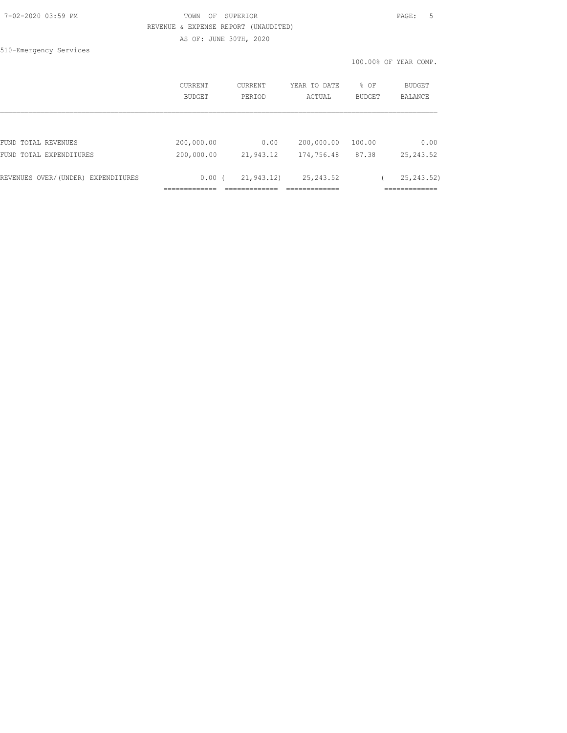## 7-02-2020 03:59 PM TOWN OF SUPERIOR PAGE: 5 REVENUE & EXPENSE REPORT (UNAUDITED)

AS OF: JUNE 30TH, 2020

510-Emergency Services

|                                    | <b>CURRENT</b> | <b>CURRENT</b> | YEAR TO DATE | % OF          | <b>BUDGET</b>  |
|------------------------------------|----------------|----------------|--------------|---------------|----------------|
|                                    | BUDGET         | PERIOD         | ACTUAL       | <b>BUDGET</b> | <b>BALANCE</b> |
| FUND TOTAL REVENUES                | 200,000.00     | 0.00           | 200,000.00   | 100.00        | 0.00           |
| FUND TOTAL EXPENDITURES            | 200,000.00     | 21,943.12      | 174,756.48   | 87.38         | 25, 243.52     |
| REVENUES OVER/(UNDER) EXPENDITURES | 0.00(          | 21,943.12)     | 25, 243.52   |               | 25, 243.52)    |
|                                    |                |                |              |               |                |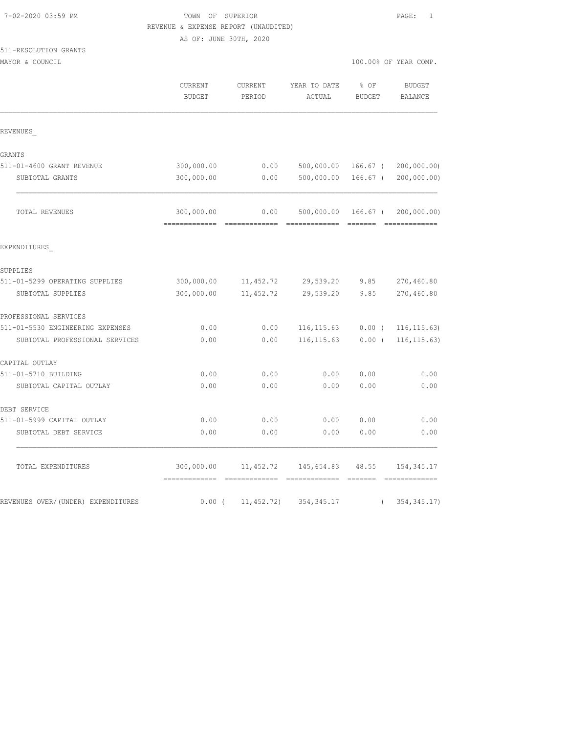| 7-02-2020 03:59 PM |  |
|--------------------|--|
|                    |  |

## TOWN OF SUPERIOR **PAGE:** 1 REVENUE & EXPENSE REPORT (UNAUDITED)

AS OF: JUNE 30TH, 2020

511-RESOLUTION GRANTS

|                                    | CURRENT<br><b>BUDGET</b>     | CURRENT<br>PERIOD | YEAR TO DATE<br>ACTUAL            | % OF<br><b>BUDGET</b>                                                                                                                                                                                                                                                                                                                                                                                                                                                                  | <b>BUDGET</b><br><b>BALANCE</b> |
|------------------------------------|------------------------------|-------------------|-----------------------------------|----------------------------------------------------------------------------------------------------------------------------------------------------------------------------------------------------------------------------------------------------------------------------------------------------------------------------------------------------------------------------------------------------------------------------------------------------------------------------------------|---------------------------------|
| REVENUES                           |                              |                   |                                   |                                                                                                                                                                                                                                                                                                                                                                                                                                                                                        |                                 |
| GRANTS                             |                              |                   |                                   |                                                                                                                                                                                                                                                                                                                                                                                                                                                                                        |                                 |
| 511-01-4600 GRANT REVENUE          | 300,000.00                   | 0.00              | 500,000.00                        | 166.67 (                                                                                                                                                                                                                                                                                                                                                                                                                                                                               | 200,000.00)                     |
| SUBTOTAL GRANTS                    | 300,000.00                   | 0.00              | 500,000.00                        | 166.67 (                                                                                                                                                                                                                                                                                                                                                                                                                                                                               | 200,000.00)                     |
| TOTAL REVENUES                     | 300,000.00<br>===========    | 0.00              | 500,000.00 166.67 (<br>-----      | $\begin{array}{cccccccccc} \multicolumn{2}{c}{} & \multicolumn{2}{c}{} & \multicolumn{2}{c}{} & \multicolumn{2}{c}{} & \multicolumn{2}{c}{} & \multicolumn{2}{c}{} & \multicolumn{2}{c}{} & \multicolumn{2}{c}{} & \multicolumn{2}{c}{} & \multicolumn{2}{c}{} & \multicolumn{2}{c}{} & \multicolumn{2}{c}{} & \multicolumn{2}{c}{} & \multicolumn{2}{c}{} & \multicolumn{2}{c}{} & \multicolumn{2}{c}{} & \multicolumn{2}{c}{} & \multicolumn{2}{c}{} & \multicolumn{2}{c}{} & \mult$ | 200,000.00)<br>=============    |
| EXPENDITURES                       |                              |                   |                                   |                                                                                                                                                                                                                                                                                                                                                                                                                                                                                        |                                 |
| SUPPLIES                           |                              |                   |                                   |                                                                                                                                                                                                                                                                                                                                                                                                                                                                                        |                                 |
| 511-01-5299 OPERATING SUPPLIES     | 300,000.00                   | 11, 452.72        | 29,539.20                         | 9.85                                                                                                                                                                                                                                                                                                                                                                                                                                                                                   | 270,460.80                      |
| SUBTOTAL SUPPLIES                  | 300,000.00                   | 11,452.72         | 29,539.20                         | 9.85                                                                                                                                                                                                                                                                                                                                                                                                                                                                                   | 270,460.80                      |
| PROFESSIONAL SERVICES              |                              |                   |                                   |                                                                                                                                                                                                                                                                                                                                                                                                                                                                                        |                                 |
| 511-01-5530 ENGINEERING EXPENSES   | 0.00                         | 0.00              | 116, 115.63                       | $0.00$ (                                                                                                                                                                                                                                                                                                                                                                                                                                                                               | 116, 115.63)                    |
| SUBTOTAL PROFESSIONAL SERVICES     | 0.00                         | 0.00              | 116, 115.63                       | $0.00$ (                                                                                                                                                                                                                                                                                                                                                                                                                                                                               | 116, 115.63)                    |
| CAPITAL OUTLAY                     |                              |                   |                                   |                                                                                                                                                                                                                                                                                                                                                                                                                                                                                        |                                 |
| 511-01-5710 BUILDING               | 0.00                         | 0.00              | 0.00                              | 0.00                                                                                                                                                                                                                                                                                                                                                                                                                                                                                   | 0.00                            |
| SUBTOTAL CAPITAL OUTLAY            | 0.00                         | 0.00              | 0.00                              | 0.00                                                                                                                                                                                                                                                                                                                                                                                                                                                                                   | 0.00                            |
| DEBT SERVICE                       |                              |                   |                                   |                                                                                                                                                                                                                                                                                                                                                                                                                                                                                        |                                 |
| 511-01-5999 CAPITAL OUTLAY         | 0.00                         | 0.00              | 0.00                              | 0.00                                                                                                                                                                                                                                                                                                                                                                                                                                                                                   | 0.00                            |
| SUBTOTAL DEBT SERVICE              | 0.00                         | 0.00              | 0.00                              | 0.00                                                                                                                                                                                                                                                                                                                                                                                                                                                                                   | 0.00                            |
| TOTAL EXPENDITURES                 | 300,000.00<br>-------------- | 11,452.72         | 145,654.83 48.55<br>============= | $\begin{array}{cccccc} \multicolumn{2}{c}{} & \multicolumn{2}{c}{} & \multicolumn{2}{c}{} & \multicolumn{2}{c}{} & \multicolumn{2}{c}{} & \multicolumn{2}{c}{} & \multicolumn{2}{c}{} & \multicolumn{2}{c}{} & \multicolumn{2}{c}{} & \multicolumn{2}{c}{} & \multicolumn{2}{c}{} & \multicolumn{2}{c}{} & \multicolumn{2}{c}{} & \multicolumn{2}{c}{} & \multicolumn{2}{c}{} & \multicolumn{2}{c}{} & \multicolumn{2}{c}{} & \multicolumn{2}{c}{} & \multicolumn{2}{c}{} & \multic$   | 154,345.17                      |
| REVENUES OVER/(UNDER) EXPENDITURES | 0.00(                        | 11, 452.72)       | 354, 345.17                       | $\left($                                                                                                                                                                                                                                                                                                                                                                                                                                                                               | 354, 345.17)                    |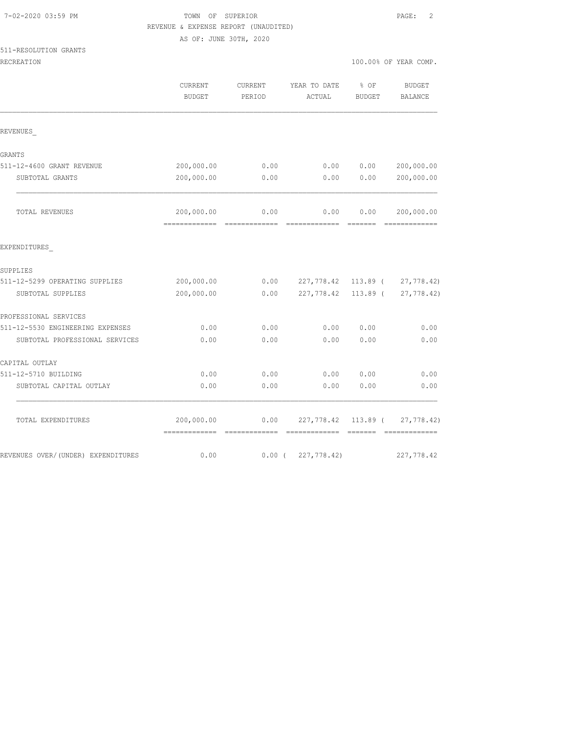## TOWN OF SUPERIOR **PAGE:** 2 REVENUE & EXPENSE REPORT (UNAUDITED)

AS OF: JUNE 30TH, 2020

| 511-RESOLUTION GRANTS |  |
|-----------------------|--|
|-----------------------|--|

| ATI MENAMAILAM GMAMIN               |                                            |                   |                        |                       |                                 |
|-------------------------------------|--------------------------------------------|-------------------|------------------------|-----------------------|---------------------------------|
| RECREATION                          |                                            |                   |                        |                       | 100.00% OF YEAR COMP.           |
|                                     | CURRENT<br><b>BUDGET</b>                   | CURRENT<br>PERIOD | YEAR TO DATE<br>ACTUAL | % OF<br><b>BUDGET</b> | <b>BUDGET</b><br><b>BALANCE</b> |
|                                     |                                            |                   |                        |                       |                                 |
| REVENUES                            |                                            |                   |                        |                       |                                 |
| GRANTS                              |                                            |                   |                        |                       |                                 |
| 511-12-4600 GRANT REVENUE           | 200,000.00                                 | 0.00              | 0.00                   | 0.00                  | 200,000.00                      |
| SUBTOTAL GRANTS                     | 200,000.00                                 | 0.00              | 0.00                   | 0.00                  | 200,000.00                      |
| TOTAL REVENUES                      | 200,000.00<br>-------------- ------------- | 0.00              | 0.00                   | 0.00                  | 200,000.00                      |
| EXPENDITURES                        |                                            |                   |                        |                       |                                 |
| SUPPLIES                            |                                            |                   |                        |                       |                                 |
| 511-12-5299 OPERATING SUPPLIES      | 200,000.00                                 | 0.00              | 227,778.42 113.89 (    |                       | 27,778.42)                      |
| SUBTOTAL SUPPLIES                   | 200,000.00                                 | 0.00              | 227,778.42             | 113.89 (              | 27,778.42)                      |
| PROFESSIONAL SERVICES               |                                            |                   |                        |                       |                                 |
| 511-12-5530 ENGINEERING EXPENSES    | 0.00                                       | 0.00              | 0.00                   | 0.00                  | 0.00                            |
| SUBTOTAL PROFESSIONAL SERVICES      | 0.00                                       | 0.00              | 0.00                   | 0.00                  | 0.00                            |
| CAPITAL OUTLAY                      |                                            |                   |                        |                       |                                 |
| 511-12-5710 BUILDING                | 0.00                                       | 0.00              | 0.00                   | 0.00                  | 0.00                            |
| SUBTOTAL CAPITAL OUTLAY             | 0.00                                       | 0.00              | 0.00                   | 0.00                  | 0.00                            |
| TOTAL EXPENDITURES                  | 200,000.00<br>=============                | 0.00              | 227,778.42 113.89 (    |                       | 27,778.42)                      |
| REVENUES OVER/ (UNDER) EXPENDITURES | 0.00                                       | $0.00$ (          | 227, 778.42)           |                       | 227,778.42                      |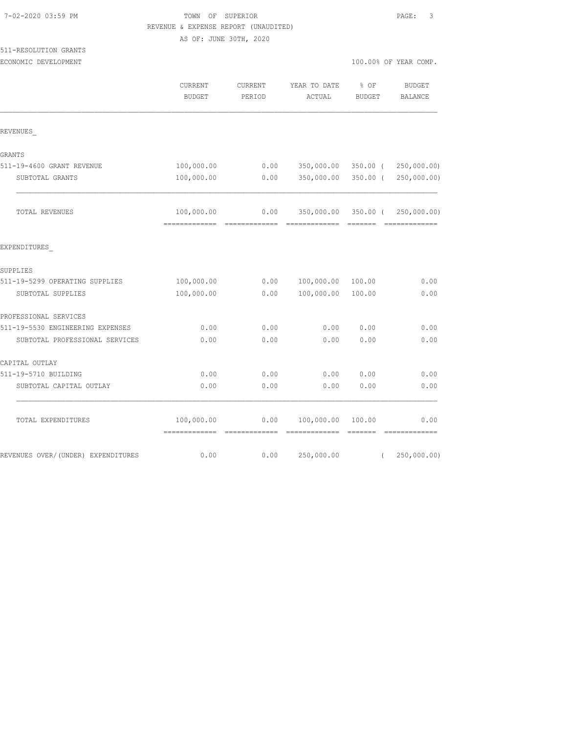| 7-02-2020 03:59 PM |  |
|--------------------|--|
|                    |  |

## TOWN OF SUPERIOR **PAGE:** 3 REVENUE & EXPENSE REPORT (UNAUDITED)

AS OF: JUNE 30TH, 2020

# 511-RESOLUTION GRANTS

ECONOMIC DEVELOPMENT **EXECUTE A** COMP. THE SECONOMIC DEVELOPMENT **100.00%** OF YEAR COMP.

|                                  | <b>CURRENT</b><br><b>BUDGET</b> | <b>CURRENT</b><br>PERIOD | YEAR TO DATE<br>ACTUAL               | % OF<br><b>BUDGET</b> | <b>BUDGET</b><br><b>BALANCE</b> |
|----------------------------------|---------------------------------|--------------------------|--------------------------------------|-----------------------|---------------------------------|
| REVENUES                         |                                 |                          |                                      |                       |                                 |
| <b>GRANTS</b>                    |                                 |                          |                                      |                       |                                 |
| 511-19-4600 GRANT REVENUE        | 100,000.00                      | 0.00                     | 350,000.00                           | 350.00 (              | 250,000.00)                     |
| SUBTOTAL GRANTS                  | 100,000.00                      | 0.00                     | 350,000.00                           | $350.00$ (            | 250,000.00)                     |
| TOTAL REVENUES                   | 100,000.00                      | 0.00<br>-------------    | 350,000.00 350.00 (<br>============= | =======               | 250,000.00)                     |
| EXPENDITURES                     |                                 |                          |                                      |                       |                                 |
| <b>SUPPLIES</b>                  |                                 |                          |                                      |                       |                                 |
| 511-19-5299 OPERATING SUPPLIES   | 100,000.00                      | 0.00                     | 100,000.00                           | 100.00                | 0.00                            |
| SUBTOTAL SUPPLIES                | 100,000.00                      | 0.00                     | 100,000.00                           | 100.00                | 0.00                            |
| PROFESSIONAL SERVICES            |                                 |                          |                                      |                       |                                 |
| 511-19-5530 ENGINEERING EXPENSES | 0.00                            | 0.00                     | 0.00                                 | 0.00                  | 0.00                            |
| SUBTOTAL PROFESSIONAL SERVICES   | 0.00                            | 0.00                     | 0.00                                 | 0.00                  | 0.00                            |
| CAPITAL OUTLAY                   |                                 |                          |                                      |                       |                                 |
| 511-19-5710 BUILDING             | 0.00                            | 0.00                     | 0.00                                 | 0.00                  | 0.00                            |
| SUBTOTAL CAPITAL OUTLAY          | 0.00                            | 0.00                     | 0.00                                 | 0.00                  | 0.00                            |

TOTAL EXPENDITURES 100,000.00 0.00 100,000.00 100.00 0.00

REVENUES OVER/(UNDER) EXPENDITURES 6.00 0.00 0.00 0.00 250,000.00 (250,000.00)

============= ============= ============= ======= =============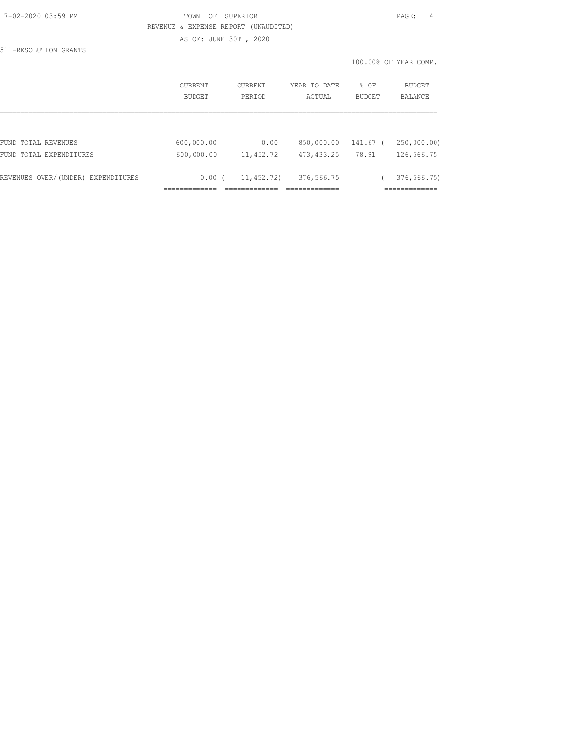## 7-02-2020 03:59 PM TOWN OF SUPERIOR PAGE: 4 REVENUE & EXPENSE REPORT (UNAUDITED) AS OF: JUNE 30TH, 2020

511-RESOLUTION GRANTS

|                                    | CURRENT<br><b>BUDGET</b> | CURRENT<br>PERIOD | YEAR TO DATE<br>ACTUAL | % OF<br><b>BUDGET</b> | <b>BUDGET</b><br><b>BALANCE</b> |
|------------------------------------|--------------------------|-------------------|------------------------|-----------------------|---------------------------------|
|                                    |                          |                   |                        |                       |                                 |
| FUND TOTAL REVENUES                | 600,000.00               | 0.00              | 850,000.00             | 141.67 (              | 250,000.00)                     |
| FUND TOTAL EXPENDITURES            | 600,000.00               | 11, 452.72        | 473, 433.25            | 78.91                 | 126,566.75                      |
| REVENUES OVER/(UNDER) EXPENDITURES | 0.00(                    | 11,452.72)        | 376,566.75             |                       | 376, 566.75                     |
|                                    |                          |                   |                        |                       |                                 |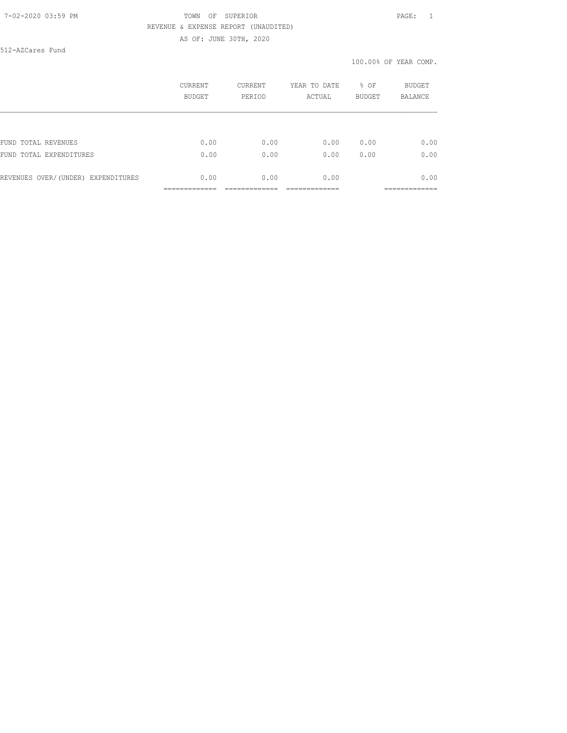## 7-02-2020 03:59 PM TOWN OF SUPERIOR PAGE: 1 REVENUE & EXPENSE REPORT (UNAUDITED) AS OF: JUNE 30TH, 2020

512-AZCares Fund

|                                    | CURRENT | CURRENT | YEAR TO DATE | % OF          | BUDGET         |
|------------------------------------|---------|---------|--------------|---------------|----------------|
|                                    | BUDGET  | PERIOD  | ACTUAL       | <b>BUDGET</b> | <b>BALANCE</b> |
| FUND TOTAL REVENUES                | 0.00    | 0.00    | 0.00         | 0.00          | 0.00           |
| FUND TOTAL EXPENDITURES            | 0.00    | 0.00    | 0.00         | 0.00          | 0.00           |
| REVENUES OVER/(UNDER) EXPENDITURES | 0.00    | 0.00    | 0.00         |               | 0.00           |
|                                    |         |         |              |               | __________     |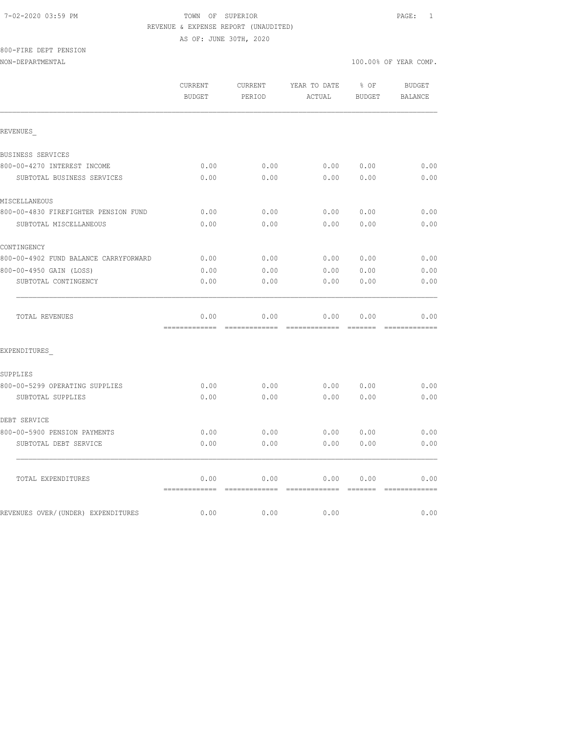#### 7-02-2020 03:59 PM TOWN OF SUPERIOR PAGE: 1 REVENUE & EXPENSE REPORT (UNAUDITED)

AS OF: JUNE 30TH, 2020

# 800-FIRE DEPT PENSION

|                                       | CURRENT<br><b>BUDGET</b>             | CURRENT<br>PERIOD     | YEAR TO DATE<br>ACTUAL                                                                                                                                                                                                                                                                                                                                                                                                                                                                         | % OF<br><b>BUDGET</b> | <b>BUDGET</b><br><b>BALANCE</b> |
|---------------------------------------|--------------------------------------|-----------------------|------------------------------------------------------------------------------------------------------------------------------------------------------------------------------------------------------------------------------------------------------------------------------------------------------------------------------------------------------------------------------------------------------------------------------------------------------------------------------------------------|-----------------------|---------------------------------|
| REVENUES                              |                                      |                       |                                                                                                                                                                                                                                                                                                                                                                                                                                                                                                |                       |                                 |
| BUSINESS SERVICES                     |                                      |                       |                                                                                                                                                                                                                                                                                                                                                                                                                                                                                                |                       |                                 |
| 800-00-4270 INTEREST INCOME           | 0.00                                 | 0.00                  | 0.00                                                                                                                                                                                                                                                                                                                                                                                                                                                                                           | 0.00                  | 0.00                            |
| SUBTOTAL BUSINESS SERVICES            | 0.00                                 | 0.00                  | 0.00                                                                                                                                                                                                                                                                                                                                                                                                                                                                                           | 0.00                  | 0.00                            |
| MISCELLANEOUS                         |                                      |                       |                                                                                                                                                                                                                                                                                                                                                                                                                                                                                                |                       |                                 |
| 800-00-4830 FIREFIGHTER PENSION FUND  | 0.00                                 | 0.00                  | 0.00                                                                                                                                                                                                                                                                                                                                                                                                                                                                                           | 0.00                  | 0.00                            |
| SUBTOTAL MISCELLANEOUS                | 0.00                                 | 0.00                  | 0.00                                                                                                                                                                                                                                                                                                                                                                                                                                                                                           | 0.00                  | 0.00                            |
| CONTINGENCY                           |                                      |                       |                                                                                                                                                                                                                                                                                                                                                                                                                                                                                                |                       |                                 |
| 800-00-4902 FUND BALANCE CARRYFORWARD | 0.00                                 | 0.00                  | 0.00                                                                                                                                                                                                                                                                                                                                                                                                                                                                                           | 0.00                  | 0.00                            |
| 800-00-4950 GAIN (LOSS)               | 0.00                                 | 0.00                  | 0.00                                                                                                                                                                                                                                                                                                                                                                                                                                                                                           | 0.00                  | 0.00                            |
| SUBTOTAL CONTINGENCY                  | 0.00                                 | 0.00                  | 0.00                                                                                                                                                                                                                                                                                                                                                                                                                                                                                           | 0.00                  | 0.00                            |
| TOTAL REVENUES                        | 0.00<br>-------------- ------------- | 0.00                  | 0.00<br>$\begin{array}{cccccccccccccc} \multicolumn{2}{c}{} & \multicolumn{2}{c}{} & \multicolumn{2}{c}{} & \multicolumn{2}{c}{} & \multicolumn{2}{c}{} & \multicolumn{2}{c}{} & \multicolumn{2}{c}{} & \multicolumn{2}{c}{} & \multicolumn{2}{c}{} & \multicolumn{2}{c}{} & \multicolumn{2}{c}{} & \multicolumn{2}{c}{} & \multicolumn{2}{c}{} & \multicolumn{2}{c}{} & \multicolumn{2}{c}{} & \multicolumn{2}{c}{} & \multicolumn{2}{c}{} & \multicolumn{2}{c}{} & \multicolumn{2}{c}{} & \$ | 0.00<br>--------      | 0.00                            |
| EXPENDITURES                          |                                      |                       |                                                                                                                                                                                                                                                                                                                                                                                                                                                                                                |                       |                                 |
| SUPPLIES                              |                                      |                       |                                                                                                                                                                                                                                                                                                                                                                                                                                                                                                |                       |                                 |
| 800-00-5299 OPERATING SUPPLIES        | 0.00                                 | 0.00                  | 0.00                                                                                                                                                                                                                                                                                                                                                                                                                                                                                           | 0.00                  | 0.00                            |
| SUBTOTAL SUPPLIES                     | 0.00                                 | 0.00                  | 0.00                                                                                                                                                                                                                                                                                                                                                                                                                                                                                           | 0.00                  | 0.00                            |
| DEBT SERVICE                          |                                      |                       |                                                                                                                                                                                                                                                                                                                                                                                                                                                                                                |                       |                                 |
| 800-00-5900 PENSION PAYMENTS          | 0.00                                 | 0.00                  | 0.00                                                                                                                                                                                                                                                                                                                                                                                                                                                                                           | 0.00                  | 0.00                            |
| SUBTOTAL DEBT SERVICE                 | 0.00                                 | 0.00                  | 0.00                                                                                                                                                                                                                                                                                                                                                                                                                                                                                           | 0.00                  | 0.00                            |
| TOTAL EXPENDITURES                    | 0.00                                 | 0.00                  | 0.00                                                                                                                                                                                                                                                                                                                                                                                                                                                                                           | 0.00                  | 0.00                            |
| REVENUES OVER/(UNDER) EXPENDITURES    | =============<br>0.00                | =============<br>0.00 | -------------<br>0.00                                                                                                                                                                                                                                                                                                                                                                                                                                                                          | =======               | =============<br>0.00           |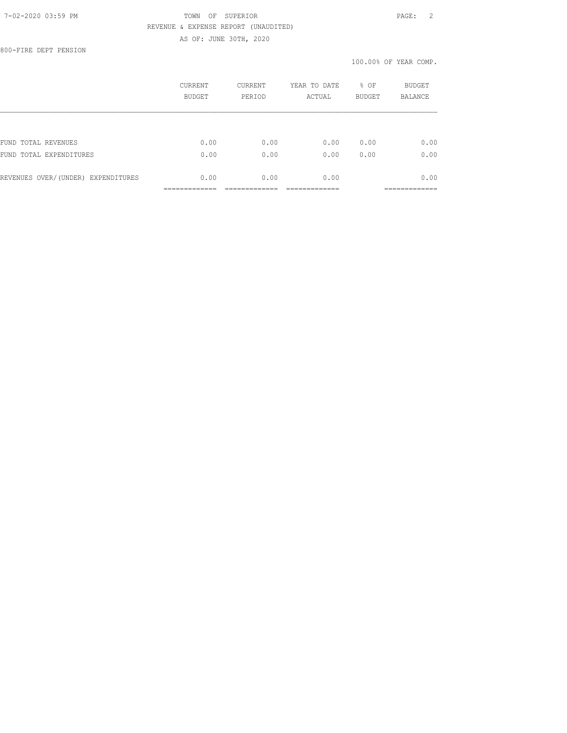## 7-02-2020 03:59 PM TOWN OF SUPERIOR PAGE: 2 REVENUE & EXPENSE REPORT (UNAUDITED) AS OF: JUNE 30TH, 2020

800-FIRE DEPT PENSION

|                                    | CURRENT<br><b>BUDGET</b> | <b>CURRENT</b><br>PERIOD | YEAR TO DATE<br>ACTUAL | % OF<br><b>BUDGET</b> | <b>BUDGET</b><br><b>BALANCE</b> |
|------------------------------------|--------------------------|--------------------------|------------------------|-----------------------|---------------------------------|
|                                    |                          |                          |                        |                       |                                 |
| FUND TOTAL REVENUES                | 0.00                     | 0.00                     | 0.00                   | 0.00                  | 0.00                            |
| FUND TOTAL EXPENDITURES            | 0.00                     | 0.00                     | 0.00                   | 0.00                  | 0.00                            |
| REVENUES OVER/(UNDER) EXPENDITURES | 0.00                     | 0.00                     | 0.00                   |                       | 0.00                            |
|                                    |                          |                          |                        |                       |                                 |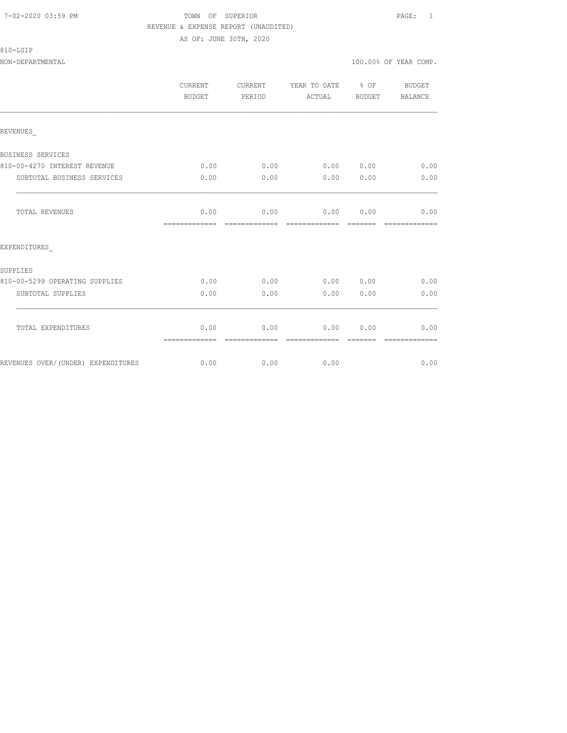#### 7-02-2020 03:59 PM TOWN OF SUPERIOR PAGE: 1 REVENUE & EXPENSE REPORT (UNAUDITED) AS OF: JUNE 30TH, 2020

## 810-LGIP

|                                    | <b>CURRENT</b><br><b>BUDGET</b>      | CURRENT<br>PERIOD     | YEAR TO DATE % OF<br>ACTUAL                          | BUDGET   | BUDGET<br>BALANCE     |
|------------------------------------|--------------------------------------|-----------------------|------------------------------------------------------|----------|-----------------------|
| REVENUES                           |                                      |                       |                                                      |          |                       |
| BUSINESS SERVICES                  |                                      |                       |                                                      |          |                       |
| 810-00-4270 INTEREST REVENUE       | 0.00                                 |                       | $0.00$ $0.00$ $0.00$ $0.00$ $0.00$                   |          |                       |
| SUBTOTAL BUSINESS SERVICES         | 0.00                                 | 0.00                  | 0.00000000                                           |          | 0.00                  |
| <b>TOTAL REVENUES</b>              | 0.00<br>============================ |                       | $0.00$ $0.00$ $0.00$ $0.00$ $0.00$<br>-------------- | -------- | --------------        |
| EXPENDITURES                       |                                      |                       |                                                      |          |                       |
| <b>SUPPLIES</b>                    |                                      |                       |                                                      |          |                       |
| 810-00-5299 OPERATING SUPPLIES     | 0.00                                 | 0.00                  |                                                      |          | $0.00$ $0.00$ $0.00$  |
| SUBTOTAL SUPPLIES                  | 0.00                                 | 0.00                  | 0.00                                                 | 0.00     | 0.00                  |
| TOTAL EXPENDITURES                 | 0.00<br>=============                | 0.00<br>------------- | 0.00                                                 | 0.00     | 0.00<br>============= |
| REVENUES OVER/(UNDER) EXPENDITURES |                                      | $0.00$ 0.00           | 0.00                                                 |          | 0.00                  |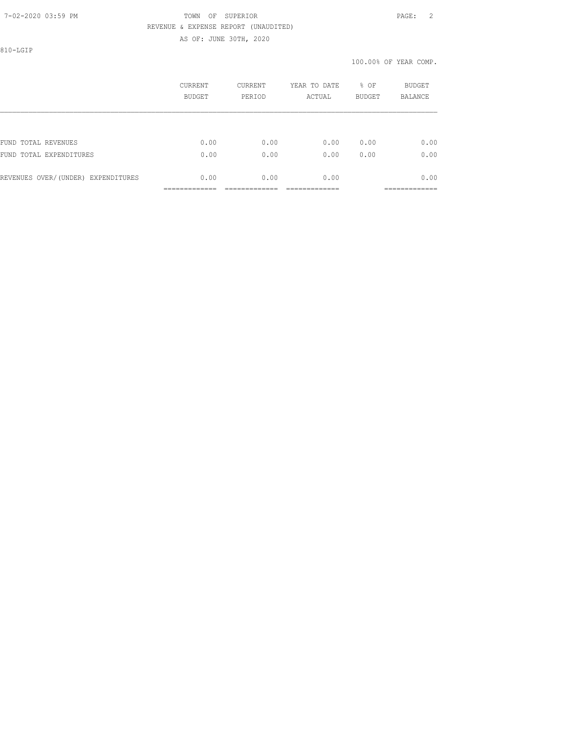## 7-02-2020 03:59 PM TOWN OF SUPERIOR PAGE: 2 REVENUE & EXPENSE REPORT (UNAUDITED) AS OF: JUNE 30TH, 2020

810-LGIP

|                                    | CURRENT<br>BUDGET | <b>CURRENT</b><br>PERIOD | YEAR TO DATE<br>ACTUAL | % OF<br><b>BUDGET</b> | BUDGET<br><b>BALANCE</b> |
|------------------------------------|-------------------|--------------------------|------------------------|-----------------------|--------------------------|
|                                    |                   |                          |                        |                       |                          |
| FUND TOTAL REVENUES                | 0.00              | 0.00                     | 0.00                   | 0.00                  | 0.00                     |
| FUND<br>TOTAL EXPENDITURES         | 0.00              | 0.00                     | 0.00                   | 0.00                  | 0.00                     |
| REVENUES OVER/(UNDER) EXPENDITURES | 0.00              | 0.00                     | 0.00                   |                       | 0.00                     |
|                                    |                   |                          |                        |                       | ------------             |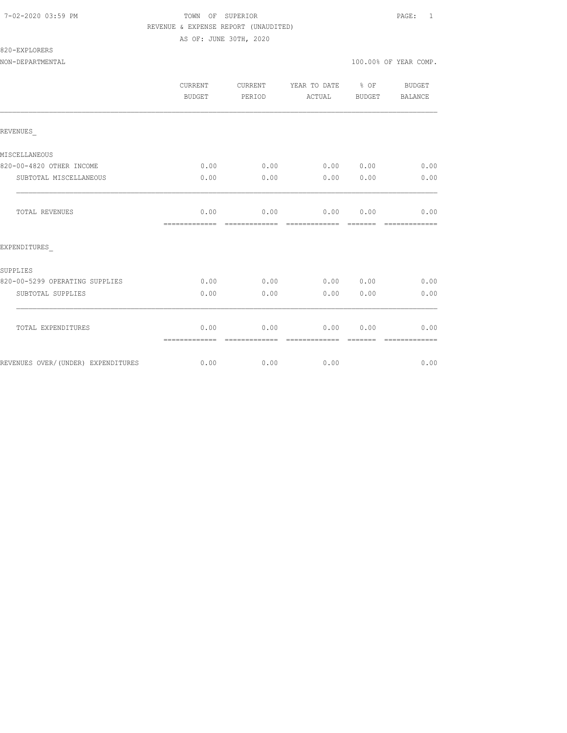### 7-02-2020 03:59 PM TOWN OF SUPERIOR PAGE: 1 REVENUE & EXPENSE REPORT (UNAUDITED)

AS OF: JUNE 30TH, 2020

## 820-EXPLORERS

|                                    | <b>CURRENT</b><br><b>BUDGET</b> | <b>CURRENT</b><br>PERIOD | YEAR TO DATE % OF<br>ACTUAL | BUDGET          | <b>BUDGET</b><br>BALANCE |
|------------------------------------|---------------------------------|--------------------------|-----------------------------|-----------------|--------------------------|
| REVENUES                           |                                 |                          |                             |                 |                          |
| MISCELLANEOUS                      |                                 |                          |                             |                 |                          |
| 820-00-4820 OTHER INCOME           | 0.00                            | 0.00                     |                             |                 | $0.00$ $0.00$ $0.00$     |
| SUBTOTAL MISCELLANEOUS             | 0.00                            | 0.00                     | 0.00                        | 0.00            | 0.00                     |
| TOTAL REVENUES                     | 0.00<br>-------------           | 0.00<br>-------------    | 0.00<br>--------------      | 0.00<br>------- | 0.00<br>-------------    |
| EXPENDITURES                       |                                 |                          |                             |                 |                          |
| SUPPLIES                           |                                 |                          |                             |                 |                          |
| 820-00-5299 OPERATING SUPPLIES     | 0.00                            | 0.00                     | 0.00 0.00                   |                 | 0.00                     |
| SUBTOTAL SUPPLIES                  | 0.00                            | 0.00                     | 0.00                        | 0.00            | 0.00                     |
| TOTAL EXPENDITURES                 | 0.00<br>=============           | 0.00                     | 0.00                        | 0.00            | 0.00                     |
| REVENUES OVER/(UNDER) EXPENDITURES | 0.00                            | 0.00                     | 0.00                        |                 | 0.00                     |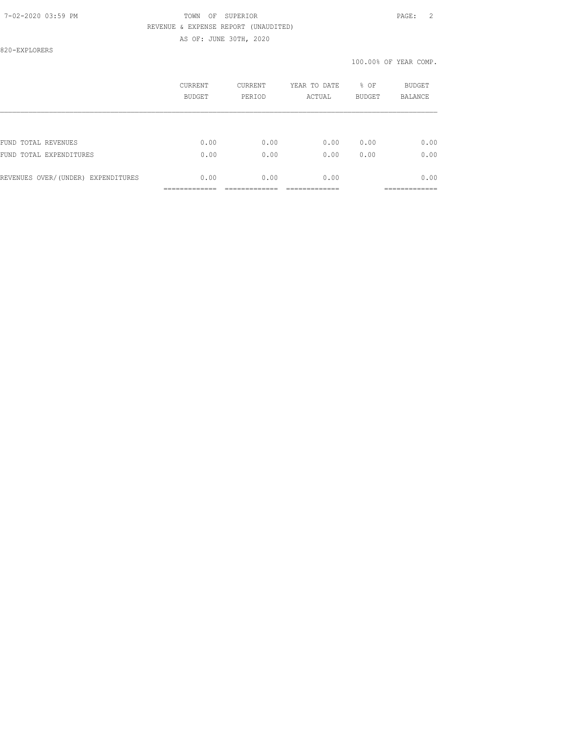## 7-02-2020 03:59 PM TOWN OF SUPERIOR PAGE: 2 REVENUE & EXPENSE REPORT (UNAUDITED)

AS OF: JUNE 30TH, 2020

820-EXPLORERS

|                                    | CURRENT<br>BUDGET | <b>CURRENT</b><br>PERIOD | YEAR TO DATE<br>ACTUAL | % OF<br><b>BUDGET</b> | BUDGET<br><b>BALANCE</b> |
|------------------------------------|-------------------|--------------------------|------------------------|-----------------------|--------------------------|
|                                    |                   |                          |                        |                       |                          |
| FUND TOTAL REVENUES                | 0.00              | 0.00                     | 0.00                   | 0.00                  | 0.00                     |
| FUND TOTAL EXPENDITURES            | 0.00              | 0.00                     | 0.00                   | 0.00                  | 0.00                     |
| REVENUES OVER/(UNDER) EXPENDITURES | 0.00              | 0.00                     | 0.00                   |                       | 0.00                     |
|                                    |                   |                          |                        |                       |                          |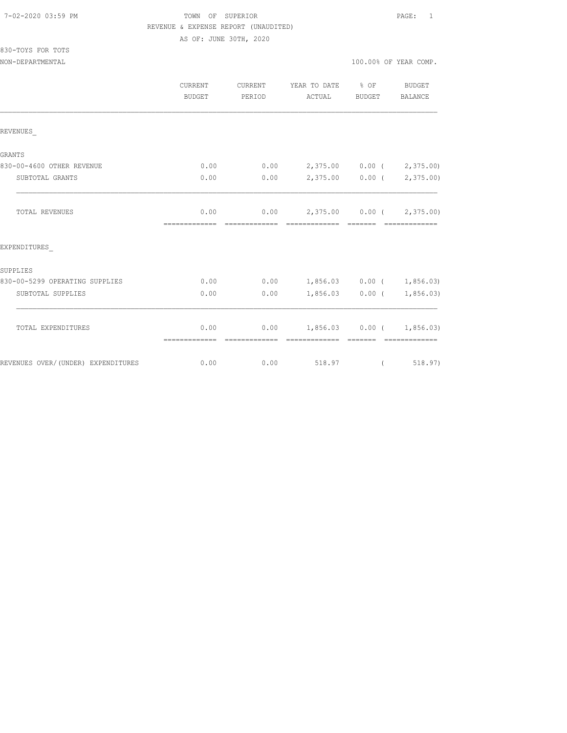#### 7-02-2020 03:59 PM TOWN OF SUPERIOR PAGE: 1 REVENUE & EXPENSE REPORT (UNAUDITED)

AS OF: JUNE 30TH, 2020

| 830-TOYS FOR TOTS |  |  |
|-------------------|--|--|
|                   |  |  |

|                                    | <b>CURRENT</b><br>BUDGET | CURRENT<br>PERIOD      | YEAR TO DATE<br>ACTUAL                    | % OF<br><b>BUDGET</b> | <b>BUDGET</b><br>BALANCE                                                                                                                                                                                                                                                                                                                                                                                                                                                                                              |
|------------------------------------|--------------------------|------------------------|-------------------------------------------|-----------------------|-----------------------------------------------------------------------------------------------------------------------------------------------------------------------------------------------------------------------------------------------------------------------------------------------------------------------------------------------------------------------------------------------------------------------------------------------------------------------------------------------------------------------|
| REVENUES                           |                          |                        |                                           |                       |                                                                                                                                                                                                                                                                                                                                                                                                                                                                                                                       |
| GRANTS                             |                          |                        |                                           |                       |                                                                                                                                                                                                                                                                                                                                                                                                                                                                                                                       |
| 830-00-4600 OTHER REVENUE          | 0.00                     | 0.00                   |                                           | 2,375.00 0.00 (       | 2,375.00)                                                                                                                                                                                                                                                                                                                                                                                                                                                                                                             |
| SUBTOTAL GRANTS                    | 0.00                     | 0.00                   |                                           | $2,375.00$ 0.00 (     | 2,375.00)                                                                                                                                                                                                                                                                                                                                                                                                                                                                                                             |
| TOTAL REVENUES                     | 0.00<br>=============    | 0.00<br>-------------- | 2,375.00 0.00 (2,375.00)<br>============= |                       | =============                                                                                                                                                                                                                                                                                                                                                                                                                                                                                                         |
| EXPENDITURES                       |                          |                        |                                           |                       |                                                                                                                                                                                                                                                                                                                                                                                                                                                                                                                       |
| SUPPLIES                           |                          |                        |                                           |                       |                                                                                                                                                                                                                                                                                                                                                                                                                                                                                                                       |
| 830-00-5299 OPERATING SUPPLIES     | 0.00                     | 0.00                   | $1,856.03$ 0.00 ( 1,856.03)               |                       |                                                                                                                                                                                                                                                                                                                                                                                                                                                                                                                       |
| SUBTOTAL SUPPLIES                  | 0.00                     | 0.00                   |                                           | $1,856.03$ 0.00 (     | 1,856.03)                                                                                                                                                                                                                                                                                                                                                                                                                                                                                                             |
| TOTAL EXPENDITURES                 | 0.00<br>=============    | 0.00<br>=============  | --------------                            | <b>CONSIDER</b>       | $1,856.03$ 0.00 ( 1,856.03)<br>$\begin{array}{cccccccccccccc} \multicolumn{2}{c}{} & \multicolumn{2}{c}{} & \multicolumn{2}{c}{} & \multicolumn{2}{c}{} & \multicolumn{2}{c}{} & \multicolumn{2}{c}{} & \multicolumn{2}{c}{} & \multicolumn{2}{c}{} & \multicolumn{2}{c}{} & \multicolumn{2}{c}{} & \multicolumn{2}{c}{} & \multicolumn{2}{c}{} & \multicolumn{2}{c}{} & \multicolumn{2}{c}{} & \multicolumn{2}{c}{} & \multicolumn{2}{c}{} & \multicolumn{2}{c}{} & \multicolumn{2}{c}{} & \multicolumn{2}{c}{} & \$ |
| REVENUES OVER/(UNDER) EXPENDITURES | 0.00                     | 0.00                   | 518.97                                    |                       | 518.97)                                                                                                                                                                                                                                                                                                                                                                                                                                                                                                               |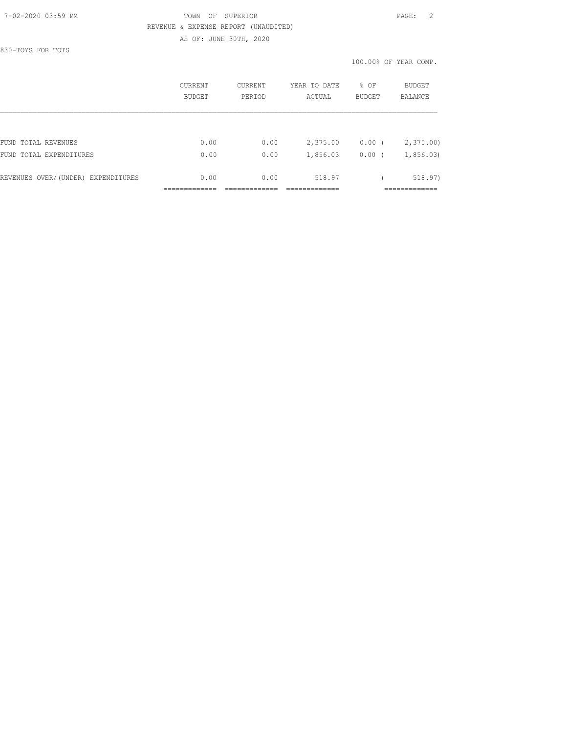## 7-02-2020 03:59 PM TOWN OF SUPERIOR PAGE: 2 REVENUE & EXPENSE REPORT (UNAUDITED) AS OF: JUNE 30TH, 2020

830-TOYS FOR TOTS

|                                    | CURRENT<br><b>BUDGET</b> | CURRENT<br>PERIOD | YEAR TO DATE<br>ACTUAL | % OF<br><b>BUDGET</b> | BUDGET<br><b>BALANCE</b> |
|------------------------------------|--------------------------|-------------------|------------------------|-----------------------|--------------------------|
|                                    |                          |                   |                        |                       |                          |
| FUND TOTAL REVENUES                | 0.00                     | 0.00              | 2,375.00               | $0.00$ (              | 2,375.00                 |
| FUND TOTAL EXPENDITURES            | 0.00                     | 0.00              | 1,856.03               | 0.00                  | 1,856.03                 |
| REVENUES OVER/(UNDER) EXPENDITURES | 0.00                     | 0.00              | 518.97                 |                       | 518.97)                  |
|                                    |                          |                   |                        |                       |                          |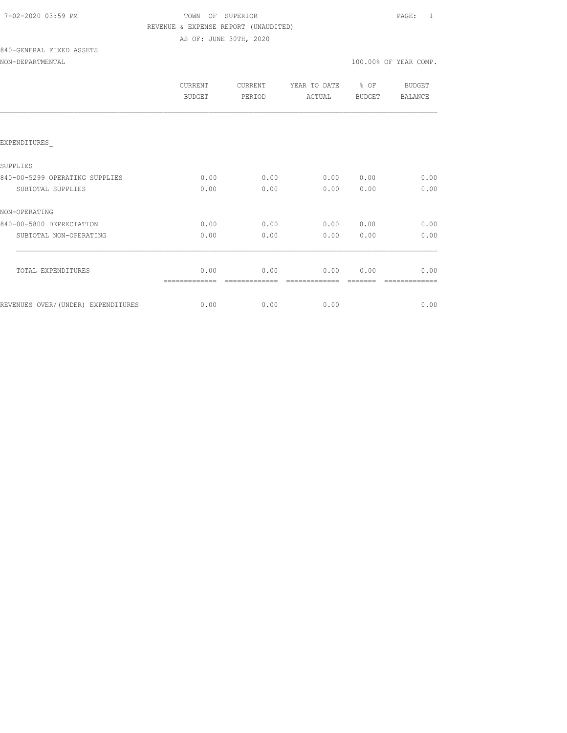# TOWN OF SUPERIOR **PAGE:** 1 REVENUE & EXPENSE REPORT (UNAUDITED) AS OF: JUNE 30TH, 2020

# 840-GENERAL FIXED ASSETS

## NON-DEPARTMENTAL 100.00% OF YEAR COMP.

| CURRENT<br><b>BUDGET</b> | <b>CURRENT</b><br>PERIOD | YEAR TO DATE<br>ACTUAL | % OF<br><b>BUDGET</b> | BUDGET<br><b>BALANCE</b> |
|--------------------------|--------------------------|------------------------|-----------------------|--------------------------|
|                          |                          |                        |                       |                          |
|                          |                          |                        |                       |                          |
|                          |                          |                        |                       |                          |
| 0.00                     | 0.00                     | 0.00                   | 0.00                  | 0.00                     |
| 0.00                     | 0.00                     | 0.00                   | 0.00                  | 0.00                     |
|                          |                          |                        |                       |                          |
| 0.00                     | 0.00                     | 0.00                   | 0.00                  | 0.00                     |
| 0.00                     | 0.00                     | 0.00                   | 0.00                  | 0.00                     |
|                          |                          |                        |                       |                          |
| 0.00                     | 0.00                     | 0.00                   | 0.00                  | 0.00                     |
|                          |                          |                        |                       | 0.00                     |
|                          | 0.00                     | 0.00                   | 0.00                  |                          |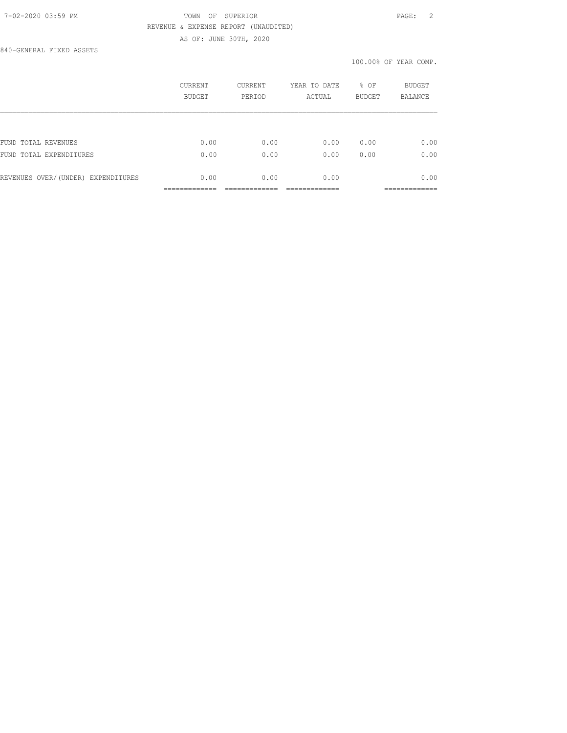## 7-02-2020 03:59 PM TOWN OF SUPERIOR PAGE: 2 REVENUE & EXPENSE REPORT (UNAUDITED) AS OF: JUNE 30TH, 2020

840-GENERAL FIXED ASSETS

#### 100.00% OF YEAR COMP.

|                                    | CURRENT<br><b>BUDGET</b> | <b>CURRENT</b><br>PERIOD | YEAR TO DATE<br>ACTUAL | % OF<br><b>BUDGET</b> | <b>BUDGET</b><br><b>BALANCE</b> |
|------------------------------------|--------------------------|--------------------------|------------------------|-----------------------|---------------------------------|
|                                    |                          |                          |                        |                       |                                 |
| FUND TOTAL REVENUES                | 0.00                     | 0.00                     | 0.00                   | 0.00                  | 0.00                            |
| FUND TOTAL EXPENDITURES            | 0.00                     | 0.00                     | 0.00                   | 0.00                  | 0.00                            |
| REVENUES OVER/(UNDER) EXPENDITURES | 0.00                     | 0.00                     | 0.00                   |                       | 0.00                            |
|                                    |                          |                          |                        |                       |                                 |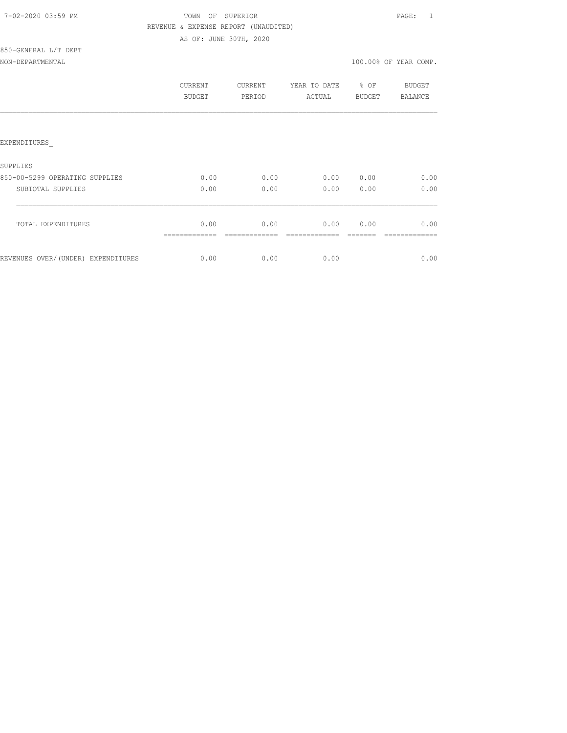| 7-02-2020 03:59 PM |  |
|--------------------|--|
|                    |  |

# TOWN OF SUPERIOR **PAGE:** 1 REVENUE & EXPENSE REPORT (UNAUDITED) AS OF: JUNE 30TH, 2020

| 850-GENERAL L/T DEBT |  |  |
|----------------------|--|--|
| $\frac{1}{2}$        |  |  |

| NON-DEPARTMENTAL | 100.00% OF YEAR COMP. |  |  |
|------------------|-----------------------|--|--|
|                  |                       |  |  |

|                                     | CURRENT<br>BUDGET | CURRENT<br>PERIOD | YEAR TO DATE<br>ACTUAL | % OF<br><b>BUDGET</b> | BUDGET<br><b>BALANCE</b> |
|-------------------------------------|-------------------|-------------------|------------------------|-----------------------|--------------------------|
|                                     |                   |                   |                        |                       |                          |
| EXPENDITURES                        |                   |                   |                        |                       |                          |
| SUPPLIES                            |                   |                   |                        |                       |                          |
| 850-00-5299 OPERATING SUPPLIES      | 0.00              | 0.00              | 0.00                   | 0.00                  | 0.00                     |
| SUBTOTAL SUPPLIES                   | 0.00              | 0.00              | 0.00                   | 0.00                  | 0.00                     |
| TOTAL EXPENDITURES                  | 0.00              | 0.00              | 0.00                   | 0.00                  | 0.00                     |
| REVENUES OVER/ (UNDER) EXPENDITURES | 0.00              | 0.00              | 0.00                   |                       | 0.00                     |